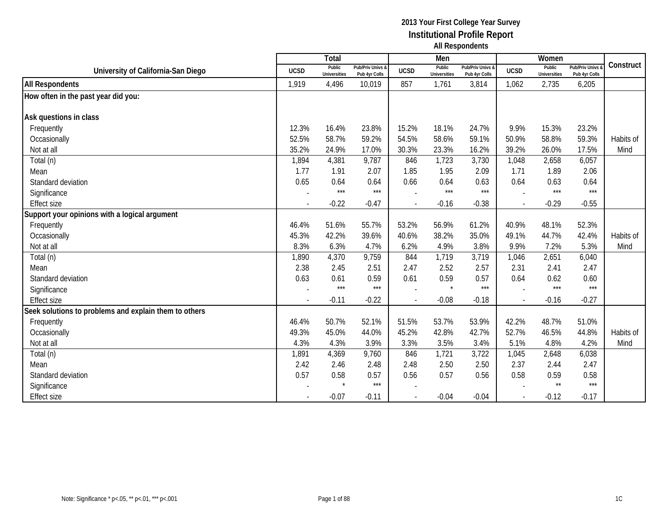|                                                       |                | Total                         |                                   |                | Men                           |                                   |                | Women                         |                                        |           |
|-------------------------------------------------------|----------------|-------------------------------|-----------------------------------|----------------|-------------------------------|-----------------------------------|----------------|-------------------------------|----------------------------------------|-----------|
| University of California-San Diego                    | <b>UCSD</b>    | Public<br><b>Universities</b> | Pub/Priv Univs &<br>Pub 4yr Colls | <b>UCSD</b>    | Public<br><b>Universities</b> | Pub/Priv Univs &<br>Pub 4yr Colls | <b>UCSD</b>    | Public<br><b>Universities</b> | <b>Pub/Priv Univs</b><br>Pub 4yr Colls | Construct |
| <b>All Respondents</b>                                | 1,919          | 4,496                         | 10,019                            | 857            | 1,761                         | 3,814                             | 1,062          | 2,735                         | 6,205                                  |           |
| How often in the past year did you:                   |                |                               |                                   |                |                               |                                   |                |                               |                                        |           |
| Ask questions in class                                |                |                               |                                   |                |                               |                                   |                |                               |                                        |           |
| Frequently                                            | 12.3%          | 16.4%                         | 23.8%                             | 15.2%          | 18.1%                         | 24.7%                             | 9.9%           | 15.3%                         | 23.2%                                  |           |
| Occasionally                                          | 52.5%          | 58.7%                         | 59.2%                             | 54.5%          | 58.6%                         | 59.1%                             | 50.9%          | 58.8%                         | 59.3%                                  | Habits of |
| Not at all                                            | 35.2%          | 24.9%                         | 17.0%                             | 30.3%          | 23.3%                         | 16.2%                             | 39.2%          | 26.0%                         | 17.5%                                  | Mind      |
| Total (n)                                             | 1,894          | 4,381                         | 9,787                             | 846            | 1,723                         | 3,730                             | 1,048          | 2,658                         | 6,057                                  |           |
| Mean                                                  | 1.77           | 1.91                          | 2.07                              | 1.85           | 1.95                          | 2.09                              | 1.71           | 1.89                          | 2.06                                   |           |
| Standard deviation                                    | 0.65           | 0.64                          | 0.64                              | 0.66           | 0.64                          | 0.63                              | 0.64           | 0.63                          | 0.64                                   |           |
| Significance                                          |                | $***$                         | $***$                             |                | $***$                         | $***$                             |                | $***$                         | $***$                                  |           |
| <b>Effect size</b>                                    | $\blacksquare$ | $-0.22$                       | $-0.47$                           | $\overline{a}$ | $-0.16$                       | $-0.38$                           | $\sim$         | $-0.29$                       | $-0.55$                                |           |
| Support your opinions with a logical argument         |                |                               |                                   |                |                               |                                   |                |                               |                                        |           |
| Frequently                                            | 46.4%          | 51.6%                         | 55.7%                             | 53.2%          | 56.9%                         | 61.2%                             | 40.9%          | 48.1%                         | 52.3%                                  |           |
| Occasionally                                          | 45.3%          | 42.2%                         | 39.6%                             | 40.6%          | 38.2%                         | 35.0%                             | 49.1%          | 44.7%                         | 42.4%                                  | Habits of |
| Not at all                                            | 8.3%           | 6.3%                          | 4.7%                              | 6.2%           | 4.9%                          | 3.8%                              | 9.9%           | 7.2%                          | 5.3%                                   | Mind      |
| Total (n)                                             | 1,890          | 4,370                         | 9,759                             | 844            | 1,719                         | 3,719                             | 1,046          | 2,651                         | 6,040                                  |           |
| Mean                                                  | 2.38           | 2.45                          | 2.51                              | 2.47           | 2.52                          | 2.57                              | 2.31           | 2.41                          | 2.47                                   |           |
| Standard deviation                                    | 0.63           | 0.61                          | 0.59                              | 0.61           | 0.59                          | 0.57                              | 0.64           | 0.62                          | 0.60                                   |           |
| Significance                                          |                | $***$                         | $***$                             |                | $\star$                       | $***$                             |                | $***$                         | $***$                                  |           |
| <b>Effect size</b>                                    |                | $-0.11$                       | $-0.22$                           |                | $-0.08$                       | $-0.18$                           | $\overline{a}$ | $-0.16$                       | $-0.27$                                |           |
| Seek solutions to problems and explain them to others |                |                               |                                   |                |                               |                                   |                |                               |                                        |           |
| Frequently                                            | 46.4%          | 50.7%                         | 52.1%                             | 51.5%          | 53.7%                         | 53.9%                             | 42.2%          | 48.7%                         | 51.0%                                  |           |
| Occasionally                                          | 49.3%          | 45.0%                         | 44.0%                             | 45.2%          | 42.8%                         | 42.7%                             | 52.7%          | 46.5%                         | 44.8%                                  | Habits of |
| Not at all                                            | 4.3%           | 4.3%                          | 3.9%                              | 3.3%           | 3.5%                          | 3.4%                              | 5.1%           | 4.8%                          | 4.2%                                   | Mind      |
| Total (n)                                             | 1,891          | 4,369                         | 9,760                             | 846            | 1,721                         | 3,722                             | 1,045          | 2,648                         | 6,038                                  |           |
| Mean                                                  | 2.42           | 2.46                          | 2.48                              | 2.48           | 2.50                          | 2.50                              | 2.37           | 2.44                          | 2.47                                   |           |
| Standard deviation                                    | 0.57           | 0.58                          | 0.57                              | 0.56           | 0.57                          | 0.56                              | 0.58           | 0.59                          | 0.58                                   |           |
| Significance                                          |                |                               | $***$                             |                |                               |                                   |                | $\star\star$                  | $***$                                  |           |
| <b>Effect size</b>                                    |                | $-0.07$                       | $-0.11$                           |                | $-0.04$                       | $-0.04$                           |                | $-0.12$                       | $-0.17$                                |           |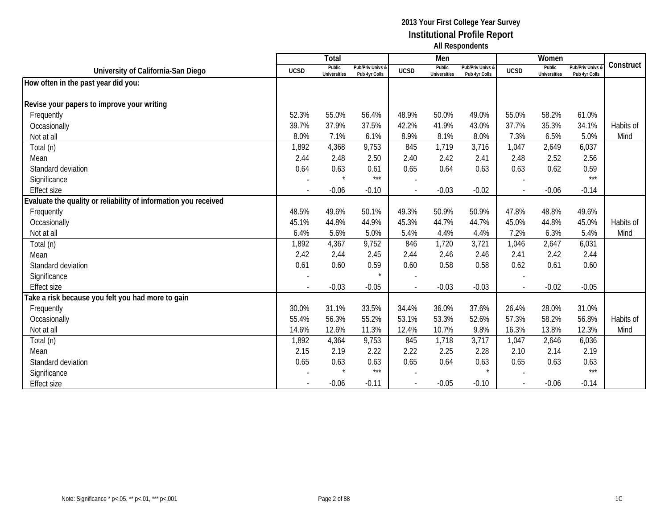|                                                                 |             | Total                         |                                   |                | Men                           |                                   |             | Women                         |                                 |           |
|-----------------------------------------------------------------|-------------|-------------------------------|-----------------------------------|----------------|-------------------------------|-----------------------------------|-------------|-------------------------------|---------------------------------|-----------|
| University of California-San Diego                              | <b>UCSD</b> | Public<br><b>Universities</b> | Pub/Priv Univs &<br>Pub 4yr Colls | <b>UCSD</b>    | Public<br><b>Universities</b> | Pub/Priv Univs &<br>Pub 4yr Colls | <b>UCSD</b> | Public<br><b>Universities</b> | Pub/Priv Univs<br>Pub 4yr Colls | Construct |
| How often in the past year did you:                             |             |                               |                                   |                |                               |                                   |             |                               |                                 |           |
|                                                                 |             |                               |                                   |                |                               |                                   |             |                               |                                 |           |
| Revise your papers to improve your writing                      |             |                               |                                   |                |                               |                                   |             |                               |                                 |           |
| Frequently                                                      | 52.3%       | 55.0%                         | 56.4%                             | 48.9%          | 50.0%                         | 49.0%                             | 55.0%       | 58.2%                         | 61.0%                           |           |
| Occasionally                                                    | 39.7%       | 37.9%                         | 37.5%                             | 42.2%          | 41.9%                         | 43.0%                             | 37.7%       | 35.3%                         | 34.1%                           | Habits of |
| Not at all                                                      | 8.0%        | 7.1%                          | 6.1%                              | 8.9%           | 8.1%                          | 8.0%                              | 7.3%        | 6.5%                          | 5.0%                            | Mind      |
| Total (n)                                                       | 1,892       | 4,368                         | 9,753                             | 845            | 1,719                         | 3,716                             | 1,047       | 2,649                         | 6,037                           |           |
| Mean                                                            | 2.44        | 2.48                          | 2.50                              | 2.40           | 2.42                          | 2.41                              | 2.48        | 2.52                          | 2.56                            |           |
| Standard deviation                                              | 0.64        | 0.63                          | 0.61                              | 0.65           | 0.64                          | 0.63                              | 0.63        | 0.62                          | 0.59                            |           |
| Significance                                                    |             | $\star$                       | $***$                             |                |                               |                                   |             |                               | $***$                           |           |
| <b>Effect size</b>                                              |             | $-0.06$                       | $-0.10$                           |                | $-0.03$                       | $-0.02$                           |             | $-0.06$                       | $-0.14$                         |           |
| Evaluate the quality or reliability of information you received |             |                               |                                   |                |                               |                                   |             |                               |                                 |           |
| Frequently                                                      | 48.5%       | 49.6%                         | 50.1%                             | 49.3%          | 50.9%                         | 50.9%                             | 47.8%       | 48.8%                         | 49.6%                           |           |
| Occasionally                                                    | 45.1%       | 44.8%                         | 44.9%                             | 45.3%          | 44.7%                         | 44.7%                             | 45.0%       | 44.8%                         | 45.0%                           | Habits of |
| Not at all                                                      | 6.4%        | 5.6%                          | 5.0%                              | 5.4%           | 4.4%                          | 4.4%                              | 7.2%        | 6.3%                          | 5.4%                            | Mind      |
| Total (n)                                                       | 1,892       | 4,367                         | 9,752                             | 846            | 1,720                         | 3,721                             | 1,046       | 2,647                         | 6,031                           |           |
| Mean                                                            | 2.42        | 2.44                          | 2.45                              | 2.44           | 2.46                          | 2.46                              | 2.41        | 2.42                          | 2.44                            |           |
| Standard deviation                                              | 0.61        | 0.60                          | 0.59                              | 0.60           | 0.58                          | 0.58                              | 0.62        | 0.61                          | 0.60                            |           |
| Significance                                                    |             |                               |                                   |                |                               |                                   |             |                               |                                 |           |
| <b>Effect size</b>                                              |             | $-0.03$                       | $-0.05$                           | $\overline{a}$ | $-0.03$                       | $-0.03$                           | $\sim$      | $-0.02$                       | $-0.05$                         |           |
| Take a risk because you felt you had more to gain               |             |                               |                                   |                |                               |                                   |             |                               |                                 |           |
| Frequently                                                      | 30.0%       | 31.1%                         | 33.5%                             | 34.4%          | 36.0%                         | 37.6%                             | 26.4%       | 28.0%                         | 31.0%                           |           |
| Occasionally                                                    | 55.4%       | 56.3%                         | 55.2%                             | 53.1%          | 53.3%                         | 52.6%                             | 57.3%       | 58.2%                         | 56.8%                           | Habits of |
| Not at all                                                      | 14.6%       | 12.6%                         | 11.3%                             | 12.4%          | 10.7%                         | 9.8%                              | 16.3%       | 13.8%                         | 12.3%                           | Mind      |
| Total (n)                                                       | 1,892       | 4,364                         | 9,753                             | 845            | 1,718                         | 3,717                             | 1,047       | 2,646                         | 6,036                           |           |
| Mean                                                            | 2.15        | 2.19                          | 2.22                              | 2.22           | 2.25                          | 2.28                              | 2.10        | 2.14                          | 2.19                            |           |
| Standard deviation                                              | 0.65        | 0.63                          | 0.63                              | 0.65           | 0.64                          | 0.63                              | 0.65        | 0.63                          | 0.63                            |           |
| Significance                                                    |             | $\star$                       | $***$                             |                |                               | $\star$                           |             |                               | $***$                           |           |
| <b>Effect size</b>                                              |             | $-0.06$                       | $-0.11$                           |                | $-0.05$                       | $-0.10$                           |             | $-0.06$                       | $-0.14$                         |           |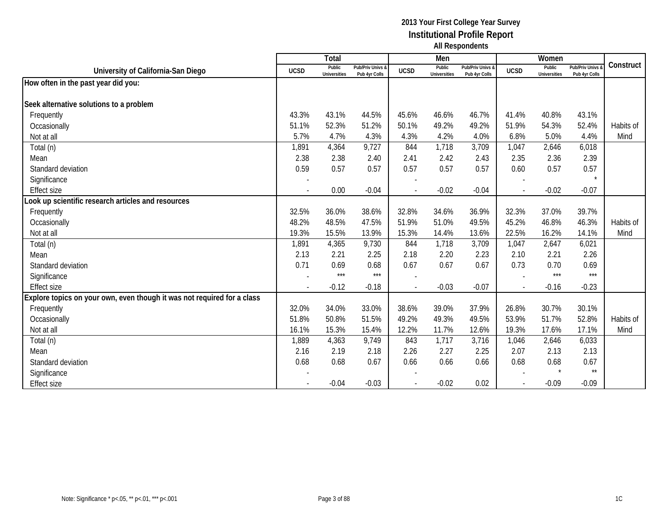|                                                                         |                | Total                         |                                   |                          | Men                           |                                 |             | Women                         |                                        |           |
|-------------------------------------------------------------------------|----------------|-------------------------------|-----------------------------------|--------------------------|-------------------------------|---------------------------------|-------------|-------------------------------|----------------------------------------|-----------|
| University of California-San Diego                                      | <b>UCSD</b>    | Public<br><b>Universities</b> | Pub/Priv Univs &<br>Pub 4yr Colls | <b>UCSD</b>              | Public<br><b>Universities</b> | Pub/Priv Univs<br>Pub 4yr Colls | <b>UCSD</b> | Public<br><b>Universities</b> | <b>Pub/Priv Univs</b><br>Pub 4yr Colls | Construct |
| How often in the past year did you:                                     |                |                               |                                   |                          |                               |                                 |             |                               |                                        |           |
|                                                                         |                |                               |                                   |                          |                               |                                 |             |                               |                                        |           |
| Seek alternative solutions to a problem                                 |                |                               |                                   |                          |                               |                                 |             |                               |                                        |           |
| Frequently                                                              | 43.3%          | 43.1%                         | 44.5%                             | 45.6%                    | 46.6%                         | 46.7%                           | 41.4%       | 40.8%                         | 43.1%                                  |           |
| Occasionally                                                            | 51.1%          | 52.3%                         | 51.2%                             | 50.1%                    | 49.2%                         | 49.2%                           | 51.9%       | 54.3%                         | 52.4%                                  | Habits of |
| Not at all                                                              | 5.7%           | 4.7%                          | 4.3%                              | 4.3%                     | 4.2%                          | 4.0%                            | 6.8%        | 5.0%                          | 4.4%                                   | Mind      |
| Total (n)                                                               | 1,891          | 4,364                         | 9,727                             | 844                      | 1,718                         | 3,709                           | 1,047       | 2,646                         | 6,018                                  |           |
| Mean                                                                    | 2.38           | 2.38                          | 2.40                              | 2.41                     | 2.42                          | 2.43                            | 2.35        | 2.36                          | 2.39                                   |           |
| Standard deviation                                                      | 0.59           | 0.57                          | 0.57                              | 0.57                     | 0.57                          | 0.57                            | 0.60        | 0.57                          | 0.57                                   |           |
| Significance                                                            |                |                               |                                   |                          |                               |                                 |             |                               |                                        |           |
| <b>Effect size</b>                                                      | $\overline{a}$ | 0.00                          | $-0.04$                           | $\blacksquare$           | $-0.02$                       | $-0.04$                         |             | $-0.02$                       | $-0.07$                                |           |
| Look up scientific research articles and resources                      |                |                               |                                   |                          |                               |                                 |             |                               |                                        |           |
| Frequently                                                              | 32.5%          | 36.0%                         | 38.6%                             | 32.8%                    | 34.6%                         | 36.9%                           | 32.3%       | 37.0%                         | 39.7%                                  |           |
| Occasionally                                                            | 48.2%          | 48.5%                         | 47.5%                             | 51.9%                    | 51.0%                         | 49.5%                           | 45.2%       | 46.8%                         | 46.3%                                  | Habits of |
| Not at all                                                              | 19.3%          | 15.5%                         | 13.9%                             | 15.3%                    | 14.4%                         | 13.6%                           | 22.5%       | 16.2%                         | 14.1%                                  | Mind      |
| Total (n)                                                               | 1,891          | 4,365                         | 9,730                             | 844                      | 1,718                         | 3,709                           | 1,047       | 2,647                         | 6,021                                  |           |
| Mean                                                                    | 2.13           | 2.21                          | 2.25                              | 2.18                     | 2.20                          | 2.23                            | 2.10        | 2.21                          | 2.26                                   |           |
| Standard deviation                                                      | 0.71           | 0.69                          | 0.68                              | 0.67                     | 0.67                          | 0.67                            | 0.73        | 0.70                          | 0.69                                   |           |
| Significance                                                            |                | $***$                         | $***$                             |                          |                               |                                 |             | $***$                         | $***$                                  |           |
| <b>Effect size</b>                                                      |                | $-0.12$                       | $-0.18$                           | $\overline{\phantom{a}}$ | $-0.03$                       | $-0.07$                         | $\sim$      | $-0.16$                       | $-0.23$                                |           |
| Explore topics on your own, even though it was not required for a class |                |                               |                                   |                          |                               |                                 |             |                               |                                        |           |
| Frequently                                                              | 32.0%          | 34.0%                         | 33.0%                             | 38.6%                    | 39.0%                         | 37.9%                           | 26.8%       | 30.7%                         | 30.1%                                  |           |
| Occasionally                                                            | 51.8%          | 50.8%                         | 51.5%                             | 49.2%                    | 49.3%                         | 49.5%                           | 53.9%       | 51.7%                         | 52.8%                                  | Habits of |
| Not at all                                                              | 16.1%          | 15.3%                         | 15.4%                             | 12.2%                    | 11.7%                         | 12.6%                           | 19.3%       | 17.6%                         | 17.1%                                  | Mind      |
| Total (n)                                                               | 1,889          | 4,363                         | 9,749                             | 843                      | 1,717                         | 3,716                           | 1,046       | 2,646                         | 6,033                                  |           |
| Mean                                                                    | 2.16           | 2.19                          | 2.18                              | 2.26                     | 2.27                          | 2.25                            | 2.07        | 2.13                          | 2.13                                   |           |
| Standard deviation                                                      | 0.68           | 0.68                          | 0.67                              | 0.66                     | 0.66                          | 0.66                            | 0.68        | 0.68                          | 0.67                                   |           |
| Significance                                                            |                |                               |                                   |                          |                               |                                 |             | $\star$                       | $\star\star$                           |           |
| <b>Effect size</b>                                                      |                | $-0.04$                       | $-0.03$                           |                          | $-0.02$                       | 0.02                            |             | $-0.09$                       | $-0.09$                                |           |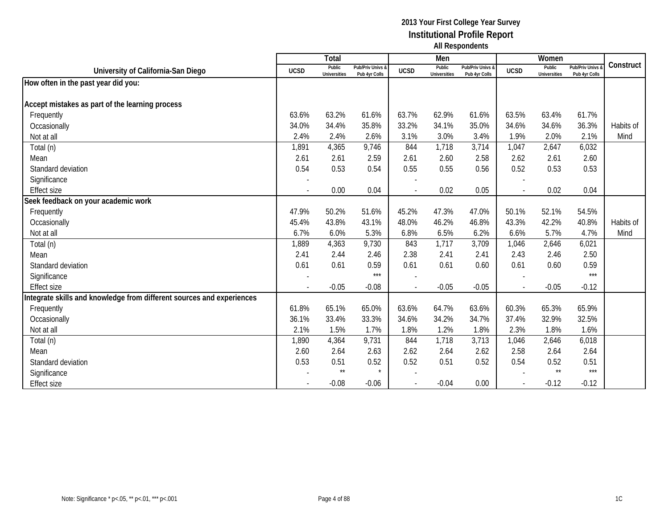|                                                                       |             | Total                         |                                   |             | Men                           |                                   |                | Women                         |                                 |           |
|-----------------------------------------------------------------------|-------------|-------------------------------|-----------------------------------|-------------|-------------------------------|-----------------------------------|----------------|-------------------------------|---------------------------------|-----------|
| University of California-San Diego                                    | <b>UCSD</b> | Public<br><b>Universities</b> | Pub/Priv Univs &<br>Pub 4yr Colls | <b>UCSD</b> | Public<br><b>Universities</b> | Pub/Priv Univs &<br>Pub 4yr Colls | <b>UCSD</b>    | Public<br><b>Universities</b> | Pub/Priv Univs<br>Pub 4yr Colls | Construct |
| How often in the past year did you:                                   |             |                               |                                   |             |                               |                                   |                |                               |                                 |           |
|                                                                       |             |                               |                                   |             |                               |                                   |                |                               |                                 |           |
| Accept mistakes as part of the learning process                       |             |                               |                                   |             |                               |                                   |                |                               |                                 |           |
| Frequently                                                            | 63.6%       | 63.2%                         | 61.6%                             | 63.7%       | 62.9%                         | 61.6%                             | 63.5%          | 63.4%                         | 61.7%                           |           |
| Occasionally                                                          | 34.0%       | 34.4%                         | 35.8%                             | 33.2%       | 34.1%                         | 35.0%                             | 34.6%          | 34.6%                         | 36.3%                           | Habits of |
| Not at all                                                            | 2.4%        | 2.4%                          | 2.6%                              | 3.1%        | 3.0%                          | 3.4%                              | 1.9%           | 2.0%                          | 2.1%                            | Mind      |
| Total (n)                                                             | 1,891       | 4,365                         | 9,746                             | 844         | 1,718                         | 3,714                             | 1,047          | 2,647                         | 6,032                           |           |
| Mean                                                                  | 2.61        | 2.61                          | 2.59                              | 2.61        | 2.60                          | 2.58                              | 2.62           | 2.61                          | 2.60                            |           |
| Standard deviation                                                    | 0.54        | 0.53                          | 0.54                              | 0.55        | 0.55                          | 0.56                              | 0.52           | 0.53                          | 0.53                            |           |
| Significance                                                          |             |                               |                                   |             |                               |                                   |                |                               |                                 |           |
| <b>Effect size</b>                                                    |             | 0.00                          | 0.04                              |             | 0.02                          | 0.05                              |                | 0.02                          | 0.04                            |           |
| Seek feedback on your academic work                                   |             |                               |                                   |             |                               |                                   |                |                               |                                 |           |
| Frequently                                                            | 47.9%       | 50.2%                         | 51.6%                             | 45.2%       | 47.3%                         | 47.0%                             | 50.1%          | 52.1%                         | 54.5%                           |           |
| Occasionally                                                          | 45.4%       | 43.8%                         | 43.1%                             | 48.0%       | 46.2%                         | 46.8%                             | 43.3%          | 42.2%                         | 40.8%                           | Habits of |
| Not at all                                                            | 6.7%        | 6.0%                          | 5.3%                              | 6.8%        | 6.5%                          | 6.2%                              | 6.6%           | 5.7%                          | 4.7%                            | Mind      |
| Total (n)                                                             | 1,889       | 4,363                         | 9,730                             | 843         | 1,717                         | 3,709                             | 1,046          | 2,646                         | 6,021                           |           |
| Mean                                                                  | 2.41        | 2.44                          | 2.46                              | 2.38        | 2.41                          | 2.41                              | 2.43           | 2.46                          | 2.50                            |           |
| Standard deviation                                                    | 0.61        | 0.61                          | 0.59                              | 0.61        | 0.61                          | 0.60                              | 0.61           | 0.60                          | 0.59                            |           |
| Significance                                                          |             |                               | $***$                             |             |                               |                                   |                |                               | $***$                           |           |
| <b>Effect size</b>                                                    |             | $-0.05$                       | $-0.08$                           |             | $-0.05$                       | $-0.05$                           | $\overline{a}$ | $-0.05$                       | $-0.12$                         |           |
| Integrate skills and knowledge from different sources and experiences |             |                               |                                   |             |                               |                                   |                |                               |                                 |           |
| Frequently                                                            | 61.8%       | 65.1%                         | 65.0%                             | 63.6%       | 64.7%                         | 63.6%                             | 60.3%          | 65.3%                         | 65.9%                           |           |
| Occasionally                                                          | 36.1%       | 33.4%                         | 33.3%                             | 34.6%       | 34.2%                         | 34.7%                             | 37.4%          | 32.9%                         | 32.5%                           |           |
| Not at all                                                            | 2.1%        | 1.5%                          | 1.7%                              | 1.8%        | 1.2%                          | 1.8%                              | 2.3%           | 1.8%                          | 1.6%                            |           |
| Total (n)                                                             | 1,890       | 4,364                         | 9,731                             | 844         | 1,718                         | 3,713                             | 1,046          | 2,646                         | 6,018                           |           |
| Mean                                                                  | 2.60        | 2.64                          | 2.63                              | 2.62        | 2.64                          | 2.62                              | 2.58           | 2.64                          | 2.64                            |           |
| Standard deviation                                                    | 0.53        | 0.51                          | 0.52                              | 0.52        | 0.51                          | 0.52                              | 0.54           | 0.52                          | 0.51                            |           |
| Significance                                                          |             | $***$                         | $\star$                           |             |                               |                                   |                | $\star\star$                  | $***$                           |           |
| <b>Effect size</b>                                                    |             | $-0.08$                       | $-0.06$                           |             | $-0.04$                       | 0.00                              |                | $-0.12$                       | $-0.12$                         |           |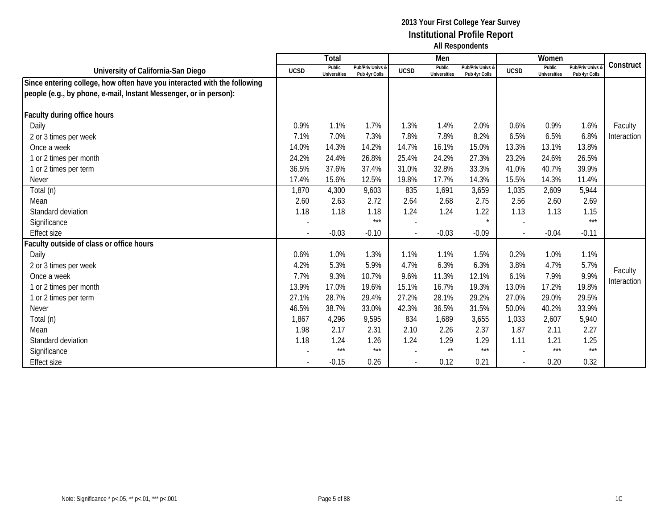|                                                                          |                          | Total                         |                                   |                          | Men                           |                                   |                | Women                         |                                 |             |
|--------------------------------------------------------------------------|--------------------------|-------------------------------|-----------------------------------|--------------------------|-------------------------------|-----------------------------------|----------------|-------------------------------|---------------------------------|-------------|
| University of California-San Diego                                       | <b>UCSD</b>              | Public<br><b>Universities</b> | Pub/Priv Univs &<br>Pub 4yr Colls | <b>UCSD</b>              | Public<br><b>Universities</b> | Pub/Priv Univs &<br>Pub 4yr Colls | <b>UCSD</b>    | Public<br><b>Universities</b> | Pub/Priv Univs<br>Pub 4yr Colls | Construct   |
| Since entering college, how often have you interacted with the following |                          |                               |                                   |                          |                               |                                   |                |                               |                                 |             |
| people (e.g., by phone, e-mail, Instant Messenger, or in person):        |                          |                               |                                   |                          |                               |                                   |                |                               |                                 |             |
|                                                                          |                          |                               |                                   |                          |                               |                                   |                |                               |                                 |             |
| Faculty during office hours                                              |                          |                               |                                   |                          |                               |                                   |                |                               |                                 |             |
| Daily                                                                    | 0.9%                     | 1.1%                          | 1.7%                              | 1.3%                     | 1.4%                          | 2.0%                              | 0.6%           | 0.9%                          | 1.6%                            | Faculty     |
| 2 or 3 times per week                                                    | 7.1%                     | 7.0%                          | 7.3%                              | 7.8%                     | 7.8%                          | 8.2%                              | 6.5%           | 6.5%                          | 6.8%                            | Interaction |
| Once a week                                                              | 14.0%                    | 14.3%                         | 14.2%                             | 14.7%                    | 16.1%                         | 15.0%                             | 13.3%          | 13.1%                         | 13.8%                           |             |
| 1 or 2 times per month                                                   | 24.2%                    | 24.4%                         | 26.8%                             | 25.4%                    | 24.2%                         | 27.3%                             | 23.2%          | 24.6%                         | 26.5%                           |             |
| 1 or 2 times per term                                                    | 36.5%                    | 37.6%                         | 37.4%                             | 31.0%                    | 32.8%                         | 33.3%                             | 41.0%          | 40.7%                         | 39.9%                           |             |
| <b>Never</b>                                                             | 17.4%                    | 15.6%                         | 12.5%                             | 19.8%                    | 17.7%                         | 14.3%                             | 15.5%          | 14.3%                         | 11.4%                           |             |
| Total (n)                                                                | 1,870                    | 4,300                         | 9,603                             | 835                      | 1,691                         | 3,659                             | 1,035          | 2,609                         | 5,944                           |             |
| Mean                                                                     | 2.60                     | 2.63                          | 2.72                              | 2.64                     | 2.68                          | 2.75                              | 2.56           | 2.60                          | 2.69                            |             |
| Standard deviation                                                       | 1.18                     | 1.18                          | 1.18                              | 1.24                     | 1.24                          | 1.22                              | 1.13           | 1.13                          | 1.15                            |             |
| Significance                                                             |                          |                               | $***$                             | $\overline{\phantom{a}}$ |                               | $\star$                           |                |                               | $***$                           |             |
| <b>Effect size</b>                                                       | $\overline{\phantom{a}}$ | $-0.03$                       | $-0.10$                           | $\blacksquare$           | $-0.03$                       | $-0.09$                           | $\blacksquare$ | $-0.04$                       | $-0.11$                         |             |
| Faculty outside of class or office hours                                 |                          |                               |                                   |                          |                               |                                   |                |                               |                                 |             |
| Daily                                                                    | 0.6%                     | 1.0%                          | 1.3%                              | 1.1%                     | 1.1%                          | 1.5%                              | 0.2%           | 1.0%                          | 1.1%                            |             |
| 2 or 3 times per week                                                    | 4.2%                     | 5.3%                          | 5.9%                              | 4.7%                     | 6.3%                          | 6.3%                              | 3.8%           | 4.7%                          | 5.7%                            | Faculty     |
| Once a week                                                              | 7.7%                     | 9.3%                          | 10.7%                             | 9.6%                     | 11.3%                         | 12.1%                             | 6.1%           | 7.9%                          | 9.9%                            | Interaction |
| 1 or 2 times per month                                                   | 13.9%                    | 17.0%                         | 19.6%                             | 15.1%                    | 16.7%                         | 19.3%                             | 13.0%          | 17.2%                         | 19.8%                           |             |
| 1 or 2 times per term                                                    | 27.1%                    | 28.7%                         | 29.4%                             | 27.2%                    | 28.1%                         | 29.2%                             | 27.0%          | 29.0%                         | 29.5%                           |             |
| Never                                                                    | 46.5%                    | 38.7%                         | 33.0%                             | 42.3%                    | 36.5%                         | 31.5%                             | 50.0%          | 40.2%                         | 33.9%                           |             |
| Total (n)                                                                | 1,867                    | 4,296                         | 9,595                             | 834                      | 1,689                         | 3,655                             | 1,033          | 2,607                         | 5,940                           |             |
| Mean                                                                     | 1.98                     | 2.17                          | 2.31                              | 2.10                     | 2.26                          | 2.37                              | 1.87           | 2.11                          | 2.27                            |             |
| Standard deviation                                                       | 1.18                     | 1.24                          | 1.26                              | 1.24                     | 1.29                          | 1.29                              | 1.11           | 1.21                          | 1.25                            |             |
| Significance                                                             |                          | $***$                         | $***$                             |                          | $\star\star$                  | $***$                             |                | $***$                         | $***$                           |             |
| <b>Effect size</b>                                                       |                          | $-0.15$                       | 0.26                              |                          | 0.12                          | 0.21                              |                | 0.20                          | 0.32                            |             |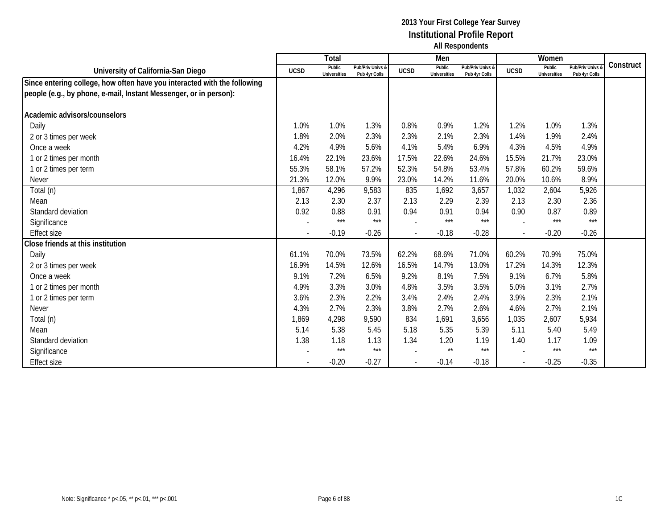|                                                                          |                          | Total                         |                                   |                          | Men                           |                                   |             | Women                         |                                 |           |
|--------------------------------------------------------------------------|--------------------------|-------------------------------|-----------------------------------|--------------------------|-------------------------------|-----------------------------------|-------------|-------------------------------|---------------------------------|-----------|
| University of California-San Diego                                       | <b>UCSD</b>              | Public<br><b>Universities</b> | Pub/Priv Univs &<br>Pub 4yr Colls | <b>UCSD</b>              | Public<br><b>Universities</b> | Pub/Priv Univs &<br>Pub 4yr Colls | <b>UCSD</b> | Public<br><b>Universities</b> | Pub/Priv Univs<br>Pub 4yr Colls | Construct |
| Since entering college, how often have you interacted with the following |                          |                               |                                   |                          |                               |                                   |             |                               |                                 |           |
| people (e.g., by phone, e-mail, Instant Messenger, or in person):        |                          |                               |                                   |                          |                               |                                   |             |                               |                                 |           |
|                                                                          |                          |                               |                                   |                          |                               |                                   |             |                               |                                 |           |
| Academic advisors/counselors                                             |                          |                               |                                   |                          |                               |                                   |             |                               |                                 |           |
| Daily                                                                    | 1.0%                     | 1.0%                          | 1.3%                              | 0.8%                     | 0.9%                          | 1.2%                              | 1.2%        | 1.0%                          | 1.3%                            |           |
| 2 or 3 times per week                                                    | 1.8%                     | 2.0%                          | 2.3%                              | 2.3%                     | 2.1%                          | 2.3%                              | 1.4%        | 1.9%                          | 2.4%                            |           |
| Once a week                                                              | 4.2%                     | 4.9%                          | 5.6%                              | 4.1%                     | 5.4%                          | 6.9%                              | 4.3%        | 4.5%                          | 4.9%                            |           |
| 1 or 2 times per month                                                   | 16.4%                    | 22.1%                         | 23.6%                             | 17.5%                    | 22.6%                         | 24.6%                             | 15.5%       | 21.7%                         | 23.0%                           |           |
| 1 or 2 times per term                                                    | 55.3%                    | 58.1%                         | 57.2%                             | 52.3%                    | 54.8%                         | 53.4%                             | 57.8%       | 60.2%                         | 59.6%                           |           |
| <b>Never</b>                                                             | 21.3%                    | 12.0%                         | 9.9%                              | 23.0%                    | 14.2%                         | 11.6%                             | 20.0%       | 10.6%                         | 8.9%                            |           |
| Total (n)                                                                | 1,867                    | 4,296                         | 9,583                             | 835                      | 1,692                         | 3,657                             | 1,032       | 2,604                         | 5,926                           |           |
| Mean                                                                     | 2.13                     | 2.30                          | 2.37                              | 2.13                     | 2.29                          | 2.39                              | 2.13        | 2.30                          | 2.36                            |           |
| Standard deviation                                                       | 0.92                     | 0.88                          | 0.91                              | 0.94                     | 0.91                          | 0.94                              | 0.90        | 0.87                          | 0.89                            |           |
| Significance                                                             |                          | $***$                         | $***$                             |                          | $***$                         | $***$                             |             | $***$                         | $***$                           |           |
| <b>Effect size</b>                                                       | $\overline{\phantom{a}}$ | $-0.19$                       | $-0.26$                           | $\overline{\phantom{a}}$ | $-0.18$                       | $-0.28$                           |             | $-0.20$                       | $-0.26$                         |           |
| Close friends at this institution                                        |                          |                               |                                   |                          |                               |                                   |             |                               |                                 |           |
| Daily                                                                    | 61.1%                    | 70.0%                         | 73.5%                             | 62.2%                    | 68.6%                         | 71.0%                             | 60.2%       | 70.9%                         | 75.0%                           |           |
| 2 or 3 times per week                                                    | 16.9%                    | 14.5%                         | 12.6%                             | 16.5%                    | 14.7%                         | 13.0%                             | 17.2%       | 14.3%                         | 12.3%                           |           |
| Once a week                                                              | 9.1%                     | 7.2%                          | 6.5%                              | 9.2%                     | 8.1%                          | 7.5%                              | 9.1%        | 6.7%                          | 5.8%                            |           |
| 1 or 2 times per month                                                   | 4.9%                     | 3.3%                          | 3.0%                              | 4.8%                     | 3.5%                          | 3.5%                              | 5.0%        | 3.1%                          | 2.7%                            |           |
| 1 or 2 times per term                                                    | 3.6%                     | 2.3%                          | 2.2%                              | 3.4%                     | 2.4%                          | 2.4%                              | 3.9%        | 2.3%                          | 2.1%                            |           |
| Never                                                                    | 4.3%                     | 2.7%                          | 2.3%                              | 3.8%                     | 2.7%                          | 2.6%                              | 4.6%        | 2.7%                          | 2.1%                            |           |
| Total (n)                                                                | 1,869                    | 4,298                         | 9,590                             | 834                      | 1,691                         | 3,656                             | 1,035       | 2,607                         | 5,934                           |           |
| Mean                                                                     | 5.14                     | 5.38                          | 5.45                              | 5.18                     | 5.35                          | 5.39                              | 5.11        | 5.40                          | 5.49                            |           |
| Standard deviation                                                       | 1.38                     | 1.18                          | 1.13                              | 1.34                     | 1.20                          | 1.19                              | 1.40        | 1.17                          | 1.09                            |           |
| Significance                                                             |                          | $***$                         | $***$                             |                          | $\star\star$                  | $***$                             |             | $***$                         | $***$                           |           |
| <b>Effect size</b>                                                       |                          | $-0.20$                       | $-0.27$                           |                          | $-0.14$                       | $-0.18$                           |             | $-0.25$                       | $-0.35$                         |           |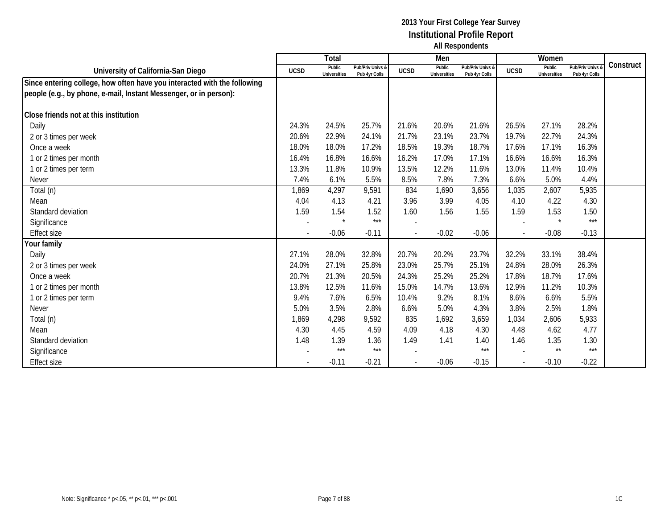|                                                                          |                          | Total                         |                                   |             | Men                           |                                   |             | Women                         |                                 |           |
|--------------------------------------------------------------------------|--------------------------|-------------------------------|-----------------------------------|-------------|-------------------------------|-----------------------------------|-------------|-------------------------------|---------------------------------|-----------|
| University of California-San Diego                                       | <b>UCSD</b>              | Public<br><b>Universities</b> | Pub/Priv Univs &<br>Pub 4yr Colls | <b>UCSD</b> | Public<br><b>Universities</b> | Pub/Priv Univs &<br>Pub 4yr Colls | <b>UCSD</b> | Public<br><b>Universities</b> | Pub/Priv Univs<br>Pub 4yr Colls | Construct |
| Since entering college, how often have you interacted with the following |                          |                               |                                   |             |                               |                                   |             |                               |                                 |           |
| people (e.g., by phone, e-mail, Instant Messenger, or in person):        |                          |                               |                                   |             |                               |                                   |             |                               |                                 |           |
|                                                                          |                          |                               |                                   |             |                               |                                   |             |                               |                                 |           |
| Close friends not at this institution                                    |                          |                               |                                   |             |                               |                                   |             |                               |                                 |           |
| Daily                                                                    | 24.3%                    | 24.5%                         | 25.7%                             | 21.6%       | 20.6%                         | 21.6%                             | 26.5%       | 27.1%                         | 28.2%                           |           |
| 2 or 3 times per week                                                    | 20.6%                    | 22.9%                         | 24.1%                             | 21.7%       | 23.1%                         | 23.7%                             | 19.7%       | 22.7%                         | 24.3%                           |           |
| Once a week                                                              | 18.0%                    | 18.0%                         | 17.2%                             | 18.5%       | 19.3%                         | 18.7%                             | 17.6%       | 17.1%                         | 16.3%                           |           |
| 1 or 2 times per month                                                   | 16.4%                    | 16.8%                         | 16.6%                             | 16.2%       | 17.0%                         | 17.1%                             | 16.6%       | 16.6%                         | 16.3%                           |           |
| 1 or 2 times per term                                                    | 13.3%                    | 11.8%                         | 10.9%                             | 13.5%       | 12.2%                         | 11.6%                             | 13.0%       | 11.4%                         | 10.4%                           |           |
| <b>Never</b>                                                             | 7.4%                     | 6.1%                          | 5.5%                              | 8.5%        | 7.8%                          | 7.3%                              | 6.6%        | 5.0%                          | 4.4%                            |           |
| Total (n)                                                                | 1,869                    | 4,297                         | 9,591                             | 834         | 1,690                         | 3,656                             | 1,035       | 2,607                         | 5,935                           |           |
| Mean                                                                     | 4.04                     | 4.13                          | 4.21                              | 3.96        | 3.99                          | 4.05                              | 4.10        | 4.22                          | 4.30                            |           |
| Standard deviation                                                       | 1.59                     | 1.54                          | 1.52                              | 1.60        | 1.56                          | 1.55                              | 1.59        | 1.53                          | 1.50                            |           |
| Significance                                                             | $\overline{\phantom{a}}$ | $\star$                       | $***$                             |             |                               |                                   |             | $\star$                       | $***$                           |           |
| <b>Effect size</b>                                                       |                          | $-0.06$                       | $-0.11$                           |             | $-0.02$                       | $-0.06$                           |             | $-0.08$                       | $-0.13$                         |           |
| Your family                                                              |                          |                               |                                   |             |                               |                                   |             |                               |                                 |           |
| Daily                                                                    | 27.1%                    | 28.0%                         | 32.8%                             | 20.7%       | 20.2%                         | 23.7%                             | 32.2%       | 33.1%                         | 38.4%                           |           |
| 2 or 3 times per week                                                    | 24.0%                    | 27.1%                         | 25.8%                             | 23.0%       | 25.7%                         | 25.1%                             | 24.8%       | 28.0%                         | 26.3%                           |           |
| Once a week                                                              | 20.7%                    | 21.3%                         | 20.5%                             | 24.3%       | 25.2%                         | 25.2%                             | 17.8%       | 18.7%                         | 17.6%                           |           |
| 1 or 2 times per month                                                   | 13.8%                    | 12.5%                         | 11.6%                             | 15.0%       | 14.7%                         | 13.6%                             | 12.9%       | 11.2%                         | 10.3%                           |           |
| 1 or 2 times per term                                                    | 9.4%                     | 7.6%                          | 6.5%                              | 10.4%       | 9.2%                          | 8.1%                              | 8.6%        | 6.6%                          | 5.5%                            |           |
| <b>Never</b>                                                             | 5.0%                     | 3.5%                          | 2.8%                              | 6.6%        | 5.0%                          | 4.3%                              | 3.8%        | 2.5%                          | 1.8%                            |           |
| Total (n)                                                                | 1,869                    | 4,298                         | 9,592                             | 835         | 1,692                         | 3,659                             | 1,034       | 2,606                         | 5,933                           |           |
| Mean                                                                     | 4.30                     | 4.45                          | 4.59                              | 4.09        | 4.18                          | 4.30                              | 4.48        | 4.62                          | 4.77                            |           |
| Standard deviation                                                       | 1.48                     | 1.39                          | 1.36                              | 1.49        | 1.41                          | 1.40                              | 1.46        | 1.35                          | 1.30                            |           |
| Significance                                                             |                          | $***$                         | $***$                             |             |                               | $***$                             |             | $\star\star$                  | $***$                           |           |
| <b>Effect size</b>                                                       |                          | $-0.11$                       | $-0.21$                           |             | $-0.06$                       | $-0.15$                           |             | $-0.10$                       | $-0.22$                         |           |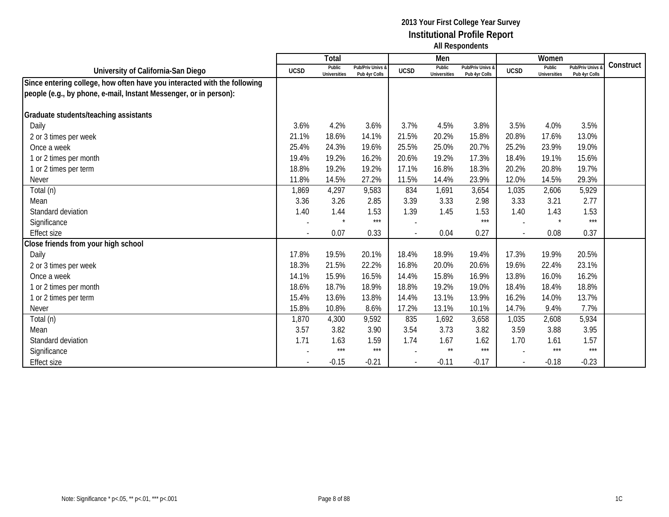|                                                                          |                          | Total                         |                                   |             | Men                           |                                   |             | Women                         |                                 |           |
|--------------------------------------------------------------------------|--------------------------|-------------------------------|-----------------------------------|-------------|-------------------------------|-----------------------------------|-------------|-------------------------------|---------------------------------|-----------|
| University of California-San Diego                                       | <b>UCSD</b>              | Public<br><b>Universities</b> | Pub/Priv Univs &<br>Pub 4yr Colls | <b>UCSD</b> | Public<br><b>Universities</b> | Pub/Priv Univs &<br>Pub 4yr Colls | <b>UCSD</b> | Public<br><b>Universities</b> | Pub/Priv Univs<br>Pub 4yr Colls | Construct |
| Since entering college, how often have you interacted with the following |                          |                               |                                   |             |                               |                                   |             |                               |                                 |           |
| people (e.g., by phone, e-mail, Instant Messenger, or in person):        |                          |                               |                                   |             |                               |                                   |             |                               |                                 |           |
|                                                                          |                          |                               |                                   |             |                               |                                   |             |                               |                                 |           |
| Graduate students/teaching assistants                                    |                          |                               |                                   |             |                               |                                   |             |                               |                                 |           |
| Daily                                                                    | 3.6%                     | 4.2%                          | 3.6%                              | 3.7%        | 4.5%                          | 3.8%                              | 3.5%        | 4.0%                          | 3.5%                            |           |
| 2 or 3 times per week                                                    | 21.1%                    | 18.6%                         | 14.1%                             | 21.5%       | 20.2%                         | 15.8%                             | 20.8%       | 17.6%                         | 13.0%                           |           |
| Once a week                                                              | 25.4%                    | 24.3%                         | 19.6%                             | 25.5%       | 25.0%                         | 20.7%                             | 25.2%       | 23.9%                         | 19.0%                           |           |
| 1 or 2 times per month                                                   | 19.4%                    | 19.2%                         | 16.2%                             | 20.6%       | 19.2%                         | 17.3%                             | 18.4%       | 19.1%                         | 15.6%                           |           |
| 1 or 2 times per term                                                    | 18.8%                    | 19.2%                         | 19.2%                             | 17.1%       | 16.8%                         | 18.3%                             | 20.2%       | 20.8%                         | 19.7%                           |           |
| <b>Never</b>                                                             | 11.8%                    | 14.5%                         | 27.2%                             | 11.5%       | 14.4%                         | 23.9%                             | 12.0%       | 14.5%                         | 29.3%                           |           |
| Total (n)                                                                | 1,869                    | 4,297                         | 9,583                             | 834         | 1,691                         | 3,654                             | 1,035       | 2,606                         | 5,929                           |           |
| Mean                                                                     | 3.36                     | 3.26                          | 2.85                              | 3.39        | 3.33                          | 2.98                              | 3.33        | 3.21                          | 2.77                            |           |
| Standard deviation                                                       | 1.40                     | 1.44                          | 1.53                              | 1.39        | 1.45                          | 1.53                              | 1.40        | 1.43                          | 1.53                            |           |
| Significance                                                             | $\overline{\phantom{a}}$ | $\star$                       | $***$                             |             |                               | $***$                             |             | $\star$                       | $***$                           |           |
| <b>Effect size</b>                                                       |                          | 0.07                          | 0.33                              |             | 0.04                          | 0.27                              |             | 0.08                          | 0.37                            |           |
| Close friends from your high school                                      |                          |                               |                                   |             |                               |                                   |             |                               |                                 |           |
| Daily                                                                    | 17.8%                    | 19.5%                         | 20.1%                             | 18.4%       | 18.9%                         | 19.4%                             | 17.3%       | 19.9%                         | 20.5%                           |           |
| 2 or 3 times per week                                                    | 18.3%                    | 21.5%                         | 22.2%                             | 16.8%       | 20.0%                         | 20.6%                             | 19.6%       | 22.4%                         | 23.1%                           |           |
| Once a week                                                              | 14.1%                    | 15.9%                         | 16.5%                             | 14.4%       | 15.8%                         | 16.9%                             | 13.8%       | 16.0%                         | 16.2%                           |           |
| 1 or 2 times per month                                                   | 18.6%                    | 18.7%                         | 18.9%                             | 18.8%       | 19.2%                         | 19.0%                             | 18.4%       | 18.4%                         | 18.8%                           |           |
| 1 or 2 times per term                                                    | 15.4%                    | 13.6%                         | 13.8%                             | 14.4%       | 13.1%                         | 13.9%                             | 16.2%       | 14.0%                         | 13.7%                           |           |
| <b>Never</b>                                                             | 15.8%                    | 10.8%                         | 8.6%                              | 17.2%       | 13.1%                         | 10.1%                             | 14.7%       | 9.4%                          | 7.7%                            |           |
| Total (n)                                                                | 1,870                    | 4,300                         | 9,592                             | 835         | 1,692                         | 3,658                             | 1,035       | 2,608                         | 5,934                           |           |
| Mean                                                                     | 3.57                     | 3.82                          | 3.90                              | 3.54        | 3.73                          | 3.82                              | 3.59        | 3.88                          | 3.95                            |           |
| Standard deviation                                                       | 1.71                     | 1.63                          | 1.59                              | 1.74        | 1.67                          | 1.62                              | 1.70        | 1.61                          | 1.57                            |           |
| Significance                                                             |                          | ***                           | $***$                             |             | $\star\star$                  | $***$                             |             | $***$                         | $***$                           |           |
| <b>Effect size</b>                                                       |                          | $-0.15$                       | $-0.21$                           |             | $-0.11$                       | $-0.17$                           |             | $-0.18$                       | $-0.23$                         |           |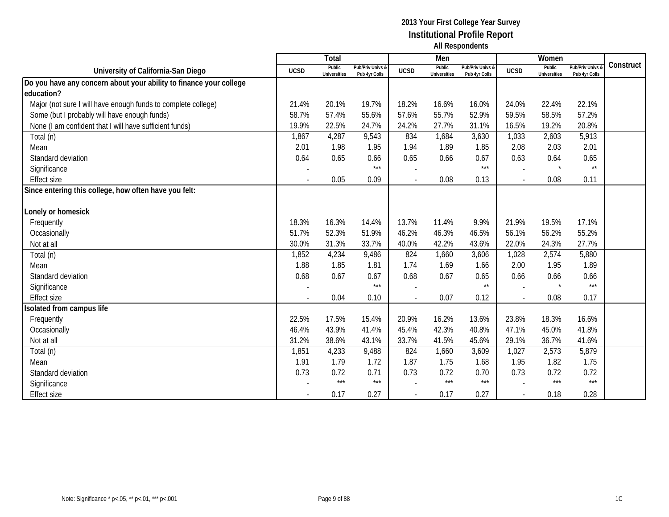|                                                                    |             | Total                         |                                   |             | Men                           |                                   |                          | Women                         |                                        |           |
|--------------------------------------------------------------------|-------------|-------------------------------|-----------------------------------|-------------|-------------------------------|-----------------------------------|--------------------------|-------------------------------|----------------------------------------|-----------|
| University of California-San Diego                                 | <b>UCSD</b> | Public<br><b>Universities</b> | Pub/Priv Univs &<br>Pub 4yr Colls | <b>UCSD</b> | Public<br><b>Universities</b> | Pub/Priv Univs &<br>Pub 4yr Colls | <b>UCSD</b>              | Public<br><b>Universities</b> | <b>Pub/Priv Univs</b><br>Pub 4yr Colls | Construct |
| Do you have any concern about your ability to finance your college |             |                               |                                   |             |                               |                                   |                          |                               |                                        |           |
| education?                                                         |             |                               |                                   |             |                               |                                   |                          |                               |                                        |           |
| Major (not sure I will have enough funds to complete college)      | 21.4%       | 20.1%                         | 19.7%                             | 18.2%       | 16.6%                         | 16.0%                             | 24.0%                    | 22.4%                         | 22.1%                                  |           |
| Some (but I probably will have enough funds)                       | 58.7%       | 57.4%                         | 55.6%                             | 57.6%       | 55.7%                         | 52.9%                             | 59.5%                    | 58.5%                         | 57.2%                                  |           |
| None (I am confident that I will have sufficient funds)            | 19.9%       | 22.5%                         | 24.7%                             | 24.2%       | 27.7%                         | 31.1%                             | 16.5%                    | 19.2%                         | 20.8%                                  |           |
| Total (n)                                                          | 1,867       | 4,287                         | 9,543                             | 834         | 1,684                         | 3,630                             | 1,033                    | 2,603                         | 5,913                                  |           |
| Mean                                                               | 2.01        | 1.98                          | 1.95                              | 1.94        | 1.89                          | 1.85                              | 2.08                     | 2.03                          | 2.01                                   |           |
| Standard deviation                                                 | 0.64        | 0.65                          | 0.66                              | 0.65        | 0.66                          | 0.67                              | 0.63                     | 0.64                          | 0.65                                   |           |
| Significance                                                       |             |                               | $***$                             |             |                               | $***$                             |                          | $\star$                       | $\star\star$                           |           |
| <b>Effect size</b>                                                 |             | 0.05                          | 0.09                              |             | 0.08                          | 0.13                              | $\overline{\phantom{a}}$ | 0.08                          | 0.11                                   |           |
| Since entering this college, how often have you felt:              |             |                               |                                   |             |                               |                                   |                          |                               |                                        |           |
|                                                                    |             |                               |                                   |             |                               |                                   |                          |                               |                                        |           |
| Lonely or homesick                                                 |             |                               |                                   |             |                               |                                   |                          |                               |                                        |           |
| Frequently                                                         | 18.3%       | 16.3%                         | 14.4%                             | 13.7%       | 11.4%                         | 9.9%                              | 21.9%                    | 19.5%                         | 17.1%                                  |           |
| Occasionally                                                       | 51.7%       | 52.3%                         | 51.9%                             | 46.2%       | 46.3%                         | 46.5%                             | 56.1%                    | 56.2%                         | 55.2%                                  |           |
| Not at all                                                         | 30.0%       | 31.3%                         | 33.7%                             | 40.0%       | 42.2%                         | 43.6%                             | 22.0%                    | 24.3%                         | 27.7%                                  |           |
| Total (n)                                                          | 1,852       | 4,234                         | 9,486                             | 824         | 1,660                         | 3,606                             | 1,028                    | 2,574                         | 5,880                                  |           |
| Mean                                                               | 1.88        | 1.85                          | 1.81                              | 1.74        | 1.69                          | 1.66                              | 2.00                     | 1.95                          | 1.89                                   |           |
| Standard deviation                                                 | 0.68        | 0.67                          | 0.67                              | 0.68        | 0.67                          | 0.65                              | 0.66                     | 0.66                          | 0.66                                   |           |
| Significance                                                       |             |                               | $***$                             |             |                               | $\star\star$                      |                          | $\star$                       | $***$                                  |           |
| <b>Effect size</b>                                                 |             | 0.04                          | 0.10                              |             | 0.07                          | 0.12                              |                          | 0.08                          | 0.17                                   |           |
| Isolated from campus life                                          |             |                               |                                   |             |                               |                                   |                          |                               |                                        |           |
| Frequently                                                         | 22.5%       | 17.5%                         | 15.4%                             | 20.9%       | 16.2%                         | 13.6%                             | 23.8%                    | 18.3%                         | 16.6%                                  |           |
| Occasionally                                                       | 46.4%       | 43.9%                         | 41.4%                             | 45.4%       | 42.3%                         | 40.8%                             | 47.1%                    | 45.0%                         | 41.8%                                  |           |
| Not at all                                                         | 31.2%       | 38.6%                         | 43.1%                             | 33.7%       | 41.5%                         | 45.6%                             | 29.1%                    | 36.7%                         | 41.6%                                  |           |
| Total (n)                                                          | 1,851       | 4,233                         | 9,488                             | 824         | 1,660                         | 3,609                             | 1,027                    | 2,573                         | 5,879                                  |           |
| Mean                                                               | 1.91        | 1.79                          | 1.72                              | 1.87        | 1.75                          | 1.68                              | 1.95                     | 1.82                          | 1.75                                   |           |
| Standard deviation                                                 | 0.73        | 0.72                          | 0.71                              | 0.73        | 0.72                          | 0.70                              | 0.73                     | 0.72                          | 0.72                                   |           |
| Significance                                                       |             | $***$                         | $\star\star\star$                 |             | $***$                         | $***$                             |                          | $***$                         | $***$                                  |           |
| <b>Effect size</b>                                                 |             | 0.17                          | 0.27                              |             | 0.17                          | 0.27                              |                          | 0.18                          | 0.28                                   |           |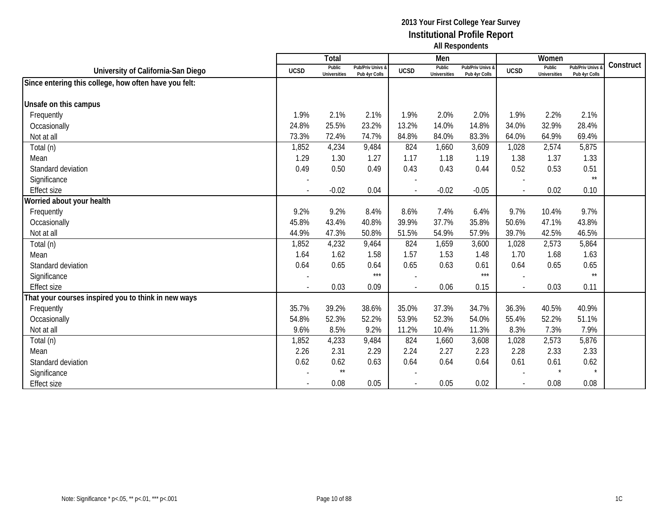|                                                       |             | Total                  |                                   |                          | Men                           |                                   |             | Women                         |                                 |           |
|-------------------------------------------------------|-------------|------------------------|-----------------------------------|--------------------------|-------------------------------|-----------------------------------|-------------|-------------------------------|---------------------------------|-----------|
| University of California-San Diego                    | <b>UCSD</b> | Public<br>Universities | Pub/Priv Univs &<br>Pub 4yr Colls | <b>UCSD</b>              | Public<br><b>Universities</b> | Pub/Priv Univs &<br>Pub 4yr Colls | <b>UCSD</b> | Public<br><b>Universities</b> | Pub/Priv Univs<br>Pub 4yr Colls | Construct |
| Since entering this college, how often have you felt: |             |                        |                                   |                          |                               |                                   |             |                               |                                 |           |
|                                                       |             |                        |                                   |                          |                               |                                   |             |                               |                                 |           |
| Unsafe on this campus                                 |             |                        |                                   |                          |                               |                                   |             |                               |                                 |           |
| Frequently                                            | 1.9%        | 2.1%                   | 2.1%                              | 1.9%                     | 2.0%                          | 2.0%                              | 1.9%        | 2.2%                          | 2.1%                            |           |
| Occasionally                                          | 24.8%       | 25.5%                  | 23.2%                             | 13.2%                    | 14.0%                         | 14.8%                             | 34.0%       | 32.9%                         | 28.4%                           |           |
| Not at all                                            | 73.3%       | 72.4%                  | 74.7%                             | 84.8%                    | 84.0%                         | 83.3%                             | 64.0%       | 64.9%                         | 69.4%                           |           |
| Total (n)                                             | 1,852       | 4,234                  | 9,484                             | 824                      | 1,660                         | 3,609                             | 1,028       | 2,574                         | 5,875                           |           |
| Mean                                                  | 1.29        | 1.30                   | 1.27                              | 1.17                     | 1.18                          | 1.19                              | 1.38        | 1.37                          | 1.33                            |           |
| Standard deviation                                    | 0.49        | 0.50                   | 0.49                              | 0.43                     | 0.43                          | 0.44                              | 0.52        | 0.53                          | 0.51                            |           |
| Significance                                          |             |                        |                                   |                          |                               |                                   |             |                               | $\star\star$                    |           |
| <b>Effect size</b>                                    |             | $-0.02$                | 0.04                              |                          | $-0.02$                       | $-0.05$                           |             | 0.02                          | 0.10                            |           |
| Worried about your health                             |             |                        |                                   |                          |                               |                                   |             |                               |                                 |           |
| Frequently                                            | 9.2%        | 9.2%                   | 8.4%                              | 8.6%                     | 7.4%                          | 6.4%                              | 9.7%        | 10.4%                         | 9.7%                            |           |
| Occasionally                                          | 45.8%       | 43.4%                  | 40.8%                             | 39.9%                    | 37.7%                         | 35.8%                             | 50.6%       | 47.1%                         | 43.8%                           |           |
| Not at all                                            | 44.9%       | 47.3%                  | 50.8%                             | 51.5%                    | 54.9%                         | 57.9%                             | 39.7%       | 42.5%                         | 46.5%                           |           |
| Total (n)                                             | 1,852       | 4,232                  | 9,464                             | 824                      | 1,659                         | 3,600                             | 1,028       | 2,573                         | 5,864                           |           |
| Mean                                                  | 1.64        | 1.62                   | 1.58                              | 1.57                     | 1.53                          | 1.48                              | 1.70        | 1.68                          | 1.63                            |           |
| Standard deviation                                    | 0.64        | 0.65                   | 0.64                              | 0.65                     | 0.63                          | 0.61                              | 0.64        | 0.65                          | 0.65                            |           |
| Significance                                          |             |                        | $***$                             |                          |                               | $***$                             |             |                               | $\star\star$                    |           |
| <b>Effect size</b>                                    |             | 0.03                   | 0.09                              |                          | 0.06                          | 0.15                              |             | 0.03                          | 0.11                            |           |
| That your courses inspired you to think in new ways   |             |                        |                                   |                          |                               |                                   |             |                               |                                 |           |
| Frequently                                            | 35.7%       | 39.2%                  | 38.6%                             | 35.0%                    | 37.3%                         | 34.7%                             | 36.3%       | 40.5%                         | 40.9%                           |           |
| Occasionally                                          | 54.8%       | 52.3%                  | 52.2%                             | 53.9%                    | 52.3%                         | 54.0%                             | 55.4%       | 52.2%                         | 51.1%                           |           |
| Not at all                                            | 9.6%        | 8.5%                   | 9.2%                              | 11.2%                    | 10.4%                         | 11.3%                             | 8.3%        | 7.3%                          | 7.9%                            |           |
| Total (n)                                             | 1,852       | 4,233                  | 9,484                             | 824                      | 1,660                         | 3,608                             | 1,028       | 2,573                         | 5,876                           |           |
| Mean                                                  | 2.26        | 2.31                   | 2.29                              | 2.24                     | 2.27                          | 2.23                              | 2.28        | 2.33                          | 2.33                            |           |
| Standard deviation                                    | 0.62        | 0.62                   | 0.63                              | 0.64                     | 0.64                          | 0.64                              | 0.61        | 0.61                          | 0.62                            |           |
| Significance                                          |             | $\star\star$           |                                   |                          |                               |                                   |             | $\star$                       | $\star$                         |           |
| <b>Effect size</b>                                    |             | 0.08                   | 0.05                              | $\overline{\phantom{a}}$ | 0.05                          | 0.02                              |             | 0.08                          | 0.08                            |           |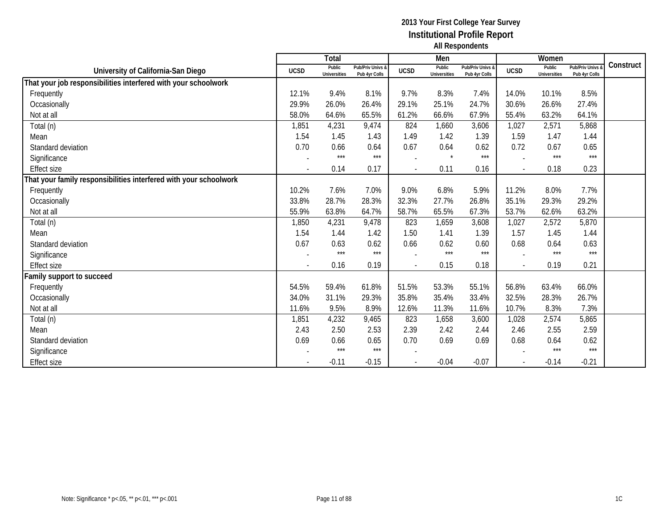|                                                                   |             | Total                         |                                   |                          | Men                           |                                   |                          | Women                         |                                 |           |
|-------------------------------------------------------------------|-------------|-------------------------------|-----------------------------------|--------------------------|-------------------------------|-----------------------------------|--------------------------|-------------------------------|---------------------------------|-----------|
| University of California-San Diego                                | <b>UCSD</b> | Public<br><b>Universities</b> | Pub/Priv Univs &<br>Pub 4yr Colls | <b>UCSD</b>              | Public<br><b>Universities</b> | Pub/Priv Univs &<br>Pub 4yr Colls | <b>UCSD</b>              | Public<br><b>Universities</b> | Pub/Priv Univs<br>Pub 4yr Colls | Construct |
| That your job responsibilities interfered with your schoolwork    |             |                               |                                   |                          |                               |                                   |                          |                               |                                 |           |
| Frequently                                                        | 12.1%       | 9.4%                          | 8.1%                              | 9.7%                     | 8.3%                          | 7.4%                              | 14.0%                    | 10.1%                         | 8.5%                            |           |
| Occasionally                                                      | 29.9%       | 26.0%                         | 26.4%                             | 29.1%                    | 25.1%                         | 24.7%                             | 30.6%                    | 26.6%                         | 27.4%                           |           |
| Not at all                                                        | 58.0%       | 64.6%                         | 65.5%                             | 61.2%                    | 66.6%                         | 67.9%                             | 55.4%                    | 63.2%                         | 64.1%                           |           |
| Total (n)                                                         | 1,851       | 4,231                         | 9,474                             | 824                      | 1,660                         | 3,606                             | 1,027                    | 2,571                         | 5,868                           |           |
| Mean                                                              | 1.54        | 1.45                          | 1.43                              | 1.49                     | 1.42                          | 1.39                              | 1.59                     | 1.47                          | 1.44                            |           |
| Standard deviation                                                | 0.70        | 0.66                          | 0.64                              | 0.67                     | 0.64                          | 0.62                              | 0.72                     | 0.67                          | 0.65                            |           |
| Significance                                                      |             | $***$                         | $***$                             |                          |                               | $***$                             |                          | $***$                         | $***$                           |           |
| <b>Effect size</b>                                                |             | 0.14                          | 0.17                              | $\overline{a}$           | 0.11                          | 0.16                              | $\sim$                   | 0.18                          | 0.23                            |           |
| That your family responsibilities interfered with your schoolwork |             |                               |                                   |                          |                               |                                   |                          |                               |                                 |           |
| Frequently                                                        | 10.2%       | 7.6%                          | 7.0%                              | 9.0%                     | 6.8%                          | 5.9%                              | 11.2%                    | 8.0%                          | 7.7%                            |           |
| Occasionally                                                      | 33.8%       | 28.7%                         | 28.3%                             | 32.3%                    | 27.7%                         | 26.8%                             | 35.1%                    | 29.3%                         | 29.2%                           |           |
| Not at all                                                        | 55.9%       | 63.8%                         | 64.7%                             | 58.7%                    | 65.5%                         | 67.3%                             | 53.7%                    | 62.6%                         | 63.2%                           |           |
| Total (n)                                                         | 1,850       | 4,231                         | 9,478                             | 823                      | 1,659                         | 3,608                             | 1,027                    | 2,572                         | 5,870                           |           |
| Mean                                                              | 1.54        | 1.44                          | 1.42                              | 1.50                     | 1.41                          | 1.39                              | 1.57                     | 1.45                          | 1.44                            |           |
| Standard deviation                                                | 0.67        | 0.63                          | 0.62                              | 0.66                     | 0.62                          | 0.60                              | 0.68                     | 0.64                          | 0.63                            |           |
| Significance                                                      |             | $***$                         | $***$                             |                          | $***$                         | $***$                             |                          | $***$                         | $***$                           |           |
| <b>Effect size</b>                                                |             | 0.16                          | 0.19                              |                          | 0.15                          | 0.18                              | $\overline{\phantom{a}}$ | 0.19                          | 0.21                            |           |
| Family support to succeed                                         |             |                               |                                   |                          |                               |                                   |                          |                               |                                 |           |
| Frequently                                                        | 54.5%       | 59.4%                         | 61.8%                             | 51.5%                    | 53.3%                         | 55.1%                             | 56.8%                    | 63.4%                         | 66.0%                           |           |
| Occasionally                                                      | 34.0%       | 31.1%                         | 29.3%                             | 35.8%                    | 35.4%                         | 33.4%                             | 32.5%                    | 28.3%                         | 26.7%                           |           |
| Not at all                                                        | 11.6%       | 9.5%                          | 8.9%                              | 12.6%                    | 11.3%                         | 11.6%                             | 10.7%                    | 8.3%                          | 7.3%                            |           |
| Total (n)                                                         | 1,851       | 4,232                         | 9,465                             | 823                      | 1,658                         | 3,600                             | 1,028                    | 2,574                         | 5,865                           |           |
| Mean                                                              | 2.43        | 2.50                          | 2.53                              | 2.39                     | 2.42                          | 2.44                              | 2.46                     | 2.55                          | 2.59                            |           |
| Standard deviation                                                | 0.69        | 0.66                          | 0.65                              | 0.70                     | 0.69                          | 0.69                              | 0.68                     | 0.64                          | 0.62                            |           |
| Significance                                                      |             | ***                           | ***                               |                          |                               |                                   |                          | $***$                         | $***$                           |           |
| <b>Effect size</b>                                                |             | $-0.11$                       | $-0.15$                           | $\overline{\phantom{a}}$ | $-0.04$                       | $-0.07$                           | $\sim$                   | $-0.14$                       | $-0.21$                         |           |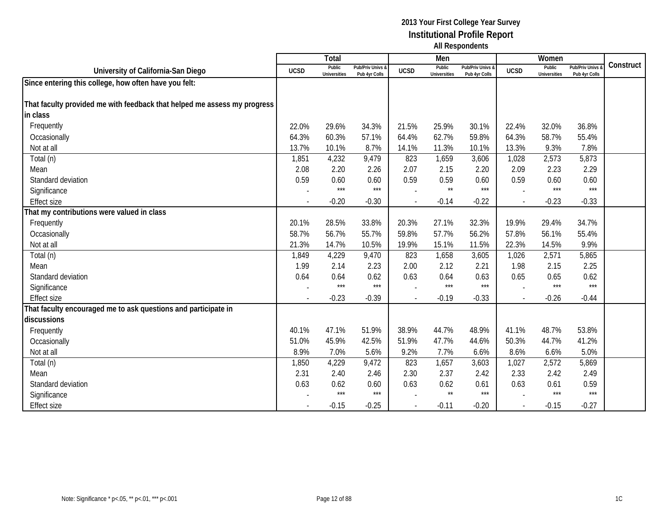|                                                                          |             | Total                         |                                   |                | Men                           |                                 |             | Women                         |                                        |           |
|--------------------------------------------------------------------------|-------------|-------------------------------|-----------------------------------|----------------|-------------------------------|---------------------------------|-------------|-------------------------------|----------------------------------------|-----------|
| University of California-San Diego                                       | <b>UCSD</b> | Public<br><b>Universities</b> | Pub/Priv Univs &<br>Pub 4yr Colls | <b>UCSD</b>    | Public<br><b>Universities</b> | Pub/Priv Univs<br>Pub 4yr Colls | <b>UCSD</b> | Public<br><b>Universities</b> | <b>Pub/Priv Univs</b><br>Pub 4yr Colls | Construct |
| Since entering this college, how often have you felt:                    |             |                               |                                   |                |                               |                                 |             |                               |                                        |           |
|                                                                          |             |                               |                                   |                |                               |                                 |             |                               |                                        |           |
| That faculty provided me with feedback that helped me assess my progress |             |                               |                                   |                |                               |                                 |             |                               |                                        |           |
| in class                                                                 |             |                               |                                   |                |                               |                                 |             |                               |                                        |           |
| Frequently                                                               | 22.0%       | 29.6%                         | 34.3%                             | 21.5%          | 25.9%                         | 30.1%                           | 22.4%       | 32.0%                         | 36.8%                                  |           |
| Occasionally                                                             | 64.3%       | 60.3%                         | 57.1%                             | 64.4%          | 62.7%                         | 59.8%                           | 64.3%       | 58.7%                         | 55.4%                                  |           |
| Not at all                                                               | 13.7%       | 10.1%                         | 8.7%                              | 14.1%          | 11.3%                         | 10.1%                           | 13.3%       | 9.3%                          | 7.8%                                   |           |
| Total (n)                                                                | 1,851       | 4,232                         | 9,479                             | 823            | 1,659                         | 3,606                           | 1,028       | 2,573                         | 5,873                                  |           |
| Mean                                                                     | 2.08        | 2.20                          | 2.26                              | 2.07           | 2.15                          | 2.20                            | 2.09        | 2.23                          | 2.29                                   |           |
| Standard deviation                                                       | 0.59        | 0.60                          | 0.60                              | 0.59           | 0.59                          | 0.60                            | 0.59        | 0.60                          | 0.60                                   |           |
| Significance                                                             |             | $***$                         | $***$                             |                | $\star\star$                  | $***$                           |             | $***$                         | $***$                                  |           |
| <b>Effect size</b>                                                       |             | $-0.20$                       | $-0.30$                           |                | $-0.14$                       | $-0.22$                         |             | $-0.23$                       | $-0.33$                                |           |
| That my contributions were valued in class                               |             |                               |                                   |                |                               |                                 |             |                               |                                        |           |
| Frequently                                                               | 20.1%       | 28.5%                         | 33.8%                             | 20.3%          | 27.1%                         | 32.3%                           | 19.9%       | 29.4%                         | 34.7%                                  |           |
| Occasionally                                                             | 58.7%       | 56.7%                         | 55.7%                             | 59.8%          | 57.7%                         | 56.2%                           | 57.8%       | 56.1%                         | 55.4%                                  |           |
| Not at all                                                               | 21.3%       | 14.7%                         | 10.5%                             | 19.9%          | 15.1%                         | 11.5%                           | 22.3%       | 14.5%                         | 9.9%                                   |           |
| Total (n)                                                                | 1,849       | 4,229                         | 9,470                             | 823            | 1,658                         | 3,605                           | 1,026       | 2,571                         | 5,865                                  |           |
| Mean                                                                     | 1.99        | 2.14                          | 2.23                              | 2.00           | 2.12                          | 2.21                            | 1.98        | 2.15                          | 2.25                                   |           |
| Standard deviation                                                       | 0.64        | 0.64                          | 0.62                              | 0.63           | 0.64                          | 0.63                            | 0.65        | 0.65                          | 0.62                                   |           |
| Significance                                                             |             | $***$                         | $***$                             |                | ***                           | $***$                           |             | $***$                         | $***$                                  |           |
| <b>Effect size</b>                                                       |             | $-0.23$                       | $-0.39$                           | $\overline{a}$ | $-0.19$                       | $-0.33$                         |             | $-0.26$                       | $-0.44$                                |           |
| That faculty encouraged me to ask questions and participate in           |             |                               |                                   |                |                               |                                 |             |                               |                                        |           |
| discussions                                                              |             |                               |                                   |                |                               |                                 |             |                               |                                        |           |
| Frequently                                                               | 40.1%       | 47.1%                         | 51.9%                             | 38.9%          | 44.7%                         | 48.9%                           | 41.1%       | 48.7%                         | 53.8%                                  |           |
| Occasionally                                                             | 51.0%       | 45.9%                         | 42.5%                             | 51.9%          | 47.7%                         | 44.6%                           | 50.3%       | 44.7%                         | 41.2%                                  |           |
| Not at all                                                               | 8.9%        | 7.0%                          | 5.6%                              | 9.2%           | 7.7%                          | 6.6%                            | 8.6%        | 6.6%                          | 5.0%                                   |           |
| Total (n)                                                                | 1,850       | 4,229                         | 9,472                             | 823            | 1,657                         | 3,603                           | 1,027       | 2,572                         | 5,869                                  |           |
| Mean                                                                     | 2.31        | 2.40                          | 2.46                              | 2.30           | 2.37                          | 2.42                            | 2.33        | 2.42                          | 2.49                                   |           |
| Standard deviation                                                       | 0.63        | 0.62                          | 0.60                              | 0.63           | 0.62                          | 0.61                            | 0.63        | 0.61                          | 0.59                                   |           |
| Significance                                                             |             | $***$                         | $***$                             |                | $\star\star$                  | $***$                           |             | $***$                         | $***$                                  |           |
| <b>Effect size</b>                                                       |             | $-0.15$                       | $-0.25$                           |                | $-0.11$                       | $-0.20$                         |             | $-0.15$                       | $-0.27$                                |           |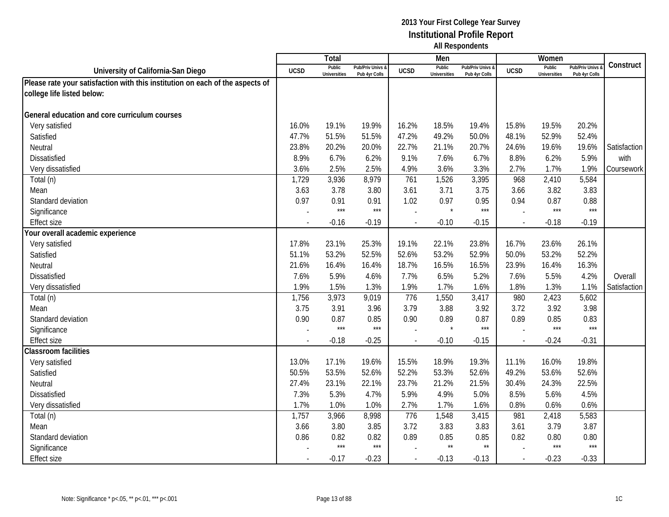|                                                                               |                | Total                         |                                   |                          | Men                           |                                   |                          | Women                         |                                        |              |
|-------------------------------------------------------------------------------|----------------|-------------------------------|-----------------------------------|--------------------------|-------------------------------|-----------------------------------|--------------------------|-------------------------------|----------------------------------------|--------------|
| University of California-San Diego                                            | <b>UCSD</b>    | Public<br><b>Universities</b> | Pub/Priv Univs &<br>Pub 4yr Colls | <b>UCSD</b>              | Public<br><b>Universities</b> | Pub/Priv Univs &<br>Pub 4yr Colls | <b>UCSD</b>              | Public<br><b>Universities</b> | <b>Pub/Priv Univs</b><br>Pub 4yr Colls | Construct    |
| Please rate your satisfaction with this institution on each of the aspects of |                |                               |                                   |                          |                               |                                   |                          |                               |                                        |              |
| college life listed below:                                                    |                |                               |                                   |                          |                               |                                   |                          |                               |                                        |              |
|                                                                               |                |                               |                                   |                          |                               |                                   |                          |                               |                                        |              |
| General education and core curriculum courses                                 |                |                               |                                   |                          |                               |                                   |                          |                               |                                        |              |
| Very satisfied                                                                | 16.0%          | 19.1%                         | 19.9%                             | 16.2%                    | 18.5%                         | 19.4%                             | 15.8%                    | 19.5%                         | 20.2%                                  |              |
| Satisfied                                                                     | 47.7%          | 51.5%                         | 51.5%                             | 47.2%                    | 49.2%                         | 50.0%                             | 48.1%                    | 52.9%                         | 52.4%                                  |              |
| Neutral                                                                       | 23.8%          | 20.2%                         | 20.0%                             | 22.7%                    | 21.1%                         | 20.7%                             | 24.6%                    | 19.6%                         | 19.6%                                  | Satisfaction |
| Dissatisfied                                                                  | 8.9%           | 6.7%                          | 6.2%                              | 9.1%                     | 7.6%                          | 6.7%                              | 8.8%                     | 6.2%                          | 5.9%                                   | with         |
| Very dissatisfied                                                             | 3.6%           | 2.5%                          | 2.5%                              | 4.9%                     | 3.6%                          | 3.3%                              | 2.7%                     | 1.7%                          | 1.9%                                   | Coursework   |
| Total (n)                                                                     | 1,729          | 3,936                         | 8,979                             | 761                      | 1,526                         | 3,395                             | 968                      | 2,410                         | 5,584                                  |              |
| Mean                                                                          | 3.63           | 3.78                          | 3.80                              | 3.61                     | 3.71                          | 3.75                              | 3.66                     | 3.82                          | 3.83                                   |              |
| Standard deviation                                                            | 0.97           | 0.91                          | 0.91                              | 1.02                     | 0.97                          | 0.95                              | 0.94                     | 0.87                          | 0.88                                   |              |
| Significance                                                                  |                | $***$                         | $***$                             |                          | $\star$                       | $***$                             |                          | $***$                         | $***$                                  |              |
| Effect size                                                                   |                | $-0.16$                       | $-0.19$                           | $\overline{\phantom{a}}$ | $-0.10$                       | $-0.15$                           | $\sim$                   | $-0.18$                       | $-0.19$                                |              |
| Your overall academic experience                                              |                |                               |                                   |                          |                               |                                   |                          |                               |                                        |              |
| Very satisfied                                                                | 17.8%          | 23.1%                         | 25.3%                             | 19.1%                    | 22.1%                         | 23.8%                             | 16.7%                    | 23.6%                         | 26.1%                                  |              |
| Satisfied                                                                     | 51.1%          | 53.2%                         | 52.5%                             | 52.6%                    | 53.2%                         | 52.9%                             | 50.0%                    | 53.2%                         | 52.2%                                  |              |
| Neutral                                                                       | 21.6%          | 16.4%                         | 16.4%                             | 18.7%                    | 16.5%                         | 16.5%                             | 23.9%                    | 16.4%                         | 16.3%                                  |              |
| <b>Dissatisfied</b>                                                           | 7.6%           | 5.9%                          | 4.6%                              | 7.7%                     | 6.5%                          | 5.2%                              | 7.6%                     | 5.5%                          | 4.2%                                   | Overall      |
| Very dissatisfied                                                             | 1.9%           | 1.5%                          | 1.3%                              | 1.9%                     | 1.7%                          | 1.6%                              | 1.8%                     | 1.3%                          | 1.1%                                   | Satisfaction |
| Total (n)                                                                     | 1,756          | 3,973                         | 9,019                             | 776                      | 1,550                         | 3,417                             | 980                      | 2,423                         | 5,602                                  |              |
| Mean                                                                          | 3.75           | 3.91                          | 3.96                              | 3.79                     | 3.88                          | 3.92                              | 3.72                     | 3.92                          | 3.98                                   |              |
| Standard deviation                                                            | 0.90           | 0.87                          | 0.85                              | 0.90                     | 0.89                          | 0.87                              | 0.89                     | 0.85                          | 0.83                                   |              |
| Significance                                                                  |                | $***$                         | $***$                             |                          | $\star$                       | $***$                             |                          | $***$                         | $***$                                  |              |
| <b>Effect size</b>                                                            | $\blacksquare$ | $-0.18$                       | $-0.25$                           |                          | $-0.10$                       | $-0.15$                           | $\overline{\phantom{a}}$ | $-0.24$                       | $-0.31$                                |              |
| <b>Classroom facilities</b>                                                   |                |                               |                                   |                          |                               |                                   |                          |                               |                                        |              |
| Very satisfied                                                                | 13.0%          | 17.1%                         | 19.6%                             | 15.5%                    | 18.9%                         | 19.3%                             | 11.1%                    | 16.0%                         | 19.8%                                  |              |
| Satisfied                                                                     | 50.5%          | 53.5%                         | 52.6%                             | 52.2%                    | 53.3%                         | 52.6%                             | 49.2%                    | 53.6%                         | 52.6%                                  |              |
| Neutral                                                                       | 27.4%          | 23.1%                         | 22.1%                             | 23.7%                    | 21.2%                         | 21.5%                             | 30.4%                    | 24.3%                         | 22.5%                                  |              |
| <b>Dissatisfied</b>                                                           | 7.3%           | 5.3%                          | 4.7%                              | 5.9%                     | 4.9%                          | 5.0%                              | 8.5%                     | 5.6%                          | 4.5%                                   |              |
| Very dissatisfied                                                             | 1.7%           | 1.0%                          | 1.0%                              | 2.7%                     | 1.7%                          | 1.6%                              | 0.8%                     | 0.6%                          | 0.6%                                   |              |
| Total (n)                                                                     | 1,757          | 3,966                         | 8,998                             | 776                      | 1,548                         | 3,415                             | 981                      | 2,418                         | 5,583                                  |              |
| Mean                                                                          | 3.66           | 3.80                          | 3.85                              | 3.72                     | 3.83                          | 3.83                              | 3.61                     | 3.79                          | 3.87                                   |              |
| Standard deviation                                                            | 0.86           | 0.82                          | 0.82                              | 0.89                     | 0.85                          | 0.85                              | 0.82                     | 0.80                          | 0.80                                   |              |
| Significance                                                                  |                | $***$                         | $***$                             |                          | $\star\star$                  | $\star\star$                      |                          | $***$                         | $***$                                  |              |
| <b>Effect size</b>                                                            | $\blacksquare$ | $-0.17$                       | $-0.23$                           | $\blacksquare$           | $-0.13$                       | $-0.13$                           | $\sim$                   | $-0.23$                       | $-0.33$                                |              |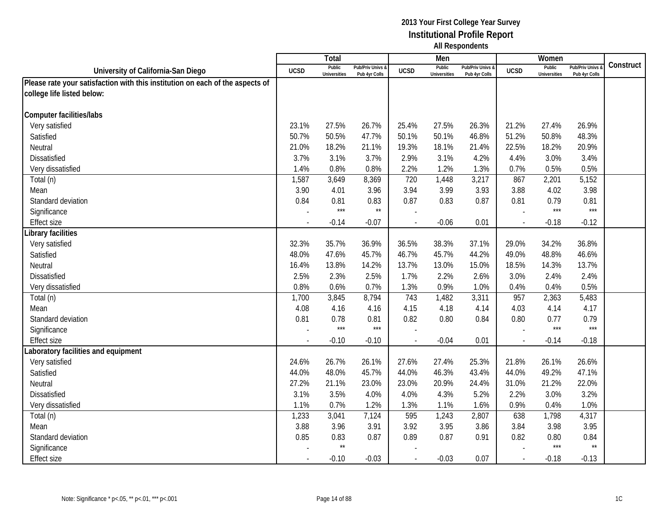|                                                                               |                | <b>Total</b>                  |                                   |                | Men                           |                                   |                          | Women                         |                                        |           |
|-------------------------------------------------------------------------------|----------------|-------------------------------|-----------------------------------|----------------|-------------------------------|-----------------------------------|--------------------------|-------------------------------|----------------------------------------|-----------|
| University of California-San Diego                                            | <b>UCSD</b>    | Public<br><b>Universities</b> | Pub/Priv Univs &<br>Pub 4yr Colls | <b>UCSD</b>    | Public<br><b>Universities</b> | Pub/Priv Univs &<br>Pub 4yr Colls | <b>UCSD</b>              | Public<br><b>Universities</b> | <b>Pub/Priv Univs</b><br>Pub 4yr Colls | Construct |
| Please rate your satisfaction with this institution on each of the aspects of |                |                               |                                   |                |                               |                                   |                          |                               |                                        |           |
| college life listed below:                                                    |                |                               |                                   |                |                               |                                   |                          |                               |                                        |           |
|                                                                               |                |                               |                                   |                |                               |                                   |                          |                               |                                        |           |
| <b>Computer facilities/labs</b>                                               |                |                               |                                   |                |                               |                                   |                          |                               |                                        |           |
| Very satisfied                                                                | 23.1%          | 27.5%                         | 26.7%                             | 25.4%          | 27.5%                         | 26.3%                             | 21.2%                    | 27.4%                         | 26.9%                                  |           |
| Satisfied                                                                     | 50.7%          | 50.5%                         | 47.7%                             | 50.1%          | 50.1%                         | 46.8%                             | 51.2%                    | 50.8%                         | 48.3%                                  |           |
| Neutral                                                                       | 21.0%          | 18.2%                         | 21.1%                             | 19.3%          | 18.1%                         | 21.4%                             | 22.5%                    | 18.2%                         | 20.9%                                  |           |
| Dissatisfied                                                                  | 3.7%           | 3.1%                          | 3.7%                              | 2.9%           | 3.1%                          | 4.2%                              | 4.4%                     | 3.0%                          | 3.4%                                   |           |
| Very dissatisfied                                                             | 1.4%           | 0.8%                          | 0.8%                              | 2.2%           | 1.2%                          | 1.3%                              | 0.7%                     | 0.5%                          | 0.5%                                   |           |
| Total (n)                                                                     | 1,587          | 3,649                         | 8,369                             | 720            | 1,448                         | 3,217                             | 867                      | 2,201                         | 5,152                                  |           |
| Mean                                                                          | 3.90           | 4.01                          | 3.96                              | 3.94           | 3.99                          | 3.93                              | 3.88                     | 4.02                          | 3.98                                   |           |
| Standard deviation                                                            | 0.84           | 0.81                          | 0.83                              | 0.87           | 0.83                          | 0.87                              | 0.81                     | 0.79                          | 0.81                                   |           |
| Significance                                                                  |                | $***$                         | $^{\star\star}$                   |                |                               |                                   |                          | $***$                         | $***$                                  |           |
| <b>Effect size</b>                                                            |                | $-0.14$                       | $-0.07$                           |                | $-0.06$                       | 0.01                              | $\overline{\phantom{a}}$ | $-0.18$                       | $-0.12$                                |           |
| Library facilities                                                            |                |                               |                                   |                |                               |                                   |                          |                               |                                        |           |
| Very satisfied                                                                | 32.3%          | 35.7%                         | 36.9%                             | 36.5%          | 38.3%                         | 37.1%                             | 29.0%                    | 34.2%                         | 36.8%                                  |           |
| Satisfied                                                                     | 48.0%          | 47.6%                         | 45.7%                             | 46.7%          | 45.7%                         | 44.2%                             | 49.0%                    | 48.8%                         | 46.6%                                  |           |
| Neutral                                                                       | 16.4%          | 13.8%                         | 14.2%                             | 13.7%          | 13.0%                         | 15.0%                             | 18.5%                    | 14.3%                         | 13.7%                                  |           |
| <b>Dissatisfied</b>                                                           | 2.5%           | 2.3%                          | 2.5%                              | 1.7%           | 2.2%                          | 2.6%                              | 3.0%                     | 2.4%                          | 2.4%                                   |           |
| Very dissatisfied                                                             | 0.8%           | 0.6%                          | 0.7%                              | 1.3%           | 0.9%                          | 1.0%                              | 0.4%                     | 0.4%                          | 0.5%                                   |           |
| Total (n)                                                                     | 1,700          | 3,845                         | 8,794                             | 743            | 1,482                         | 3,311                             | 957                      | 2,363                         | 5,483                                  |           |
| Mean                                                                          | 4.08           | 4.16                          | 4.16                              | 4.15           | 4.18                          | 4.14                              | 4.03                     | 4.14                          | 4.17                                   |           |
| Standard deviation                                                            | 0.81           | 0.78                          | 0.81                              | 0.82           | 0.80                          | 0.84                              | 0.80                     | 0.77                          | 0.79                                   |           |
| Significance                                                                  |                | $***$                         | $***$                             |                |                               |                                   |                          | $***$                         | ***                                    |           |
| <b>Effect size</b>                                                            | $\overline{a}$ | $-0.10$                       | $-0.10$                           |                | $-0.04$                       | 0.01                              | $\overline{\phantom{a}}$ | $-0.14$                       | $-0.18$                                |           |
| aboratory facilities and equipment                                            |                |                               |                                   |                |                               |                                   |                          |                               |                                        |           |
| Very satisfied                                                                | 24.6%          | 26.7%                         | 26.1%                             | 27.6%          | 27.4%                         | 25.3%                             | 21.8%                    | 26.1%                         | 26.6%                                  |           |
| Satisfied                                                                     | 44.0%          | 48.0%                         | 45.7%                             | 44.0%          | 46.3%                         | 43.4%                             | 44.0%                    | 49.2%                         | 47.1%                                  |           |
| Neutral                                                                       | 27.2%          | 21.1%                         | 23.0%                             | 23.0%          | 20.9%                         | 24.4%                             | 31.0%                    | 21.2%                         | 22.0%                                  |           |
| <b>Dissatisfied</b>                                                           | 3.1%           | 3.5%                          | 4.0%                              | 4.0%           | 4.3%                          | 5.2%                              | 2.2%                     | 3.0%                          | 3.2%                                   |           |
| Very dissatisfied                                                             | 1.1%           | 0.7%                          | 1.2%                              | 1.3%           | 1.1%                          | 1.6%                              | 0.9%                     | 0.4%                          | 1.0%                                   |           |
| Total (n)                                                                     | 1,233          | 3,041                         | 7,124                             | 595            | 1,243                         | 2,807                             | 638                      | 1,798                         | 4,317                                  |           |
| Mean                                                                          | 3.88           | 3.96                          | 3.91                              | 3.92           | 3.95                          | 3.86                              | 3.84                     | 3.98                          | 3.95                                   |           |
| Standard deviation                                                            | 0.85           | 0.83<br>$\star\star$          | 0.87                              | 0.89           | 0.87                          | 0.91                              | 0.82                     | 0.80<br>$***$                 | 0.84<br>$\star\star$                   |           |
| Significance                                                                  |                |                               |                                   |                |                               |                                   |                          |                               |                                        |           |
| <b>Effect size</b>                                                            | $\blacksquare$ | $-0.10$                       | $-0.03$                           | $\blacksquare$ | $-0.03$                       | 0.07                              | $\mathbb{L}$             | $-0.18$                       | $-0.13$                                |           |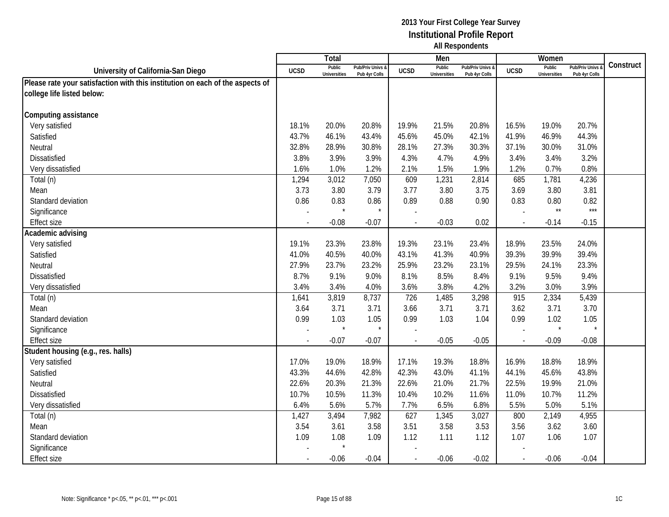|                                                                               |                | Total                         |                                   |                | Men                           |                                   |                          | Women                         |                                        |           |
|-------------------------------------------------------------------------------|----------------|-------------------------------|-----------------------------------|----------------|-------------------------------|-----------------------------------|--------------------------|-------------------------------|----------------------------------------|-----------|
| University of California-San Diego                                            | <b>UCSD</b>    | Public<br><b>Universities</b> | Pub/Priv Univs &<br>Pub 4yr Colls | <b>UCSD</b>    | Public<br><b>Universities</b> | Pub/Priv Univs &<br>Pub 4yr Colls | <b>UCSD</b>              | Public<br><b>Universities</b> | <b>Pub/Priv Univs</b><br>Pub 4yr Colls | Construct |
| Please rate your satisfaction with this institution on each of the aspects of |                |                               |                                   |                |                               |                                   |                          |                               |                                        |           |
| college life listed below:                                                    |                |                               |                                   |                |                               |                                   |                          |                               |                                        |           |
|                                                                               |                |                               |                                   |                |                               |                                   |                          |                               |                                        |           |
| Computing assistance                                                          |                |                               |                                   |                |                               |                                   |                          |                               |                                        |           |
| Very satisfied                                                                | 18.1%          | 20.0%                         | 20.8%                             | 19.9%          | 21.5%                         | 20.8%                             | 16.5%                    | 19.0%                         | 20.7%                                  |           |
| Satisfied                                                                     | 43.7%          | 46.1%                         | 43.4%                             | 45.6%          | 45.0%                         | 42.1%                             | 41.9%                    | 46.9%                         | 44.3%                                  |           |
| Neutral                                                                       | 32.8%          | 28.9%                         | 30.8%                             | 28.1%          | 27.3%                         | 30.3%                             | 37.1%                    | 30.0%                         | 31.0%                                  |           |
| Dissatisfied                                                                  | 3.8%           | 3.9%                          | 3.9%                              | 4.3%           | 4.7%                          | 4.9%                              | 3.4%                     | 3.4%                          | 3.2%                                   |           |
| Very dissatisfied                                                             | 1.6%           | 1.0%                          | 1.2%                              | 2.1%           | 1.5%                          | 1.9%                              | 1.2%                     | 0.7%                          | 0.8%                                   |           |
| Total (n)                                                                     | 1,294          | 3,012                         | 7,050                             | 609            | 1,231                         | 2,814                             | 685                      | 1,781                         | 4,236                                  |           |
| Mean                                                                          | 3.73           | 3.80                          | 3.79                              | 3.77           | 3.80                          | 3.75                              | 3.69                     | 3.80                          | 3.81                                   |           |
| Standard deviation                                                            | 0.86           | 0.83                          | 0.86                              | 0.89           | 0.88                          | 0.90                              | 0.83                     | 0.80                          | 0.82                                   |           |
| Significance                                                                  |                |                               | $\star$                           |                |                               |                                   |                          | $\star\star$                  | $***$                                  |           |
| <b>Effect size</b>                                                            |                | $-0.08$                       | $-0.07$                           |                | $-0.03$                       | 0.02                              | $\sim$                   | $-0.14$                       | $-0.15$                                |           |
| Academic advising                                                             |                |                               |                                   |                |                               |                                   |                          |                               |                                        |           |
| Very satisfied                                                                | 19.1%          | 23.3%                         | 23.8%                             | 19.3%          | 23.1%                         | 23.4%                             | 18.9%                    | 23.5%                         | 24.0%                                  |           |
| Satisfied                                                                     | 41.0%          | 40.5%                         | 40.0%                             | 43.1%          | 41.3%                         | 40.9%                             | 39.3%                    | 39.9%                         | 39.4%                                  |           |
| Neutral                                                                       | 27.9%          | 23.7%                         | 23.2%                             | 25.9%          | 23.2%                         | 23.1%                             | 29.5%                    | 24.1%                         | 23.3%                                  |           |
| <b>Dissatisfied</b>                                                           | 8.7%           | 9.1%                          | 9.0%                              | 8.1%           | 8.5%                          | 8.4%                              | 9.1%                     | 9.5%                          | 9.4%                                   |           |
| Very dissatisfied                                                             | 3.4%           | 3.4%                          | 4.0%                              | 3.6%           | 3.8%                          | 4.2%                              | 3.2%                     | 3.0%                          | 3.9%                                   |           |
| Total (n)                                                                     | 1,641          | 3,819                         | 8,737                             | 726            | 1,485                         | 3,298                             | 915                      | 2,334                         | 5,439                                  |           |
| Mean                                                                          | 3.64           | 3.71                          | 3.71                              | 3.66           | 3.71                          | 3.71                              | 3.62                     | 3.71                          | 3.70                                   |           |
| Standard deviation                                                            | 0.99           | 1.03                          | 1.05                              | 0.99           | 1.03                          | 1.04                              | 0.99                     | 1.02                          | 1.05                                   |           |
| Significance                                                                  |                |                               | $\star$                           |                |                               |                                   |                          | $\star$                       | $\star$                                |           |
| <b>Effect size</b>                                                            |                | $-0.07$                       | $-0.07$                           |                | $-0.05$                       | $-0.05$                           | $\overline{\phantom{a}}$ | $-0.09$                       | $-0.08$                                |           |
| Student housing (e.g., res. halls)                                            |                |                               |                                   |                |                               |                                   |                          |                               |                                        |           |
| Very satisfied                                                                | 17.0%          | 19.0%                         | 18.9%                             | 17.1%          | 19.3%                         | 18.8%                             | 16.9%                    | 18.8%                         | 18.9%                                  |           |
| Satisfied                                                                     | 43.3%          | 44.6%                         | 42.8%                             | 42.3%          | 43.0%                         | 41.1%                             | 44.1%                    | 45.6%                         | 43.8%                                  |           |
| Neutral                                                                       | 22.6%          | 20.3%                         | 21.3%                             | 22.6%          | 21.0%                         | 21.7%                             | 22.5%                    | 19.9%                         | 21.0%                                  |           |
| <b>Dissatisfied</b>                                                           | 10.7%          | 10.5%                         | 11.3%                             | 10.4%          | 10.2%                         | 11.6%                             | 11.0%                    | 10.7%                         | 11.2%                                  |           |
| Very dissatisfied                                                             | 6.4%           | 5.6%                          | 5.7%                              | 7.7%           | 6.5%                          | 6.8%                              | 5.5%                     | 5.0%                          | 5.1%                                   |           |
| Total (n)                                                                     | 1,427          | 3,494                         | 7,982                             | 627            | 1,345                         | 3,027                             | 800                      | 2,149                         | 4,955                                  |           |
| Mean                                                                          | 3.54           | 3.61                          | 3.58                              | 3.51           | 3.58                          | 3.53                              | 3.56                     | 3.62                          | 3.60                                   |           |
| Standard deviation                                                            | 1.09           | 1.08                          | 1.09                              | 1.12           | 1.11                          | 1.12                              | 1.07                     | 1.06                          | 1.07                                   |           |
| Significance                                                                  |                |                               |                                   |                |                               |                                   |                          |                               |                                        |           |
| <b>Effect size</b>                                                            | $\blacksquare$ | $-0.06$                       | $-0.04$                           | $\blacksquare$ | $-0.06$                       | $-0.02$                           | $\sim$                   | $-0.06$                       | $-0.04$                                |           |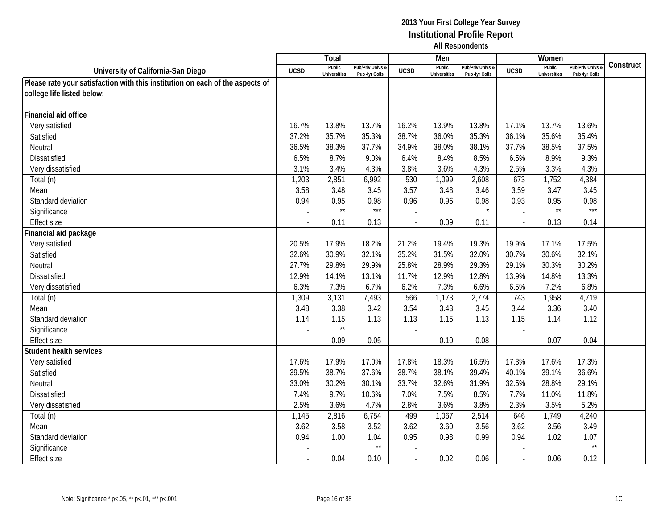|                                                                               |             | Total                         |                                   |                | Men                           |                                   |                          | Women                         |                                        |           |
|-------------------------------------------------------------------------------|-------------|-------------------------------|-----------------------------------|----------------|-------------------------------|-----------------------------------|--------------------------|-------------------------------|----------------------------------------|-----------|
| University of California-San Diego                                            | <b>UCSD</b> | Public<br><b>Universities</b> | Pub/Priv Univs &<br>Pub 4yr Colls | <b>UCSD</b>    | Public<br><b>Universities</b> | Pub/Priv Univs &<br>Pub 4yr Colls | <b>UCSD</b>              | Public<br><b>Universities</b> | <b>Pub/Priv Univs</b><br>Pub 4yr Colls | Construct |
| Please rate your satisfaction with this institution on each of the aspects of |             |                               |                                   |                |                               |                                   |                          |                               |                                        |           |
| college life listed below:                                                    |             |                               |                                   |                |                               |                                   |                          |                               |                                        |           |
|                                                                               |             |                               |                                   |                |                               |                                   |                          |                               |                                        |           |
| Financial aid office                                                          |             |                               |                                   |                |                               |                                   |                          |                               |                                        |           |
| Very satisfied                                                                | 16.7%       | 13.8%                         | 13.7%                             | 16.2%          | 13.9%                         | 13.8%                             | 17.1%                    | 13.7%                         | 13.6%                                  |           |
| Satisfied                                                                     | 37.2%       | 35.7%                         | 35.3%                             | 38.7%          | 36.0%                         | 35.3%                             | 36.1%                    | 35.6%                         | 35.4%                                  |           |
| Neutral                                                                       | 36.5%       | 38.3%                         | 37.7%                             | 34.9%          | 38.0%                         | 38.1%                             | 37.7%                    | 38.5%                         | 37.5%                                  |           |
| Dissatisfied                                                                  | 6.5%        | 8.7%                          | 9.0%                              | 6.4%           | 8.4%                          | 8.5%                              | 6.5%                     | 8.9%                          | 9.3%                                   |           |
| Very dissatisfied                                                             | 3.1%        | 3.4%                          | 4.3%                              | 3.8%           | 3.6%                          | 4.3%                              | 2.5%                     | 3.3%                          | 4.3%                                   |           |
| Total (n)                                                                     | 1,203       | 2,851                         | 6,992                             | 530            | 1,099                         | 2,608                             | 673                      | 1,752                         | 4,384                                  |           |
| Mean                                                                          | 3.58        | 3.48                          | 3.45                              | 3.57           | 3.48                          | 3.46                              | 3.59                     | 3.47                          | 3.45                                   |           |
| Standard deviation                                                            | 0.94        | 0.95                          | 0.98                              | 0.96           | 0.96                          | 0.98                              | 0.93                     | 0.95                          | 0.98                                   |           |
| Significance                                                                  |             | $\star\star$                  | $***$                             |                |                               |                                   |                          | $\star\star$                  | $***$                                  |           |
| Effect size                                                                   |             | 0.11                          | 0.13                              |                | 0.09                          | 0.11                              |                          | 0.13                          | 0.14                                   |           |
| Financial aid package                                                         |             |                               |                                   |                |                               |                                   |                          |                               |                                        |           |
| Very satisfied                                                                | 20.5%       | 17.9%                         | 18.2%                             | 21.2%          | 19.4%                         | 19.3%                             | 19.9%                    | 17.1%                         | 17.5%                                  |           |
| Satisfied                                                                     | 32.6%       | 30.9%                         | 32.1%                             | 35.2%          | 31.5%                         | 32.0%                             | 30.7%                    | 30.6%                         | 32.1%                                  |           |
| Neutral                                                                       | 27.7%       | 29.8%                         | 29.9%                             | 25.8%          | 28.9%                         | 29.3%                             | 29.1%                    | 30.3%                         | 30.2%                                  |           |
| <b>Dissatisfied</b>                                                           | 12.9%       | 14.1%                         | 13.1%                             | 11.7%          | 12.9%                         | 12.8%                             | 13.9%                    | 14.8%                         | 13.3%                                  |           |
| Very dissatisfied                                                             | 6.3%        | 7.3%                          | 6.7%                              | 6.2%           | 7.3%                          | 6.6%                              | 6.5%                     | 7.2%                          | 6.8%                                   |           |
| Total (n)                                                                     | 1,309       | 3,131                         | 7,493                             | 566            | 1,173                         | 2,774                             | 743                      | 1,958                         | 4,719                                  |           |
| Mean                                                                          | 3.48        | 3.38                          | 3.42                              | 3.54           | 3.43                          | 3.45                              | 3.44                     | 3.36                          | 3.40                                   |           |
| Standard deviation                                                            | 1.14        | 1.15                          | 1.13                              | 1.13           | 1.15                          | 1.13                              | 1.15                     | 1.14                          | 1.12                                   |           |
| Significance                                                                  |             | $\star\star$                  |                                   |                |                               |                                   |                          |                               |                                        |           |
| <b>Effect size</b>                                                            |             | 0.09                          | 0.05                              |                | 0.10                          | 0.08                              | $\overline{\phantom{a}}$ | 0.07                          | 0.04                                   |           |
| <b>Student health services</b>                                                |             |                               |                                   |                |                               |                                   |                          |                               |                                        |           |
| Very satisfied                                                                | 17.6%       | 17.9%                         | 17.0%                             | 17.8%          | 18.3%                         | 16.5%                             | 17.3%                    | 17.6%                         | 17.3%                                  |           |
| Satisfied                                                                     | 39.5%       | 38.7%                         | 37.6%                             | 38.7%          | 38.1%                         | 39.4%                             | 40.1%                    | 39.1%                         | 36.6%                                  |           |
| Neutral                                                                       | 33.0%       | 30.2%                         | 30.1%                             | 33.7%          | 32.6%                         | 31.9%                             | 32.5%                    | 28.8%                         | 29.1%                                  |           |
| <b>Dissatisfied</b>                                                           | 7.4%        | 9.7%                          | 10.6%                             | 7.0%           | 7.5%                          | 8.5%                              | 7.7%                     | 11.0%                         | 11.8%                                  |           |
| Very dissatisfied                                                             | 2.5%        | 3.6%                          | 4.7%                              | 2.8%           | 3.6%                          | 3.8%                              | 2.3%                     | 3.5%                          | 5.2%                                   |           |
| Total (n)                                                                     | 1,145       | 2,816                         | 6,754                             | 499            | 1,067                         | 2,514                             | 646                      | 1,749                         | 4,240                                  |           |
| Mean                                                                          | 3.62        | 3.58                          | 3.52                              | 3.62           | 3.60                          | 3.56                              | 3.62                     | 3.56                          | 3.49                                   |           |
| Standard deviation                                                            | 0.94        | 1.00                          | 1.04                              | 0.95           | 0.98                          | 0.99                              | 0.94                     | 1.02                          | 1.07                                   |           |
| Significance                                                                  |             |                               | $\star\star$                      |                |                               |                                   |                          |                               | $\star\star$                           |           |
| <b>Effect size</b>                                                            |             | 0.04                          | 0.10                              | $\blacksquare$ | 0.02                          | 0.06                              | $\overline{\phantom{a}}$ | 0.06                          | 0.12                                   |           |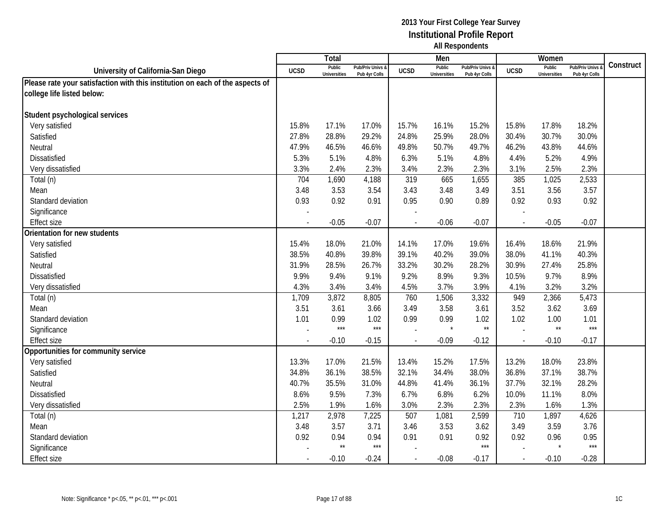|                                                                               |             | Total                         |                                   |                          | Men                           |                                   |                          | Women                         |                                        |           |
|-------------------------------------------------------------------------------|-------------|-------------------------------|-----------------------------------|--------------------------|-------------------------------|-----------------------------------|--------------------------|-------------------------------|----------------------------------------|-----------|
| University of California-San Diego                                            | <b>UCSD</b> | Public<br><b>Universities</b> | Pub/Priv Univs &<br>Pub 4yr Colls | <b>UCSD</b>              | Public<br><b>Universities</b> | Pub/Priv Univs &<br>Pub 4yr Colls | <b>UCSD</b>              | Public<br><b>Universities</b> | <b>Pub/Priv Univs</b><br>Pub 4yr Colls | Construct |
| Please rate your satisfaction with this institution on each of the aspects of |             |                               |                                   |                          |                               |                                   |                          |                               |                                        |           |
| college life listed below:                                                    |             |                               |                                   |                          |                               |                                   |                          |                               |                                        |           |
|                                                                               |             |                               |                                   |                          |                               |                                   |                          |                               |                                        |           |
| Student psychological services                                                |             |                               |                                   |                          |                               |                                   |                          |                               |                                        |           |
| Very satisfied                                                                | 15.8%       | 17.1%                         | 17.0%                             | 15.7%                    | 16.1%                         | 15.2%                             | 15.8%                    | 17.8%                         | 18.2%                                  |           |
| Satisfied                                                                     | 27.8%       | 28.8%                         | 29.2%                             | 24.8%                    | 25.9%                         | 28.0%                             | 30.4%                    | 30.7%                         | 30.0%                                  |           |
| Neutral                                                                       | 47.9%       | 46.5%                         | 46.6%                             | 49.8%                    | 50.7%                         | 49.7%                             | 46.2%                    | 43.8%                         | 44.6%                                  |           |
| <b>Dissatisfied</b>                                                           | 5.3%        | 5.1%                          | 4.8%                              | 6.3%                     | 5.1%                          | 4.8%                              | 4.4%                     | 5.2%                          | 4.9%                                   |           |
| Very dissatisfied                                                             | 3.3%        | 2.4%                          | 2.3%                              | 3.4%                     | 2.3%                          | 2.3%                              | 3.1%                     | 2.5%                          | 2.3%                                   |           |
| Total (n)                                                                     | 704         | 1,690                         | 4,188                             | 319                      | 665                           | 1,655                             | 385                      | 1,025                         | 2,533                                  |           |
| Mean                                                                          | 3.48        | 3.53                          | 3.54                              | 3.43                     | 3.48                          | 3.49                              | 3.51                     | 3.56                          | 3.57                                   |           |
| Standard deviation                                                            | 0.93        | 0.92                          | 0.91                              | 0.95                     | 0.90                          | 0.89                              | 0.92                     | 0.93                          | 0.92                                   |           |
| Significance                                                                  |             |                               |                                   |                          |                               |                                   |                          |                               |                                        |           |
| <b>Effect size</b>                                                            |             | $-0.05$                       | $-0.07$                           |                          | $-0.06$                       | $-0.07$                           | $\sim$                   | $-0.05$                       | $-0.07$                                |           |
| Orientation for new students                                                  |             |                               |                                   |                          |                               |                                   |                          |                               |                                        |           |
| Very satisfied                                                                | 15.4%       | 18.0%                         | 21.0%                             | 14.1%                    | 17.0%                         | 19.6%                             | 16.4%                    | 18.6%                         | 21.9%                                  |           |
| Satisfied                                                                     | 38.5%       | 40.8%                         | 39.8%                             | 39.1%                    | 40.2%                         | 39.0%                             | 38.0%                    | 41.1%                         | 40.3%                                  |           |
| Neutral                                                                       | 31.9%       | 28.5%                         | 26.7%                             | 33.2%                    | 30.2%                         | 28.2%                             | 30.9%                    | 27.4%                         | 25.8%                                  |           |
| <b>Dissatisfied</b>                                                           | 9.9%        | 9.4%                          | 9.1%                              | 9.2%                     | 8.9%                          | 9.3%                              | 10.5%                    | 9.7%                          | 8.9%                                   |           |
| Very dissatisfied                                                             | 4.3%        | 3.4%                          | 3.4%                              | 4.5%                     | 3.7%                          | 3.9%                              | 4.1%                     | 3.2%                          | 3.2%                                   |           |
| Total (n)                                                                     | 1,709       | 3,872                         | 8,805                             | 760                      | 1,506                         | 3,332                             | 949                      | 2,366                         | 5,473                                  |           |
| Mean                                                                          | 3.51        | 3.61                          | 3.66                              | 3.49                     | 3.58                          | 3.61                              | 3.52                     | 3.62                          | 3.69                                   |           |
| Standard deviation                                                            | 1.01        | 0.99                          | 1.02                              | 0.99                     | 0.99                          | 1.02                              | 1.02                     | 1.00                          | 1.01                                   |           |
| Significance                                                                  |             | $***$                         | $***$                             |                          | $\star$                       | $\star\star$                      |                          | $\star\star$                  | $***$                                  |           |
| <b>Effect size</b>                                                            |             | $-0.10$                       | $-0.15$                           |                          | $-0.09$                       | $-0.12$                           | $\overline{\phantom{a}}$ | $-0.10$                       | $-0.17$                                |           |
| Opportunities for community service                                           |             |                               |                                   |                          |                               |                                   |                          |                               |                                        |           |
| Very satisfied                                                                | 13.3%       | 17.0%                         | 21.5%                             | 13.4%                    | 15.2%                         | 17.5%                             | 13.2%                    | 18.0%                         | 23.8%                                  |           |
| Satisfied                                                                     | 34.8%       | 36.1%                         | 38.5%                             | 32.1%                    | 34.4%                         | 38.0%                             | 36.8%                    | 37.1%                         | 38.7%                                  |           |
| Neutral                                                                       | 40.7%       | 35.5%                         | 31.0%                             | 44.8%                    | 41.4%                         | 36.1%                             | 37.7%                    | 32.1%                         | 28.2%                                  |           |
| <b>Dissatisfied</b>                                                           | 8.6%        | 9.5%                          | 7.3%                              | 6.7%                     | 6.8%                          | 6.2%                              | 10.0%                    | 11.1%                         | 8.0%                                   |           |
| Very dissatisfied                                                             | 2.5%        | 1.9%                          | 1.6%                              | 3.0%                     | 2.3%                          | 2.3%                              | 2.3%                     | 1.6%                          | 1.3%                                   |           |
| Total (n)                                                                     | 1,217       | 2,978                         | 7,225                             | 507                      | 1,081                         | 2,599                             | 710                      | 1,897                         | 4,626                                  |           |
| Mean                                                                          | 3.48        | 3.57                          | 3.71                              | 3.46                     | 3.53                          | 3.62                              | 3.49                     | 3.59                          | 3.76                                   |           |
| Standard deviation                                                            | 0.92        | 0.94                          | 0.94                              | 0.91                     | 0.91                          | 0.92                              | 0.92                     | 0.96                          | 0.95                                   |           |
| Significance                                                                  |             | $\star\star$                  | $***$                             |                          |                               | $***$                             |                          |                               | $***$                                  |           |
| <b>Effect size</b>                                                            |             | $-0.10$                       | $-0.24$                           | $\overline{\phantom{a}}$ | $-0.08$                       | $-0.17$                           | $\mathcal{L}$            | $-0.10$                       | $-0.28$                                |           |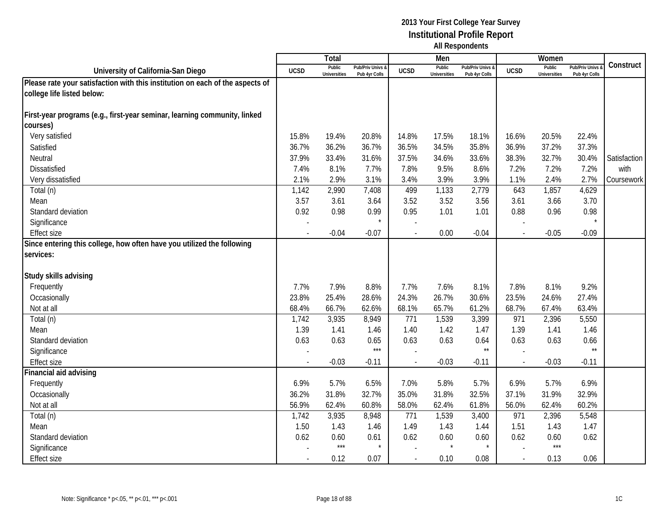|                                                                               |                          | Total                         |                                   |                          | Men                           |                                 |                | Women                         |                                        |              |
|-------------------------------------------------------------------------------|--------------------------|-------------------------------|-----------------------------------|--------------------------|-------------------------------|---------------------------------|----------------|-------------------------------|----------------------------------------|--------------|
| University of California-San Diego                                            | <b>UCSD</b>              | Public<br><b>Universities</b> | Pub/Priv Univs &<br>Pub 4yr Colls | <b>UCSD</b>              | Public<br><b>Universities</b> | Pub/Priv Univs<br>Pub 4yr Colls | <b>UCSD</b>    | Public<br><b>Universities</b> | <b>Pub/Priv Univs</b><br>Pub 4yr Colls | Construct    |
| Please rate your satisfaction with this institution on each of the aspects of |                          |                               |                                   |                          |                               |                                 |                |                               |                                        |              |
| college life listed below:                                                    |                          |                               |                                   |                          |                               |                                 |                |                               |                                        |              |
|                                                                               |                          |                               |                                   |                          |                               |                                 |                |                               |                                        |              |
| First-year programs (e.g., first-year seminar, learning community, linked     |                          |                               |                                   |                          |                               |                                 |                |                               |                                        |              |
| courses)                                                                      |                          |                               |                                   |                          |                               |                                 |                |                               |                                        |              |
| Very satisfied                                                                | 15.8%                    | 19.4%                         | 20.8%                             | 14.8%                    | 17.5%                         | 18.1%                           | 16.6%          | 20.5%                         | 22.4%                                  |              |
| Satisfied                                                                     | 36.7%                    | 36.2%                         | 36.7%                             | 36.5%                    | 34.5%                         | 35.8%                           | 36.9%          | 37.2%                         | 37.3%                                  |              |
| Neutral                                                                       | 37.9%                    | 33.4%                         | 31.6%                             | 37.5%                    | 34.6%                         | 33.6%                           | 38.3%          | 32.7%                         | 30.4%                                  | Satisfaction |
| Dissatisfied                                                                  | 7.4%                     | 8.1%                          | 7.7%                              | 7.8%                     | 9.5%                          | 8.6%                            | 7.2%           | 7.2%                          | 7.2%                                   | with         |
| Very dissatisfied                                                             | 2.1%                     | 2.9%                          | 3.1%                              | 3.4%                     | 3.9%                          | 3.9%                            | 1.1%           | 2.4%                          | 2.7%                                   | Coursework   |
| Total (n)                                                                     | 1,142                    | 2,990                         | 7,408                             | 499                      | 1,133                         | 2,779                           | 643            | 1,857                         | 4,629                                  |              |
| Mean                                                                          | 3.57                     | 3.61                          | 3.64                              | 3.52                     | 3.52                          | 3.56                            | 3.61           | 3.66                          | 3.70                                   |              |
| Standard deviation                                                            | 0.92                     | 0.98                          | 0.99                              | 0.95                     | 1.01                          | 1.01                            | 0.88           | 0.96                          | 0.98                                   |              |
| Significance                                                                  |                          |                               |                                   |                          |                               |                                 |                |                               |                                        |              |
| <b>Effect size</b>                                                            |                          | $-0.04$                       | $-0.07$                           |                          | 0.00                          | $-0.04$                         |                | $-0.05$                       | $-0.09$                                |              |
| Since entering this college, how often have you utilized the following        |                          |                               |                                   |                          |                               |                                 |                |                               |                                        |              |
| services:                                                                     |                          |                               |                                   |                          |                               |                                 |                |                               |                                        |              |
|                                                                               |                          |                               |                                   |                          |                               |                                 |                |                               |                                        |              |
| Study skills advising                                                         |                          |                               |                                   |                          |                               |                                 |                |                               |                                        |              |
| Frequently                                                                    | 7.7%                     | 7.9%                          | 8.8%                              | 7.7%                     | 7.6%                          | 8.1%                            | 7.8%           | 8.1%                          | 9.2%                                   |              |
| Occasionally                                                                  | 23.8%                    | 25.4%                         | 28.6%                             | 24.3%                    | 26.7%                         | 30.6%                           | 23.5%          | 24.6%                         | 27.4%                                  |              |
| Not at all                                                                    | 68.4%                    | 66.7%                         | 62.6%                             | 68.1%                    | 65.7%                         | 61.2%                           | 68.7%          | 67.4%                         | 63.4%                                  |              |
| Total (n)                                                                     | 1,742                    | 3,935                         | 8,949                             | 771                      | 1,539                         | 3,399                           | 971            | 2,396                         | 5,550                                  |              |
| Mean                                                                          | 1.39                     | 1.41                          | 1.46                              | 1.40                     | 1.42                          | 1.47                            | 1.39           | 1.41                          | 1.46                                   |              |
| Standard deviation                                                            | 0.63                     | 0.63                          | 0.65                              | 0.63                     | 0.63                          | 0.64                            | 0.63           | 0.63                          | 0.66                                   |              |
| Significance                                                                  |                          |                               | $***$                             |                          |                               | $\star\star$                    |                |                               | $\star\star$                           |              |
| <b>Effect size</b>                                                            | $\overline{\phantom{a}}$ | $-0.03$                       | $-0.11$                           | $\overline{\phantom{a}}$ | $-0.03$                       | $-0.11$                         | $\sim$         | $-0.03$                       | $-0.11$                                |              |
| Financial aid advising                                                        |                          |                               |                                   |                          |                               |                                 |                |                               |                                        |              |
| Frequently                                                                    | 6.9%                     | 5.7%                          | 6.5%                              | 7.0%                     | 5.8%                          | 5.7%                            | 6.9%           | 5.7%                          | 6.9%                                   |              |
| Occasionally                                                                  | 36.2%                    | 31.8%                         | 32.7%                             | 35.0%                    | 31.8%                         | 32.5%                           | 37.1%          | 31.9%                         | 32.9%                                  |              |
| Not at all                                                                    | 56.9%                    | 62.4%                         | 60.8%                             | 58.0%                    | 62.4%                         | 61.8%                           | 56.0%          | 62.4%                         | 60.2%                                  |              |
| Total (n)                                                                     | 1,742                    | 3,935                         | 8,948                             | 771                      | 1,539                         | 3,400                           | 971            | 2,396                         | 5,548                                  |              |
| Mean                                                                          | 1.50                     | 1.43                          | 1.46                              | 1.49                     | 1.43                          | 1.44                            | 1.51           | 1.43                          | 1.47                                   |              |
| Standard deviation                                                            | 0.62                     | 0.60                          | 0.61                              | 0.62                     | 0.60                          | 0.60                            | 0.62           | 0.60                          | 0.62                                   |              |
| Significance                                                                  |                          | $***$                         |                                   |                          |                               |                                 |                | $***$                         |                                        |              |
| <b>Effect size</b>                                                            |                          | 0.12                          | 0.07                              | $\overline{\phantom{a}}$ | 0.10                          | 0.08                            | $\overline{a}$ | 0.13                          | 0.06                                   |              |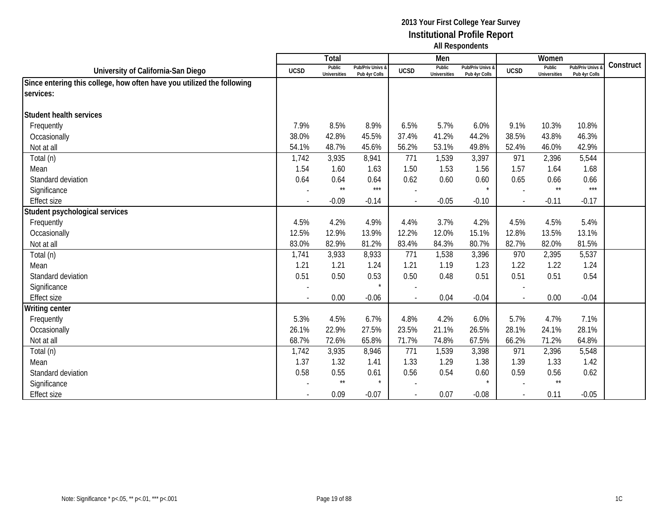|                                                                        |             | Total                         |                                   |                          | Men                           |                                   |                          | Women                         |                                 |           |
|------------------------------------------------------------------------|-------------|-------------------------------|-----------------------------------|--------------------------|-------------------------------|-----------------------------------|--------------------------|-------------------------------|---------------------------------|-----------|
| University of California-San Diego                                     | <b>UCSD</b> | Public<br><b>Universities</b> | Pub/Priv Univs &<br>Pub 4yr Colls | <b>UCSD</b>              | Public<br><b>Universities</b> | Pub/Priv Univs &<br>Pub 4yr Colls | <b>UCSD</b>              | Public<br><b>Universities</b> | Pub/Priv Univs<br>Pub 4yr Colls | Construct |
| Since entering this college, how often have you utilized the following |             |                               |                                   |                          |                               |                                   |                          |                               |                                 |           |
| services:                                                              |             |                               |                                   |                          |                               |                                   |                          |                               |                                 |           |
|                                                                        |             |                               |                                   |                          |                               |                                   |                          |                               |                                 |           |
| Student health services                                                |             |                               |                                   |                          |                               |                                   |                          |                               |                                 |           |
| Frequently                                                             | 7.9%        | 8.5%                          | 8.9%                              | 6.5%                     | 5.7%                          | 6.0%                              | 9.1%                     | 10.3%                         | 10.8%                           |           |
| Occasionally                                                           | 38.0%       | 42.8%                         | 45.5%                             | 37.4%                    | 41.2%                         | 44.2%                             | 38.5%                    | 43.8%                         | 46.3%                           |           |
| Not at all                                                             | 54.1%       | 48.7%                         | 45.6%                             | 56.2%                    | 53.1%                         | 49.8%                             | 52.4%                    | 46.0%                         | 42.9%                           |           |
| Total (n)                                                              | 1,742       | 3,935                         | 8,941                             | 771                      | 1,539                         | 3,397                             | 971                      | 2,396                         | 5,544                           |           |
| Mean                                                                   | 1.54        | 1.60                          | 1.63                              | 1.50                     | 1.53                          | 1.56                              | 1.57                     | 1.64                          | 1.68                            |           |
| Standard deviation                                                     | 0.64        | 0.64                          | 0.64                              | 0.62                     | 0.60                          | 0.60                              | 0.65                     | 0.66                          | 0.66                            |           |
| Significance                                                           |             | $^{\star\star}$               | $***$                             |                          |                               | $\star$                           |                          | $\star\star$                  | $***$                           |           |
| <b>Effect size</b>                                                     |             | $-0.09$                       | $-0.14$                           |                          | $-0.05$                       | $-0.10$                           | $\overline{\phantom{a}}$ | $-0.11$                       | $-0.17$                         |           |
| Student psychological services                                         |             |                               |                                   |                          |                               |                                   |                          |                               |                                 |           |
| Frequently                                                             | 4.5%        | 4.2%                          | 4.9%                              | 4.4%                     | 3.7%                          | 4.2%                              | 4.5%                     | 4.5%                          | 5.4%                            |           |
| Occasionally                                                           | 12.5%       | 12.9%                         | 13.9%                             | 12.2%                    | 12.0%                         | 15.1%                             | 12.8%                    | 13.5%                         | 13.1%                           |           |
| Not at all                                                             | 83.0%       | 82.9%                         | 81.2%                             | 83.4%                    | 84.3%                         | 80.7%                             | 82.7%                    | 82.0%                         | 81.5%                           |           |
| Total (n)                                                              | 1,741       | 3,933                         | 8,933                             | 771                      | 1,538                         | 3,396                             | 970                      | 2,395                         | 5,537                           |           |
| Mean                                                                   | 1.21        | 1.21                          | 1.24                              | 1.21                     | 1.19                          | 1.23                              | 1.22                     | 1.22                          | 1.24                            |           |
| Standard deviation                                                     | 0.51        | 0.50                          | 0.53                              | 0.50                     | 0.48                          | 0.51                              | 0.51                     | 0.51                          | 0.54                            |           |
| Significance                                                           |             |                               | $\star$                           |                          |                               |                                   |                          |                               |                                 |           |
| <b>Effect size</b>                                                     |             | 0.00                          | $-0.06$                           |                          | 0.04                          | $-0.04$                           |                          | 0.00                          | $-0.04$                         |           |
| <b>Writing center</b>                                                  |             |                               |                                   |                          |                               |                                   |                          |                               |                                 |           |
| Frequently                                                             | 5.3%        | 4.5%                          | 6.7%                              | 4.8%                     | 4.2%                          | 6.0%                              | 5.7%                     | 4.7%                          | 7.1%                            |           |
| Occasionally                                                           | 26.1%       | 22.9%                         | 27.5%                             | 23.5%                    | 21.1%                         | 26.5%                             | 28.1%                    | 24.1%                         | 28.1%                           |           |
| Not at all                                                             | 68.7%       | 72.6%                         | 65.8%                             | 71.7%                    | 74.8%                         | 67.5%                             | 66.2%                    | 71.2%                         | 64.8%                           |           |
| Total (n)                                                              | 1,742       | 3,935                         | 8,946                             | 771                      | 1,539                         | 3,398                             | 971                      | 2,396                         | 5,548                           |           |
| Mean                                                                   | 1.37        | 1.32                          | 1.41                              | 1.33                     | 1.29                          | 1.38                              | 1.39                     | 1.33                          | 1.42                            |           |
| Standard deviation                                                     | 0.58        | 0.55                          | 0.61                              | 0.56                     | 0.54                          | 0.60                              | 0.59                     | 0.56                          | 0.62                            |           |
| Significance                                                           |             | $^{\star\star}$               | $\star$                           |                          |                               | $\star$                           |                          | $\star\star$                  |                                 |           |
| <b>Effect size</b>                                                     |             | 0.09                          | $-0.07$                           | $\overline{\phantom{a}}$ | 0.07                          | $-0.08$                           | $\sim$                   | 0.11                          | $-0.05$                         |           |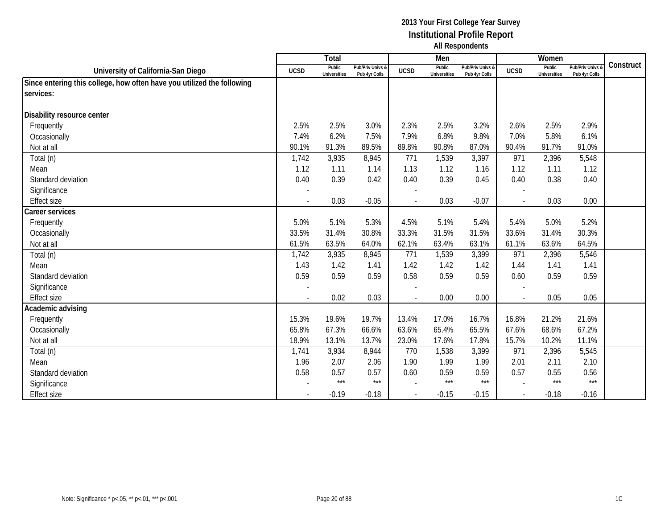|                                                                        |                          | Total                         |                                   |                          | Men                           |                                   |                          | Women                         |                                        |           |
|------------------------------------------------------------------------|--------------------------|-------------------------------|-----------------------------------|--------------------------|-------------------------------|-----------------------------------|--------------------------|-------------------------------|----------------------------------------|-----------|
| University of California-San Diego                                     | <b>UCSD</b>              | Public<br><b>Universities</b> | Pub/Priv Univs &<br>Pub 4yr Colls | <b>UCSD</b>              | Public<br><b>Universities</b> | Pub/Priv Univs &<br>Pub 4yr Colls | <b>UCSD</b>              | Public<br><b>Universities</b> | <b>Pub/Priv Univs</b><br>Pub 4yr Colls | Construct |
| Since entering this college, how often have you utilized the following |                          |                               |                                   |                          |                               |                                   |                          |                               |                                        |           |
| services:                                                              |                          |                               |                                   |                          |                               |                                   |                          |                               |                                        |           |
|                                                                        |                          |                               |                                   |                          |                               |                                   |                          |                               |                                        |           |
| Disability resource center                                             |                          |                               |                                   |                          |                               |                                   |                          |                               |                                        |           |
| Frequently                                                             | 2.5%                     | 2.5%                          | 3.0%                              | 2.3%                     | 2.5%                          | 3.2%                              | 2.6%                     | 2.5%                          | 2.9%                                   |           |
| Occasionally                                                           | 7.4%                     | 6.2%                          | 7.5%                              | 7.9%                     | 6.8%                          | 9.8%                              | 7.0%                     | 5.8%                          | 6.1%                                   |           |
| Not at all                                                             | 90.1%                    | 91.3%                         | 89.5%                             | 89.8%                    | 90.8%                         | 87.0%                             | 90.4%                    | 91.7%                         | 91.0%                                  |           |
| Total (n)                                                              | 1,742                    | 3,935                         | 8,945                             | 771                      | 1,539                         | 3,397                             | 971                      | 2,396                         | 5,548                                  |           |
| Mean                                                                   | 1.12                     | 1.11                          | 1.14                              | 1.13                     | 1.12                          | 1.16                              | 1.12                     | 1.11                          | 1.12                                   |           |
| Standard deviation                                                     | 0.40                     | 0.39                          | 0.42                              | 0.40                     | 0.39                          | 0.45                              | 0.40                     | 0.38                          | 0.40                                   |           |
| Significance                                                           |                          |                               |                                   |                          |                               |                                   |                          |                               |                                        |           |
| <b>Effect size</b>                                                     | $\blacksquare$           | 0.03                          | $-0.05$                           | $\overline{a}$           | 0.03                          | $-0.07$                           | $\overline{\phantom{a}}$ | 0.03                          | 0.00                                   |           |
| Career services                                                        |                          |                               |                                   |                          |                               |                                   |                          |                               |                                        |           |
| Frequently                                                             | 5.0%                     | 5.1%                          | 5.3%                              | 4.5%                     | 5.1%                          | 5.4%                              | 5.4%                     | 5.0%                          | 5.2%                                   |           |
| Occasionally                                                           | 33.5%                    | 31.4%                         | 30.8%                             | 33.3%                    | 31.5%                         | 31.5%                             | 33.6%                    | 31.4%                         | 30.3%                                  |           |
| Not at all                                                             | 61.5%                    | 63.5%                         | 64.0%                             | 62.1%                    | 63.4%                         | 63.1%                             | 61.1%                    | 63.6%                         | 64.5%                                  |           |
| Total (n)                                                              | 1,742                    | 3,935                         | 8,945                             | 771                      | 1,539                         | 3,399                             | 971                      | 2,396                         | 5,546                                  |           |
| Mean                                                                   | 1.43                     | 1.42                          | 1.41                              | 1.42                     | 1.42                          | 1.42                              | 1.44                     | 1.41                          | 1.41                                   |           |
| Standard deviation                                                     | 0.59                     | 0.59                          | 0.59                              | 0.58                     | 0.59                          | 0.59                              | 0.60                     | 0.59                          | 0.59                                   |           |
| Significance                                                           |                          |                               |                                   |                          |                               |                                   |                          |                               |                                        |           |
| Effect size                                                            |                          | 0.02                          | 0.03                              |                          | 0.00                          | 0.00                              |                          | 0.05                          | 0.05                                   |           |
| Academic advising                                                      |                          |                               |                                   |                          |                               |                                   |                          |                               |                                        |           |
| Frequently                                                             | 15.3%                    | 19.6%                         | 19.7%                             | 13.4%                    | 17.0%                         | 16.7%                             | 16.8%                    | 21.2%                         | 21.6%                                  |           |
| Occasionally                                                           | 65.8%                    | 67.3%                         | 66.6%                             | 63.6%                    | 65.4%                         | 65.5%                             | 67.6%                    | 68.6%                         | 67.2%                                  |           |
| Not at all                                                             | 18.9%                    | 13.1%                         | 13.7%                             | 23.0%                    | 17.6%                         | 17.8%                             | 15.7%                    | 10.2%                         | 11.1%                                  |           |
| Total (n)                                                              | 1,741                    | 3,934                         | 8,944                             | 770                      | 1,538                         | 3,399                             | 971                      | 2,396                         | 5,545                                  |           |
| Mean                                                                   | 1.96                     | 2.07                          | 2.06                              | 1.90                     | 1.99                          | 1.99                              | 2.01                     | 2.11                          | 2.10                                   |           |
| Standard deviation                                                     | 0.58                     | 0.57                          | 0.57                              | 0.60                     | 0.59                          | 0.59                              | 0.57                     | 0.55                          | 0.56                                   |           |
| Significance                                                           |                          | $***$                         | $***$                             |                          | $***$                         | $***$                             |                          | $***$                         | $***$                                  |           |
| <b>Effect size</b>                                                     | $\overline{\phantom{a}}$ | $-0.19$                       | $-0.18$                           | $\overline{\phantom{a}}$ | $-0.15$                       | $-0.15$                           | $\mathcal{L}$            | $-0.18$                       | $-0.16$                                |           |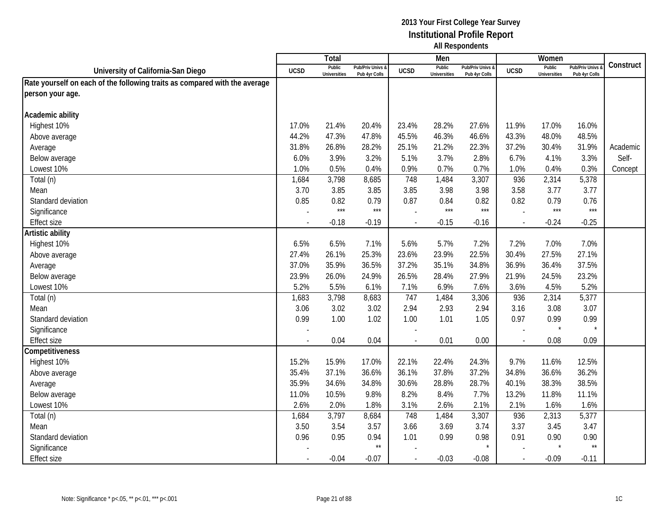|                                                                            |             | Total                         |                                   |                | Men                           |                                   |                          | Women                         |                                        |           |
|----------------------------------------------------------------------------|-------------|-------------------------------|-----------------------------------|----------------|-------------------------------|-----------------------------------|--------------------------|-------------------------------|----------------------------------------|-----------|
| University of California-San Diego                                         | <b>UCSD</b> | Public<br><b>Universities</b> | Pub/Priv Univs &<br>Pub 4yr Colls | <b>UCSD</b>    | Public<br><b>Universities</b> | Pub/Priv Univs &<br>Pub 4yr Colls | <b>UCSD</b>              | Public<br><b>Universities</b> | <b>Pub/Priv Univs</b><br>Pub 4yr Colls | Construct |
| Rate yourself on each of the following traits as compared with the average |             |                               |                                   |                |                               |                                   |                          |                               |                                        |           |
| person your age.                                                           |             |                               |                                   |                |                               |                                   |                          |                               |                                        |           |
|                                                                            |             |                               |                                   |                |                               |                                   |                          |                               |                                        |           |
| Academic ability                                                           |             |                               |                                   |                |                               |                                   |                          |                               |                                        |           |
| Highest 10%                                                                | 17.0%       | 21.4%                         | 20.4%                             | 23.4%          | 28.2%                         | 27.6%                             | 11.9%                    | 17.0%                         | 16.0%                                  |           |
| Above average                                                              | 44.2%       | 47.3%                         | 47.8%                             | 45.5%          | 46.3%                         | 46.6%                             | 43.3%                    | 48.0%                         | 48.5%                                  |           |
| Average                                                                    | 31.8%       | 26.8%                         | 28.2%                             | 25.1%          | 21.2%                         | 22.3%                             | 37.2%                    | 30.4%                         | 31.9%                                  | Academic  |
| Below average                                                              | 6.0%        | 3.9%                          | 3.2%                              | 5.1%           | 3.7%                          | 2.8%                              | 6.7%                     | 4.1%                          | 3.3%                                   | Self-     |
| Lowest 10%                                                                 | 1.0%        | 0.5%                          | 0.4%                              | 0.9%           | 0.7%                          | 0.7%                              | 1.0%                     | 0.4%                          | 0.3%                                   | Concept   |
| Total (n)                                                                  | 1,684       | 3,798                         | 8,685                             | 748            | 1,484                         | 3,307                             | 936                      | 2,314                         | 5,378                                  |           |
| Mean                                                                       | 3.70        | 3.85                          | 3.85                              | 3.85           | 3.98                          | 3.98                              | 3.58                     | 3.77                          | 3.77                                   |           |
| Standard deviation                                                         | 0.85        | 0.82                          | 0.79                              | 0.87           | 0.84                          | 0.82                              | 0.82                     | 0.79                          | 0.76                                   |           |
| Significance                                                               |             | $***$                         | $***$                             |                | $***$                         | $***$                             |                          | $***$                         | $***$                                  |           |
| <b>Effect size</b>                                                         |             | $-0.18$                       | $-0.19$                           |                | $-0.15$                       | $-0.16$                           | $\overline{\phantom{a}}$ | $-0.24$                       | $-0.25$                                |           |
| Artistic ability                                                           |             |                               |                                   |                |                               |                                   |                          |                               |                                        |           |
| Highest 10%                                                                | 6.5%        | 6.5%                          | 7.1%                              | 5.6%           | 5.7%                          | 7.2%                              | 7.2%                     | 7.0%                          | 7.0%                                   |           |
| Above average                                                              | 27.4%       | 26.1%                         | 25.3%                             | 23.6%          | 23.9%                         | 22.5%                             | 30.4%                    | 27.5%                         | 27.1%                                  |           |
| Average                                                                    | 37.0%       | 35.9%                         | 36.5%                             | 37.2%          | 35.1%                         | 34.8%                             | 36.9%                    | 36.4%                         | 37.5%                                  |           |
| Below average                                                              | 23.9%       | 26.0%                         | 24.9%                             | 26.5%          | 28.4%                         | 27.9%                             | 21.9%                    | 24.5%                         | 23.2%                                  |           |
| Lowest 10%                                                                 | 5.2%        | 5.5%                          | 6.1%                              | 7.1%           | 6.9%                          | 7.6%                              | 3.6%                     | 4.5%                          | 5.2%                                   |           |
| Total (n)                                                                  | 1,683       | 3,798                         | 8,683                             | 747            | 1,484                         | 3,306                             | 936                      | 2,314                         | 5,377                                  |           |
| Mean                                                                       | 3.06        | 3.02                          | 3.02                              | 2.94           | 2.93                          | 2.94                              | 3.16                     | 3.08                          | 3.07                                   |           |
| Standard deviation                                                         | 0.99        | 1.00                          | 1.02                              | 1.00           | 1.01                          | 1.05                              | 0.97                     | 0.99                          | 0.99                                   |           |
| Significance                                                               |             |                               |                                   |                |                               |                                   |                          | $\star$                       | $\star$                                |           |
| <b>Effect size</b>                                                         |             | 0.04                          | 0.04                              |                | 0.01                          | 0.00                              | $\overline{\phantom{a}}$ | 0.08                          | 0.09                                   |           |
| Competitiveness                                                            |             |                               |                                   |                |                               |                                   |                          |                               |                                        |           |
| Highest 10%                                                                | 15.2%       | 15.9%                         | 17.0%                             | 22.1%          | 22.4%                         | 24.3%                             | 9.7%                     | 11.6%                         | 12.5%                                  |           |
| Above average                                                              | 35.4%       | 37.1%                         | 36.6%                             | 36.1%          | 37.8%                         | 37.2%                             | 34.8%                    | 36.6%                         | 36.2%                                  |           |
| Average                                                                    | 35.9%       | 34.6%                         | 34.8%                             | 30.6%          | 28.8%                         | 28.7%                             | 40.1%                    | 38.3%                         | 38.5%                                  |           |
| Below average                                                              | 11.0%       | 10.5%                         | 9.8%                              | 8.2%           | 8.4%                          | 7.7%                              | 13.2%                    | 11.8%                         | 11.1%                                  |           |
| Lowest 10%                                                                 | 2.6%        | 2.0%                          | 1.8%                              | 3.1%           | 2.6%                          | 2.1%                              | 2.1%                     | 1.6%                          | 1.6%                                   |           |
| Total (n)                                                                  | 1,684       | 3,797                         | 8,684                             | 748            | 1,484                         | 3,307                             | 936                      | 2,313                         | 5,377                                  |           |
| Mean                                                                       | 3.50        | 3.54                          | 3.57                              | 3.66           | 3.69                          | 3.74                              | 3.37                     | 3.45                          | 3.47                                   |           |
| Standard deviation                                                         | 0.96        | 0.95                          | 0.94<br>$\star\star$              | 1.01           | 0.99                          | 0.98                              | 0.91                     | 0.90                          | 0.90<br>$\star\star$                   |           |
| Significance                                                               |             |                               |                                   |                |                               |                                   |                          |                               |                                        |           |
| <b>Effect size</b>                                                         |             | $-0.04$                       | $-0.07$                           | $\blacksquare$ | $-0.03$                       | $-0.08$                           | $\mathcal{L}$            | $-0.09$                       | $-0.11$                                |           |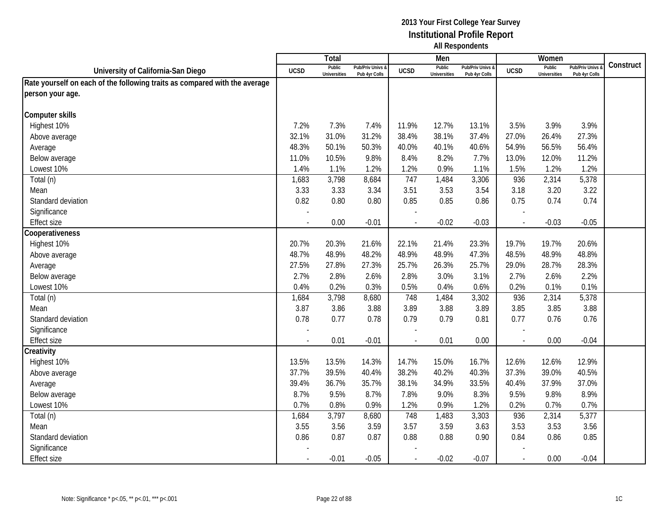|                                                                            |                | <b>Total</b>                  |                                   |                | Men                           |                                   |                          | Women                         |                                        |           |
|----------------------------------------------------------------------------|----------------|-------------------------------|-----------------------------------|----------------|-------------------------------|-----------------------------------|--------------------------|-------------------------------|----------------------------------------|-----------|
| University of California-San Diego                                         | <b>UCSD</b>    | Public<br><b>Universities</b> | Pub/Priv Univs &<br>Pub 4yr Colls | <b>UCSD</b>    | Public<br><b>Universities</b> | Pub/Priv Univs &<br>Pub 4yr Colls | <b>UCSD</b>              | Public<br><b>Universities</b> | <b>Pub/Priv Univs</b><br>Pub 4yr Colls | Construct |
| Rate yourself on each of the following traits as compared with the average |                |                               |                                   |                |                               |                                   |                          |                               |                                        |           |
| person your age.                                                           |                |                               |                                   |                |                               |                                   |                          |                               |                                        |           |
|                                                                            |                |                               |                                   |                |                               |                                   |                          |                               |                                        |           |
| <b>Computer skills</b>                                                     |                |                               |                                   |                |                               |                                   |                          |                               |                                        |           |
| Highest 10%                                                                | 7.2%           | 7.3%                          | 7.4%                              | 11.9%          | 12.7%                         | 13.1%                             | 3.5%                     | 3.9%                          | 3.9%                                   |           |
| Above average                                                              | 32.1%          | 31.0%                         | 31.2%                             | 38.4%          | 38.1%                         | 37.4%                             | 27.0%                    | 26.4%                         | 27.3%                                  |           |
| Average                                                                    | 48.3%          | 50.1%                         | 50.3%                             | 40.0%          | 40.1%                         | 40.6%                             | 54.9%                    | 56.5%                         | 56.4%                                  |           |
| Below average                                                              | 11.0%          | 10.5%                         | 9.8%                              | 8.4%           | 8.2%                          | 7.7%                              | 13.0%                    | 12.0%                         | 11.2%                                  |           |
| Lowest 10%                                                                 | 1.4%           | 1.1%                          | 1.2%                              | 1.2%           | 0.9%                          | 1.1%                              | 1.5%                     | 1.2%                          | 1.2%                                   |           |
| Total (n)                                                                  | 1,683          | 3,798                         | 8,684                             | 747            | 1,484                         | 3,306                             | 936                      | 2,314                         | 5,378                                  |           |
| Mean                                                                       | 3.33           | 3.33                          | 3.34                              | 3.51           | 3.53                          | 3.54                              | 3.18                     | 3.20                          | 3.22                                   |           |
| Standard deviation                                                         | 0.82           | 0.80                          | 0.80                              | 0.85           | 0.85                          | 0.86                              | 0.75                     | 0.74                          | 0.74                                   |           |
| Significance                                                               |                |                               |                                   |                |                               |                                   |                          |                               |                                        |           |
| <b>Effect size</b>                                                         |                | 0.00                          | $-0.01$                           |                | $-0.02$                       | $-0.03$                           |                          | $-0.03$                       | $-0.05$                                |           |
| Cooperativeness                                                            |                |                               |                                   |                |                               |                                   |                          |                               |                                        |           |
| Highest 10%                                                                | 20.7%          | 20.3%                         | 21.6%                             | 22.1%          | 21.4%                         | 23.3%                             | 19.7%                    | 19.7%                         | 20.6%                                  |           |
| Above average                                                              | 48.7%          | 48.9%                         | 48.2%                             | 48.9%          | 48.9%                         | 47.3%                             | 48.5%                    | 48.9%                         | 48.8%                                  |           |
| Average                                                                    | 27.5%          | 27.8%                         | 27.3%                             | 25.7%          | 26.3%                         | 25.7%                             | 29.0%                    | 28.7%                         | 28.3%                                  |           |
| Below average                                                              | 2.7%           | 2.8%                          | 2.6%                              | 2.8%           | 3.0%                          | 3.1%                              | 2.7%                     | 2.6%                          | 2.2%                                   |           |
| Lowest 10%                                                                 | 0.4%           | 0.2%                          | 0.3%                              | 0.5%           | 0.4%                          | 0.6%                              | 0.2%                     | 0.1%                          | 0.1%                                   |           |
| Total (n)                                                                  | 1,684          | 3,798                         | 8,680                             | 748            | 1,484                         | 3,302                             | 936                      | 2,314                         | 5,378                                  |           |
| Mean                                                                       | 3.87           | 3.86                          | 3.88                              | 3.89           | 3.88                          | 3.89                              | 3.85                     | 3.85                          | 3.88                                   |           |
| Standard deviation                                                         | 0.78           | 0.77                          | 0.78                              | 0.79           | 0.79                          | 0.81                              | 0.77                     | 0.76                          | 0.76                                   |           |
| Significance                                                               |                |                               |                                   |                |                               |                                   |                          |                               |                                        |           |
| <b>Effect size</b>                                                         |                | 0.01                          | $-0.01$                           |                | 0.01                          | 0.00                              | $\overline{\phantom{a}}$ | 0.00                          | $-0.04$                                |           |
| Creativity                                                                 |                |                               |                                   |                |                               |                                   |                          |                               |                                        |           |
| Highest 10%                                                                | 13.5%          | 13.5%                         | 14.3%                             | 14.7%          | 15.0%                         | 16.7%                             | 12.6%                    | 12.6%                         | 12.9%                                  |           |
| Above average                                                              | 37.7%          | 39.5%                         | 40.4%                             | 38.2%          | 40.2%                         | 40.3%                             | 37.3%                    | 39.0%                         | 40.5%                                  |           |
| Average                                                                    | 39.4%          | 36.7%                         | 35.7%                             | 38.1%          | 34.9%                         | 33.5%                             | 40.4%                    | 37.9%                         | 37.0%                                  |           |
| Below average                                                              | 8.7%           | 9.5%                          | 8.7%                              | 7.8%           | 9.0%                          | 8.3%                              | 9.5%                     | 9.8%                          | 8.9%                                   |           |
| Lowest 10%                                                                 | 0.7%           | 0.8%                          | 0.9%                              | 1.2%           | 0.9%                          | 1.2%                              | 0.2%                     | 0.7%                          | 0.7%                                   |           |
| Total (n)                                                                  | 1,684          | 3,797                         | 8,680                             | 748            | 1,483                         | 3,303                             | 936                      | 2,314                         | 5,377                                  |           |
| Mean                                                                       | 3.55           | 3.56                          | 3.59                              | 3.57           | 3.59                          | 3.63                              | 3.53                     | 3.53                          | 3.56                                   |           |
| Standard deviation                                                         | 0.86           | 0.87                          | 0.87                              | 0.88           | 0.88                          | 0.90                              | 0.84                     | 0.86                          | 0.85                                   |           |
| Significance                                                               |                |                               |                                   |                |                               |                                   |                          |                               |                                        |           |
| <b>Effect size</b>                                                         | $\blacksquare$ | $-0.01$                       | $-0.05$                           | $\blacksquare$ | $-0.02$                       | $-0.07$                           | $\blacksquare$           | 0.00                          | $-0.04$                                |           |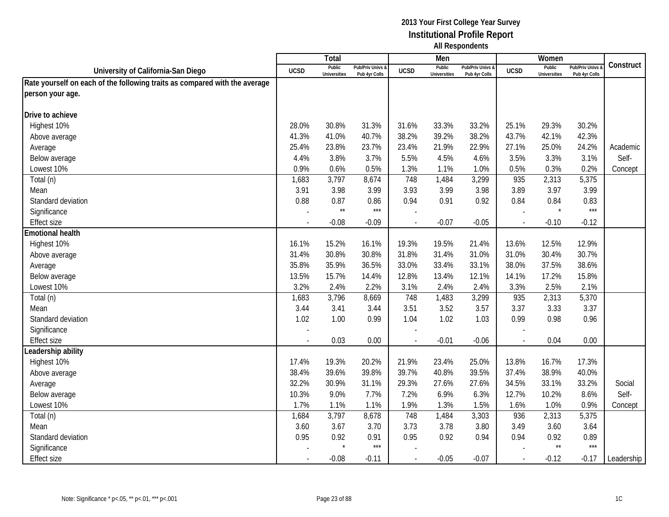|                                                                            |                | Total                         |                                   |                | Men                           |                                 |             | Women                         |                                        |            |
|----------------------------------------------------------------------------|----------------|-------------------------------|-----------------------------------|----------------|-------------------------------|---------------------------------|-------------|-------------------------------|----------------------------------------|------------|
| University of California-San Diego                                         | <b>UCSD</b>    | Public<br><b>Universities</b> | Pub/Priv Univs &<br>Pub 4yr Colls | <b>UCSD</b>    | Public<br><b>Universities</b> | Pub/Priv Univs<br>Pub 4yr Colls | <b>UCSD</b> | Public<br><b>Universities</b> | <b>Pub/Priv Univs</b><br>Pub 4yr Colls | Construct  |
| Rate yourself on each of the following traits as compared with the average |                |                               |                                   |                |                               |                                 |             |                               |                                        |            |
| person your age.                                                           |                |                               |                                   |                |                               |                                 |             |                               |                                        |            |
|                                                                            |                |                               |                                   |                |                               |                                 |             |                               |                                        |            |
| Drive to achieve                                                           |                |                               |                                   |                |                               |                                 |             |                               |                                        |            |
| Highest 10%                                                                | 28.0%          | 30.8%                         | 31.3%                             | 31.6%          | 33.3%                         | 33.2%                           | 25.1%       | 29.3%                         | 30.2%                                  |            |
| Above average                                                              | 41.3%          | 41.0%                         | 40.7%                             | 38.2%          | 39.2%                         | 38.2%                           | 43.7%       | 42.1%                         | 42.3%                                  |            |
| Average                                                                    | 25.4%          | 23.8%                         | 23.7%                             | 23.4%          | 21.9%                         | 22.9%                           | 27.1%       | 25.0%                         | 24.2%                                  | Academic   |
| Below average                                                              | 4.4%           | 3.8%                          | 3.7%                              | 5.5%           | 4.5%                          | 4.6%                            | 3.5%        | 3.3%                          | 3.1%                                   | Self-      |
| Lowest 10%                                                                 | 0.9%           | 0.6%                          | 0.5%                              | 1.3%           | 1.1%                          | 1.0%                            | 0.5%        | 0.3%                          | 0.2%                                   | Concept    |
| Total (n)                                                                  | 1,683          | 3,797                         | 8,674                             | 748            | 1,484                         | 3,299                           | 935         | 2,313                         | 5,375                                  |            |
| Mean                                                                       | 3.91           | 3.98                          | 3.99                              | 3.93           | 3.99                          | 3.98                            | 3.89        | 3.97                          | 3.99                                   |            |
| Standard deviation                                                         | 0.88           | 0.87                          | 0.86                              | 0.94           | 0.91                          | 0.92                            | 0.84        | 0.84                          | 0.83                                   |            |
| Significance                                                               |                | $\star\star$                  | $***$                             |                |                               |                                 |             | $\star$                       | $***$                                  |            |
| <b>Effect size</b>                                                         |                | $-0.08$                       | $-0.09$                           | $\blacksquare$ | $-0.07$                       | $-0.05$                         |             | $-0.10$                       | $-0.12$                                |            |
| <b>Emotional health</b>                                                    |                |                               |                                   |                |                               |                                 |             |                               |                                        |            |
| Highest 10%                                                                | 16.1%          | 15.2%                         | 16.1%                             | 19.3%          | 19.5%                         | 21.4%                           | 13.6%       | 12.5%                         | 12.9%                                  |            |
| Above average                                                              | 31.4%          | 30.8%                         | 30.8%                             | 31.8%          | 31.4%                         | 31.0%                           | 31.0%       | 30.4%                         | 30.7%                                  |            |
| Average                                                                    | 35.8%          | 35.9%                         | 36.5%                             | 33.0%          | 33.4%                         | 33.1%                           | 38.0%       | 37.5%                         | 38.6%                                  |            |
| Below average                                                              | 13.5%          | 15.7%                         | 14.4%                             | 12.8%          | 13.4%                         | 12.1%                           | 14.1%       | 17.2%                         | 15.8%                                  |            |
| Lowest 10%                                                                 | 3.2%           | 2.4%                          | 2.2%                              | 3.1%           | 2.4%                          | 2.4%                            | 3.3%        | 2.5%                          | 2.1%                                   |            |
| Total (n)                                                                  | 1,683          | 3,796                         | 8,669                             | 748            | 1,483                         | 3,299                           | 935         | 2,313                         | 5,370                                  |            |
| Mean                                                                       | 3.44           | 3.41                          | 3.44                              | 3.51           | 3.52                          | 3.57                            | 3.37        | 3.33                          | 3.37                                   |            |
| Standard deviation                                                         | 1.02           | 1.00                          | 0.99                              | 1.04           | 1.02                          | 1.03                            | 0.99        | 0.98                          | 0.96                                   |            |
| Significance                                                               |                |                               |                                   |                |                               |                                 |             |                               |                                        |            |
| <b>Effect size</b>                                                         |                | 0.03                          | 0.00                              | $\overline{a}$ | $-0.01$                       | $-0.06$                         | $\sim$      | 0.04                          | 0.00                                   |            |
| Leadership ability                                                         |                |                               |                                   |                |                               |                                 |             |                               |                                        |            |
| Highest 10%                                                                | 17.4%          | 19.3%                         | 20.2%                             | 21.9%          | 23.4%                         | 25.0%                           | 13.8%       | 16.7%                         | 17.3%                                  |            |
| Above average                                                              | 38.4%          | 39.6%                         | 39.8%                             | 39.7%          | 40.8%                         | 39.5%                           | 37.4%       | 38.9%                         | 40.0%                                  |            |
| Average                                                                    | 32.2%          | 30.9%                         | 31.1%                             | 29.3%          | 27.6%                         | 27.6%                           | 34.5%       | 33.1%                         | 33.2%                                  | Social     |
| Below average                                                              | 10.3%          | 9.0%                          | 7.7%                              | 7.2%           | 6.9%                          | 6.3%                            | 12.7%       | 10.2%                         | 8.6%                                   | Self-      |
| Lowest 10%                                                                 | 1.7%           | 1.1%                          | 1.1%                              | 1.9%           | 1.3%                          | 1.5%                            | 1.6%        | 1.0%                          | 0.9%                                   | Concept    |
| Total (n)                                                                  | 1,684          | 3,797                         | 8,678                             | 748            | 1,484                         | 3,303                           | 936         | 2,313                         | 5,375                                  |            |
| Mean                                                                       | 3.60           | 3.67                          | 3.70                              | 3.73           | 3.78                          | 3.80                            | 3.49        | 3.60                          | 3.64                                   |            |
| Standard deviation                                                         | 0.95           | 0.92                          | 0.91                              | 0.95           | 0.92                          | 0.94                            | 0.94        | 0.92                          | 0.89                                   |            |
| Significance                                                               |                |                               | $***$                             |                |                               |                                 |             | $\star\star$                  | $***$                                  |            |
| <b>Effect size</b>                                                         | $\blacksquare$ | $-0.08$                       | $-0.11$                           | $\blacksquare$ | $-0.05$                       | $-0.07$                         | $\sim$      | $-0.12$                       | $-0.17$                                | Leadership |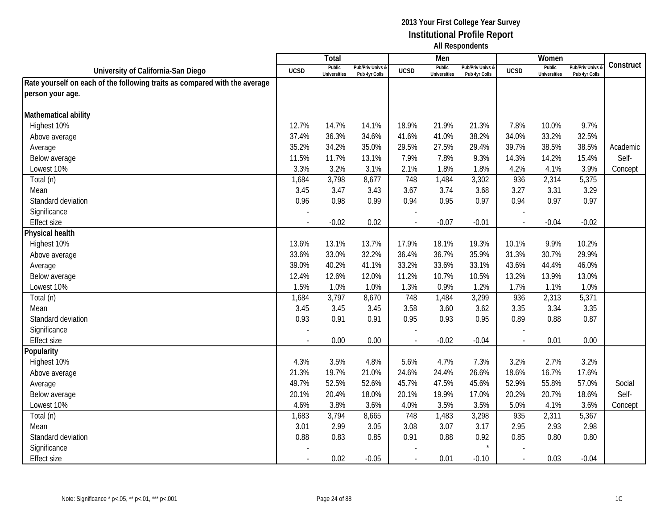|                                                                            |             | Total                         |                                   |                | Men                           |                                   |                          | Women                         |                                        |           |
|----------------------------------------------------------------------------|-------------|-------------------------------|-----------------------------------|----------------|-------------------------------|-----------------------------------|--------------------------|-------------------------------|----------------------------------------|-----------|
| University of California-San Diego                                         | <b>UCSD</b> | Public<br><b>Universities</b> | Pub/Priv Univs &<br>Pub 4yr Colls | <b>UCSD</b>    | Public<br><b>Universities</b> | Pub/Priv Univs &<br>Pub 4yr Colls | <b>UCSD</b>              | Public<br><b>Universities</b> | <b>Pub/Priv Univs</b><br>Pub 4yr Colls | Construct |
| Rate yourself on each of the following traits as compared with the average |             |                               |                                   |                |                               |                                   |                          |                               |                                        |           |
| person your age.                                                           |             |                               |                                   |                |                               |                                   |                          |                               |                                        |           |
|                                                                            |             |                               |                                   |                |                               |                                   |                          |                               |                                        |           |
| Mathematical ability                                                       |             |                               |                                   |                |                               |                                   |                          |                               |                                        |           |
| Highest 10%                                                                | 12.7%       | 14.7%                         | 14.1%                             | 18.9%          | 21.9%                         | 21.3%                             | 7.8%                     | 10.0%                         | 9.7%                                   |           |
| Above average                                                              | 37.4%       | 36.3%                         | 34.6%                             | 41.6%          | 41.0%                         | 38.2%                             | 34.0%                    | 33.2%                         | 32.5%                                  |           |
| Average                                                                    | 35.2%       | 34.2%                         | 35.0%                             | 29.5%          | 27.5%                         | 29.4%                             | 39.7%                    | 38.5%                         | 38.5%                                  | Academic  |
| Below average                                                              | 11.5%       | 11.7%                         | 13.1%                             | 7.9%           | 7.8%                          | 9.3%                              | 14.3%                    | 14.2%                         | 15.4%                                  | Self-     |
| Lowest 10%                                                                 | 3.3%        | 3.2%                          | 3.1%                              | 2.1%           | 1.8%                          | 1.8%                              | 4.2%                     | 4.1%                          | 3.9%                                   | Concept   |
| Total (n)                                                                  | 1,684       | 3,798                         | 8,677                             | 748            | 1,484                         | 3,302                             | 936                      | 2,314                         | 5,375                                  |           |
| Mean                                                                       | 3.45        | 3.47                          | 3.43                              | 3.67           | 3.74                          | 3.68                              | 3.27                     | 3.31                          | 3.29                                   |           |
| Standard deviation                                                         | 0.96        | 0.98                          | 0.99                              | 0.94           | 0.95                          | 0.97                              | 0.94                     | 0.97                          | 0.97                                   |           |
| Significance                                                               |             |                               |                                   |                |                               |                                   |                          |                               |                                        |           |
| <b>Effect size</b>                                                         |             | $-0.02$                       | 0.02                              |                | $-0.07$                       | $-0.01$                           | $\overline{\phantom{a}}$ | $-0.04$                       | $-0.02$                                |           |
| <b>Physical health</b>                                                     |             |                               |                                   |                |                               |                                   |                          |                               |                                        |           |
| Highest 10%                                                                | 13.6%       | 13.1%                         | 13.7%                             | 17.9%          | 18.1%                         | 19.3%                             | 10.1%                    | 9.9%                          | 10.2%                                  |           |
| Above average                                                              | 33.6%       | 33.0%                         | 32.2%                             | 36.4%          | 36.7%                         | 35.9%                             | 31.3%                    | 30.7%                         | 29.9%                                  |           |
| Average                                                                    | 39.0%       | 40.2%                         | 41.1%                             | 33.2%          | 33.6%                         | 33.1%                             | 43.6%                    | 44.4%                         | 46.0%                                  |           |
| Below average                                                              | 12.4%       | 12.6%                         | 12.0%                             | 11.2%          | 10.7%                         | 10.5%                             | 13.2%                    | 13.9%                         | 13.0%                                  |           |
| Lowest 10%                                                                 | 1.5%        | 1.0%                          | 1.0%                              | 1.3%           | 0.9%                          | 1.2%                              | 1.7%                     | 1.1%                          | 1.0%                                   |           |
| Total (n)                                                                  | 1,684       | 3,797                         | 8,670                             | 748            | 1,484                         | 3,299                             | 936                      | 2,313                         | 5,371                                  |           |
| Mean                                                                       | 3.45        | 3.45                          | 3.45                              | 3.58           | 3.60                          | 3.62                              | 3.35                     | 3.34                          | 3.35                                   |           |
| Standard deviation                                                         | 0.93        | 0.91                          | 0.91                              | 0.95           | 0.93                          | 0.95                              | 0.89                     | 0.88                          | 0.87                                   |           |
| Significance                                                               |             |                               |                                   |                |                               |                                   |                          |                               |                                        |           |
| <b>Effect size</b>                                                         |             | 0.00                          | 0.00                              |                | $-0.02$                       | $-0.04$                           | $\overline{a}$           | 0.01                          | 0.00                                   |           |
| Popularity                                                                 |             |                               |                                   |                |                               |                                   |                          |                               |                                        |           |
| Highest 10%                                                                | 4.3%        | 3.5%                          | 4.8%                              | 5.6%           | 4.7%                          | 7.3%                              | 3.2%                     | 2.7%                          | 3.2%                                   |           |
| Above average                                                              | 21.3%       | 19.7%                         | 21.0%                             | 24.6%          | 24.4%                         | 26.6%                             | 18.6%                    | 16.7%                         | 17.6%                                  |           |
| Average                                                                    | 49.7%       | 52.5%                         | 52.6%                             | 45.7%          | 47.5%                         | 45.6%                             | 52.9%                    | 55.8%                         | 57.0%                                  | Social    |
| Below average                                                              | 20.1%       | 20.4%                         | 18.0%                             | 20.1%          | 19.9%                         | 17.0%                             | 20.2%                    | 20.7%                         | 18.6%                                  | Self-     |
| Lowest 10%                                                                 | 4.6%        | 3.8%                          | 3.6%                              | 4.0%           | 3.5%                          | 3.5%                              | 5.0%                     | 4.1%                          | 3.6%                                   | Concept   |
| Total (n)                                                                  | 1,683       | 3,794                         | 8,665                             | 748            | 1,483                         | 3,298                             | 935                      | 2,311                         | 5,367                                  |           |
| Mean                                                                       | 3.01        | 2.99                          | 3.05                              | 3.08           | 3.07                          | 3.17                              | 2.95                     | 2.93                          | 2.98                                   |           |
| Standard deviation                                                         | 0.88        | 0.83                          | 0.85                              | 0.91           | 0.88                          | 0.92                              | 0.85                     | 0.80                          | 0.80                                   |           |
| Significance                                                               |             |                               |                                   |                |                               |                                   |                          |                               |                                        |           |
| <b>Effect size</b>                                                         | $\sim$      | 0.02                          | $-0.05$                           | $\overline{a}$ | 0.01                          | $-0.10$                           | $\sim$                   | 0.03                          | $-0.04$                                |           |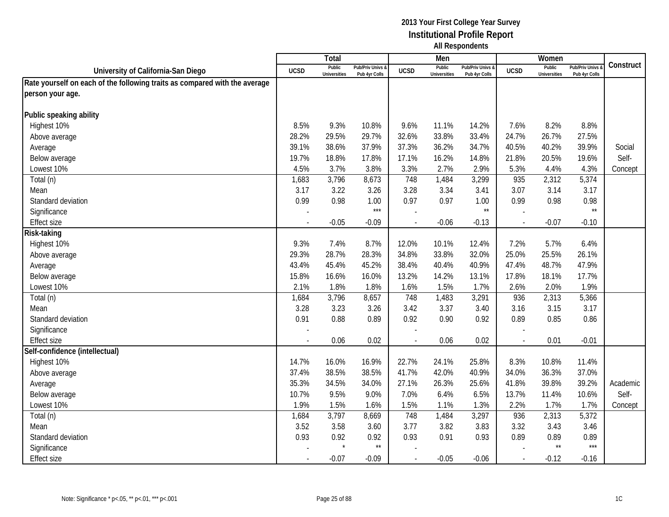|                                                                            |                | Total                         |                                   |                | Men                           |                                   |                          | Women                         |                                        |           |
|----------------------------------------------------------------------------|----------------|-------------------------------|-----------------------------------|----------------|-------------------------------|-----------------------------------|--------------------------|-------------------------------|----------------------------------------|-----------|
| University of California-San Diego                                         | <b>UCSD</b>    | Public<br><b>Universities</b> | Pub/Priv Univs &<br>Pub 4yr Colls | <b>UCSD</b>    | Public<br><b>Universities</b> | Pub/Priv Univs &<br>Pub 4yr Colls | <b>UCSD</b>              | Public<br><b>Universities</b> | <b>Pub/Priv Univs</b><br>Pub 4yr Colls | Construct |
| Rate yourself on each of the following traits as compared with the average |                |                               |                                   |                |                               |                                   |                          |                               |                                        |           |
| person your age.                                                           |                |                               |                                   |                |                               |                                   |                          |                               |                                        |           |
|                                                                            |                |                               |                                   |                |                               |                                   |                          |                               |                                        |           |
| Public speaking ability                                                    |                |                               |                                   |                |                               |                                   |                          |                               |                                        |           |
| Highest 10%                                                                | 8.5%           | 9.3%                          | 10.8%                             | 9.6%           | 11.1%                         | 14.2%                             | 7.6%                     | 8.2%                          | 8.8%                                   |           |
| Above average                                                              | 28.2%          | 29.5%                         | 29.7%                             | 32.6%          | 33.8%                         | 33.4%                             | 24.7%                    | 26.7%                         | 27.5%                                  |           |
| Average                                                                    | 39.1%          | 38.6%                         | 37.9%                             | 37.3%          | 36.2%                         | 34.7%                             | 40.5%                    | 40.2%                         | 39.9%                                  | Social    |
| Below average                                                              | 19.7%          | 18.8%                         | 17.8%                             | 17.1%          | 16.2%                         | 14.8%                             | 21.8%                    | 20.5%                         | 19.6%                                  | Self-     |
| Lowest 10%                                                                 | 4.5%           | 3.7%                          | 3.8%                              | 3.3%           | 2.7%                          | 2.9%                              | 5.3%                     | 4.4%                          | 4.3%                                   | Concept   |
| Total (n)                                                                  | 1,683          | 3,796                         | 8,673                             | 748            | 1,484                         | 3,299                             | 935                      | 2,312                         | 5,374                                  |           |
| Mean                                                                       | 3.17           | 3.22                          | 3.26                              | 3.28           | 3.34                          | 3.41                              | 3.07                     | 3.14                          | 3.17                                   |           |
| Standard deviation                                                         | 0.99           | 0.98                          | 1.00                              | 0.97           | 0.97                          | 1.00                              | 0.99                     | 0.98                          | 0.98                                   |           |
| Significance                                                               |                |                               | $***$                             |                |                               | $\star\star$                      |                          |                               | $\star\star$                           |           |
| <b>Effect size</b>                                                         |                | $-0.05$                       | $-0.09$                           |                | $-0.06$                       | $-0.13$                           | $\overline{\phantom{a}}$ | $-0.07$                       | $-0.10$                                |           |
| Risk-taking                                                                |                |                               |                                   |                |                               |                                   |                          |                               |                                        |           |
| Highest 10%                                                                | 9.3%           | 7.4%                          | 8.7%                              | 12.0%          | 10.1%                         | 12.4%                             | 7.2%                     | 5.7%                          | 6.4%                                   |           |
| Above average                                                              | 29.3%          | 28.7%                         | 28.3%                             | 34.8%          | 33.8%                         | 32.0%                             | 25.0%                    | 25.5%                         | 26.1%                                  |           |
| Average                                                                    | 43.4%          | 45.4%                         | 45.2%                             | 38.4%          | 40.4%                         | 40.9%                             | 47.4%                    | 48.7%                         | 47.9%                                  |           |
| Below average                                                              | 15.8%          | 16.6%                         | 16.0%                             | 13.2%          | 14.2%                         | 13.1%                             | 17.8%                    | 18.1%                         | 17.7%                                  |           |
| Lowest 10%                                                                 | 2.1%           | 1.8%                          | 1.8%                              | 1.6%           | 1.5%                          | 1.7%                              | 2.6%                     | 2.0%                          | 1.9%                                   |           |
| Total (n)                                                                  | 1,684          | 3,796                         | 8,657                             | 748            | 1,483                         | 3,291                             | 936                      | 2,313                         | 5,366                                  |           |
| Mean                                                                       | 3.28           | 3.23                          | 3.26                              | 3.42           | 3.37                          | 3.40                              | 3.16                     | 3.15                          | 3.17                                   |           |
| Standard deviation                                                         | 0.91           | 0.88                          | 0.89                              | 0.92           | 0.90                          | 0.92                              | 0.89                     | 0.85                          | 0.86                                   |           |
| Significance                                                               |                |                               |                                   |                |                               |                                   |                          |                               |                                        |           |
| <b>Effect size</b>                                                         | $\blacksquare$ | 0.06                          | 0.02                              |                | 0.06                          | 0.02                              | $\sim$                   | 0.01                          | $-0.01$                                |           |
| Self-confidence (intellectual)                                             |                |                               |                                   |                |                               |                                   |                          |                               |                                        |           |
| Highest 10%                                                                | 14.7%          | 16.0%                         | 16.9%                             | 22.7%          | 24.1%                         | 25.8%                             | 8.3%                     | 10.8%                         | 11.4%                                  |           |
| Above average                                                              | 37.4%          | 38.5%                         | 38.5%                             | 41.7%          | 42.0%                         | 40.9%                             | 34.0%                    | 36.3%                         | 37.0%                                  |           |
| Average                                                                    | 35.3%          | 34.5%                         | 34.0%                             | 27.1%          | 26.3%                         | 25.6%                             | 41.8%                    | 39.8%                         | 39.2%                                  | Academic  |
| Below average                                                              | 10.7%          | 9.5%                          | 9.0%                              | 7.0%           | 6.4%                          | 6.5%                              | 13.7%                    | 11.4%                         | 10.6%                                  | Self-     |
| Lowest 10%                                                                 | 1.9%           | 1.5%                          | 1.6%                              | 1.5%           | 1.1%                          | 1.3%                              | 2.2%                     | 1.7%                          | 1.7%                                   | Concept   |
| Total (n)                                                                  | 1,684          | 3,797                         | 8,669                             | 748            | 1,484                         | 3,297                             | 936                      | 2,313                         | 5,372                                  |           |
| Mean                                                                       | 3.52           | 3.58                          | 3.60                              | 3.77           | 3.82                          | 3.83                              | 3.32                     | 3.43                          | 3.46                                   |           |
| Standard deviation                                                         | 0.93           | 0.92                          | 0.92<br>$^{\star\star}$           | 0.93           | 0.91                          | 0.93                              | 0.89                     | 0.89<br>$\star\star$          | 0.89<br>$***$                          |           |
| Significance                                                               |                |                               |                                   |                |                               |                                   |                          |                               |                                        |           |
| <b>Effect size</b>                                                         | $\blacksquare$ | $-0.07$                       | $-0.09$                           | $\blacksquare$ | $-0.05$                       | $-0.06$                           | $\sim$                   | $-0.12$                       | $-0.16$                                |           |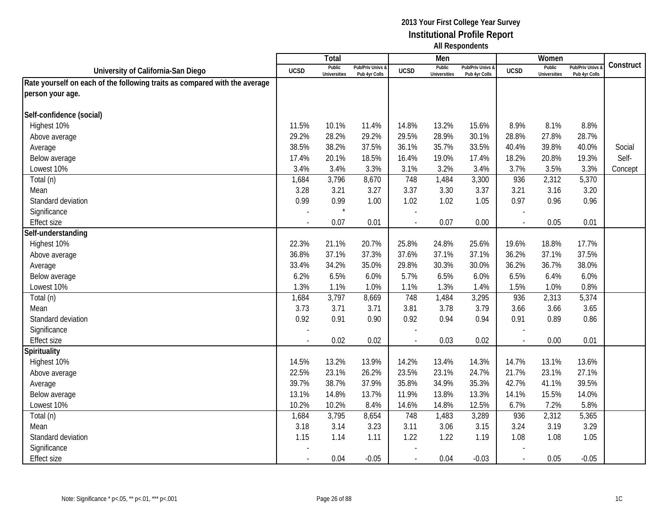|                                                                            |                          | Total                         |                                   |                | Men                           |                                   |                          | Women                         |                                        |           |
|----------------------------------------------------------------------------|--------------------------|-------------------------------|-----------------------------------|----------------|-------------------------------|-----------------------------------|--------------------------|-------------------------------|----------------------------------------|-----------|
| University of California-San Diego                                         | <b>UCSD</b>              | Public<br><b>Universities</b> | Pub/Priv Univs &<br>Pub 4yr Colls | <b>UCSD</b>    | Public<br><b>Universities</b> | Pub/Priv Univs &<br>Pub 4yr Colls | <b>UCSD</b>              | Public<br><b>Universities</b> | <b>Pub/Priv Univs</b><br>Pub 4yr Colls | Construct |
| Rate yourself on each of the following traits as compared with the average |                          |                               |                                   |                |                               |                                   |                          |                               |                                        |           |
| person your age.                                                           |                          |                               |                                   |                |                               |                                   |                          |                               |                                        |           |
|                                                                            |                          |                               |                                   |                |                               |                                   |                          |                               |                                        |           |
| Self-confidence (social)                                                   |                          |                               |                                   |                |                               |                                   |                          |                               |                                        |           |
| Highest 10%                                                                | 11.5%                    | 10.1%                         | 11.4%                             | 14.8%          | 13.2%                         | 15.6%                             | 8.9%                     | 8.1%                          | 8.8%                                   |           |
| Above average                                                              | 29.2%                    | 28.2%                         | 29.2%                             | 29.5%          | 28.9%                         | 30.1%                             | 28.8%                    | 27.8%                         | 28.7%                                  |           |
| Average                                                                    | 38.5%                    | 38.2%                         | 37.5%                             | 36.1%          | 35.7%                         | 33.5%                             | 40.4%                    | 39.8%                         | 40.0%                                  | Social    |
| Below average                                                              | 17.4%                    | 20.1%                         | 18.5%                             | 16.4%          | 19.0%                         | 17.4%                             | 18.2%                    | 20.8%                         | 19.3%                                  | Self-     |
| Lowest 10%                                                                 | 3.4%                     | 3.4%                          | 3.3%                              | 3.1%           | 3.2%                          | 3.4%                              | 3.7%                     | 3.5%                          | 3.3%                                   | Concept   |
| Total (n)                                                                  | 1,684                    | 3,796                         | 8,670                             | 748            | 1,484                         | 3,300                             | 936                      | 2,312                         | 5,370                                  |           |
| Mean                                                                       | 3.28                     | 3.21                          | 3.27                              | 3.37           | 3.30                          | 3.37                              | 3.21                     | 3.16                          | 3.20                                   |           |
| Standard deviation                                                         | 0.99                     | 0.99                          | 1.00                              | 1.02           | 1.02                          | 1.05                              | 0.97                     | 0.96                          | 0.96                                   |           |
| Significance                                                               |                          | $\star$                       |                                   |                |                               |                                   |                          |                               |                                        |           |
| <b>Effect size</b>                                                         |                          | 0.07                          | 0.01                              |                | 0.07                          | 0.00                              | $\overline{\phantom{a}}$ | 0.05                          | 0.01                                   |           |
| Self-understanding                                                         |                          |                               |                                   |                |                               |                                   |                          |                               |                                        |           |
| Highest 10%                                                                | 22.3%                    | 21.1%                         | 20.7%                             | 25.8%          | 24.8%                         | 25.6%                             | 19.6%                    | 18.8%                         | 17.7%                                  |           |
| Above average                                                              | 36.8%                    | 37.1%                         | 37.3%                             | 37.6%          | 37.1%                         | 37.1%                             | 36.2%                    | 37.1%                         | 37.5%                                  |           |
| Average                                                                    | 33.4%                    | 34.2%                         | 35.0%                             | 29.8%          | 30.3%                         | 30.0%                             | 36.2%                    | 36.7%                         | 38.0%                                  |           |
| Below average                                                              | 6.2%                     | 6.5%                          | 6.0%                              | 5.7%           | 6.5%                          | 6.0%                              | 6.5%                     | 6.4%                          | 6.0%                                   |           |
| Lowest 10%                                                                 | 1.3%                     | 1.1%                          | 1.0%                              | 1.1%           | 1.3%                          | 1.4%                              | 1.5%                     | 1.0%                          | 0.8%                                   |           |
| Total (n)                                                                  | 1,684                    | 3,797                         | 8,669                             | 748            | 1,484                         | 3,295                             | 936                      | 2,313                         | 5,374                                  |           |
| Mean                                                                       | 3.73                     | 3.71                          | 3.71                              | 3.81           | 3.78                          | 3.79                              | 3.66                     | 3.66                          | 3.65                                   |           |
| Standard deviation                                                         | 0.92                     | 0.91                          | 0.90                              | 0.92           | 0.94                          | 0.94                              | 0.91                     | 0.89                          | 0.86                                   |           |
| Significance                                                               |                          |                               |                                   |                |                               |                                   |                          |                               |                                        |           |
| <b>Effect size</b>                                                         |                          | 0.02                          | 0.02                              |                | 0.03                          | 0.02                              | $\overline{\phantom{a}}$ | 0.00                          | 0.01                                   |           |
| Spirituality                                                               |                          |                               |                                   |                |                               |                                   |                          |                               |                                        |           |
| Highest 10%                                                                | 14.5%                    | 13.2%                         | 13.9%                             | 14.2%          | 13.4%                         | 14.3%                             | 14.7%                    | 13.1%                         | 13.6%                                  |           |
| Above average                                                              | 22.5%                    | 23.1%                         | 26.2%                             | 23.5%          | 23.1%                         | 24.7%                             | 21.7%                    | 23.1%                         | 27.1%                                  |           |
| Average                                                                    | 39.7%                    | 38.7%                         | 37.9%                             | 35.8%          | 34.9%                         | 35.3%                             | 42.7%                    | 41.1%                         | 39.5%                                  |           |
| Below average                                                              | 13.1%                    | 14.8%                         | 13.7%                             | 11.9%          | 13.8%                         | 13.3%                             | 14.1%                    | 15.5%                         | 14.0%                                  |           |
| Lowest 10%                                                                 | 10.2%                    | 10.2%                         | 8.4%                              | 14.6%          | 14.8%                         | 12.5%                             | 6.7%                     | 7.2%                          | 5.8%                                   |           |
| Total (n)                                                                  | 1,684                    | 3,795                         | 8,654                             | 748            | 1,483                         | 3,289                             | 936                      | 2,312                         | 5,365                                  |           |
| Mean                                                                       | 3.18                     | 3.14                          | 3.23                              | 3.11           | 3.06                          | 3.15                              | 3.24                     | 3.19                          | 3.29                                   |           |
| Standard deviation                                                         | 1.15                     | 1.14                          | 1.11                              | 1.22           | 1.22                          | 1.19                              | 1.08                     | 1.08                          | 1.05                                   |           |
| Significance                                                               |                          |                               |                                   |                |                               |                                   |                          |                               |                                        |           |
| <b>Effect size</b>                                                         | $\overline{\phantom{a}}$ | 0.04                          | $-0.05$                           | $\blacksquare$ | 0.04                          | $-0.03$                           | $\mathcal{L}$            | 0.05                          | $-0.05$                                |           |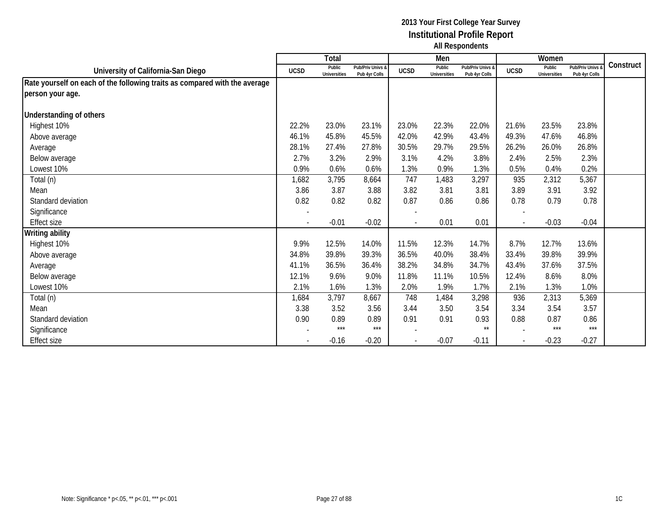|                                                                            |                          | Total                         |                                   |                | Men                           |                                   |             | Women                         |                                        |           |
|----------------------------------------------------------------------------|--------------------------|-------------------------------|-----------------------------------|----------------|-------------------------------|-----------------------------------|-------------|-------------------------------|----------------------------------------|-----------|
| University of California-San Diego                                         | <b>UCSD</b>              | Public<br><b>Universities</b> | Pub/Priv Univs &<br>Pub 4yr Colls | <b>UCSD</b>    | Public<br><b>Universities</b> | Pub/Priv Univs &<br>Pub 4yr Colls | <b>UCSD</b> | Public<br><b>Universities</b> | <b>Pub/Priv Univs</b><br>Pub 4yr Colls | Construct |
| Rate yourself on each of the following traits as compared with the average |                          |                               |                                   |                |                               |                                   |             |                               |                                        |           |
| person your age.                                                           |                          |                               |                                   |                |                               |                                   |             |                               |                                        |           |
| <b>Understanding of others</b>                                             |                          |                               |                                   |                |                               |                                   |             |                               |                                        |           |
| Highest 10%                                                                | 22.2%                    | 23.0%                         | 23.1%                             | 23.0%          | 22.3%                         | 22.0%                             | 21.6%       | 23.5%                         | 23.8%                                  |           |
| Above average                                                              | 46.1%                    | 45.8%                         | 45.5%                             | 42.0%          | 42.9%                         | 43.4%                             | 49.3%       | 47.6%                         | 46.8%                                  |           |
| Average                                                                    | 28.1%                    | 27.4%                         | 27.8%                             | 30.5%          | 29.7%                         | 29.5%                             | 26.2%       | 26.0%                         | 26.8%                                  |           |
| Below average                                                              | 2.7%                     | 3.2%                          | 2.9%                              | 3.1%           | 4.2%                          | 3.8%                              | 2.4%        | 2.5%                          | 2.3%                                   |           |
| Lowest 10%                                                                 | 0.9%                     | 0.6%                          | 0.6%                              | 1.3%           | 0.9%                          | 1.3%                              | 0.5%        | 0.4%                          | 0.2%                                   |           |
| Total (n)                                                                  | 1,682                    | 3,795                         | 8,664                             | 747            | 1,483                         | 3,297                             | 935         | 2,312                         | 5,367                                  |           |
| Mean                                                                       | 3.86                     | 3.87                          | 3.88                              | 3.82           | 3.81                          | 3.81                              | 3.89        | 3.91                          | 3.92                                   |           |
| Standard deviation                                                         | 0.82                     | 0.82                          | 0.82                              | 0.87           | 0.86                          | 0.86                              | 0.78        | 0.79                          | 0.78                                   |           |
| Significance                                                               |                          |                               |                                   |                |                               |                                   |             |                               |                                        |           |
| <b>Effect size</b>                                                         | $\overline{\phantom{a}}$ | $-0.01$                       | $-0.02$                           | $\blacksquare$ | 0.01                          | 0.01                              | $\sim$      | $-0.03$                       | $-0.04$                                |           |
| <b>Writing ability</b>                                                     |                          |                               |                                   |                |                               |                                   |             |                               |                                        |           |
| Highest 10%                                                                | 9.9%                     | 12.5%                         | 14.0%                             | 11.5%          | 12.3%                         | 14.7%                             | 8.7%        | 12.7%                         | 13.6%                                  |           |
| Above average                                                              | 34.8%                    | 39.8%                         | 39.3%                             | 36.5%          | 40.0%                         | 38.4%                             | 33.4%       | 39.8%                         | 39.9%                                  |           |
| Average                                                                    | 41.1%                    | 36.5%                         | 36.4%                             | 38.2%          | 34.8%                         | 34.7%                             | 43.4%       | 37.6%                         | 37.5%                                  |           |
| Below average                                                              | 12.1%                    | 9.6%                          | 9.0%                              | 11.8%          | 11.1%                         | 10.5%                             | 12.4%       | 8.6%                          | 8.0%                                   |           |
| Lowest 10%                                                                 | 2.1%                     | 1.6%                          | 1.3%                              | 2.0%           | 1.9%                          | 1.7%                              | 2.1%        | 1.3%                          | 1.0%                                   |           |
| Total (n)                                                                  | 1,684                    | 3,797                         | 8,667                             | 748            | 1,484                         | 3,298                             | 936         | 2,313                         | 5,369                                  |           |
| Mean                                                                       | 3.38                     | 3.52                          | 3.56                              | 3.44           | 3.50                          | 3.54                              | 3.34        | 3.54                          | 3.57                                   |           |
| Standard deviation                                                         | 0.90                     | 0.89                          | 0.89                              | 0.91           | 0.91                          | 0.93                              | 0.88        | 0.87                          | 0.86                                   |           |
| Significance                                                               |                          | $***$                         | $***$                             |                |                               | $\star\star$                      |             | $***$                         | $***$                                  |           |
| Effect size                                                                |                          | $-0.16$                       | $-0.20$                           |                | $-0.07$                       | $-0.11$                           |             | $-0.23$                       | $-0.27$                                |           |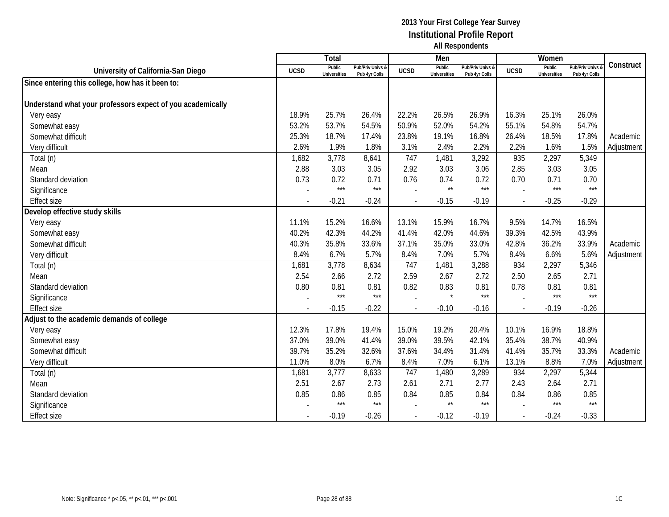|                                                            |                          | Total                         |                                   |                          | Men                           |                                   |             | Women                         |                                        |            |
|------------------------------------------------------------|--------------------------|-------------------------------|-----------------------------------|--------------------------|-------------------------------|-----------------------------------|-------------|-------------------------------|----------------------------------------|------------|
| University of California-San Diego                         | <b>UCSD</b>              | Public<br><b>Universities</b> | Pub/Priv Univs &<br>Pub 4yr Colls | <b>UCSD</b>              | Public<br><b>Universities</b> | Pub/Priv Univs &<br>Pub 4yr Colls | <b>UCSD</b> | Public<br><b>Universities</b> | <b>Pub/Priv Univs</b><br>Pub 4yr Colls | Construct  |
| Since entering this college, how has it been to:           |                          |                               |                                   |                          |                               |                                   |             |                               |                                        |            |
|                                                            |                          |                               |                                   |                          |                               |                                   |             |                               |                                        |            |
| Understand what your professors expect of you academically |                          |                               |                                   |                          |                               |                                   |             |                               |                                        |            |
| Very easy                                                  | 18.9%                    | 25.7%                         | 26.4%                             | 22.2%                    | 26.5%                         | 26.9%                             | 16.3%       | 25.1%                         | 26.0%                                  |            |
| Somewhat easy                                              | 53.2%                    | 53.7%                         | 54.5%                             | 50.9%                    | 52.0%                         | 54.2%                             | 55.1%       | 54.8%                         | 54.7%                                  |            |
| Somewhat difficult                                         | 25.3%                    | 18.7%                         | 17.4%                             | 23.8%                    | 19.1%                         | 16.8%                             | 26.4%       | 18.5%                         | 17.8%                                  | Academic   |
| Very difficult                                             | 2.6%                     | 1.9%                          | 1.8%                              | 3.1%                     | 2.4%                          | 2.2%                              | 2.2%        | 1.6%                          | 1.5%                                   | Adjustment |
| Total (n)                                                  | 1,682                    | 3,778                         | 8,641                             | 747                      | 1,481                         | 3,292                             | 935         | 2,297                         | 5,349                                  |            |
| Mean                                                       | 2.88                     | 3.03                          | 3.05                              | 2.92                     | 3.03                          | 3.06                              | 2.85        | 3.03                          | 3.05                                   |            |
| Standard deviation                                         | 0.73                     | 0.72                          | 0.71                              | 0.76                     | 0.74                          | 0.72                              | 0.70        | 0.71                          | 0.70                                   |            |
| Significance                                               |                          | $***$                         | $***$                             |                          | $\star\star$                  | $***$                             |             | $***$                         | $***$                                  |            |
| <b>Effect size</b>                                         |                          | $-0.21$                       | $-0.24$                           | ÷,                       | $-0.15$                       | $-0.19$                           |             | $-0.25$                       | $-0.29$                                |            |
| Develop effective study skills                             |                          |                               |                                   |                          |                               |                                   |             |                               |                                        |            |
| Very easy                                                  | 11.1%                    | 15.2%                         | 16.6%                             | 13.1%                    | 15.9%                         | 16.7%                             | 9.5%        | 14.7%                         | 16.5%                                  |            |
| Somewhat easy                                              | 40.2%                    | 42.3%                         | 44.2%                             | 41.4%                    | 42.0%                         | 44.6%                             | 39.3%       | 42.5%                         | 43.9%                                  |            |
| Somewhat difficult                                         | 40.3%                    | 35.8%                         | 33.6%                             | 37.1%                    | 35.0%                         | 33.0%                             | 42.8%       | 36.2%                         | 33.9%                                  | Academic   |
| Very difficult                                             | 8.4%                     | 6.7%                          | 5.7%                              | 8.4%                     | 7.0%                          | 5.7%                              | 8.4%        | 6.6%                          | 5.6%                                   | Adjustment |
| Total (n)                                                  | 1,681                    | 3,778                         | 8,634                             | 747                      | 1,481                         | 3,288                             | 934         | 2,297                         | 5,346                                  |            |
| Mean                                                       | 2.54                     | 2.66                          | 2.72                              | 2.59                     | 2.67                          | 2.72                              | 2.50        | 2.65                          | 2.71                                   |            |
| Standard deviation                                         | 0.80                     | 0.81                          | 0.81                              | 0.82                     | 0.83                          | 0.81                              | 0.78        | 0.81                          | 0.81                                   |            |
| Significance                                               |                          | $***$                         | $***$                             |                          | $\star$                       | $***$                             |             | ***                           | $***$                                  |            |
| <b>Effect size</b>                                         | $\overline{\phantom{a}}$ | $-0.15$                       | $-0.22$                           | $\blacksquare$           | $-0.10$                       | $-0.16$                           |             | $-0.19$                       | $-0.26$                                |            |
| Adjust to the academic demands of college                  |                          |                               |                                   |                          |                               |                                   |             |                               |                                        |            |
| Very easy                                                  | 12.3%                    | 17.8%                         | 19.4%                             | 15.0%                    | 19.2%                         | 20.4%                             | 10.1%       | 16.9%                         | 18.8%                                  |            |
| Somewhat easy                                              | 37.0%                    | 39.0%                         | 41.4%                             | 39.0%                    | 39.5%                         | 42.1%                             | 35.4%       | 38.7%                         | 40.9%                                  |            |
| Somewhat difficult                                         | 39.7%                    | 35.2%                         | 32.6%                             | 37.6%                    | 34.4%                         | 31.4%                             | 41.4%       | 35.7%                         | 33.3%                                  | Academic   |
| Very difficult                                             | 11.0%                    | 8.0%                          | 6.7%                              | 8.4%                     | 7.0%                          | 6.1%                              | 13.1%       | 8.8%                          | 7.0%                                   | Adjustment |
| Total (n)                                                  | 1,681                    | 3,777                         | 8,633                             | 747                      | 1,480                         | 3,289                             | 934         | 2,297                         | 5,344                                  |            |
| Mean                                                       | 2.51                     | 2.67                          | 2.73                              | 2.61                     | 2.71                          | 2.77                              | 2.43        | 2.64                          | 2.71                                   |            |
| Standard deviation                                         | 0.85                     | 0.86                          | 0.85                              | 0.84                     | 0.85                          | 0.84                              | 0.84        | 0.86                          | 0.85                                   |            |
| Significance                                               |                          | $***$                         | $***$                             |                          | $\star\star$                  | $***$                             |             | $***$                         | $***$                                  |            |
| <b>Effect size</b>                                         |                          | $-0.19$                       | $-0.26$                           | $\overline{\phantom{a}}$ | $-0.12$                       | $-0.19$                           |             | $-0.24$                       | $-0.33$                                |            |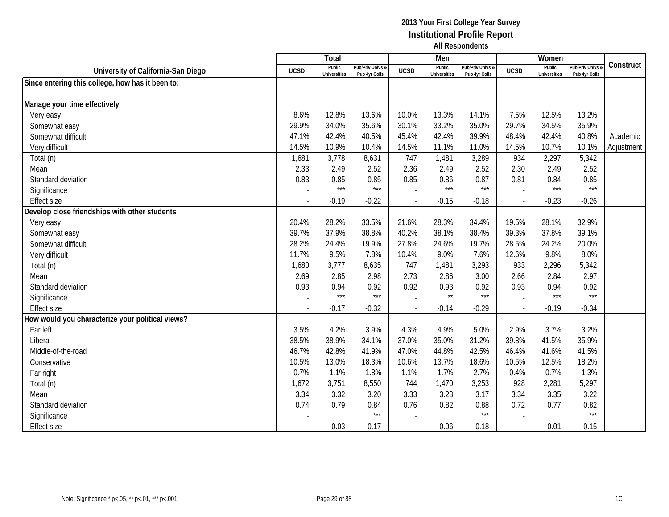|                                                  |                          | <b>Total</b>                  |                                   |             | Men                           |                                   |             | Women                         |                                        |            |
|--------------------------------------------------|--------------------------|-------------------------------|-----------------------------------|-------------|-------------------------------|-----------------------------------|-------------|-------------------------------|----------------------------------------|------------|
| University of California-San Diego               | <b>UCSD</b>              | Public<br><b>Universities</b> | Pub/Priv Univs &<br>Pub 4yr Colls | <b>UCSD</b> | Public<br><b>Universities</b> | Pub/Priv Univs &<br>Pub 4yr Colls | <b>UCSD</b> | Public<br><b>Universities</b> | <b>Pub/Priv Univs</b><br>Pub 4yr Colls | Construct  |
| Since entering this college, how has it been to: |                          |                               |                                   |             |                               |                                   |             |                               |                                        |            |
|                                                  |                          |                               |                                   |             |                               |                                   |             |                               |                                        |            |
| Manage your time effectively                     |                          |                               |                                   |             |                               |                                   |             |                               |                                        |            |
| Very easy                                        | 8.6%                     | 12.8%                         | 13.6%                             | 10.0%       | 13.3%                         | 14.1%                             | 7.5%        | 12.5%                         | 13.2%                                  |            |
| Somewhat easy                                    | 29.9%                    | 34.0%                         | 35.6%                             | 30.1%       | 33.2%                         | 35.0%                             | 29.7%       | 34.5%                         | 35.9%                                  |            |
| Somewhat difficult                               | 47.1%                    | 42.4%                         | 40.5%                             | 45.4%       | 42.4%                         | 39.9%                             | 48.4%       | 42.4%                         | 40.8%                                  | Academic   |
| Very difficult                                   | 14.5%                    | 10.9%                         | 10.4%                             | 14.5%       | 11.1%                         | 11.0%                             | 14.5%       | 10.7%                         | 10.1%                                  | Adjustment |
| Total (n)                                        | 1,681                    | 3,778                         | 8,631                             | 747         | 1,481                         | 3,289                             | 934         | 2,297                         | 5,342                                  |            |
| Mean                                             | 2.33                     | 2.49                          | 2.52                              | 2.36        | 2.49                          | 2.52                              | 2.30        | 2.49                          | 2.52                                   |            |
| Standard deviation                               | 0.83                     | 0.85                          | 0.85                              | 0.85        | 0.86                          | 0.87                              | 0.81        | 0.84                          | 0.85                                   |            |
| Significance                                     |                          | $***$                         | $***$                             |             | $***$                         | $***$                             |             | $***$                         | $***$                                  |            |
| <b>Effect size</b>                               |                          | $-0.19$                       | $-0.22$                           |             | $-0.15$                       | $-0.18$                           |             | $-0.23$                       | $-0.26$                                |            |
| Develop close friendships with other students    |                          |                               |                                   |             |                               |                                   |             |                               |                                        |            |
| Very easy                                        | 20.4%                    | 28.2%                         | 33.5%                             | 21.6%       | 28.3%                         | 34.4%                             | 19.5%       | 28.1%                         | 32.9%                                  |            |
| Somewhat easy                                    | 39.7%                    | 37.9%                         | 38.8%                             | 40.2%       | 38.1%                         | 38.4%                             | 39.3%       | 37.8%                         | 39.1%                                  |            |
| Somewhat difficult                               | 28.2%                    | 24.4%                         | 19.9%                             | 27.8%       | 24.6%                         | 19.7%                             | 28.5%       | 24.2%                         | 20.0%                                  |            |
| Very difficult                                   | 11.7%                    | 9.5%                          | 7.8%                              | 10.4%       | 9.0%                          | 7.6%                              | 12.6%       | 9.8%                          | 8.0%                                   |            |
| Total (n)                                        | 1,680                    | 3,777                         | 8,635                             | 747         | 1,481                         | 3,293                             | 933         | 2,296                         | 5,342                                  |            |
| Mean                                             | 2.69                     | 2.85                          | 2.98                              | 2.73        | 2.86                          | 3.00                              | 2.66        | 2.84                          | 2.97                                   |            |
| Standard deviation                               | 0.93                     | 0.94                          | 0.92                              | 0.92        | 0.93                          | 0.92                              | 0.93        | 0.94                          | 0.92                                   |            |
| Significance                                     |                          | $***$                         | $***$                             |             | $\star\star$                  | $***$                             |             | $***$                         | $***$                                  |            |
| <b>Effect size</b>                               | $\overline{\phantom{a}}$ | $-0.17$                       | $-0.32$                           |             | $-0.14$                       | $-0.29$                           | $\sim$      | $-0.19$                       | $-0.34$                                |            |
| How would you characterize your political views? |                          |                               |                                   |             |                               |                                   |             |                               |                                        |            |
| Far left                                         | 3.5%                     | 4.2%                          | 3.9%                              | 4.3%        | 4.9%                          | 5.0%                              | 2.9%        | 3.7%                          | 3.2%                                   |            |
| Liberal                                          | 38.5%                    | 38.9%                         | 34.1%                             | 37.0%       | 35.0%                         | 31.2%                             | 39.8%       | 41.5%                         | 35.9%                                  |            |
| Middle-of-the-road                               | 46.7%                    | 42.8%                         | 41.9%                             | 47.0%       | 44.8%                         | 42.5%                             | 46.4%       | 41.6%                         | 41.5%                                  |            |
| Conservative                                     | 10.5%                    | 13.0%                         | 18.3%                             | 10.6%       | 13.7%                         | 18.6%                             | 10.5%       | 12.5%                         | 18.2%                                  |            |
| Far right                                        | 0.7%                     | 1.1%                          | 1.8%                              | 1.1%        | 1.7%                          | 2.7%                              | 0.4%        | 0.7%                          | 1.3%                                   |            |
| Total (n)                                        | 1,672                    | 3,751                         | 8,550                             | 744         | 1,470                         | 3,253                             | 928         | 2,281                         | 5,297                                  |            |
| Mean                                             | 3.34                     | 3.32                          | 3.20                              | 3.33        | 3.28                          | 3.17                              | 3.34        | 3.35                          | 3.22                                   |            |
| Standard deviation                               | 0.74                     | 0.79                          | 0.84                              | 0.76        | 0.82                          | 0.88                              | 0.72        | 0.77                          | 0.82                                   |            |
| Significance                                     |                          |                               | $***$                             |             |                               | $***$                             |             |                               | $***$                                  |            |
| <b>Effect size</b>                               |                          | 0.03                          | 0.17                              |             | 0.06                          | 0.18                              |             | $-0.01$                       | 0.15                                   |            |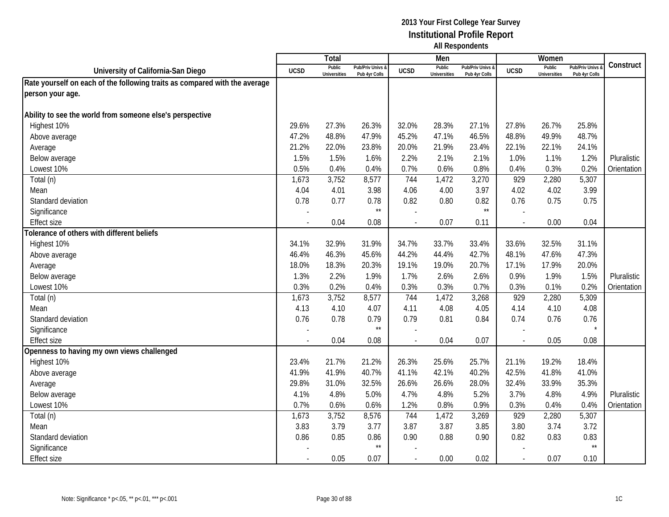|                                                                            |             | Total                         |                                   |                | Men                           |                                   |             | Women                         |                                        |             |
|----------------------------------------------------------------------------|-------------|-------------------------------|-----------------------------------|----------------|-------------------------------|-----------------------------------|-------------|-------------------------------|----------------------------------------|-------------|
| University of California-San Diego                                         | <b>UCSD</b> | Public<br><b>Universities</b> | Pub/Priv Univs &<br>Pub 4yr Colls | <b>UCSD</b>    | Public<br><b>Universities</b> | Pub/Priv Univs &<br>Pub 4yr Colls | <b>UCSD</b> | Public<br><b>Universities</b> | <b>Pub/Priv Univs</b><br>Pub 4yr Colls | Construct   |
| Rate yourself on each of the following traits as compared with the average |             |                               |                                   |                |                               |                                   |             |                               |                                        |             |
| person your age.                                                           |             |                               |                                   |                |                               |                                   |             |                               |                                        |             |
|                                                                            |             |                               |                                   |                |                               |                                   |             |                               |                                        |             |
| Ability to see the world from someone else's perspective                   |             |                               |                                   |                |                               |                                   |             |                               |                                        |             |
| Highest 10%                                                                | 29.6%       | 27.3%                         | 26.3%                             | 32.0%          | 28.3%                         | 27.1%                             | 27.8%       | 26.7%                         | 25.8%                                  |             |
| Above average                                                              | 47.2%       | 48.8%                         | 47.9%                             | 45.2%          | 47.1%                         | 46.5%                             | 48.8%       | 49.9%                         | 48.7%                                  |             |
| Average                                                                    | 21.2%       | 22.0%                         | 23.8%                             | 20.0%          | 21.9%                         | 23.4%                             | 22.1%       | 22.1%                         | 24.1%                                  |             |
| Below average                                                              | 1.5%        | 1.5%                          | 1.6%                              | 2.2%           | 2.1%                          | 2.1%                              | 1.0%        | 1.1%                          | 1.2%                                   | Pluralistic |
| Lowest 10%                                                                 | 0.5%        | 0.4%                          | 0.4%                              | 0.7%           | 0.6%                          | 0.8%                              | 0.4%        | 0.3%                          | 0.2%                                   | Orientation |
| Total (n)                                                                  | 1,673       | 3,752                         | 8,577                             | 744            | 1,472                         | 3,270                             | 929         | 2,280                         | 5,307                                  |             |
| Mean                                                                       | 4.04        | 4.01                          | 3.98                              | 4.06           | 4.00                          | 3.97                              | 4.02        | 4.02                          | 3.99                                   |             |
| Standard deviation                                                         | 0.78        | 0.77                          | 0.78                              | 0.82           | 0.80                          | 0.82                              | 0.76        | 0.75                          | 0.75                                   |             |
| Significance                                                               |             |                               | $^{\star\star}$                   |                |                               | $\star\star$                      |             |                               |                                        |             |
| <b>Effect size</b>                                                         |             | 0.04                          | 0.08                              |                | 0.07                          | 0.11                              |             | 0.00                          | 0.04                                   |             |
| Tolerance of others with different beliefs                                 |             |                               |                                   |                |                               |                                   |             |                               |                                        |             |
| Highest 10%                                                                | 34.1%       | 32.9%                         | 31.9%                             | 34.7%          | 33.7%                         | 33.4%                             | 33.6%       | 32.5%                         | 31.1%                                  |             |
| Above average                                                              | 46.4%       | 46.3%                         | 45.6%                             | 44.2%          | 44.4%                         | 42.7%                             | 48.1%       | 47.6%                         | 47.3%                                  |             |
| Average                                                                    | 18.0%       | 18.3%                         | 20.3%                             | 19.1%          | 19.0%                         | 20.7%                             | 17.1%       | 17.9%                         | 20.0%                                  |             |
| Below average                                                              | 1.3%        | 2.2%                          | 1.9%                              | 1.7%           | 2.6%                          | 2.6%                              | 0.9%        | 1.9%                          | 1.5%                                   | Pluralistic |
| Lowest 10%                                                                 | 0.3%        | 0.2%                          | 0.4%                              | 0.3%           | 0.3%                          | 0.7%                              | 0.3%        | 0.1%                          | 0.2%                                   | Orientation |
| Total (n)                                                                  | 1,673       | 3,752                         | 8,577                             | 744            | 1,472                         | 3,268                             | 929         | 2,280                         | 5,309                                  |             |
| Mean                                                                       | 4.13        | 4.10                          | 4.07                              | 4.11           | 4.08                          | 4.05                              | 4.14        | 4.10                          | 4.08                                   |             |
| Standard deviation                                                         | 0.76        | 0.78                          | 0.79                              | 0.79           | 0.81                          | 0.84                              | 0.74        | 0.76                          | 0.76                                   |             |
| Significance                                                               |             |                               | $^{\star\star}$                   |                |                               |                                   |             |                               | $\star$                                |             |
| <b>Effect size</b>                                                         |             | 0.04                          | 0.08                              |                | 0.04                          | 0.07                              | $\sim$      | 0.05                          | 0.08                                   |             |
| Openness to having my own views challenged                                 |             |                               |                                   |                |                               |                                   |             |                               |                                        |             |
| Highest 10%                                                                | 23.4%       | 21.7%                         | 21.2%                             | 26.3%          | 25.6%                         | 25.7%                             | 21.1%       | 19.2%                         | 18.4%                                  |             |
| Above average                                                              | 41.9%       | 41.9%                         | 40.7%                             | 41.1%          | 42.1%                         | 40.2%                             | 42.5%       | 41.8%                         | 41.0%                                  |             |
| Average                                                                    | 29.8%       | 31.0%                         | 32.5%                             | 26.6%          | 26.6%                         | 28.0%                             | 32.4%       | 33.9%                         | 35.3%                                  |             |
| Below average                                                              | 4.1%        | 4.8%                          | 5.0%                              | 4.7%           | 4.8%                          | 5.2%                              | 3.7%        | 4.8%                          | 4.9%                                   | Pluralistic |
| Lowest 10%                                                                 | 0.7%        | 0.6%                          | 0.6%                              | 1.2%           | 0.8%                          | 0.9%                              | 0.3%        | 0.4%                          | 0.4%                                   | Orientation |
| Total (n)                                                                  | 1,673       | 3,752                         | 8,576                             | 744            | 1,472                         | 3,269                             | 929         | 2,280                         | 5,307                                  |             |
| Mean                                                                       | 3.83        | 3.79                          | 3.77                              | 3.87           | 3.87                          | 3.85                              | 3.80        | 3.74                          | 3.72                                   |             |
| Standard deviation                                                         | 0.86        | 0.85                          | 0.86                              | 0.90           | 0.88                          | 0.90                              | 0.82        | 0.83                          | 0.83                                   |             |
| Significance                                                               |             |                               | $\star\star$                      |                |                               |                                   |             |                               | $\star\star$                           |             |
| <b>Effect size</b>                                                         |             | 0.05                          | 0.07                              | $\overline{a}$ | 0.00                          | 0.02                              | $\sim$      | 0.07                          | 0.10                                   |             |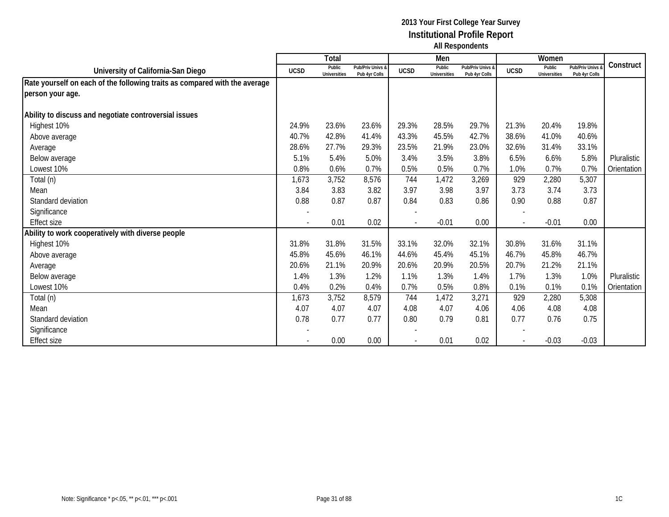|                                                                            |                          | Total                         |                                   |                          | Men                           |                                   |                          | Women                         |                                   |             |
|----------------------------------------------------------------------------|--------------------------|-------------------------------|-----------------------------------|--------------------------|-------------------------------|-----------------------------------|--------------------------|-------------------------------|-----------------------------------|-------------|
| University of California-San Diego                                         | <b>UCSD</b>              | Public<br><b>Universities</b> | Pub/Priv Univs &<br>Pub 4yr Colls | <b>UCSD</b>              | Public<br><b>Universities</b> | Pub/Priv Univs &<br>Pub 4yr Colls | <b>UCSD</b>              | Public<br><b>Universities</b> | Pub/Priv Univs &<br>Pub 4yr Colls | Construct   |
| Rate yourself on each of the following traits as compared with the average |                          |                               |                                   |                          |                               |                                   |                          |                               |                                   |             |
| person your age.                                                           |                          |                               |                                   |                          |                               |                                   |                          |                               |                                   |             |
| Ability to discuss and negotiate controversial issues                      |                          |                               |                                   |                          |                               |                                   |                          |                               |                                   |             |
| Highest 10%                                                                | 24.9%                    | 23.6%                         | 23.6%                             | 29.3%                    | 28.5%                         | 29.7%                             | 21.3%                    | 20.4%                         | 19.8%                             |             |
| Above average                                                              | 40.7%                    | 42.8%                         | 41.4%                             | 43.3%                    | 45.5%                         | 42.7%                             | 38.6%                    | 41.0%                         | 40.6%                             |             |
| Average                                                                    | 28.6%                    | 27.7%                         | 29.3%                             | 23.5%                    | 21.9%                         | 23.0%                             | 32.6%                    | 31.4%                         | 33.1%                             |             |
| Below average                                                              | 5.1%                     | 5.4%                          | 5.0%                              | 3.4%                     | 3.5%                          | 3.8%                              | 6.5%                     | 6.6%                          | 5.8%                              | Pluralistic |
| Lowest 10%                                                                 | 0.8%                     | 0.6%                          | 0.7%                              | 0.5%                     | 0.5%                          | 0.7%                              | 1.0%                     | 0.7%                          | 0.7%                              | Orientation |
| Total (n)                                                                  | 1,673                    | 3,752                         | 8,576                             | 744                      | 1,472                         | 3,269                             | 929                      | 2,280                         | 5,307                             |             |
| Mean                                                                       | 3.84                     | 3.83                          | 3.82                              | 3.97                     | 3.98                          | 3.97                              | 3.73                     | 3.74                          | 3.73                              |             |
| Standard deviation                                                         | 0.88                     | 0.87                          | 0.87                              | 0.84                     | 0.83                          | 0.86                              | 0.90                     | 0.88                          | 0.87                              |             |
| Significance                                                               |                          |                               |                                   |                          |                               |                                   |                          |                               |                                   |             |
| <b>Effect size</b>                                                         | $\overline{\phantom{a}}$ | 0.01                          | 0.02                              | $\overline{\phantom{a}}$ | $-0.01$                       | 0.00                              | $\overline{\phantom{a}}$ | $-0.01$                       | 0.00                              |             |
| Ability to work cooperatively with diverse people                          |                          |                               |                                   |                          |                               |                                   |                          |                               |                                   |             |
| Highest 10%                                                                | 31.8%                    | 31.8%                         | 31.5%                             | 33.1%                    | 32.0%                         | 32.1%                             | 30.8%                    | 31.6%                         | 31.1%                             |             |
| Above average                                                              | 45.8%                    | 45.6%                         | 46.1%                             | 44.6%                    | 45.4%                         | 45.1%                             | 46.7%                    | 45.8%                         | 46.7%                             |             |
| Average                                                                    | 20.6%                    | 21.1%                         | 20.9%                             | 20.6%                    | 20.9%                         | 20.5%                             | 20.7%                    | 21.2%                         | 21.1%                             |             |
| Below average                                                              | 1.4%                     | 1.3%                          | 1.2%                              | 1.1%                     | 1.3%                          | 1.4%                              | 1.7%                     | 1.3%                          | 1.0%                              | Pluralistic |
| Lowest 10%                                                                 | 0.4%                     | 0.2%                          | 0.4%                              | 0.7%                     | 0.5%                          | 0.8%                              | 0.1%                     | 0.1%                          | 0.1%                              | Orientation |
| Total (n)                                                                  | 1,673                    | 3,752                         | 8,579                             | 744                      | 1,472                         | 3,271                             | 929                      | 2,280                         | 5,308                             |             |
| Mean                                                                       | 4.07                     | 4.07                          | 4.07                              | 4.08                     | 4.07                          | 4.06                              | 4.06                     | 4.08                          | 4.08                              |             |
| Standard deviation                                                         | 0.78                     | 0.77                          | 0.77                              | 0.80                     | 0.79                          | 0.81                              | 0.77                     | 0.76                          | 0.75                              |             |
| Significance                                                               |                          |                               |                                   |                          |                               |                                   |                          |                               |                                   |             |
| <b>Effect size</b>                                                         |                          | 0.00                          | 0.00                              |                          | 0.01                          | 0.02                              |                          | $-0.03$                       | $-0.03$                           |             |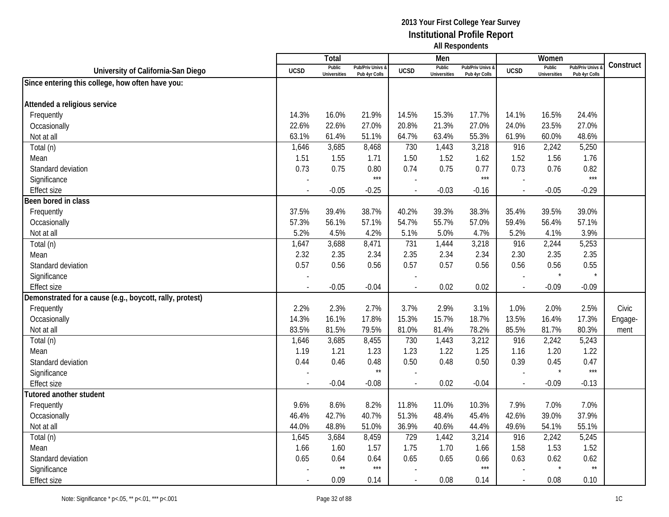|                                                          |                          | Total                         |                                   |                | Men                           |                                   |             | Women                         |                                        |           |
|----------------------------------------------------------|--------------------------|-------------------------------|-----------------------------------|----------------|-------------------------------|-----------------------------------|-------------|-------------------------------|----------------------------------------|-----------|
| University of California-San Diego                       | <b>UCSD</b>              | Public<br><b>Universities</b> | Pub/Priv Univs &<br>Pub 4yr Colls | <b>UCSD</b>    | Public<br><b>Universities</b> | Pub/Priv Univs &<br>Pub 4yr Colls | <b>UCSD</b> | Public<br><b>Universities</b> | <b>Pub/Priv Univs</b><br>Pub 4yr Colls | Construct |
| Since entering this college, how often have you:         |                          |                               |                                   |                |                               |                                   |             |                               |                                        |           |
|                                                          |                          |                               |                                   |                |                               |                                   |             |                               |                                        |           |
| Attended a religious service                             |                          |                               |                                   |                |                               |                                   |             |                               |                                        |           |
| Frequently                                               | 14.3%                    | 16.0%                         | 21.9%                             | 14.5%          | 15.3%                         | 17.7%                             | 14.1%       | 16.5%                         | 24.4%                                  |           |
| Occasionally                                             | 22.6%                    | 22.6%                         | 27.0%                             | 20.8%          | 21.3%                         | 27.0%                             | 24.0%       | 23.5%                         | 27.0%                                  |           |
| Not at all                                               | 63.1%                    | 61.4%                         | 51.1%                             | 64.7%          | 63.4%                         | 55.3%                             | 61.9%       | 60.0%                         | 48.6%                                  |           |
| Total (n)                                                | 1,646                    | 3,685                         | 8,468                             | 730            | 1,443                         | 3,218                             | 916         | 2,242                         | 5,250                                  |           |
| Mean                                                     | 1.51                     | 1.55                          | 1.71                              | 1.50           | 1.52                          | 1.62                              | 1.52        | 1.56                          | 1.76                                   |           |
| Standard deviation                                       | 0.73                     | 0.75                          | 0.80                              | 0.74           | 0.75                          | 0.77                              | 0.73        | 0.76                          | 0.82                                   |           |
| Significance                                             |                          |                               | $***$                             |                |                               | $***$                             |             |                               | $***$                                  |           |
| <b>Effect size</b>                                       | $\overline{\phantom{a}}$ | $-0.05$                       | $-0.25$                           | $\blacksquare$ | $-0.03$                       | $-0.16$                           | $\sim$      | $-0.05$                       | $-0.29$                                |           |
| Been bored in class                                      |                          |                               |                                   |                |                               |                                   |             |                               |                                        |           |
| Frequently                                               | 37.5%                    | 39.4%                         | 38.7%                             | 40.2%          | 39.3%                         | 38.3%                             | 35.4%       | 39.5%                         | 39.0%                                  |           |
| Occasionally                                             | 57.3%                    | 56.1%                         | 57.1%                             | 54.7%          | 55.7%                         | 57.0%                             | 59.4%       | 56.4%                         | 57.1%                                  |           |
| Not at all                                               | 5.2%                     | 4.5%                          | 4.2%                              | 5.1%           | 5.0%                          | 4.7%                              | 5.2%        | 4.1%                          | 3.9%                                   |           |
| Total (n)                                                | 1,647                    | 3,688                         | 8,471                             | 731            | 1,444                         | 3,218                             | 916         | 2,244                         | 5,253                                  |           |
| Mean                                                     | 2.32                     | 2.35                          | 2.34                              | 2.35           | 2.34                          | 2.34                              | 2.30        | 2.35                          | 2.35                                   |           |
| Standard deviation                                       | 0.57                     | 0.56                          | 0.56                              | 0.57           | 0.57                          | 0.56                              | 0.56        | 0.56                          | 0.55                                   |           |
| Significance                                             |                          |                               |                                   |                |                               |                                   |             | $\star$                       | $\star$                                |           |
| <b>Effect size</b>                                       |                          | $-0.05$                       | $-0.04$                           | $\overline{a}$ | 0.02                          | 0.02                              | $\sim$      | $-0.09$                       | $-0.09$                                |           |
| Demonstrated for a cause (e.g., boycott, rally, protest) |                          |                               |                                   |                |                               |                                   |             |                               |                                        |           |
| Frequently                                               | 2.2%                     | 2.3%                          | 2.7%                              | 3.7%           | 2.9%                          | 3.1%                              | 1.0%        | 2.0%                          | 2.5%                                   | Civic     |
| Occasionally                                             | 14.3%                    | 16.1%                         | 17.8%                             | 15.3%          | 15.7%                         | 18.7%                             | 13.5%       | 16.4%                         | 17.3%                                  | Engage-   |
| Not at all                                               | 83.5%                    | 81.5%                         | 79.5%                             | 81.0%          | 81.4%                         | 78.2%                             | 85.5%       | 81.7%                         | 80.3%                                  | ment      |
| Total (n)                                                | 1,646                    | 3,685                         | 8,455                             | 730            | 1,443                         | 3,212                             | 916         | 2,242                         | 5,243                                  |           |
| Mean                                                     | 1.19                     | 1.21                          | 1.23                              | 1.23           | 1.22                          | 1.25                              | 1.16        | 1.20                          | 1.22                                   |           |
| Standard deviation                                       | 0.44                     | 0.46                          | 0.48                              | 0.50           | 0.48                          | 0.50                              | 0.39        | 0.45                          | 0.47                                   |           |
| Significance                                             |                          |                               | $\star\star$                      |                |                               |                                   |             | $\star$                       | $***$                                  |           |
| <b>Effect size</b>                                       |                          | $-0.04$                       | $-0.08$                           |                | 0.02                          | $-0.04$                           |             | $-0.09$                       | $-0.13$                                |           |
| Tutored another student                                  |                          |                               |                                   |                |                               |                                   |             |                               |                                        |           |
| Frequently                                               | 9.6%                     | 8.6%                          | 8.2%                              | 11.8%          | 11.0%                         | 10.3%                             | 7.9%        | 7.0%                          | 7.0%                                   |           |
| Occasionally                                             | 46.4%                    | 42.7%                         | 40.7%                             | 51.3%          | 48.4%                         | 45.4%                             | 42.6%       | 39.0%                         | 37.9%                                  |           |
| Not at all                                               | 44.0%                    | 48.8%                         | 51.0%                             | 36.9%          | 40.6%                         | 44.4%                             | 49.6%       | 54.1%                         | 55.1%                                  |           |
| Total (n)                                                | 1,645                    | 3,684                         | 8,459                             | 729            | 1,442                         | 3,214                             | 916         | 2,242                         | 5,245                                  |           |
| Mean                                                     | 1.66                     | 1.60                          | 1.57                              | 1.75           | 1.70                          | 1.66                              | 1.58        | 1.53                          | 1.52                                   |           |
| Standard deviation                                       | 0.65                     | 0.64                          | 0.64                              | 0.65           | 0.65                          | 0.66                              | 0.63        | 0.62                          | 0.62                                   |           |
| Significance                                             |                          | $\star\star$                  | $***$                             |                |                               | $***$                             |             | $\star$                       | $\star\star$                           |           |
| <b>Effect size</b>                                       |                          | 0.09                          | 0.14                              | $\blacksquare$ | 0.08                          | 0.14                              | $\sim$      | 0.08                          | 0.10                                   |           |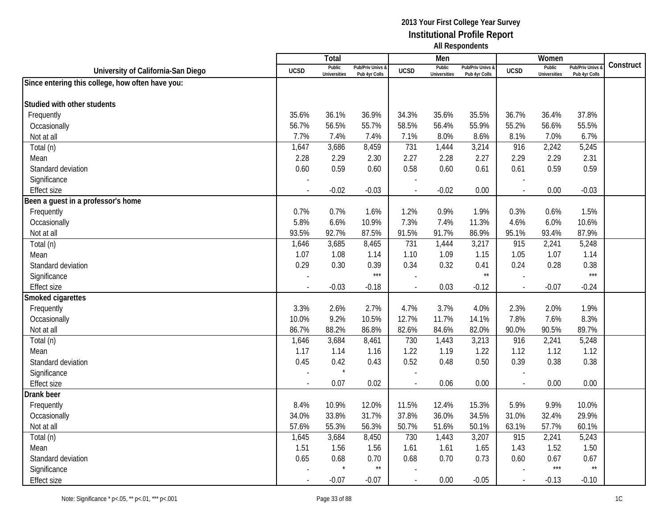|                                                  |             | Total                         |                                   |                          | Men                           |                                   |                          | Women                         |                                        |           |
|--------------------------------------------------|-------------|-------------------------------|-----------------------------------|--------------------------|-------------------------------|-----------------------------------|--------------------------|-------------------------------|----------------------------------------|-----------|
| University of California-San Diego               | <b>UCSD</b> | Public<br><b>Universities</b> | Pub/Priv Univs &<br>Pub 4yr Colls | <b>UCSD</b>              | Public<br><b>Universities</b> | Pub/Priv Univs &<br>Pub 4yr Colls | <b>UCSD</b>              | Public<br><b>Universities</b> | <b>Pub/Priv Univs</b><br>Pub 4yr Colls | Construct |
| Since entering this college, how often have you: |             |                               |                                   |                          |                               |                                   |                          |                               |                                        |           |
|                                                  |             |                               |                                   |                          |                               |                                   |                          |                               |                                        |           |
| Studied with other students                      |             |                               |                                   |                          |                               |                                   |                          |                               |                                        |           |
| Frequently                                       | 35.6%       | 36.1%                         | 36.9%                             | 34.3%                    | 35.6%                         | 35.5%                             | 36.7%                    | 36.4%                         | 37.8%                                  |           |
| Occasionally                                     | 56.7%       | 56.5%                         | 55.7%                             | 58.5%                    | 56.4%                         | 55.9%                             | 55.2%                    | 56.6%                         | 55.5%                                  |           |
| Not at all                                       | 7.7%        | 7.4%                          | 7.4%                              | 7.1%                     | 8.0%                          | 8.6%                              | 8.1%                     | 7.0%                          | 6.7%                                   |           |
| Total (n)                                        | 1,647       | 3,686                         | 8,459                             | 731                      | 1,444                         | 3,214                             | 916                      | 2,242                         | 5,245                                  |           |
| Mean                                             | 2.28        | 2.29                          | 2.30                              | 2.27                     | 2.28                          | 2.27                              | 2.29                     | 2.29                          | 2.31                                   |           |
| Standard deviation                               | 0.60        | 0.59                          | 0.60                              | 0.58                     | 0.60                          | 0.61                              | 0.61                     | 0.59                          | 0.59                                   |           |
| Significance                                     |             |                               |                                   |                          |                               |                                   |                          |                               |                                        |           |
| <b>Effect size</b>                               | $\sim$      | $-0.02$                       | $-0.03$                           | $\overline{\phantom{a}}$ | $-0.02$                       | 0.00                              | $\sim$                   | 0.00                          | $-0.03$                                |           |
| Been a guest in a professor's home               |             |                               |                                   |                          |                               |                                   |                          |                               |                                        |           |
| Frequently                                       | 0.7%        | 0.7%                          | 1.6%                              | 1.2%                     | 0.9%                          | 1.9%                              | 0.3%                     | 0.6%                          | 1.5%                                   |           |
| Occasionally                                     | 5.8%        | 6.6%                          | 10.9%                             | 7.3%                     | 7.4%                          | 11.3%                             | 4.6%                     | 6.0%                          | 10.6%                                  |           |
| Not at all                                       | 93.5%       | 92.7%                         | 87.5%                             | 91.5%                    | 91.7%                         | 86.9%                             | 95.1%                    | 93.4%                         | 87.9%                                  |           |
| Total (n)                                        | 1,646       | 3,685                         | 8,465                             | 731                      | 1,444                         | 3,217                             | 915                      | 2,241                         | 5,248                                  |           |
| Mean                                             | 1.07        | 1.08                          | 1.14                              | 1.10                     | 1.09                          | 1.15                              | 1.05                     | 1.07                          | 1.14                                   |           |
| Standard deviation                               | 0.29        | 0.30                          | 0.39                              | 0.34                     | 0.32                          | 0.41                              | 0.24                     | 0.28                          | 0.38                                   |           |
| Significance                                     |             |                               | $***$                             | $\overline{a}$           |                               | $\star\star$                      |                          |                               | $***$                                  |           |
| <b>Effect size</b>                               | $\sim$      | $-0.03$                       | $-0.18$                           | $\blacksquare$           | 0.03                          | $-0.12$                           | $\overline{\phantom{a}}$ | $-0.07$                       | $-0.24$                                |           |
| Smoked cigarettes                                |             |                               |                                   |                          |                               |                                   |                          |                               |                                        |           |
| Frequently                                       | 3.3%        | 2.6%                          | 2.7%                              | 4.7%                     | 3.7%                          | 4.0%                              | 2.3%                     | 2.0%                          | 1.9%                                   |           |
| Occasionally                                     | 10.0%       | 9.2%                          | 10.5%                             | 12.7%                    | 11.7%                         | 14.1%                             | 7.8%                     | 7.6%                          | 8.3%                                   |           |
| Not at all                                       | 86.7%       | 88.2%                         | 86.8%                             | 82.6%                    | 84.6%                         | 82.0%                             | 90.0%                    | 90.5%                         | 89.7%                                  |           |
| Total (n)                                        | 1,646       | 3,684                         | 8,461                             | 730                      | 1,443                         | 3,213                             | 916                      | 2,241                         | 5,248                                  |           |
| Mean                                             | 1.17        | 1.14                          | 1.16                              | 1.22                     | 1.19                          | 1.22                              | 1.12                     | 1.12                          | 1.12                                   |           |
| Standard deviation                               | 0.45        | 0.42                          | 0.43                              | 0.52                     | 0.48                          | 0.50                              | 0.39                     | 0.38                          | 0.38                                   |           |
| Significance                                     |             | $\star$                       |                                   |                          |                               |                                   |                          |                               |                                        |           |
| <b>Effect size</b>                               |             | 0.07                          | 0.02                              |                          | 0.06                          | 0.00                              | $\overline{\phantom{a}}$ | 0.00                          | 0.00                                   |           |
| <b>Drank beer</b>                                |             |                               |                                   |                          |                               |                                   |                          |                               |                                        |           |
| Frequently                                       | 8.4%        | 10.9%                         | 12.0%                             | 11.5%                    | 12.4%                         | 15.3%                             | 5.9%                     | 9.9%                          | 10.0%                                  |           |
| Occasionally                                     | 34.0%       | 33.8%                         | 31.7%                             | 37.8%                    | 36.0%                         | 34.5%                             | 31.0%                    | 32.4%                         | 29.9%                                  |           |
| Not at all                                       | 57.6%       | 55.3%                         | 56.3%                             | 50.7%                    | 51.6%                         | 50.1%                             | 63.1%                    | 57.7%                         | 60.1%                                  |           |
| Total (n)                                        | 1,645       | 3,684                         | 8,450                             | 730                      | 1,443                         | 3,207                             | 915                      | 2,241                         | 5,243                                  |           |
| Mean                                             | 1.51        | 1.56                          | 1.56                              | 1.61                     | 1.61                          | 1.65                              | 1.43                     | 1.52                          | 1.50                                   |           |
| Standard deviation                               | 0.65        | 0.68                          | 0.70                              | 0.68                     | 0.70                          | 0.73                              | 0.60                     | 0.67                          | 0.67                                   |           |
| Significance                                     |             | $\star$                       | $\star\star$                      |                          |                               |                                   |                          | $***$                         | $\star\star$                           |           |
| <b>Effect size</b>                               |             | $-0.07$                       | $-0.07$                           | $\overline{a}$           | 0.00                          | $-0.05$                           | $\sim$                   | $-0.13$                       | $-0.10$                                |           |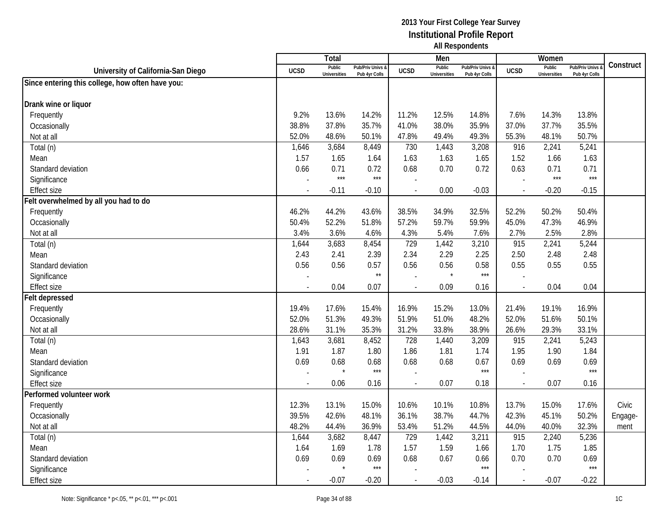|                                                  |                          | Total                         |                                   |                | Men                           |                                   |                          | Women                         |                                        |           |
|--------------------------------------------------|--------------------------|-------------------------------|-----------------------------------|----------------|-------------------------------|-----------------------------------|--------------------------|-------------------------------|----------------------------------------|-----------|
| University of California-San Diego               | <b>UCSD</b>              | Public<br><b>Universities</b> | Pub/Priv Univs &<br>Pub 4yr Colls | <b>UCSD</b>    | Public<br><b>Universities</b> | Pub/Priv Univs &<br>Pub 4yr Colls | <b>UCSD</b>              | Public<br><b>Universities</b> | <b>Pub/Priv Univs</b><br>Pub 4yr Colls | Construct |
| Since entering this college, how often have you: |                          |                               |                                   |                |                               |                                   |                          |                               |                                        |           |
|                                                  |                          |                               |                                   |                |                               |                                   |                          |                               |                                        |           |
| Drank wine or liquor                             |                          |                               |                                   |                |                               |                                   |                          |                               |                                        |           |
| Frequently                                       | 9.2%                     | 13.6%                         | 14.2%                             | 11.2%          | 12.5%                         | 14.8%                             | 7.6%                     | 14.3%                         | 13.8%                                  |           |
| Occasionally                                     | 38.8%                    | 37.8%                         | 35.7%                             | 41.0%          | 38.0%                         | 35.9%                             | 37.0%                    | 37.7%                         | 35.5%                                  |           |
| Not at all                                       | 52.0%                    | 48.6%                         | 50.1%                             | 47.8%          | 49.4%                         | 49.3%                             | 55.3%                    | 48.1%                         | 50.7%                                  |           |
| Total (n)                                        | 1,646                    | 3,684                         | 8,449                             | 730            | 1,443                         | 3,208                             | 916                      | 2,241                         | 5,241                                  |           |
| Mean                                             | 1.57                     | 1.65                          | 1.64                              | 1.63           | 1.63                          | 1.65                              | 1.52                     | 1.66                          | 1.63                                   |           |
| Standard deviation                               | 0.66                     | 0.71                          | 0.72                              | 0.68           | 0.70                          | 0.72                              | 0.63                     | 0.71                          | 0.71                                   |           |
| Significance                                     |                          | $***$                         | $***$                             |                |                               |                                   |                          | $***$                         | $***$                                  |           |
| <b>Effect size</b>                               | $\overline{\phantom{a}}$ | $-0.11$                       | $-0.10$                           | $\blacksquare$ | 0.00                          | $-0.03$                           | $\blacksquare$           | $-0.20$                       | $-0.15$                                |           |
| Felt overwhelmed by all you had to do            |                          |                               |                                   |                |                               |                                   |                          |                               |                                        |           |
| Frequently                                       | 46.2%                    | 44.2%                         | 43.6%                             | 38.5%          | 34.9%                         | 32.5%                             | 52.2%                    | 50.2%                         | 50.4%                                  |           |
| Occasionally                                     | 50.4%                    | 52.2%                         | 51.8%                             | 57.2%          | 59.7%                         | 59.9%                             | 45.0%                    | 47.3%                         | 46.9%                                  |           |
| Not at all                                       | 3.4%                     | 3.6%                          | 4.6%                              | 4.3%           | 5.4%                          | 7.6%                              | 2.7%                     | 2.5%                          | 2.8%                                   |           |
| Total (n)                                        | 1,644                    | 3,683                         | 8,454                             | 729            | 1,442                         | 3,210                             | 915                      | 2,241                         | 5,244                                  |           |
| Mean                                             | 2.43                     | 2.41                          | 2.39                              | 2.34           | 2.29                          | 2.25                              | 2.50                     | 2.48                          | 2.48                                   |           |
| Standard deviation                               | 0.56                     | 0.56                          | 0.57                              | 0.56           | 0.56                          | 0.58                              | 0.55                     | 0.55                          | 0.55                                   |           |
| Significance                                     |                          |                               | $^{\star\star}$                   |                | $\star$                       | $***$                             |                          |                               |                                        |           |
| <b>Effect size</b>                               |                          | 0.04                          | 0.07                              | $\overline{a}$ | 0.09                          | 0.16                              | $\overline{\phantom{a}}$ | 0.04                          | 0.04                                   |           |
| Felt depressed                                   |                          |                               |                                   |                |                               |                                   |                          |                               |                                        |           |
| Frequently                                       | 19.4%                    | 17.6%                         | 15.4%                             | 16.9%          | 15.2%                         | 13.0%                             | 21.4%                    | 19.1%                         | 16.9%                                  |           |
| Occasionally                                     | 52.0%                    | 51.3%                         | 49.3%                             | 51.9%          | 51.0%                         | 48.2%                             | 52.0%                    | 51.6%                         | 50.1%                                  |           |
| Not at all                                       | 28.6%                    | 31.1%                         | 35.3%                             | 31.2%          | 33.8%                         | 38.9%                             | 26.6%                    | 29.3%                         | 33.1%                                  |           |
| Total (n)                                        | 1,643                    | 3,681                         | 8,452                             | 728            | 1,440                         | 3,209                             | 915                      | 2,241                         | 5,243                                  |           |
| Mean                                             | 1.91                     | 1.87                          | 1.80                              | 1.86           | 1.81                          | 1.74                              | 1.95                     | 1.90                          | 1.84                                   |           |
| Standard deviation                               | 0.69                     | 0.68                          | 0.68                              | 0.68           | 0.68                          | 0.67                              | 0.69                     | 0.69                          | 0.69                                   |           |
| Significance                                     |                          |                               | $***$                             |                |                               | $***$                             |                          |                               | $***$                                  |           |
| <b>Effect size</b>                               |                          | 0.06                          | 0.16                              |                | 0.07                          | 0.18                              | $\overline{a}$           | 0.07                          | 0.16                                   |           |
| Performed volunteer work                         |                          |                               |                                   |                |                               |                                   |                          |                               |                                        |           |
| Frequently                                       | 12.3%                    | 13.1%                         | 15.0%                             | 10.6%          | 10.1%                         | 10.8%                             | 13.7%                    | 15.0%                         | 17.6%                                  | Civic     |
| Occasionally                                     | 39.5%                    | 42.6%                         | 48.1%                             | 36.1%          | 38.7%                         | 44.7%                             | 42.3%                    | 45.1%                         | 50.2%                                  | Engage-   |
| Not at all                                       | 48.2%                    | 44.4%                         | 36.9%                             | 53.4%          | 51.2%                         | 44.5%                             | 44.0%                    | 40.0%                         | 32.3%                                  | ment      |
| Total (n)                                        | 1,644                    | 3,682                         | 8,447                             | 729            | 1,442                         | 3,211                             | 915                      | 2,240                         | 5,236                                  |           |
| Mean                                             | 1.64                     | 1.69                          | 1.78                              | 1.57           | 1.59                          | 1.66                              | 1.70                     | 1.75                          | 1.85                                   |           |
| Standard deviation                               | 0.69                     | 0.69                          | 0.69                              | 0.68           | 0.67                          | 0.66                              | 0.70                     | 0.70                          | 0.69                                   |           |
| Significance                                     |                          |                               | $***$                             |                |                               | $***$                             |                          |                               | $***$                                  |           |
| Effect size                                      |                          | $-0.07$                       | $-0.20$                           | $\blacksquare$ | $-0.03$                       | $-0.14$                           | $\mathcal{L}$            | $-0.07$                       | $-0.22$                                |           |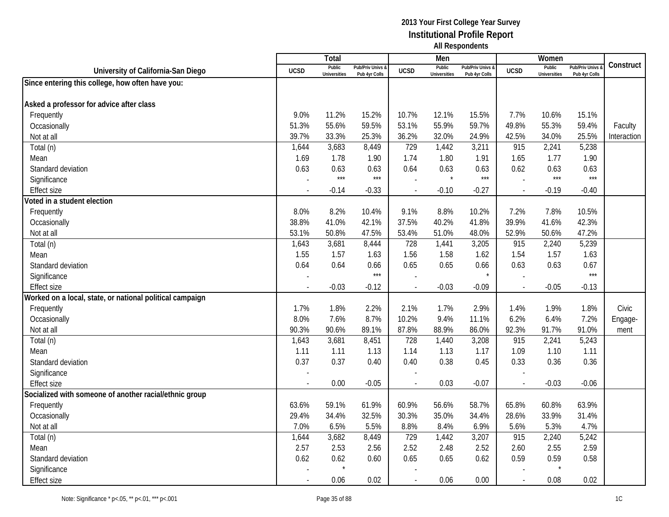|                                                          |                          | Total                         |                                   |                | Men                           |                                   |                          | Women                         |                                        |             |
|----------------------------------------------------------|--------------------------|-------------------------------|-----------------------------------|----------------|-------------------------------|-----------------------------------|--------------------------|-------------------------------|----------------------------------------|-------------|
| University of California-San Diego                       | <b>UCSD</b>              | Public<br><b>Universities</b> | Pub/Priv Univs &<br>Pub 4yr Colls | <b>UCSD</b>    | Public<br><b>Universities</b> | Pub/Priv Univs &<br>Pub 4yr Colls | <b>UCSD</b>              | Public<br><b>Universities</b> | <b>Pub/Priv Univs</b><br>Pub 4yr Colls | Construct   |
| Since entering this college, how often have you:         |                          |                               |                                   |                |                               |                                   |                          |                               |                                        |             |
|                                                          |                          |                               |                                   |                |                               |                                   |                          |                               |                                        |             |
| Asked a professor for advice after class                 |                          |                               |                                   |                |                               |                                   |                          |                               |                                        |             |
| Frequently                                               | 9.0%                     | 11.2%                         | 15.2%                             | 10.7%          | 12.1%                         | 15.5%                             | 7.7%                     | 10.6%                         | 15.1%                                  |             |
| Occasionally                                             | 51.3%                    | 55.6%                         | 59.5%                             | 53.1%          | 55.9%                         | 59.7%                             | 49.8%                    | 55.3%                         | 59.4%                                  | Faculty     |
| Not at all                                               | 39.7%                    | 33.3%                         | 25.3%                             | 36.2%          | 32.0%                         | 24.9%                             | 42.5%                    | 34.0%                         | 25.5%                                  | Interaction |
| Total (n)                                                | 1,644                    | 3,683                         | 8,449                             | 729            | 1,442                         | 3,211                             | 915                      | 2,241                         | 5,238                                  |             |
| Mean                                                     | 1.69                     | 1.78                          | 1.90                              | 1.74           | 1.80                          | 1.91                              | 1.65                     | 1.77                          | 1.90                                   |             |
| Standard deviation                                       | 0.63                     | 0.63                          | 0.63                              | 0.64           | 0.63                          | 0.63                              | 0.62                     | 0.63                          | 0.63                                   |             |
| Significance                                             |                          | $***$                         | $***$                             |                | $\star$                       | $***$                             |                          | $***$                         | $***$                                  |             |
| <b>Effect size</b>                                       | $\overline{\phantom{a}}$ | $-0.14$                       | $-0.33$                           | $\overline{a}$ | $-0.10$                       | $-0.27$                           | $\mathcal{L}$            | $-0.19$                       | $-0.40$                                |             |
| Voted in a student election                              |                          |                               |                                   |                |                               |                                   |                          |                               |                                        |             |
| Frequently                                               | 8.0%                     | 8.2%                          | 10.4%                             | 9.1%           | 8.8%                          | 10.2%                             | 7.2%                     | 7.8%                          | 10.5%                                  |             |
| Occasionally                                             | 38.8%                    | 41.0%                         | 42.1%                             | 37.5%          | 40.2%                         | 41.8%                             | 39.9%                    | 41.6%                         | 42.3%                                  |             |
| Not at all                                               | 53.1%                    | 50.8%                         | 47.5%                             | 53.4%          | 51.0%                         | 48.0%                             | 52.9%                    | 50.6%                         | 47.2%                                  |             |
| Total (n)                                                | 1,643                    | 3,681                         | 8,444                             | 728            | 1,441                         | 3,205                             | 915                      | 2,240                         | 5,239                                  |             |
| Mean                                                     | 1.55                     | 1.57                          | 1.63                              | 1.56           | 1.58                          | 1.62                              | 1.54                     | 1.57                          | 1.63                                   |             |
| Standard deviation                                       | 0.64                     | 0.64                          | 0.66                              | 0.65           | 0.65                          | 0.66                              | 0.63                     | 0.63                          | 0.67                                   |             |
| Significance                                             |                          |                               | $***$                             |                |                               |                                   |                          |                               | $***$                                  |             |
| <b>Effect size</b>                                       |                          | $-0.03$                       | $-0.12$                           |                | $-0.03$                       | $-0.09$                           | $\sim$                   | $-0.05$                       | $-0.13$                                |             |
| Worked on a local, state, or national political campaign |                          |                               |                                   |                |                               |                                   |                          |                               |                                        |             |
| Frequently                                               | 1.7%                     | 1.8%                          | 2.2%                              | 2.1%           | 1.7%                          | 2.9%                              | 1.4%                     | 1.9%                          | 1.8%                                   | Civic       |
| Occasionally                                             | 8.0%                     | 7.6%                          | 8.7%                              | 10.2%          | 9.4%                          | 11.1%                             | 6.2%                     | 6.4%                          | 7.2%                                   | Engage-     |
| Not at all                                               | 90.3%                    | 90.6%                         | 89.1%                             | 87.8%          | 88.9%                         | 86.0%                             | 92.3%                    | 91.7%                         | 91.0%                                  | ment        |
| Total (n)                                                | 1,643                    | 3,681                         | 8,451                             | 728            | 1,440                         | 3,208                             | 915                      | 2,241                         | 5,243                                  |             |
| Mean                                                     | 1.11                     | 1.11                          | 1.13                              | 1.14           | 1.13                          | 1.17                              | 1.09                     | 1.10                          | 1.11                                   |             |
| Standard deviation                                       | 0.37                     | 0.37                          | 0.40                              | 0.40           | 0.38                          | 0.45                              | 0.33                     | 0.36                          | 0.36                                   |             |
| Significance                                             |                          |                               |                                   |                |                               |                                   |                          |                               |                                        |             |
| <b>Effect size</b>                                       |                          | 0.00                          | $-0.05$                           | $\overline{a}$ | 0.03                          | $-0.07$                           | $\overline{\phantom{a}}$ | $-0.03$                       | $-0.06$                                |             |
| Socialized with someone of another racial/ethnic group   |                          |                               |                                   |                |                               |                                   |                          |                               |                                        |             |
| Frequently                                               | 63.6%                    | 59.1%                         | 61.9%                             | 60.9%          | 56.6%                         | 58.7%                             | 65.8%                    | 60.8%                         | 63.9%                                  |             |
| Occasionally                                             | 29.4%                    | 34.4%                         | 32.5%                             | 30.3%          | 35.0%                         | 34.4%                             | 28.6%                    | 33.9%                         | 31.4%                                  |             |
| Not at all                                               | 7.0%                     | 6.5%                          | 5.5%                              | 8.8%           | 8.4%                          | 6.9%                              | 5.6%                     | 5.3%                          | 4.7%                                   |             |
| Total (n)                                                | 1,644                    | 3,682                         | 8,449                             | 729            | 1,442                         | 3,207                             | 915                      | 2,240                         | 5,242                                  |             |
| Mean                                                     | 2.57                     | 2.53                          | 2.56                              | 2.52           | 2.48                          | 2.52                              | 2.60                     | 2.55                          | 2.59                                   |             |
| Standard deviation                                       | 0.62                     | 0.62                          | 0.60                              | 0.65           | 0.65                          | 0.62                              | 0.59                     | 0.59                          | 0.58                                   |             |
| Significance                                             |                          | $\star$                       |                                   |                |                               |                                   |                          | $\star$                       |                                        |             |
| <b>Effect size</b>                                       |                          | 0.06                          | 0.02                              |                | 0.06                          | 0.00                              | $\overline{\phantom{a}}$ | 0.08                          | 0.02                                   |             |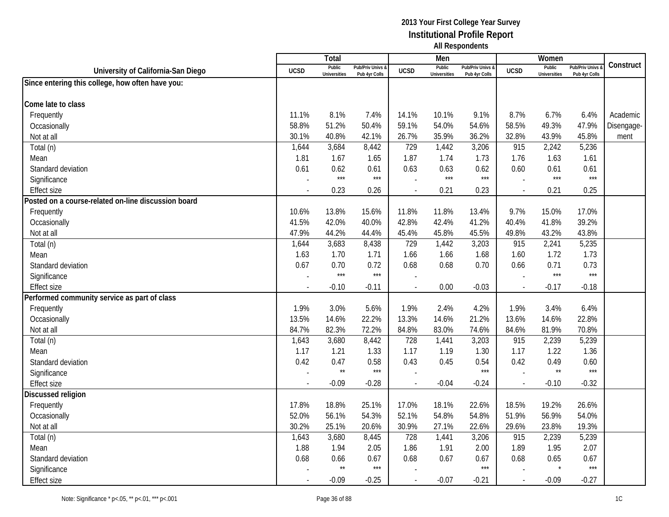|                                                     |                          | Total                         |                                   |                | Men                           |                                   |               | Women                         |                                        |            |
|-----------------------------------------------------|--------------------------|-------------------------------|-----------------------------------|----------------|-------------------------------|-----------------------------------|---------------|-------------------------------|----------------------------------------|------------|
| University of California-San Diego                  | <b>UCSD</b>              | Public<br><b>Universities</b> | Pub/Priv Univs &<br>Pub 4yr Colls | <b>UCSD</b>    | Public<br><b>Universities</b> | Pub/Priv Univs &<br>Pub 4yr Colls | <b>UCSD</b>   | Public<br><b>Universities</b> | <b>Pub/Priv Univs</b><br>Pub 4yr Colls | Construct  |
| Since entering this college, how often have you:    |                          |                               |                                   |                |                               |                                   |               |                               |                                        |            |
|                                                     |                          |                               |                                   |                |                               |                                   |               |                               |                                        |            |
| Come late to class                                  |                          |                               |                                   |                |                               |                                   |               |                               |                                        |            |
| Frequently                                          | 11.1%                    | 8.1%                          | 7.4%                              | 14.1%          | 10.1%                         | 9.1%                              | 8.7%          | 6.7%                          | 6.4%                                   | Academic   |
| Occasionally                                        | 58.8%                    | 51.2%                         | 50.4%                             | 59.1%          | 54.0%                         | 54.6%                             | 58.5%         | 49.3%                         | 47.9%                                  | Disengage- |
| Not at all                                          | 30.1%                    | 40.8%                         | 42.1%                             | 26.7%          | 35.9%                         | 36.2%                             | 32.8%         | 43.9%                         | 45.8%                                  | ment       |
| Total (n)                                           | 1,644                    | 3,684                         | 8,442                             | 729            | 1,442                         | 3,206                             | 915           | 2,242                         | 5,236                                  |            |
| Mean                                                | 1.81                     | 1.67                          | 1.65                              | 1.87           | 1.74                          | 1.73                              | 1.76          | 1.63                          | 1.61                                   |            |
| Standard deviation                                  | 0.61                     | 0.62                          | 0.61                              | 0.63           | 0.63                          | 0.62                              | 0.60          | 0.61                          | 0.61                                   |            |
| Significance                                        |                          | $***$                         | $***$                             |                | $***$                         | $***$                             |               | $***$                         | $***$                                  |            |
| Effect size                                         |                          | 0.23                          | 0.26                              |                | 0.21                          | 0.23                              |               | 0.21                          | 0.25                                   |            |
| Posted on a course-related on-line discussion board |                          |                               |                                   |                |                               |                                   |               |                               |                                        |            |
| Frequently                                          | 10.6%                    | 13.8%                         | 15.6%                             | 11.8%          | 11.8%                         | 13.4%                             | 9.7%          | 15.0%                         | 17.0%                                  |            |
| Occasionally                                        | 41.5%                    | 42.0%                         | 40.0%                             | 42.8%          | 42.4%                         | 41.2%                             | 40.4%         | 41.8%                         | 39.2%                                  |            |
| Not at all                                          | 47.9%                    | 44.2%                         | 44.4%                             | 45.4%          | 45.8%                         | 45.5%                             | 49.8%         | 43.2%                         | 43.8%                                  |            |
| Total (n)                                           | 1,644                    | 3,683                         | 8,438                             | 729            | 1,442                         | 3,203                             | 915           | 2,241                         | 5,235                                  |            |
| Mean                                                | 1.63                     | 1.70                          | 1.71                              | 1.66           | 1.66                          | 1.68                              | 1.60          | 1.72                          | 1.73                                   |            |
| Standard deviation                                  | 0.67                     | 0.70                          | 0.72                              | 0.68           | 0.68                          | 0.70                              | 0.66          | 0.71                          | 0.73                                   |            |
| Significance                                        |                          | $***$                         | $***$                             |                |                               |                                   |               | $***$                         | $***$                                  |            |
| <b>Effect size</b>                                  | $\blacksquare$           | $-0.10$                       | $-0.11$                           | $\overline{a}$ | 0.00                          | $-0.03$                           | $\mathcal{L}$ | $-0.17$                       | $-0.18$                                |            |
| Performed community service as part of class        |                          |                               |                                   |                |                               |                                   |               |                               |                                        |            |
| Frequently                                          | 1.9%                     | 3.0%                          | 5.6%                              | 1.9%           | 2.4%                          | 4.2%                              | 1.9%          | 3.4%                          | 6.4%                                   |            |
| Occasionally                                        | 13.5%                    | 14.6%                         | 22.2%                             | 13.3%          | 14.6%                         | 21.2%                             | 13.6%         | 14.6%                         | 22.8%                                  |            |
| Not at all                                          | 84.7%                    | 82.3%                         | 72.2%                             | 84.8%          | 83.0%                         | 74.6%                             | 84.6%         | 81.9%                         | 70.8%                                  |            |
| Total (n)                                           | 1,643                    | 3,680                         | 8,442                             | 728            | 1,441                         | 3,203                             | 915           | 2,239                         | 5,239                                  |            |
| Mean                                                | 1.17                     | 1.21                          | 1.33                              | 1.17           | 1.19                          | 1.30                              | 1.17          | 1.22                          | 1.36                                   |            |
| Standard deviation                                  | 0.42                     | 0.47                          | 0.58                              | 0.43           | 0.45                          | 0.54                              | 0.42          | 0.49                          | 0.60                                   |            |
| Significance                                        |                          | $\star\star$                  | $***$                             |                |                               | $***$                             |               | $\star\star$                  | $***$                                  |            |
| <b>Effect size</b>                                  |                          | $-0.09$                       | $-0.28$                           |                | $-0.04$                       | $-0.24$                           |               | $-0.10$                       | $-0.32$                                |            |
| Discussed religion                                  |                          |                               |                                   |                |                               |                                   |               |                               |                                        |            |
| Frequently                                          | 17.8%                    | 18.8%                         | 25.1%                             | 17.0%          | 18.1%                         | 22.6%                             | 18.5%         | 19.2%                         | 26.6%                                  |            |
| Occasionally                                        | 52.0%                    | 56.1%                         | 54.3%                             | 52.1%          | 54.8%                         | 54.8%                             | 51.9%         | 56.9%                         | 54.0%                                  |            |
| Not at all                                          | 30.2%                    | 25.1%                         | 20.6%                             | 30.9%          | 27.1%                         | 22.6%                             | 29.6%         | 23.8%                         | 19.3%                                  |            |
| Total (n)                                           | 1,643                    | 3,680                         | 8,445                             | 728            | 1,441                         | 3,206                             | 915           | 2,239                         | 5,239                                  |            |
| Mean                                                | 1.88                     | 1.94                          | 2.05                              | 1.86           | 1.91                          | 2.00                              | 1.89          | 1.95                          | 2.07                                   |            |
| Standard deviation                                  | 0.68                     | 0.66                          | 0.67                              | 0.68           | 0.67                          | 0.67                              | 0.68          | 0.65                          | 0.67                                   |            |
| Significance                                        |                          | $\star\star$                  | $***$                             |                |                               | $***$                             |               | $\star$                       | $***$                                  |            |
| <b>Effect size</b>                                  | $\overline{\phantom{a}}$ | $-0.09$                       | $-0.25$                           |                | $-0.07$                       | $-0.21$                           |               | $-0.09$                       | $-0.27$                                |            |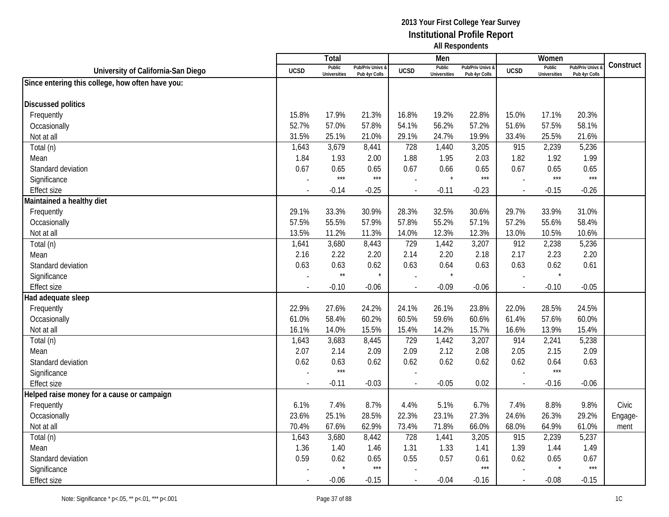|                                                  |                | Total                         |                                   |                | Men                           |                                   |                          | Women                         |                                        |           |
|--------------------------------------------------|----------------|-------------------------------|-----------------------------------|----------------|-------------------------------|-----------------------------------|--------------------------|-------------------------------|----------------------------------------|-----------|
| University of California-San Diego               | <b>UCSD</b>    | Public<br><b>Universities</b> | Pub/Priv Univs &<br>Pub 4yr Colls | <b>UCSD</b>    | Public<br><b>Universities</b> | Pub/Priv Univs &<br>Pub 4yr Colls | <b>UCSD</b>              | Public<br><b>Universities</b> | <b>Pub/Priv Univs</b><br>Pub 4yr Colls | Construct |
| Since entering this college, how often have you: |                |                               |                                   |                |                               |                                   |                          |                               |                                        |           |
|                                                  |                |                               |                                   |                |                               |                                   |                          |                               |                                        |           |
| <b>Discussed politics</b>                        |                |                               |                                   |                |                               |                                   |                          |                               |                                        |           |
| Frequently                                       | 15.8%          | 17.9%                         | 21.3%                             | 16.8%          | 19.2%                         | 22.8%                             | 15.0%                    | 17.1%                         | 20.3%                                  |           |
| Occasionally                                     | 52.7%          | 57.0%                         | 57.8%                             | 54.1%          | 56.2%                         | 57.2%                             | 51.6%                    | 57.5%                         | 58.1%                                  |           |
| Not at all                                       | 31.5%          | 25.1%                         | 21.0%                             | 29.1%          | 24.7%                         | 19.9%                             | 33.4%                    | 25.5%                         | 21.6%                                  |           |
| Total (n)                                        | 1,643          | 3,679                         | 8,441                             | 728            | 1,440                         | 3,205                             | 915                      | 2,239                         | 5,236                                  |           |
| Mean                                             | 1.84           | 1.93                          | 2.00                              | 1.88           | 1.95                          | 2.03                              | 1.82                     | 1.92                          | 1.99                                   |           |
| Standard deviation                               | 0.67           | 0.65                          | 0.65                              | 0.67           | 0.66                          | 0.65                              | 0.67                     | 0.65                          | 0.65                                   |           |
| Significance                                     |                | $***$                         | $***$                             |                | $\star$                       | $***$                             |                          | $***$                         | $***$                                  |           |
| <b>Effect size</b>                               | $\blacksquare$ | $-0.14$                       | $-0.25$                           | $\blacksquare$ | $-0.11$                       | $-0.23$                           | $\sim$                   | $-0.15$                       | $-0.26$                                |           |
| Maintained a healthy diet                        |                |                               |                                   |                |                               |                                   |                          |                               |                                        |           |
| Frequently                                       | 29.1%          | 33.3%                         | 30.9%                             | 28.3%          | 32.5%                         | 30.6%                             | 29.7%                    | 33.9%                         | 31.0%                                  |           |
| Occasionally                                     | 57.5%          | 55.5%                         | 57.9%                             | 57.8%          | 55.2%                         | 57.1%                             | 57.2%                    | 55.6%                         | 58.4%                                  |           |
| Not at all                                       | 13.5%          | 11.2%                         | 11.3%                             | 14.0%          | 12.3%                         | 12.3%                             | 13.0%                    | 10.5%                         | 10.6%                                  |           |
| Total (n)                                        | 1,641          | 3,680                         | 8,443                             | 729            | 1,442                         | 3,207                             | 912                      | 2,238                         | 5,236                                  |           |
| Mean                                             | 2.16           | 2.22                          | 2.20                              | 2.14           | 2.20                          | 2.18                              | 2.17                     | 2.23                          | 2.20                                   |           |
| Standard deviation                               | 0.63           | 0.63                          | 0.62                              | 0.63           | 0.64                          | 0.63                              | 0.63                     | 0.62                          | 0.61                                   |           |
| Significance                                     |                | $\star\star$                  | $\star$                           | $\overline{a}$ | $\star$                       |                                   |                          |                               |                                        |           |
| <b>Effect size</b>                               | $\sim$         | $-0.10$                       | $-0.06$                           | $\blacksquare$ | $-0.09$                       | $-0.06$                           | $\overline{\phantom{a}}$ | $-0.10$                       | $-0.05$                                |           |
| Had adequate sleep                               |                |                               |                                   |                |                               |                                   |                          |                               |                                        |           |
| Frequently                                       | 22.9%          | 27.6%                         | 24.2%                             | 24.1%          | 26.1%                         | 23.8%                             | 22.0%                    | 28.5%                         | 24.5%                                  |           |
| Occasionally                                     | 61.0%          | 58.4%                         | 60.2%                             | 60.5%          | 59.6%                         | 60.6%                             | 61.4%                    | 57.6%                         | 60.0%                                  |           |
| Not at all                                       | 16.1%          | 14.0%                         | 15.5%                             | 15.4%          | 14.2%                         | 15.7%                             | 16.6%                    | 13.9%                         | 15.4%                                  |           |
| Total (n)                                        | 1,643          | 3,683                         | 8,445                             | 729            | 1,442                         | 3,207                             | 914                      | 2,241                         | 5,238                                  |           |
| Mean                                             | 2.07           | 2.14                          | 2.09                              | 2.09           | 2.12                          | 2.08                              | 2.05                     | 2.15                          | 2.09                                   |           |
| Standard deviation                               | 0.62           | 0.63                          | 0.62                              | 0.62           | 0.62                          | 0.62                              | 0.62                     | 0.64                          | 0.63                                   |           |
| Significance                                     |                | $***$                         |                                   |                |                               |                                   |                          | $***$                         |                                        |           |
| <b>Effect size</b>                               |                | $-0.11$                       | $-0.03$                           |                | $-0.05$                       | 0.02                              | $\overline{\phantom{a}}$ | $-0.16$                       | $-0.06$                                |           |
| Helped raise money for a cause or campaign       |                |                               |                                   |                |                               |                                   |                          |                               |                                        |           |
| Frequently                                       | 6.1%           | 7.4%                          | 8.7%                              | 4.4%           | 5.1%                          | 6.7%                              | 7.4%                     | 8.8%                          | 9.8%                                   | Civic     |
| Occasionally                                     | 23.6%          | 25.1%                         | 28.5%                             | 22.3%          | 23.1%                         | 27.3%                             | 24.6%                    | 26.3%                         | 29.2%                                  | Engage-   |
| Not at all                                       | 70.4%          | 67.6%                         | 62.9%                             | 73.4%          | 71.8%                         | 66.0%                             | 68.0%                    | 64.9%                         | 61.0%                                  | ment      |
| Total (n)                                        | 1,643          | 3,680                         | 8,442                             | 728            | 1,441                         | 3,205                             | 915                      | 2,239                         | 5,237                                  |           |
| Mean                                             | 1.36           | 1.40                          | 1.46                              | 1.31           | 1.33                          | 1.41                              | 1.39                     | 1.44                          | 1.49                                   |           |
| Standard deviation                               | 0.59           | 0.62                          | 0.65                              | 0.55           | 0.57                          | 0.61                              | 0.62                     | 0.65                          | 0.67                                   |           |
| Significance                                     |                | $\star$                       | $***$                             |                |                               | $***$                             |                          | $\star$                       | $***$                                  |           |
| <b>Effect size</b>                               |                | $-0.06$                       | $-0.15$                           |                | $-0.04$                       | $-0.16$                           | $\overline{a}$           | $-0.08$                       | $-0.15$                                |           |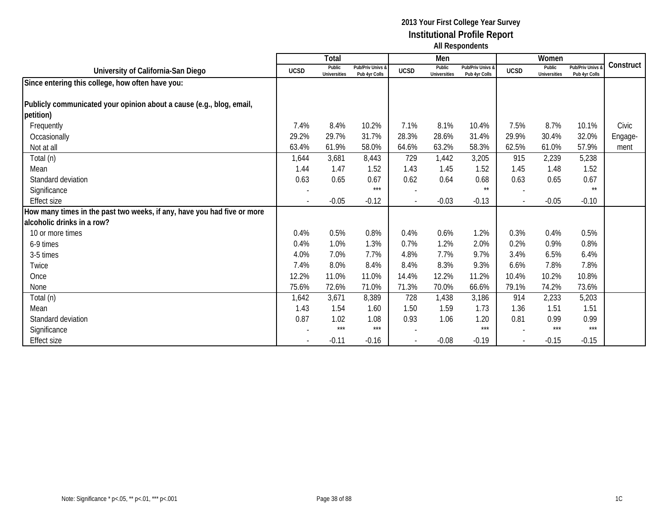|                                                                         |             | Total                         |                                   |                | Men                           |                                              |             | Women                         |                                 |           |
|-------------------------------------------------------------------------|-------------|-------------------------------|-----------------------------------|----------------|-------------------------------|----------------------------------------------|-------------|-------------------------------|---------------------------------|-----------|
| University of California-San Diego                                      | <b>UCSD</b> | Public<br><b>Universities</b> | Pub/Priv Univs &<br>Pub 4yr Colls | <b>UCSD</b>    | Public<br><b>Universities</b> | <b>Pub/Priv Univs &amp;</b><br>Pub 4yr Colls | <b>UCSD</b> | Public<br><b>Universities</b> | Pub/Priv Univs<br>Pub 4yr Colls | Construct |
| Since entering this college, how often have you:                        |             |                               |                                   |                |                               |                                              |             |                               |                                 |           |
|                                                                         |             |                               |                                   |                |                               |                                              |             |                               |                                 |           |
| Publicly communicated your opinion about a cause (e.g., blog, email,    |             |                               |                                   |                |                               |                                              |             |                               |                                 |           |
| petition)                                                               |             |                               |                                   |                |                               |                                              |             |                               |                                 |           |
| Frequently                                                              | 7.4%        | 8.4%                          | 10.2%                             | 7.1%           | 8.1%                          | 10.4%                                        | 7.5%        | 8.7%                          | 10.1%                           | Civic     |
| Occasionally                                                            | 29.2%       | 29.7%                         | 31.7%                             | 28.3%          | 28.6%                         | 31.4%                                        | 29.9%       | 30.4%                         | 32.0%                           | Engage-   |
| Not at all                                                              | 63.4%       | 61.9%                         | 58.0%                             | 64.6%          | 63.2%                         | 58.3%                                        | 62.5%       | 61.0%                         | 57.9%                           | ment      |
| Total (n)                                                               | 1,644       | 3,681                         | 8,443                             | 729            | 1,442                         | 3,205                                        | 915         | 2,239                         | 5,238                           |           |
| Mean                                                                    | 1.44        | 1.47                          | 1.52                              | 1.43           | 1.45                          | 1.52                                         | 1.45        | 1.48                          | 1.52                            |           |
| Standard deviation                                                      | 0.63        | 0.65                          | 0.67                              | 0.62           | 0.64                          | 0.68                                         | 0.63        | 0.65                          | 0.67                            |           |
| Significance                                                            |             |                               | ***                               |                |                               | $\star\star$                                 |             |                               | $\star\star$                    |           |
| <b>Effect size</b>                                                      |             | $-0.05$                       | $-0.12$                           | $\overline{a}$ | $-0.03$                       | $-0.13$                                      | $\sim$      | $-0.05$                       | $-0.10$                         |           |
| How many times in the past two weeks, if any, have you had five or more |             |                               |                                   |                |                               |                                              |             |                               |                                 |           |
| alcoholic drinks in a row?                                              |             |                               |                                   |                |                               |                                              |             |                               |                                 |           |
| 10 or more times                                                        | 0.4%        | 0.5%                          | 0.8%                              | 0.4%           | 0.6%                          | 1.2%                                         | 0.3%        | 0.4%                          | 0.5%                            |           |
| 6-9 times                                                               | 0.4%        | 1.0%                          | 1.3%                              | 0.7%           | 1.2%                          | 2.0%                                         | 0.2%        | 0.9%                          | 0.8%                            |           |
| 3-5 times                                                               | 4.0%        | 7.0%                          | 7.7%                              | 4.8%           | 7.7%                          | 9.7%                                         | 3.4%        | 6.5%                          | 6.4%                            |           |
| Twice                                                                   | 7.4%        | 8.0%                          | 8.4%                              | 8.4%           | 8.3%                          | 9.3%                                         | 6.6%        | 7.8%                          | 7.8%                            |           |
| Once                                                                    | 12.2%       | 11.0%                         | 11.0%                             | 14.4%          | 12.2%                         | 11.2%                                        | 10.4%       | 10.2%                         | 10.8%                           |           |
| None                                                                    | 75.6%       | 72.6%                         | 71.0%                             | 71.3%          | 70.0%                         | 66.6%                                        | 79.1%       | 74.2%                         | 73.6%                           |           |
| Total (n)                                                               | 1,642       | 3,671                         | 8,389                             | 728            | 1,438                         | 3,186                                        | 914         | 2,233                         | 5,203                           |           |
| Mean                                                                    | 1.43        | 1.54                          | 1.60                              | 1.50           | 1.59                          | 1.73                                         | 1.36        | 1.51                          | 1.51                            |           |
| Standard deviation                                                      | 0.87        | 1.02                          | 1.08                              | 0.93           | 1.06                          | 1.20                                         | 0.81        | 0.99                          | 0.99                            |           |
| Significance                                                            |             | ***                           | ***                               |                |                               | ***                                          |             | ***                           | $***$                           |           |
| <b>Effect size</b>                                                      |             | $-0.11$                       | $-0.16$                           |                | $-0.08$                       | $-0.19$                                      |             | $-0.15$                       | $-0.15$                         |           |
|                                                                         |             |                               |                                   |                |                               |                                              |             |                               |                                 |           |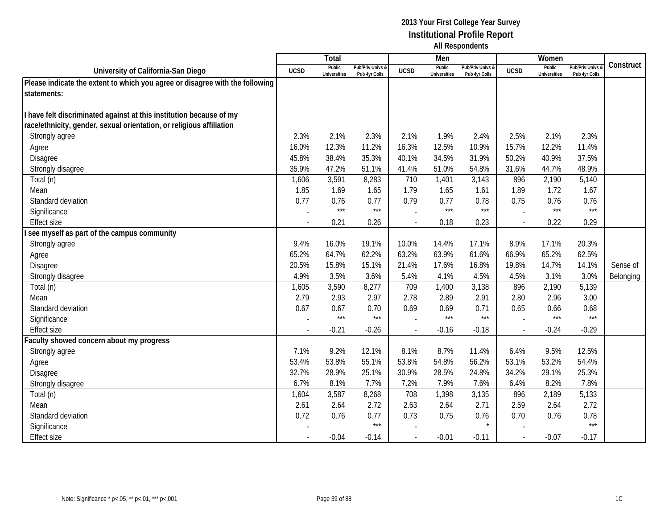|                                                                              |                          | <b>Total</b>                  |                                   |                | Men                           |                                   |                | Women                         |                                        |           |
|------------------------------------------------------------------------------|--------------------------|-------------------------------|-----------------------------------|----------------|-------------------------------|-----------------------------------|----------------|-------------------------------|----------------------------------------|-----------|
| University of California-San Diego                                           | <b>UCSD</b>              | Public<br><b>Universities</b> | Pub/Priv Univs &<br>Pub 4yr Colls | <b>UCSD</b>    | Public<br><b>Universities</b> | Pub/Priv Univs &<br>Pub 4yr Colls | <b>UCSD</b>    | Public<br><b>Universities</b> | <b>Pub/Priv Univs</b><br>Pub 4yr Colls | Construct |
| Please indicate the extent to which you agree or disagree with the following |                          |                               |                                   |                |                               |                                   |                |                               |                                        |           |
| statements:                                                                  |                          |                               |                                   |                |                               |                                   |                |                               |                                        |           |
|                                                                              |                          |                               |                                   |                |                               |                                   |                |                               |                                        |           |
| I have felt discriminated against at this institution because of my          |                          |                               |                                   |                |                               |                                   |                |                               |                                        |           |
| race/ethnicity, gender, sexual orientation, or religious affiliation         |                          |                               |                                   |                |                               |                                   |                |                               |                                        |           |
| Strongly agree                                                               | 2.3%                     | 2.1%                          | 2.3%                              | 2.1%           | 1.9%                          | 2.4%                              | 2.5%           | 2.1%                          | 2.3%                                   |           |
| Agree                                                                        | 16.0%                    | 12.3%                         | 11.2%                             | 16.3%          | 12.5%                         | 10.9%                             | 15.7%          | 12.2%                         | 11.4%                                  |           |
| <b>Disagree</b>                                                              | 45.8%                    | 38.4%                         | 35.3%                             | 40.1%          | 34.5%                         | 31.9%                             | 50.2%          | 40.9%                         | 37.5%                                  |           |
| Strongly disagree                                                            | 35.9%                    | 47.2%                         | 51.1%                             | 41.4%          | 51.0%                         | 54.8%                             | 31.6%          | 44.7%                         | 48.9%                                  |           |
| Total (n)                                                                    | 1,606                    | 3,591                         | 8,283                             | 710            | 1,401                         | 3,143                             | 896            | 2,190                         | 5,140                                  |           |
| Mean                                                                         | 1.85                     | 1.69                          | 1.65                              | 1.79           | 1.65                          | 1.61                              | 1.89           | 1.72                          | 1.67                                   |           |
| Standard deviation                                                           | 0.77                     | 0.76                          | 0.77                              | 0.79           | 0.77                          | 0.78                              | 0.75           | 0.76                          | 0.76                                   |           |
| Significance                                                                 |                          | $***$                         | $***$                             |                | $***$                         | $***$                             |                | $***$                         | ***                                    |           |
| <b>Effect size</b>                                                           | $\overline{\phantom{a}}$ | 0.21                          | 0.26                              | $\overline{a}$ | 0.18                          | 0.23                              | $\blacksquare$ | 0.22                          | 0.29                                   |           |
| see myself as part of the campus community                                   |                          |                               |                                   |                |                               |                                   |                |                               |                                        |           |
| Strongly agree                                                               | 9.4%                     | 16.0%                         | 19.1%                             | 10.0%          | 14.4%                         | 17.1%                             | 8.9%           | 17.1%                         | 20.3%                                  |           |
| Agree                                                                        | 65.2%                    | 64.7%                         | 62.2%                             | 63.2%          | 63.9%                         | 61.6%                             | 66.9%          | 65.2%                         | 62.5%                                  |           |
| Disagree                                                                     | 20.5%                    | 15.8%                         | 15.1%                             | 21.4%          | 17.6%                         | 16.8%                             | 19.8%          | 14.7%                         | 14.1%                                  | Sense of  |
| Strongly disagree                                                            | 4.9%                     | 3.5%                          | 3.6%                              | 5.4%           | 4.1%                          | 4.5%                              | 4.5%           | 3.1%                          | 3.0%                                   | Belonging |
| Total (n)                                                                    | 1,605                    | 3,590                         | 8,277                             | 709            | 1,400                         | 3,138                             | 896            | 2,190                         | 5,139                                  |           |
| Mean                                                                         | 2.79                     | 2.93                          | 2.97                              | 2.78           | 2.89                          | 2.91                              | 2.80           | 2.96                          | 3.00                                   |           |
| Standard deviation                                                           | 0.67                     | 0.67                          | 0.70                              | 0.69           | 0.69                          | 0.71                              | 0.65           | 0.66                          | 0.68                                   |           |
| Significance                                                                 | $\overline{a}$           | $***$                         | $***$                             |                | $***$                         | $***$                             |                | $***$                         | $***$                                  |           |
| <b>Effect size</b>                                                           |                          | $-0.21$                       | $-0.26$                           |                | $-0.16$                       | $-0.18$                           | $\sim$         | $-0.24$                       | $-0.29$                                |           |
| Faculty showed concern about my progress                                     |                          |                               |                                   |                |                               |                                   |                |                               |                                        |           |
| Strongly agree                                                               | 7.1%                     | 9.2%                          | 12.1%                             | 8.1%           | 8.7%                          | 11.4%                             | 6.4%           | 9.5%                          | 12.5%                                  |           |
| Agree                                                                        | 53.4%                    | 53.8%                         | 55.1%                             | 53.8%          | 54.8%                         | 56.2%                             | 53.1%          | 53.2%                         | 54.4%                                  |           |
| <b>Disagree</b>                                                              | 32.7%                    | 28.9%                         | 25.1%                             | 30.9%          | 28.5%                         | 24.8%                             | 34.2%          | 29.1%                         | 25.3%                                  |           |
| Strongly disagree                                                            | 6.7%                     | 8.1%                          | 7.7%                              | 7.2%           | 7.9%                          | 7.6%                              | 6.4%           | 8.2%                          | 7.8%                                   |           |
| Total (n)                                                                    | 1,604                    | 3,587                         | 8,268                             | 708            | 1,398                         | 3,135                             | 896            | 2,189                         | 5,133                                  |           |
| Mean                                                                         | 2.61                     | 2.64                          | 2.72                              | 2.63           | 2.64                          | 2.71                              | 2.59           | 2.64                          | 2.72                                   |           |
| Standard deviation                                                           | 0.72                     | 0.76                          | 0.77                              | 0.73           | 0.75                          | 0.76                              | 0.70           | 0.76                          | 0.78                                   |           |
| Significance                                                                 |                          |                               | $***$                             |                |                               |                                   |                |                               | $***$                                  |           |
| <b>Effect size</b>                                                           | $\overline{\phantom{a}}$ | $-0.04$                       | $-0.14$                           | $\overline{a}$ | $-0.01$                       | $-0.11$                           | $\blacksquare$ | $-0.07$                       | $-0.17$                                |           |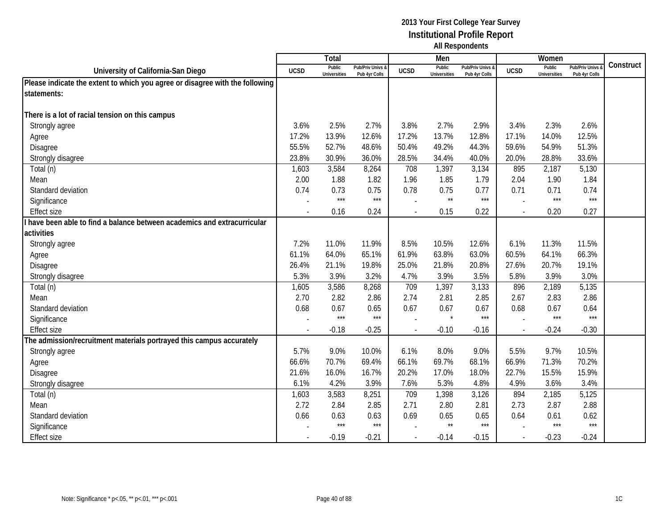|                                                                              |             | <b>Total</b>                  |                                   |                          | Men                           |                                   |                | Women                         |                                        |           |
|------------------------------------------------------------------------------|-------------|-------------------------------|-----------------------------------|--------------------------|-------------------------------|-----------------------------------|----------------|-------------------------------|----------------------------------------|-----------|
| University of California-San Diego                                           | <b>UCSD</b> | Public<br><b>Universities</b> | Pub/Priv Univs &<br>Pub 4yr Colls | <b>UCSD</b>              | Public<br><b>Universities</b> | Pub/Priv Univs &<br>Pub 4yr Colls | <b>UCSD</b>    | Public<br><b>Universities</b> | <b>Pub/Priv Univs</b><br>Pub 4yr Colls | Construct |
| Please indicate the extent to which you agree or disagree with the following |             |                               |                                   |                          |                               |                                   |                |                               |                                        |           |
| statements:                                                                  |             |                               |                                   |                          |                               |                                   |                |                               |                                        |           |
|                                                                              |             |                               |                                   |                          |                               |                                   |                |                               |                                        |           |
| There is a lot of racial tension on this campus                              |             |                               |                                   |                          |                               |                                   |                |                               |                                        |           |
| Strongly agree                                                               | 3.6%        | 2.5%                          | 2.7%                              | 3.8%                     | 2.7%                          | 2.9%                              | 3.4%           | 2.3%                          | 2.6%                                   |           |
| Agree                                                                        | 17.2%       | 13.9%                         | 12.6%                             | 17.2%                    | 13.7%                         | 12.8%                             | 17.1%          | 14.0%                         | 12.5%                                  |           |
| <b>Disagree</b>                                                              | 55.5%       | 52.7%                         | 48.6%                             | 50.4%                    | 49.2%                         | 44.3%                             | 59.6%          | 54.9%                         | 51.3%                                  |           |
| Strongly disagree                                                            | 23.8%       | 30.9%                         | 36.0%                             | 28.5%                    | 34.4%                         | 40.0%                             | 20.0%          | 28.8%                         | 33.6%                                  |           |
| Total (n)                                                                    | 1,603       | 3,584                         | 8,264                             | 708                      | 1,397                         | 3,134                             | 895            | 2,187                         | 5,130                                  |           |
| Mean                                                                         | 2.00        | 1.88                          | 1.82                              | 1.96                     | 1.85                          | 1.79                              | 2.04           | 1.90                          | 1.84                                   |           |
| Standard deviation                                                           | 0.74        | 0.73                          | 0.75                              | 0.78                     | 0.75                          | 0.77                              | 0.71           | 0.71                          | 0.74                                   |           |
| Significance                                                                 |             | $***$                         | ***                               |                          | $\star\star$                  | $***$                             |                | $***$                         | $***$                                  |           |
| <b>Effect size</b>                                                           |             | 0.16                          | 0.24                              |                          | 0.15                          | 0.22                              | $\overline{a}$ | 0.20                          | 0.27                                   |           |
| have been able to find a balance between academics and extracurricular       |             |                               |                                   |                          |                               |                                   |                |                               |                                        |           |
| activities                                                                   |             |                               |                                   |                          |                               |                                   |                |                               |                                        |           |
| Strongly agree                                                               | 7.2%        | 11.0%                         | 11.9%                             | 8.5%                     | 10.5%                         | 12.6%                             | 6.1%           | 11.3%                         | 11.5%                                  |           |
| Agree                                                                        | 61.1%       | 64.0%                         | 65.1%                             | 61.9%                    | 63.8%                         | 63.0%                             | 60.5%          | 64.1%                         | 66.3%                                  |           |
| Disagree                                                                     | 26.4%       | 21.1%                         | 19.8%                             | 25.0%                    | 21.8%                         | 20.8%                             | 27.6%          | 20.7%                         | 19.1%                                  |           |
| Strongly disagree                                                            | 5.3%        | 3.9%                          | 3.2%                              | 4.7%                     | 3.9%                          | 3.5%                              | 5.8%           | 3.9%                          | 3.0%                                   |           |
| Total (n)                                                                    | 1,605       | 3,586                         | 8,268                             | 709                      | 1,397                         | 3,133                             | 896            | 2,189                         | 5,135                                  |           |
| Mean                                                                         | 2.70        | 2.82                          | 2.86                              | 2.74                     | 2.81                          | 2.85                              | 2.67           | 2.83                          | 2.86                                   |           |
| Standard deviation                                                           | 0.68        | 0.67                          | 0.65                              | 0.67                     | 0.67                          | 0.67                              | 0.68           | 0.67                          | 0.64                                   |           |
| Significance                                                                 |             | $***$                         | ***                               |                          | $\star$                       | $***$                             |                | $***$                         | $***$                                  |           |
| <b>Effect size</b>                                                           |             | $-0.18$                       | $-0.25$                           |                          | $-0.10$                       | $-0.16$                           |                | $-0.24$                       | $-0.30$                                |           |
| The admission/recruitment materials portrayed this campus accurately         |             |                               |                                   |                          |                               |                                   |                |                               |                                        |           |
| Strongly agree                                                               | 5.7%        | 9.0%                          | 10.0%                             | 6.1%                     | 8.0%                          | 9.0%                              | 5.5%           | 9.7%                          | 10.5%                                  |           |
| Agree                                                                        | 66.6%       | 70.7%                         | 69.4%                             | 66.1%                    | 69.7%                         | 68.1%                             | 66.9%          | 71.3%                         | 70.2%                                  |           |
| Disagree                                                                     | 21.6%       | 16.0%                         | 16.7%                             | 20.2%                    | 17.0%                         | 18.0%                             | 22.7%          | 15.5%                         | 15.9%                                  |           |
| Strongly disagree                                                            | 6.1%        | 4.2%                          | 3.9%                              | 7.6%                     | 5.3%                          | 4.8%                              | 4.9%           | 3.6%                          | 3.4%                                   |           |
| Total (n)                                                                    | 1,603       | 3,583                         | 8,251                             | 709                      | 1,398                         | 3,126                             | 894            | 2,185                         | 5,125                                  |           |
| Mean                                                                         | 2.72        | 2.84                          | 2.85                              | 2.71                     | 2.80                          | 2.81                              | 2.73           | 2.87                          | 2.88                                   |           |
| Standard deviation                                                           | 0.66        | 0.63                          | 0.63                              | 0.69                     | 0.65                          | 0.65                              | 0.64           | 0.61                          | 0.62                                   |           |
| Significance                                                                 |             | $***$                         | $***$                             |                          | $\star\star$                  | $***$                             |                | $***$                         | $***$                                  |           |
| <b>Effect size</b>                                                           |             | $-0.19$                       | $-0.21$                           | $\overline{\phantom{a}}$ | $-0.14$                       | $-0.15$                           | $\sim$         | $-0.23$                       | $-0.24$                                |           |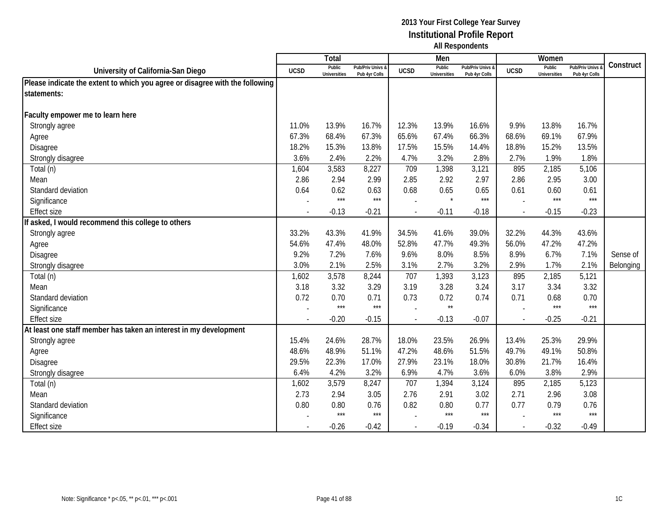|                                                                              |                          | Total                         |                                   |                          | Men                           |                                   |                          | Women                         |                                        |           |
|------------------------------------------------------------------------------|--------------------------|-------------------------------|-----------------------------------|--------------------------|-------------------------------|-----------------------------------|--------------------------|-------------------------------|----------------------------------------|-----------|
| University of California-San Diego                                           | <b>UCSD</b>              | Public<br><b>Universities</b> | Pub/Priv Univs &<br>Pub 4yr Colls | <b>UCSD</b>              | Public<br><b>Universities</b> | Pub/Priv Univs &<br>Pub 4yr Colls | <b>UCSD</b>              | Public<br><b>Universities</b> | <b>Pub/Priv Univs</b><br>Pub 4yr Colls | Construct |
| Please indicate the extent to which you agree or disagree with the following |                          |                               |                                   |                          |                               |                                   |                          |                               |                                        |           |
| statements:                                                                  |                          |                               |                                   |                          |                               |                                   |                          |                               |                                        |           |
|                                                                              |                          |                               |                                   |                          |                               |                                   |                          |                               |                                        |           |
| Faculty empower me to learn here                                             |                          |                               |                                   |                          |                               |                                   |                          |                               |                                        |           |
| Strongly agree                                                               | 11.0%                    | 13.9%                         | 16.7%                             | 12.3%                    | 13.9%                         | 16.6%                             | 9.9%                     | 13.8%                         | 16.7%                                  |           |
| Agree                                                                        | 67.3%                    | 68.4%                         | 67.3%                             | 65.6%                    | 67.4%                         | 66.3%                             | 68.6%                    | 69.1%                         | 67.9%                                  |           |
| Disagree                                                                     | 18.2%                    | 15.3%                         | 13.8%                             | 17.5%                    | 15.5%                         | 14.4%                             | 18.8%                    | 15.2%                         | 13.5%                                  |           |
| Strongly disagree                                                            | 3.6%                     | 2.4%                          | 2.2%                              | 4.7%                     | 3.2%                          | 2.8%                              | 2.7%                     | 1.9%                          | 1.8%                                   |           |
| Total (n)                                                                    | 1,604                    | 3,583                         | 8,227                             | 709                      | 1,398                         | 3,121                             | 895                      | 2,185                         | 5,106                                  |           |
| Mean                                                                         | 2.86                     | 2.94                          | 2.99                              | 2.85                     | 2.92                          | 2.97                              | 2.86                     | 2.95                          | 3.00                                   |           |
| Standard deviation                                                           | 0.64                     | 0.62                          | 0.63                              | 0.68                     | 0.65                          | 0.65                              | 0.61                     | 0.60                          | 0.61                                   |           |
| Significance                                                                 |                          | $***$                         | $***$                             |                          | $\star$                       | $***$                             |                          | $***$                         | $***$                                  |           |
| <b>Effect size</b>                                                           | $\overline{\phantom{a}}$ | $-0.13$                       | $-0.21$                           | $\overline{a}$           | $-0.11$                       | $-0.18$                           | $\sim$                   | $-0.15$                       | $-0.23$                                |           |
| f asked, I would recommend this college to others                            |                          |                               |                                   |                          |                               |                                   |                          |                               |                                        |           |
| Strongly agree                                                               | 33.2%                    | 43.3%                         | 41.9%                             | 34.5%                    | 41.6%                         | 39.0%                             | 32.2%                    | 44.3%                         | 43.6%                                  |           |
| Agree                                                                        | 54.6%                    | 47.4%                         | 48.0%                             | 52.8%                    | 47.7%                         | 49.3%                             | 56.0%                    | 47.2%                         | 47.2%                                  |           |
| <b>Disagree</b>                                                              | 9.2%                     | 7.2%                          | 7.6%                              | 9.6%                     | 8.0%                          | 8.5%                              | 8.9%                     | 6.7%                          | 7.1%                                   | Sense of  |
| Strongly disagree                                                            | 3.0%                     | 2.1%                          | 2.5%                              | 3.1%                     | 2.7%                          | 3.2%                              | 2.9%                     | 1.7%                          | 2.1%                                   | Belonging |
| Total (n)                                                                    | 1,602                    | 3,578                         | 8,244                             | 707                      | 1,393                         | 3,123                             | 895                      | 2,185                         | 5,121                                  |           |
| Mean                                                                         | 3.18                     | 3.32                          | 3.29                              | 3.19                     | 3.28                          | 3.24                              | 3.17                     | 3.34                          | 3.32                                   |           |
| Standard deviation                                                           | 0.72                     | 0.70                          | 0.71                              | 0.73                     | 0.72                          | 0.74                              | 0.71                     | 0.68                          | 0.70                                   |           |
| Significance                                                                 |                          | $***$                         | $***$                             |                          | $\star\star$                  |                                   |                          | $***$                         | ***                                    |           |
| <b>Effect size</b>                                                           | $\blacksquare$           | $-0.20$                       | $-0.15$                           | $\overline{\phantom{a}}$ | $-0.13$                       | $-0.07$                           | $\sim$                   | $-0.25$                       | $-0.21$                                |           |
| At least one staff member has taken an interest in my development            |                          |                               |                                   |                          |                               |                                   |                          |                               |                                        |           |
| Strongly agree                                                               | 15.4%                    | 24.6%                         | 28.7%                             | 18.0%                    | 23.5%                         | 26.9%                             | 13.4%                    | 25.3%                         | 29.9%                                  |           |
| Agree                                                                        | 48.6%                    | 48.9%                         | 51.1%                             | 47.2%                    | 48.6%                         | 51.5%                             | 49.7%                    | 49.1%                         | 50.8%                                  |           |
| Disagree                                                                     | 29.5%                    | 22.3%                         | 17.0%                             | 27.9%                    | 23.1%                         | 18.0%                             | 30.8%                    | 21.7%                         | 16.4%                                  |           |
| Strongly disagree                                                            | 6.4%                     | 4.2%                          | 3.2%                              | 6.9%                     | 4.7%                          | 3.6%                              | 6.0%                     | 3.8%                          | 2.9%                                   |           |
| Total (n)                                                                    | 1,602                    | 3,579                         | 8,247                             | 707                      | 1,394                         | 3,124                             | 895                      | 2,185                         | 5,123                                  |           |
| Mean                                                                         | 2.73                     | 2.94                          | 3.05                              | 2.76                     | 2.91                          | 3.02                              | 2.71                     | 2.96                          | 3.08                                   |           |
| Standard deviation                                                           | 0.80                     | 0.80                          | 0.76                              | 0.82                     | 0.80                          | 0.77                              | 0.77                     | 0.79                          | 0.76                                   |           |
| Significance                                                                 |                          | $***$                         | $***$                             |                          | $***$                         | $***$                             |                          | $***$                         | $***$                                  |           |
| <b>Effect size</b>                                                           |                          | $-0.26$                       | $-0.42$                           |                          | $-0.19$                       | $-0.34$                           | $\overline{\phantom{a}}$ | $-0.32$                       | $-0.49$                                |           |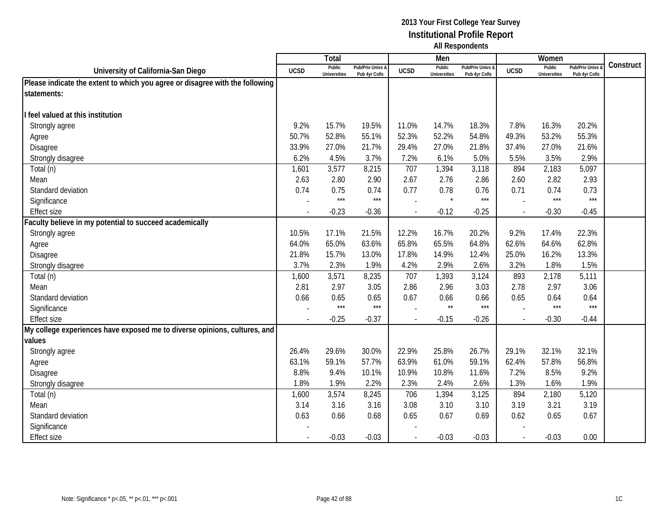|                                                                              |             | Total                         |                                   |                          | Men                           |                                   |                | Women                         |                                        |           |
|------------------------------------------------------------------------------|-------------|-------------------------------|-----------------------------------|--------------------------|-------------------------------|-----------------------------------|----------------|-------------------------------|----------------------------------------|-----------|
| University of California-San Diego                                           | <b>UCSD</b> | Public<br><b>Universities</b> | Pub/Priv Univs &<br>Pub 4yr Colls | <b>UCSD</b>              | Public<br><b>Universities</b> | Pub/Priv Univs &<br>Pub 4yr Colls | <b>UCSD</b>    | Public<br><b>Universities</b> | <b>Pub/Priv Univs</b><br>Pub 4yr Colls | Construct |
| Please indicate the extent to which you agree or disagree with the following |             |                               |                                   |                          |                               |                                   |                |                               |                                        |           |
| statements:                                                                  |             |                               |                                   |                          |                               |                                   |                |                               |                                        |           |
|                                                                              |             |                               |                                   |                          |                               |                                   |                |                               |                                        |           |
| feel valued at this institution                                              |             |                               |                                   |                          |                               |                                   |                |                               |                                        |           |
| Strongly agree                                                               | 9.2%        | 15.7%                         | 19.5%                             | 11.0%                    | 14.7%                         | 18.3%                             | 7.8%           | 16.3%                         | 20.2%                                  |           |
| Agree                                                                        | 50.7%       | 52.8%                         | 55.1%                             | 52.3%                    | 52.2%                         | 54.8%                             | 49.3%          | 53.2%                         | 55.3%                                  |           |
| Disagree                                                                     | 33.9%       | 27.0%                         | 21.7%                             | 29.4%                    | 27.0%                         | 21.8%                             | 37.4%          | 27.0%                         | 21.6%                                  |           |
| Strongly disagree                                                            | 6.2%        | 4.5%                          | 3.7%                              | 7.2%                     | 6.1%                          | 5.0%                              | 5.5%           | 3.5%                          | 2.9%                                   |           |
| Total (n)                                                                    | 1,601       | 3,577                         | 8,215                             | 707                      | 1,394                         | 3,118                             | 894            | 2,183                         | 5,097                                  |           |
| Mean                                                                         | 2.63        | 2.80                          | 2.90                              | 2.67                     | 2.76                          | 2.86                              | 2.60           | 2.82                          | 2.93                                   |           |
| Standard deviation                                                           | 0.74        | 0.75                          | 0.74                              | 0.77                     | 0.78                          | 0.76                              | 0.71           | 0.74                          | 0.73                                   |           |
| Significance                                                                 |             | $***$                         | $***$                             |                          |                               | $***$                             |                | $***$                         | $***$                                  |           |
| <b>Effect size</b>                                                           |             | $-0.23$                       | $-0.36$                           | $\blacksquare$           | $-0.12$                       | $-0.25$                           | $\sim$         | $-0.30$                       | $-0.45$                                |           |
| aculty believe in my potential to succeed academically                       |             |                               |                                   |                          |                               |                                   |                |                               |                                        |           |
| Strongly agree                                                               | 10.5%       | 17.1%                         | 21.5%                             | 12.2%                    | 16.7%                         | 20.2%                             | 9.2%           | 17.4%                         | 22.3%                                  |           |
| Agree                                                                        | 64.0%       | 65.0%                         | 63.6%                             | 65.8%                    | 65.5%                         | 64.8%                             | 62.6%          | 64.6%                         | 62.8%                                  |           |
| Disagree                                                                     | 21.8%       | 15.7%                         | 13.0%                             | 17.8%                    | 14.9%                         | 12.4%                             | 25.0%          | 16.2%                         | 13.3%                                  |           |
| Strongly disagree                                                            | 3.7%        | 2.3%                          | 1.9%                              | 4.2%                     | 2.9%                          | 2.6%                              | 3.2%           | 1.8%                          | 1.5%                                   |           |
| Total (n)                                                                    | 1,600       | 3,571                         | 8,235                             | 707                      | 1,393                         | 3,124                             | 893            | 2,178                         | 5,111                                  |           |
| Mean                                                                         | 2.81        | 2.97                          | 3.05                              | 2.86                     | 2.96                          | 3.03                              | 2.78           | 2.97                          | 3.06                                   |           |
| Standard deviation                                                           | 0.66        | 0.65                          | 0.65                              | 0.67                     | 0.66                          | 0.66                              | 0.65           | 0.64                          | 0.64                                   |           |
| Significance                                                                 |             | $***$                         | $***$                             |                          | $^{\star\star}$               | $***$                             |                | $***$                         | $***$                                  |           |
| <b>Effect size</b>                                                           |             | $-0.25$                       | $-0.37$                           | $\overline{\phantom{a}}$ | $-0.15$                       | $-0.26$                           | $\overline{a}$ | $-0.30$                       | $-0.44$                                |           |
| My college experiences have exposed me to diverse opinions, cultures, and    |             |                               |                                   |                          |                               |                                   |                |                               |                                        |           |
| values                                                                       |             |                               |                                   |                          |                               |                                   |                |                               |                                        |           |
| Strongly agree                                                               | 26.4%       | 29.6%                         | 30.0%                             | 22.9%                    | 25.8%                         | 26.7%                             | 29.1%          | 32.1%                         | 32.1%                                  |           |
| Agree                                                                        | 63.1%       | 59.1%                         | 57.7%                             | 63.9%                    | 61.0%                         | 59.1%                             | 62.4%          | 57.8%                         | 56.8%                                  |           |
| Disagree                                                                     | 8.8%        | 9.4%                          | 10.1%                             | 10.9%                    | 10.8%                         | 11.6%                             | 7.2%           | 8.5%                          | 9.2%                                   |           |
| Strongly disagree                                                            | 1.8%        | 1.9%                          | 2.2%                              | 2.3%                     | 2.4%                          | 2.6%                              | 1.3%           | 1.6%                          | 1.9%                                   |           |
| Total (n)                                                                    | 1,600       | 3,574                         | 8,245                             | 706                      | 1,394                         | 3,125                             | 894            | 2,180                         | 5,120                                  |           |
| Mean                                                                         | 3.14        | 3.16                          | 3.16                              | 3.08                     | 3.10                          | 3.10                              | 3.19           | 3.21                          | 3.19                                   |           |
| Standard deviation                                                           | 0.63        | 0.66                          | 0.68                              | 0.65                     | 0.67                          | 0.69                              | 0.62           | 0.65                          | 0.67                                   |           |
| Significance                                                                 |             |                               |                                   |                          |                               |                                   |                |                               |                                        |           |
| <b>Effect size</b>                                                           |             | $-0.03$                       | $-0.03$                           | $\blacksquare$           | $-0.03$                       | $-0.03$                           | $\mathbf{r}$   | $-0.03$                       | 0.00                                   |           |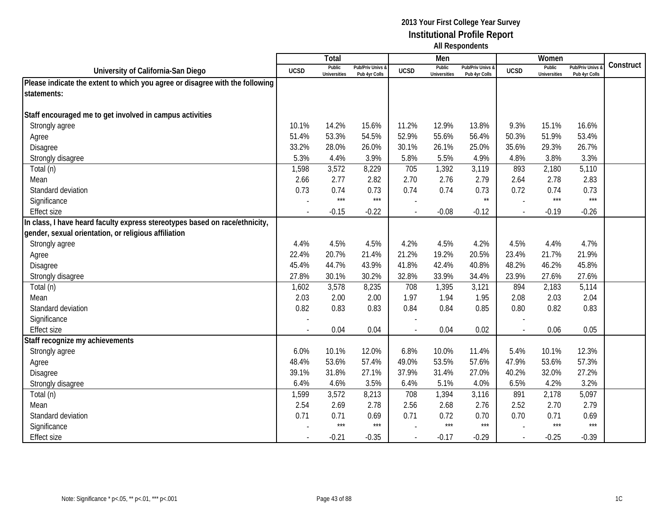|                                                                              |             | <b>Total</b>                  |                                   |                          | Men                    |                                   |                          | Women                         |                                        |           |
|------------------------------------------------------------------------------|-------------|-------------------------------|-----------------------------------|--------------------------|------------------------|-----------------------------------|--------------------------|-------------------------------|----------------------------------------|-----------|
| University of California-San Diego                                           | <b>UCSD</b> | Public<br><b>Universities</b> | Pub/Priv Univs &<br>Pub 4yr Colls | <b>UCSD</b>              | Public<br>Universities | Pub/Priv Univs &<br>Pub 4yr Colls | <b>UCSD</b>              | Public<br><b>Universities</b> | <b>Pub/Priv Univs</b><br>Pub 4yr Colls | Construct |
| Please indicate the extent to which you agree or disagree with the following |             |                               |                                   |                          |                        |                                   |                          |                               |                                        |           |
| statements:                                                                  |             |                               |                                   |                          |                        |                                   |                          |                               |                                        |           |
|                                                                              |             |                               |                                   |                          |                        |                                   |                          |                               |                                        |           |
| Staff encouraged me to get involved in campus activities                     |             |                               |                                   |                          |                        |                                   |                          |                               |                                        |           |
| Strongly agree                                                               | 10.1%       | 14.2%                         | 15.6%                             | 11.2%                    | 12.9%                  | 13.8%                             | 9.3%                     | 15.1%                         | 16.6%                                  |           |
| Agree                                                                        | 51.4%       | 53.3%                         | 54.5%                             | 52.9%                    | 55.6%                  | 56.4%                             | 50.3%                    | 51.9%                         | 53.4%                                  |           |
| <b>Disagree</b>                                                              | 33.2%       | 28.0%                         | 26.0%                             | 30.1%                    | 26.1%                  | 25.0%                             | 35.6%                    | 29.3%                         | 26.7%                                  |           |
| Strongly disagree                                                            | 5.3%        | 4.4%                          | 3.9%                              | 5.8%                     | 5.5%                   | 4.9%                              | 4.8%                     | 3.8%                          | 3.3%                                   |           |
| Total (n)                                                                    | 1,598       | 3,572                         | 8,229                             | 705                      | 1,392                  | 3,119                             | 893                      | 2,180                         | 5,110                                  |           |
| Mean                                                                         | 2.66        | 2.77                          | 2.82                              | 2.70                     | 2.76                   | 2.79                              | 2.64                     | 2.78                          | 2.83                                   |           |
| Standard deviation                                                           | 0.73        | 0.74                          | 0.73                              | 0.74                     | 0.74                   | 0.73                              | 0.72                     | 0.74                          | 0.73                                   |           |
| Significance                                                                 |             | $***$                         | $***$                             |                          |                        | $\star\star$                      |                          | $***$                         | ***                                    |           |
| <b>Effect size</b>                                                           | $\sim$      | $-0.15$                       | $-0.22$                           |                          | $-0.08$                | $-0.12$                           | $\overline{\phantom{a}}$ | $-0.19$                       | $-0.26$                                |           |
| In class, I have heard faculty express stereotypes based on race/ethnicity,  |             |                               |                                   |                          |                        |                                   |                          |                               |                                        |           |
| gender, sexual orientation, or religious affiliation                         |             |                               |                                   |                          |                        |                                   |                          |                               |                                        |           |
| Strongly agree                                                               | 4.4%        | 4.5%                          | 4.5%                              | 4.2%                     | 4.5%                   | 4.2%                              | 4.5%                     | 4.4%                          | 4.7%                                   |           |
| Agree                                                                        | 22.4%       | 20.7%                         | 21.4%                             | 21.2%                    | 19.2%                  | 20.5%                             | 23.4%                    | 21.7%                         | 21.9%                                  |           |
| <b>Disagree</b>                                                              | 45.4%       | 44.7%                         | 43.9%                             | 41.8%                    | 42.4%                  | 40.8%                             | 48.2%                    | 46.2%                         | 45.8%                                  |           |
| Strongly disagree                                                            | 27.8%       | 30.1%                         | 30.2%                             | 32.8%                    | 33.9%                  | 34.4%                             | 23.9%                    | 27.6%                         | 27.6%                                  |           |
| Total (n)                                                                    | 1,602       | 3,578                         | 8,235                             | 708                      | 1,395                  | 3,121                             | 894                      | 2,183                         | 5,114                                  |           |
| Mean                                                                         | 2.03        | 2.00                          | 2.00                              | 1.97                     | 1.94                   | 1.95                              | 2.08                     | 2.03                          | 2.04                                   |           |
| Standard deviation                                                           | 0.82        | 0.83                          | 0.83                              | 0.84                     | 0.84                   | 0.85                              | 0.80                     | 0.82                          | 0.83                                   |           |
| Significance                                                                 |             |                               |                                   |                          |                        |                                   |                          |                               |                                        |           |
| <b>Effect size</b>                                                           |             | 0.04                          | 0.04                              |                          | 0.04                   | 0.02                              | $\overline{a}$           | 0.06                          | 0.05                                   |           |
| Staff recognize my achievements                                              |             |                               |                                   |                          |                        |                                   |                          |                               |                                        |           |
| Strongly agree                                                               | 6.0%        | 10.1%                         | 12.0%                             | 6.8%                     | 10.0%                  | 11.4%                             | 5.4%                     | 10.1%                         | 12.3%                                  |           |
| Agree                                                                        | 48.4%       | 53.6%                         | 57.4%                             | 49.0%                    | 53.5%                  | 57.6%                             | 47.9%                    | 53.6%                         | 57.3%                                  |           |
| Disagree                                                                     | 39.1%       | 31.8%                         | 27.1%                             | 37.9%                    | 31.4%                  | 27.0%                             | 40.2%                    | 32.0%                         | 27.2%                                  |           |
| Strongly disagree                                                            | 6.4%        | 4.6%                          | 3.5%                              | 6.4%                     | 5.1%                   | 4.0%                              | 6.5%                     | 4.2%                          | 3.2%                                   |           |
| Total (n)                                                                    | 1,599       | 3,572                         | 8,213                             | 708                      | 1,394                  | 3,116                             | 891                      | 2,178                         | 5,097                                  |           |
| Mean                                                                         | 2.54        | 2.69                          | 2.78                              | 2.56                     | 2.68                   | 2.76                              | 2.52                     | 2.70                          | 2.79                                   |           |
| Standard deviation                                                           | 0.71        | 0.71                          | 0.69                              | 0.71                     | 0.72                   | 0.70                              | 0.70                     | 0.71                          | 0.69                                   |           |
| Significance                                                                 |             | $***$                         | $***$                             |                          | $***$                  | $***$                             |                          | $***$                         | $***$                                  |           |
| <b>Effect size</b>                                                           |             | $-0.21$                       | $-0.35$                           | $\overline{\phantom{a}}$ | $-0.17$                | $-0.29$                           | $\sim$                   | $-0.25$                       | $-0.39$                                |           |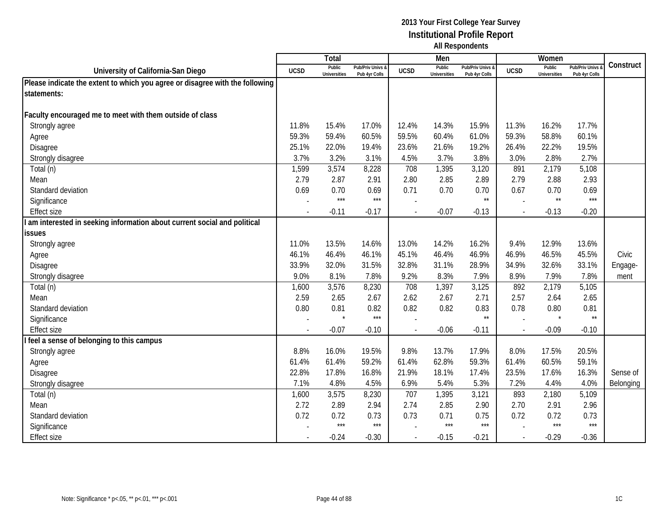|                                                                              |                | <b>Total</b>                  |                                   |             | Men                           |                                   |                | Women                         |                                        |           |
|------------------------------------------------------------------------------|----------------|-------------------------------|-----------------------------------|-------------|-------------------------------|-----------------------------------|----------------|-------------------------------|----------------------------------------|-----------|
| University of California-San Diego                                           | <b>UCSD</b>    | Public<br><b>Universities</b> | Pub/Priv Univs &<br>Pub 4yr Colls | <b>UCSD</b> | Public<br><b>Universities</b> | Pub/Priv Univs &<br>Pub 4yr Colls | <b>UCSD</b>    | Public<br><b>Universities</b> | <b>Pub/Priv Univs</b><br>Pub 4yr Colls | Construct |
| Please indicate the extent to which you agree or disagree with the following |                |                               |                                   |             |                               |                                   |                |                               |                                        |           |
| statements:                                                                  |                |                               |                                   |             |                               |                                   |                |                               |                                        |           |
|                                                                              |                |                               |                                   |             |                               |                                   |                |                               |                                        |           |
| Faculty encouraged me to meet with them outside of class                     |                |                               |                                   |             |                               |                                   |                |                               |                                        |           |
| Strongly agree                                                               | 11.8%          | 15.4%                         | 17.0%                             | 12.4%       | 14.3%                         | 15.9%                             | 11.3%          | 16.2%                         | 17.7%                                  |           |
| Agree                                                                        | 59.3%          | 59.4%                         | 60.5%                             | 59.5%       | 60.4%                         | 61.0%                             | 59.3%          | 58.8%                         | 60.1%                                  |           |
| <b>Disagree</b>                                                              | 25.1%          | 22.0%                         | 19.4%                             | 23.6%       | 21.6%                         | 19.2%                             | 26.4%          | 22.2%                         | 19.5%                                  |           |
| Strongly disagree                                                            | 3.7%           | 3.2%                          | 3.1%                              | 4.5%        | 3.7%                          | 3.8%                              | 3.0%           | 2.8%                          | 2.7%                                   |           |
| Total (n)                                                                    | 1,599          | 3,574                         | 8,228                             | 708         | 1,395                         | 3,120                             | 891            | 2,179                         | 5,108                                  |           |
| Mean                                                                         | 2.79           | 2.87                          | 2.91                              | 2.80        | 2.85                          | 2.89                              | 2.79           | 2.88                          | 2.93                                   |           |
| Standard deviation                                                           | 0.69           | 0.70                          | 0.69                              | 0.71        | 0.70                          | 0.70                              | 0.67           | 0.70                          | 0.69                                   |           |
| Significance                                                                 |                | $***$                         | $***$                             |             |                               | $\star\star$                      |                | $\star\star$                  | ***                                    |           |
| <b>Effect size</b>                                                           | $\overline{a}$ | $-0.11$                       | $-0.17$                           |             | $-0.07$                       | $-0.13$                           | $\sim$         | $-0.13$                       | $-0.20$                                |           |
| am interested in seeking information about current social and political      |                |                               |                                   |             |                               |                                   |                |                               |                                        |           |
| issues                                                                       |                |                               |                                   |             |                               |                                   |                |                               |                                        |           |
| Strongly agree                                                               | 11.0%          | 13.5%                         | 14.6%                             | 13.0%       | 14.2%                         | 16.2%                             | 9.4%           | 12.9%                         | 13.6%                                  |           |
| Agree                                                                        | 46.1%          | 46.4%                         | 46.1%                             | 45.1%       | 46.4%                         | 46.9%                             | 46.9%          | 46.5%                         | 45.5%                                  | Civic     |
| <b>Disagree</b>                                                              | 33.9%          | 32.0%                         | 31.5%                             | 32.8%       | 31.1%                         | 28.9%                             | 34.9%          | 32.6%                         | 33.1%                                  | Engage-   |
| Strongly disagree                                                            | 9.0%           | 8.1%                          | 7.8%                              | 9.2%        | 8.3%                          | 7.9%                              | 8.9%           | 7.9%                          | 7.8%                                   | ment      |
| Total (n)                                                                    | 1,600          | 3,576                         | 8,230                             | 708         | 1,397                         | 3,125                             | 892            | 2,179                         | 5,105                                  |           |
| Mean                                                                         | 2.59           | 2.65                          | 2.67                              | 2.62        | 2.67                          | 2.71                              | 2.57           | 2.64                          | 2.65                                   |           |
| Standard deviation                                                           | 0.80           | 0.81                          | 0.82                              | 0.82        | 0.82                          | 0.83                              | 0.78           | 0.80                          | 0.81                                   |           |
| Significance                                                                 |                |                               | $***$                             |             |                               | $\star\star$                      |                | $\star$                       | $\star\star$                           |           |
| <b>Effect size</b>                                                           |                | $-0.07$                       | $-0.10$                           |             | $-0.06$                       | $-0.11$                           | $\overline{a}$ | $-0.09$                       | $-0.10$                                |           |
| feel a sense of belonging to this campus                                     |                |                               |                                   |             |                               |                                   |                |                               |                                        |           |
| Strongly agree                                                               | 8.8%           | 16.0%                         | 19.5%                             | 9.8%        | 13.7%                         | 17.9%                             | 8.0%           | 17.5%                         | 20.5%                                  |           |
| Agree                                                                        | 61.4%          | 61.4%                         | 59.2%                             | 61.4%       | 62.8%                         | 59.3%                             | 61.4%          | 60.5%                         | 59.1%                                  |           |
| Disagree                                                                     | 22.8%          | 17.8%                         | 16.8%                             | 21.9%       | 18.1%                         | 17.4%                             | 23.5%          | 17.6%                         | 16.3%                                  | Sense of  |
| Strongly disagree                                                            | 7.1%           | 4.8%                          | 4.5%                              | 6.9%        | 5.4%                          | 5.3%                              | 7.2%           | 4.4%                          | 4.0%                                   | Belonging |
| Total (n)                                                                    | 1,600          | 3,575                         | 8,230                             | 707         | 1,395                         | 3,121                             | 893            | 2,180                         | 5,109                                  |           |
| Mean                                                                         | 2.72           | 2.89                          | 2.94                              | 2.74        | 2.85                          | 2.90                              | 2.70           | 2.91                          | 2.96                                   |           |
| Standard deviation                                                           | 0.72           | 0.72                          | 0.73                              | 0.73        | 0.71                          | 0.75                              | 0.72           | 0.72                          | 0.73                                   |           |
| Significance                                                                 |                | $***$                         | $***$                             |             | $***$                         | $***$                             |                | $***$                         | $***$                                  |           |
| <b>Effect size</b>                                                           |                | $-0.24$                       | $-0.30$                           | $\sim$      | $-0.15$                       | $-0.21$                           | $\sim$         | $-0.29$                       | $-0.36$                                |           |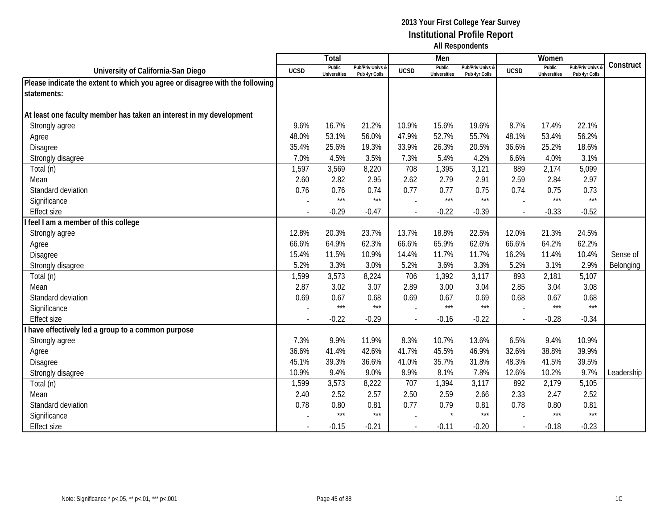|                                                                              |                          | <b>Total</b>                  |                                              |             | Men                           |                                              |                | Women                         |                                        |            |
|------------------------------------------------------------------------------|--------------------------|-------------------------------|----------------------------------------------|-------------|-------------------------------|----------------------------------------------|----------------|-------------------------------|----------------------------------------|------------|
| University of California-San Diego                                           | <b>UCSD</b>              | Public<br><b>Universities</b> | <b>Pub/Priv Univs &amp;</b><br>Pub 4yr Colls | <b>UCSD</b> | Public<br><b>Universities</b> | <b>Pub/Priv Univs &amp;</b><br>Pub 4yr Colls | <b>UCSD</b>    | Public<br><b>Universities</b> | <b>Pub/Priv Univs</b><br>Pub 4yr Colls | Construct  |
| Please indicate the extent to which you agree or disagree with the following |                          |                               |                                              |             |                               |                                              |                |                               |                                        |            |
| statements:                                                                  |                          |                               |                                              |             |                               |                                              |                |                               |                                        |            |
|                                                                              |                          |                               |                                              |             |                               |                                              |                |                               |                                        |            |
| At least one faculty member has taken an interest in my development          |                          |                               |                                              |             |                               |                                              |                |                               |                                        |            |
| Strongly agree                                                               | 9.6%                     | 16.7%                         | 21.2%                                        | 10.9%       | 15.6%                         | 19.6%                                        | 8.7%           | 17.4%                         | 22.1%                                  |            |
| Agree                                                                        | 48.0%                    | 53.1%                         | 56.0%                                        | 47.9%       | 52.7%                         | 55.7%                                        | 48.1%          | 53.4%                         | 56.2%                                  |            |
| <b>Disagree</b>                                                              | 35.4%                    | 25.6%                         | 19.3%                                        | 33.9%       | 26.3%                         | 20.5%                                        | 36.6%          | 25.2%                         | 18.6%                                  |            |
| Strongly disagree                                                            | 7.0%                     | 4.5%                          | 3.5%                                         | 7.3%        | 5.4%                          | 4.2%                                         | 6.6%           | 4.0%                          | 3.1%                                   |            |
| Total (n)                                                                    | 1,597                    | 3,569                         | 8,220                                        | 708         | 1,395                         | 3,121                                        | 889            | 2,174                         | 5,099                                  |            |
| Mean                                                                         | 2.60                     | 2.82                          | 2.95                                         | 2.62        | 2.79                          | 2.91                                         | 2.59           | 2.84                          | 2.97                                   |            |
| Standard deviation                                                           | 0.76                     | 0.76                          | 0.74                                         | 0.77        | 0.77                          | 0.75                                         | 0.74           | 0.75                          | 0.73                                   |            |
| Significance                                                                 |                          | $***$                         | $***$                                        |             | $***$                         | $***$                                        |                | $***$                         | $***$                                  |            |
| <b>Effect size</b>                                                           | $\overline{\phantom{a}}$ | $-0.29$                       | $-0.47$                                      |             | $-0.22$                       | $-0.39$                                      | $\blacksquare$ | $-0.33$                       | $-0.52$                                |            |
| I feel I am a member of this college                                         |                          |                               |                                              |             |                               |                                              |                |                               |                                        |            |
| Strongly agree                                                               | 12.8%                    | 20.3%                         | 23.7%                                        | 13.7%       | 18.8%                         | 22.5%                                        | 12.0%          | 21.3%                         | 24.5%                                  |            |
| Agree                                                                        | 66.6%                    | 64.9%                         | 62.3%                                        | 66.6%       | 65.9%                         | 62.6%                                        | 66.6%          | 64.2%                         | 62.2%                                  |            |
| Disagree                                                                     | 15.4%                    | 11.5%                         | 10.9%                                        | 14.4%       | 11.7%                         | 11.7%                                        | 16.2%          | 11.4%                         | 10.4%                                  | Sense of   |
| Strongly disagree                                                            | 5.2%                     | 3.3%                          | 3.0%                                         | 5.2%        | 3.6%                          | 3.3%                                         | 5.2%           | 3.1%                          | 2.9%                                   | Belonging  |
| Total (n)                                                                    | 1,599                    | 3,573                         | 8,224                                        | 706         | 1,392                         | 3,117                                        | 893            | 2,181                         | 5,107                                  |            |
| Mean                                                                         | 2.87                     | 3.02                          | 3.07                                         | 2.89        | 3.00                          | 3.04                                         | 2.85           | 3.04                          | 3.08                                   |            |
| Standard deviation                                                           | 0.69                     | 0.67                          | 0.68                                         | 0.69        | 0.67                          | 0.69                                         | 0.68           | 0.67                          | 0.68                                   |            |
| Significance                                                                 |                          | $***$                         | $***$                                        |             | $***$                         | $***$                                        |                | $***$                         | $***$                                  |            |
| <b>Effect size</b>                                                           |                          | $-0.22$                       | $-0.29$                                      |             | $-0.16$                       | $-0.22$                                      | $\blacksquare$ | $-0.28$                       | $-0.34$                                |            |
| I have effectively led a group to a common purpose                           |                          |                               |                                              |             |                               |                                              |                |                               |                                        |            |
| Strongly agree                                                               | 7.3%                     | 9.9%                          | 11.9%                                        | 8.3%        | 10.7%                         | 13.6%                                        | 6.5%           | 9.4%                          | 10.9%                                  |            |
| Agree                                                                        | 36.6%                    | 41.4%                         | 42.6%                                        | 41.7%       | 45.5%                         | 46.9%                                        | 32.6%          | 38.8%                         | 39.9%                                  |            |
| Disagree                                                                     | 45.1%                    | 39.3%                         | 36.6%                                        | 41.0%       | 35.7%                         | 31.8%                                        | 48.3%          | 41.5%                         | 39.5%                                  |            |
| Strongly disagree                                                            | 10.9%                    | 9.4%                          | 9.0%                                         | 8.9%        | 8.1%                          | 7.8%                                         | 12.6%          | 10.2%                         | 9.7%                                   | Leadership |
| Total (n)                                                                    | 1,599                    | 3,573                         | 8,222                                        | 707         | 1,394                         | 3,117                                        | 892            | 2,179                         | 5,105                                  |            |
| Mean                                                                         | 2.40                     | 2.52                          | 2.57                                         | 2.50        | 2.59                          | 2.66                                         | 2.33           | 2.47                          | 2.52                                   |            |
| Standard deviation                                                           | 0.78                     | 0.80                          | 0.81                                         | 0.77        | 0.79                          | 0.81                                         | 0.78           | 0.80                          | 0.81                                   |            |
| Significance                                                                 |                          | $***$                         | $***$                                        |             | $\star$                       | $***$                                        |                | $***$                         | $***$                                  |            |
| <b>Effect size</b>                                                           |                          | $-0.15$                       | $-0.21$                                      |             | $-0.11$                       | $-0.20$                                      | $\overline{a}$ | $-0.18$                       | $-0.23$                                |            |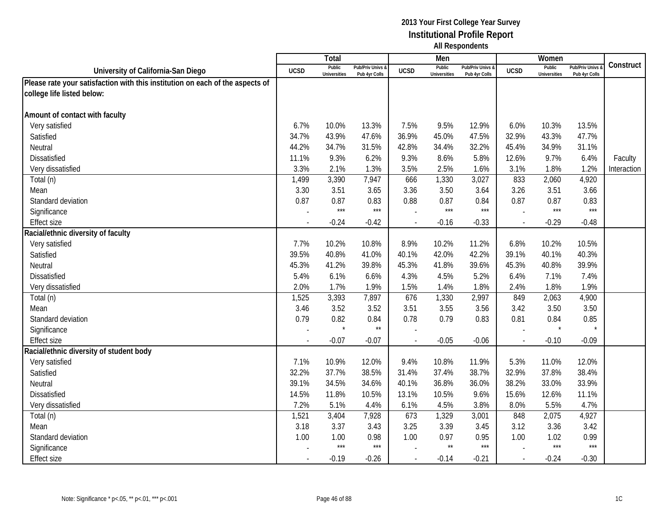|                                                                               |             | Total                         |                                   |                | Men                           |                                   |                          | Women                         |                                        |             |
|-------------------------------------------------------------------------------|-------------|-------------------------------|-----------------------------------|----------------|-------------------------------|-----------------------------------|--------------------------|-------------------------------|----------------------------------------|-------------|
| University of California-San Diego                                            | <b>UCSD</b> | Public<br><b>Universities</b> | Pub/Priv Univs &<br>Pub 4yr Colls | <b>UCSD</b>    | Public<br><b>Universities</b> | Pub/Priv Univs &<br>Pub 4yr Colls | <b>UCSD</b>              | Public<br><b>Universities</b> | <b>Pub/Priv Univs</b><br>Pub 4yr Colls | Construct   |
| Please rate your satisfaction with this institution on each of the aspects of |             |                               |                                   |                |                               |                                   |                          |                               |                                        |             |
| college life listed below:                                                    |             |                               |                                   |                |                               |                                   |                          |                               |                                        |             |
|                                                                               |             |                               |                                   |                |                               |                                   |                          |                               |                                        |             |
| Amount of contact with faculty                                                |             |                               |                                   |                |                               |                                   |                          |                               |                                        |             |
| Very satisfied                                                                | 6.7%        | 10.0%                         | 13.3%                             | 7.5%           | 9.5%                          | 12.9%                             | 6.0%                     | 10.3%                         | 13.5%                                  |             |
| Satisfied                                                                     | 34.7%       | 43.9%                         | 47.6%                             | 36.9%          | 45.0%                         | 47.5%                             | 32.9%                    | 43.3%                         | 47.7%                                  |             |
| Neutral                                                                       | 44.2%       | 34.7%                         | 31.5%                             | 42.8%          | 34.4%                         | 32.2%                             | 45.4%                    | 34.9%                         | 31.1%                                  |             |
| Dissatisfied                                                                  | 11.1%       | 9.3%                          | 6.2%                              | 9.3%           | 8.6%                          | 5.8%                              | 12.6%                    | 9.7%                          | 6.4%                                   | Faculty     |
| Very dissatisfied                                                             | 3.3%        | 2.1%                          | 1.3%                              | 3.5%           | 2.5%                          | 1.6%                              | 3.1%                     | 1.8%                          | 1.2%                                   | Interaction |
| Total (n)                                                                     | 1,499       | 3,390                         | 7,947                             | 666            | 1,330                         | 3,027                             | 833                      | 2,060                         | 4,920                                  |             |
| Mean                                                                          | 3.30        | 3.51                          | 3.65                              | 3.36           | 3.50                          | 3.64                              | 3.26                     | 3.51                          | 3.66                                   |             |
| Standard deviation                                                            | 0.87        | 0.87                          | 0.83                              | 0.88           | 0.87                          | 0.84                              | 0.87                     | 0.87                          | 0.83                                   |             |
| Significance                                                                  |             | $***$                         | $***$                             |                | $***$                         | $***$                             |                          | $***$                         | $***$                                  |             |
| <b>Effect size</b>                                                            |             | $-0.24$                       | $-0.42$                           |                | $-0.16$                       | $-0.33$                           | $\overline{\phantom{a}}$ | $-0.29$                       | $-0.48$                                |             |
| Racial/ethnic diversity of faculty                                            |             |                               |                                   |                |                               |                                   |                          |                               |                                        |             |
| Very satisfied                                                                | 7.7%        | 10.2%                         | 10.8%                             | 8.9%           | 10.2%                         | 11.2%                             | 6.8%                     | 10.2%                         | 10.5%                                  |             |
| Satisfied                                                                     | 39.5%       | 40.8%                         | 41.0%                             | 40.1%          | 42.0%                         | 42.2%                             | 39.1%                    | 40.1%                         | 40.3%                                  |             |
| Neutral                                                                       | 45.3%       | 41.2%                         | 39.8%                             | 45.3%          | 41.8%                         | 39.6%                             | 45.3%                    | 40.8%                         | 39.9%                                  |             |
| <b>Dissatisfied</b>                                                           | 5.4%        | 6.1%                          | 6.6%                              | 4.3%           | 4.5%                          | 5.2%                              | 6.4%                     | 7.1%                          | 7.4%                                   |             |
| Very dissatisfied                                                             | 2.0%        | 1.7%                          | 1.9%                              | 1.5%           | 1.4%                          | 1.8%                              | 2.4%                     | 1.8%                          | 1.9%                                   |             |
| Total (n)                                                                     | 1,525       | 3,393                         | 7,897                             | 676            | 1,330                         | 2,997                             | 849                      | 2,063                         | 4,900                                  |             |
| Mean                                                                          | 3.46        | 3.52                          | 3.52                              | 3.51           | 3.55                          | 3.56                              | 3.42                     | 3.50                          | 3.50                                   |             |
| Standard deviation                                                            | 0.79        | 0.82                          | 0.84                              | 0.78           | 0.79                          | 0.83                              | 0.81                     | 0.84                          | 0.85                                   |             |
| Significance                                                                  |             | $\star$                       | $\star\star$                      |                |                               |                                   |                          | $\star$                       | $\star$                                |             |
| <b>Effect size</b>                                                            |             | $-0.07$                       | $-0.07$                           |                | $-0.05$                       | $-0.06$                           |                          | $-0.10$                       | $-0.09$                                |             |
| Racial/ethnic diversity of student body                                       |             |                               |                                   |                |                               |                                   |                          |                               |                                        |             |
| Very satisfied                                                                | 7.1%        | 10.9%                         | 12.0%                             | 9.4%           | 10.8%                         | 11.9%                             | 5.3%                     | 11.0%                         | 12.0%                                  |             |
| Satisfied                                                                     | 32.2%       | 37.7%                         | 38.5%                             | 31.4%          | 37.4%                         | 38.7%                             | 32.9%                    | 37.8%                         | 38.4%                                  |             |
| Neutral                                                                       | 39.1%       | 34.5%                         | 34.6%                             | 40.1%          | 36.8%                         | 36.0%                             | 38.2%                    | 33.0%                         | 33.9%                                  |             |
| <b>Dissatisfied</b>                                                           | 14.5%       | 11.8%                         | 10.5%                             | 13.1%          | 10.5%                         | 9.6%                              | 15.6%                    | 12.6%                         | 11.1%                                  |             |
| Very dissatisfied                                                             | 7.2%        | 5.1%                          | 4.4%                              | 6.1%           | 4.5%                          | 3.8%                              | 8.0%                     | 5.5%                          | 4.7%                                   |             |
| Total (n)                                                                     | 1,521       | 3,404                         | 7,928                             | 673            | 1,329                         | 3,001                             | 848                      | 2,075                         | 4,927                                  |             |
| Mean                                                                          | 3.18        | 3.37                          | 3.43                              | 3.25           | 3.39                          | 3.45                              | 3.12                     | 3.36                          | 3.42                                   |             |
| Standard deviation                                                            | 1.00        | 1.00                          | 0.98                              | 1.00           | 0.97                          | 0.95                              | 1.00                     | 1.02                          | 0.99                                   |             |
| Significance                                                                  |             | $***$                         | $***$                             |                | $\star\star$                  | $***$                             |                          | $***$                         | $***$                                  |             |
| <b>Effect size</b>                                                            |             | $-0.19$                       | $-0.26$                           | $\blacksquare$ | $-0.14$                       | $-0.21$                           | $\mathbf{r}$             | $-0.24$                       | $-0.30$                                |             |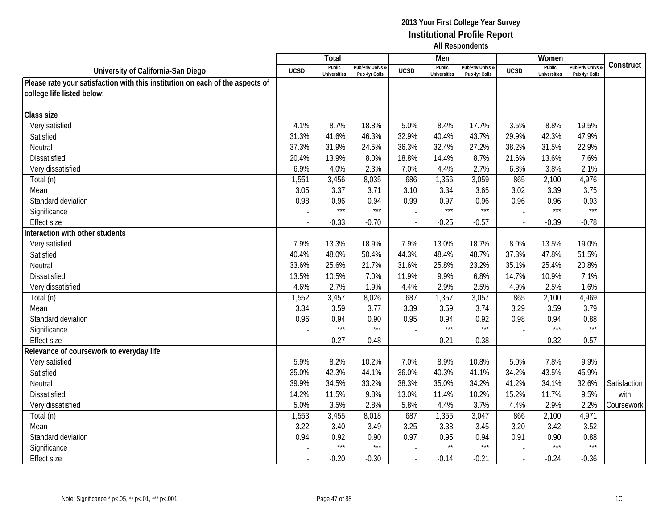|                                                                               |                | Total                         |                                   |             | Men                           |                                 |             | Women                         |                                        |              |
|-------------------------------------------------------------------------------|----------------|-------------------------------|-----------------------------------|-------------|-------------------------------|---------------------------------|-------------|-------------------------------|----------------------------------------|--------------|
| University of California-San Diego                                            | <b>UCSD</b>    | Public<br><b>Universities</b> | Pub/Priv Univs &<br>Pub 4yr Colls | <b>UCSD</b> | Public<br><b>Universities</b> | Pub/Priv Univs<br>Pub 4yr Colls | <b>UCSD</b> | Public<br><b>Universities</b> | <b>Pub/Priv Univs</b><br>Pub 4yr Colls | Construct    |
| Please rate your satisfaction with this institution on each of the aspects of |                |                               |                                   |             |                               |                                 |             |                               |                                        |              |
| college life listed below:                                                    |                |                               |                                   |             |                               |                                 |             |                               |                                        |              |
|                                                                               |                |                               |                                   |             |                               |                                 |             |                               |                                        |              |
| Class size                                                                    |                |                               |                                   |             |                               |                                 |             |                               |                                        |              |
| Very satisfied                                                                | 4.1%           | 8.7%                          | 18.8%                             | 5.0%        | 8.4%                          | 17.7%                           | 3.5%        | 8.8%                          | 19.5%                                  |              |
| Satisfied                                                                     | 31.3%          | 41.6%                         | 46.3%                             | 32.9%       | 40.4%                         | 43.7%                           | 29.9%       | 42.3%                         | 47.9%                                  |              |
| Neutral                                                                       | 37.3%          | 31.9%                         | 24.5%                             | 36.3%       | 32.4%                         | 27.2%                           | 38.2%       | 31.5%                         | 22.9%                                  |              |
| Dissatisfied                                                                  | 20.4%          | 13.9%                         | 8.0%                              | 18.8%       | 14.4%                         | 8.7%                            | 21.6%       | 13.6%                         | 7.6%                                   |              |
| Very dissatisfied                                                             | 6.9%           | 4.0%                          | 2.3%                              | 7.0%        | 4.4%                          | 2.7%                            | 6.8%        | 3.8%                          | 2.1%                                   |              |
| Total (n)                                                                     | 1,551          | 3,456                         | 8,035                             | 686         | 1,356                         | 3,059                           | 865         | 2,100                         | 4,976                                  |              |
| Mean                                                                          | 3.05           | 3.37                          | 3.71                              | 3.10        | 3.34                          | 3.65                            | 3.02        | 3.39                          | 3.75                                   |              |
| Standard deviation                                                            | 0.98           | 0.96                          | 0.94                              | 0.99        | 0.97                          | 0.96                            | 0.96        | 0.96                          | 0.93                                   |              |
| Significance                                                                  |                | $***$                         | $***$                             |             | $***$                         | $***$                           |             | $***$                         | $***$                                  |              |
| <b>Effect size</b>                                                            |                | $-0.33$                       | $-0.70$                           | $\sim$      | $-0.25$                       | $-0.57$                         |             | $-0.39$                       | $-0.78$                                |              |
| Interaction with other students                                               |                |                               |                                   |             |                               |                                 |             |                               |                                        |              |
| Very satisfied                                                                | 7.9%           | 13.3%                         | 18.9%                             | 7.9%        | 13.0%                         | 18.7%                           | 8.0%        | 13.5%                         | 19.0%                                  |              |
| Satisfied                                                                     | 40.4%          | 48.0%                         | 50.4%                             | 44.3%       | 48.4%                         | 48.7%                           | 37.3%       | 47.8%                         | 51.5%                                  |              |
| Neutral                                                                       | 33.6%          | 25.6%                         | 21.7%                             | 31.6%       | 25.8%                         | 23.2%                           | 35.1%       | 25.4%                         | 20.8%                                  |              |
| <b>Dissatisfied</b>                                                           | 13.5%          | 10.5%                         | 7.0%                              | 11.9%       | 9.9%                          | 6.8%                            | 14.7%       | 10.9%                         | 7.1%                                   |              |
| Very dissatisfied                                                             | 4.6%           | 2.7%                          | 1.9%                              | 4.4%        | 2.9%                          | 2.5%                            | 4.9%        | 2.5%                          | 1.6%                                   |              |
| Total (n)                                                                     | 1,552          | 3,457                         | 8,026                             | 687         | 1,357                         | 3,057                           | 865         | 2,100                         | 4,969                                  |              |
| Mean                                                                          | 3.34           | 3.59                          | 3.77                              | 3.39        | 3.59                          | 3.74                            | 3.29        | 3.59                          | 3.79                                   |              |
| Standard deviation                                                            | 0.96           | 0.94                          | 0.90                              | 0.95        | 0.94                          | 0.92                            | 0.98        | 0.94                          | 0.88                                   |              |
| Significance                                                                  |                | $***$                         | $***$                             |             | $***$                         | $***$                           |             | $***$                         | $***$                                  |              |
| <b>Effect size</b>                                                            |                | $-0.27$                       | $-0.48$                           |             | $-0.21$                       | $-0.38$                         |             | $-0.32$                       | $-0.57$                                |              |
| Relevance of coursework to everyday life                                      |                |                               |                                   |             |                               |                                 |             |                               |                                        |              |
| Very satisfied                                                                | 5.9%           | 8.2%                          | 10.2%                             | 7.0%        | 8.9%                          | 10.8%                           | 5.0%        | 7.8%                          | 9.9%                                   |              |
| Satisfied                                                                     | 35.0%          | 42.3%                         | 44.1%                             | 36.0%       | 40.3%                         | 41.1%                           | 34.2%       | 43.5%                         | 45.9%                                  |              |
| Neutral                                                                       | 39.9%          | 34.5%                         | 33.2%                             | 38.3%       | 35.0%                         | 34.2%                           | 41.2%       | 34.1%                         | 32.6%                                  | Satisfaction |
| <b>Dissatisfied</b>                                                           | 14.2%          | 11.5%                         | 9.8%                              | 13.0%       | 11.4%                         | 10.2%                           | 15.2%       | 11.7%                         | 9.5%                                   | with         |
| Very dissatisfied                                                             | 5.0%           | 3.5%                          | 2.8%                              | 5.8%        | 4.4%                          | 3.7%                            | 4.4%        | 2.9%                          | 2.2%                                   | Coursework   |
| Total (n)                                                                     | 1,553          | 3,455                         | 8,018                             | 687         | 1,355                         | 3,047                           | 866         | 2,100                         | 4,971                                  |              |
| Mean                                                                          | 3.22           | 3.40                          | 3.49                              | 3.25        | 3.38                          | 3.45                            | 3.20        | 3.42                          | 3.52                                   |              |
| Standard deviation                                                            | 0.94           | 0.92                          | 0.90                              | 0.97        | 0.95                          | 0.94                            | 0.91        | 0.90                          | 0.88                                   |              |
| Significance                                                                  |                | $***$                         | $***$                             |             | $\star\star$                  | $***$                           |             | $***$                         | $***$                                  |              |
| <b>Effect size</b>                                                            | $\overline{a}$ | $-0.20$                       | $-0.30$                           | $\sim$      | $-0.14$                       | $-0.21$                         | $\sim$      | $-0.24$                       | $-0.36$                                |              |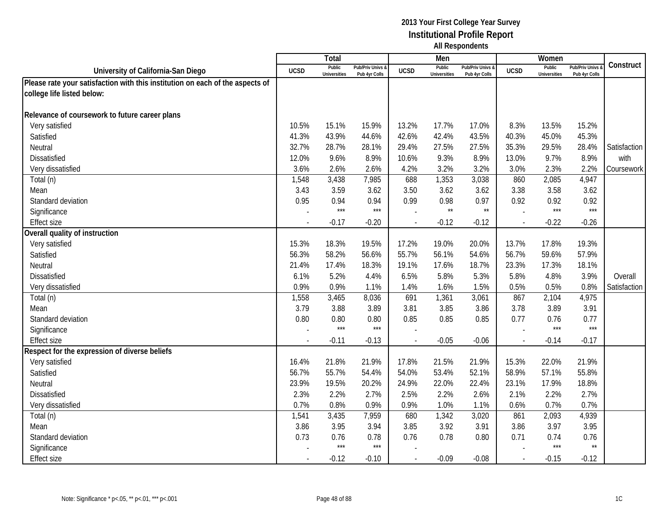|                                                                               |             | Total                         |                                   |                          | Men                           |                                   |               | Women                         |                                        |              |
|-------------------------------------------------------------------------------|-------------|-------------------------------|-----------------------------------|--------------------------|-------------------------------|-----------------------------------|---------------|-------------------------------|----------------------------------------|--------------|
| University of California-San Diego                                            | <b>UCSD</b> | Public<br><b>Universities</b> | Pub/Priv Univs &<br>Pub 4yr Colls | <b>UCSD</b>              | Public<br><b>Universities</b> | Pub/Priv Univs &<br>Pub 4yr Colls | <b>UCSD</b>   | Public<br><b>Universities</b> | <b>Pub/Priv Univs</b><br>Pub 4yr Colls | Construct    |
| Please rate your satisfaction with this institution on each of the aspects of |             |                               |                                   |                          |                               |                                   |               |                               |                                        |              |
| college life listed below:                                                    |             |                               |                                   |                          |                               |                                   |               |                               |                                        |              |
|                                                                               |             |                               |                                   |                          |                               |                                   |               |                               |                                        |              |
| Relevance of coursework to future career plans                                |             |                               |                                   |                          |                               |                                   |               |                               |                                        |              |
| Very satisfied                                                                | 10.5%       | 15.1%                         | 15.9%                             | 13.2%                    | 17.7%                         | 17.0%                             | 8.3%          | 13.5%                         | 15.2%                                  |              |
| Satisfied                                                                     | 41.3%       | 43.9%                         | 44.6%                             | 42.6%                    | 42.4%                         | 43.5%                             | 40.3%         | 45.0%                         | 45.3%                                  |              |
| Neutral                                                                       | 32.7%       | 28.7%                         | 28.1%                             | 29.4%                    | 27.5%                         | 27.5%                             | 35.3%         | 29.5%                         | 28.4%                                  | Satisfaction |
| Dissatisfied                                                                  | 12.0%       | 9.6%                          | 8.9%                              | 10.6%                    | 9.3%                          | 8.9%                              | 13.0%         | 9.7%                          | 8.9%                                   | with         |
| Very dissatisfied                                                             | 3.6%        | 2.6%                          | 2.6%                              | 4.2%                     | 3.2%                          | 3.2%                              | 3.0%          | 2.3%                          | 2.2%                                   | Coursework   |
| Total (n)                                                                     | 1,548       | 3,438                         | 7,985                             | 688                      | 1,353                         | 3,038                             | 860           | 2,085                         | 4,947                                  |              |
| Mean                                                                          | 3.43        | 3.59                          | 3.62                              | 3.50                     | 3.62                          | 3.62                              | 3.38          | 3.58                          | 3.62                                   |              |
| Standard deviation                                                            | 0.95        | 0.94                          | 0.94                              | 0.99                     | 0.98                          | 0.97                              | 0.92          | 0.92                          | 0.92                                   |              |
| Significance                                                                  |             | $***$                         | $***$                             |                          | $\star\star$                  | $\star\star$                      |               | $***$                         | $***$                                  |              |
| <b>Effect size</b>                                                            |             | $-0.17$                       | $-0.20$                           | $\blacksquare$           | $-0.12$                       | $-0.12$                           | $\sim$        | $-0.22$                       | $-0.26$                                |              |
| Overall quality of instruction                                                |             |                               |                                   |                          |                               |                                   |               |                               |                                        |              |
| Very satisfied                                                                | 15.3%       | 18.3%                         | 19.5%                             | 17.2%                    | 19.0%                         | 20.0%                             | 13.7%         | 17.8%                         | 19.3%                                  |              |
| Satisfied                                                                     | 56.3%       | 58.2%                         | 56.6%                             | 55.7%                    | 56.1%                         | 54.6%                             | 56.7%         | 59.6%                         | 57.9%                                  |              |
| Neutral                                                                       | 21.4%       | 17.4%                         | 18.3%                             | 19.1%                    | 17.6%                         | 18.7%                             | 23.3%         | 17.3%                         | 18.1%                                  |              |
| <b>Dissatisfied</b>                                                           | 6.1%        | 5.2%                          | 4.4%                              | 6.5%                     | 5.8%                          | 5.3%                              | 5.8%          | 4.8%                          | 3.9%                                   | Overall      |
| Very dissatisfied                                                             | 0.9%        | 0.9%                          | 1.1%                              | 1.4%                     | 1.6%                          | 1.5%                              | 0.5%          | 0.5%                          | 0.8%                                   | Satisfaction |
| Total (n)                                                                     | 1,558       | 3,465                         | 8,036                             | 691                      | 1,361                         | 3,061                             | 867           | 2,104                         | 4,975                                  |              |
| Mean                                                                          | 3.79        | 3.88                          | 3.89                              | 3.81                     | 3.85                          | 3.86                              | 3.78          | 3.89                          | 3.91                                   |              |
| Standard deviation                                                            | 0.80        | 0.80                          | 0.80                              | 0.85                     | 0.85                          | 0.85                              | 0.77          | 0.76                          | 0.77                                   |              |
| Significance                                                                  |             | $***$                         | $***$                             |                          |                               |                                   |               | $***$                         | $***$                                  |              |
| <b>Effect size</b>                                                            |             | $-0.11$                       | $-0.13$                           |                          | $-0.05$                       | $-0.06$                           | $\sim$        | $-0.14$                       | $-0.17$                                |              |
| Respect for the expression of diverse beliefs                                 |             |                               |                                   |                          |                               |                                   |               |                               |                                        |              |
| Very satisfied                                                                | 16.4%       | 21.8%                         | 21.9%                             | 17.8%                    | 21.5%                         | 21.9%                             | 15.3%         | 22.0%                         | 21.9%                                  |              |
| Satisfied                                                                     | 56.7%       | 55.7%                         | 54.4%                             | 54.0%                    | 53.4%                         | 52.1%                             | 58.9%         | 57.1%                         | 55.8%                                  |              |
| Neutral                                                                       | 23.9%       | 19.5%                         | 20.2%                             | 24.9%                    | 22.0%                         | 22.4%                             | 23.1%         | 17.9%                         | 18.8%                                  |              |
| <b>Dissatisfied</b>                                                           | 2.3%        | 2.2%                          | 2.7%                              | 2.5%                     | 2.2%                          | 2.6%                              | 2.1%          | 2.2%                          | 2.7%                                   |              |
| Very dissatisfied                                                             | 0.7%        | 0.8%                          | 0.9%                              | 0.9%                     | 1.0%                          | 1.1%                              | 0.6%          | 0.7%                          | 0.7%                                   |              |
| Total (n)                                                                     | 1,541       | 3,435                         | 7,959                             | 680                      | 1,342                         | 3,020                             | 861           | 2,093                         | 4,939                                  |              |
| Mean                                                                          | 3.86        | 3.95                          | 3.94                              | 3.85                     | 3.92                          | 3.91                              | 3.86          | 3.97                          | 3.95                                   |              |
| Standard deviation                                                            | 0.73        | 0.76                          | 0.78                              | 0.76                     | 0.78                          | 0.80                              | 0.71          | 0.74                          | 0.76                                   |              |
| Significance                                                                  |             | $***$                         | $***$                             |                          |                               |                                   |               | $***$                         | $\star\star$                           |              |
| <b>Effect size</b>                                                            |             | $-0.12$                       | $-0.10$                           | $\overline{\phantom{a}}$ | $-0.09$                       | $-0.08$                           | $\mathcal{L}$ | $-0.15$                       | $-0.12$                                |              |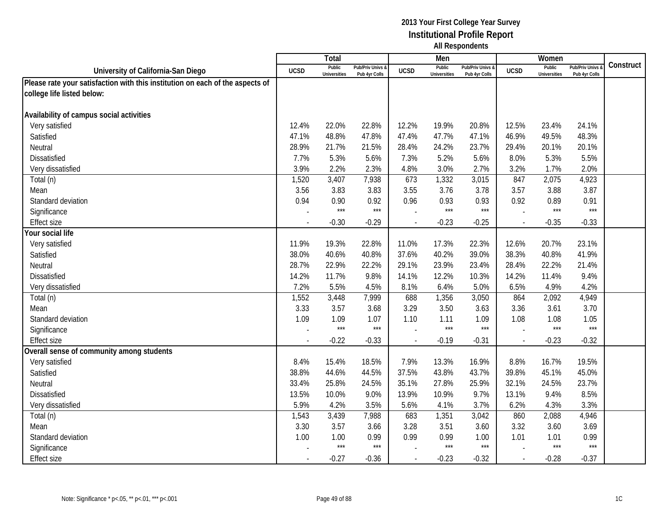|                                                                               |             | Total                         |                                   |                | Men                           |                                   |                          | Women                         |                                        |           |
|-------------------------------------------------------------------------------|-------------|-------------------------------|-----------------------------------|----------------|-------------------------------|-----------------------------------|--------------------------|-------------------------------|----------------------------------------|-----------|
| University of California-San Diego                                            | <b>UCSD</b> | Public<br><b>Universities</b> | Pub/Priv Univs &<br>Pub 4yr Colls | <b>UCSD</b>    | Public<br><b>Universities</b> | Pub/Priv Univs &<br>Pub 4yr Colls | <b>UCSD</b>              | Public<br><b>Universities</b> | <b>Pub/Priv Univs</b><br>Pub 4yr Colls | Construct |
| Please rate your satisfaction with this institution on each of the aspects of |             |                               |                                   |                |                               |                                   |                          |                               |                                        |           |
| college life listed below:                                                    |             |                               |                                   |                |                               |                                   |                          |                               |                                        |           |
|                                                                               |             |                               |                                   |                |                               |                                   |                          |                               |                                        |           |
| Availability of campus social activities                                      |             |                               |                                   |                |                               |                                   |                          |                               |                                        |           |
| Very satisfied                                                                | 12.4%       | 22.0%                         | 22.8%                             | 12.2%          | 19.9%                         | 20.8%                             | 12.5%                    | 23.4%                         | 24.1%                                  |           |
| Satisfied                                                                     | 47.1%       | 48.8%                         | 47.8%                             | 47.4%          | 47.7%                         | 47.1%                             | 46.9%                    | 49.5%                         | 48.3%                                  |           |
| Neutral                                                                       | 28.9%       | 21.7%                         | 21.5%                             | 28.4%          | 24.2%                         | 23.7%                             | 29.4%                    | 20.1%                         | 20.1%                                  |           |
| <b>Dissatisfied</b>                                                           | 7.7%        | 5.3%                          | 5.6%                              | 7.3%           | 5.2%                          | 5.6%                              | 8.0%                     | 5.3%                          | 5.5%                                   |           |
| Very dissatisfied                                                             | 3.9%        | 2.2%                          | 2.3%                              | 4.8%           | 3.0%                          | 2.7%                              | 3.2%                     | 1.7%                          | 2.0%                                   |           |
| Total (n)                                                                     | 1,520       | 3,407                         | 7,938                             | 673            | 1,332                         | 3,015                             | 847                      | 2,075                         | 4,923                                  |           |
| Mean                                                                          | 3.56        | 3.83                          | 3.83                              | 3.55           | 3.76                          | 3.78                              | 3.57                     | 3.88                          | 3.87                                   |           |
| Standard deviation                                                            | 0.94        | 0.90                          | 0.92                              | 0.96           | 0.93                          | 0.93                              | 0.92                     | 0.89                          | 0.91                                   |           |
| Significance                                                                  |             | $***$                         | $***$                             |                | $***$                         | $***$                             |                          | $***$                         | $***$                                  |           |
| <b>Effect size</b>                                                            |             | $-0.30$                       | $-0.29$                           |                | $-0.23$                       | $-0.25$                           | $\overline{\phantom{a}}$ | $-0.35$                       | $-0.33$                                |           |
| Your social life                                                              |             |                               |                                   |                |                               |                                   |                          |                               |                                        |           |
| Very satisfied                                                                | 11.9%       | 19.3%                         | 22.8%                             | 11.0%          | 17.3%                         | 22.3%                             | 12.6%                    | 20.7%                         | 23.1%                                  |           |
| Satisfied                                                                     | 38.0%       | 40.6%                         | 40.8%                             | 37.6%          | 40.2%                         | 39.0%                             | 38.3%                    | 40.8%                         | 41.9%                                  |           |
| Neutral                                                                       | 28.7%       | 22.9%                         | 22.2%                             | 29.1%          | 23.9%                         | 23.4%                             | 28.4%                    | 22.2%                         | 21.4%                                  |           |
| <b>Dissatisfied</b>                                                           | 14.2%       | 11.7%                         | 9.8%                              | 14.1%          | 12.2%                         | 10.3%                             | 14.2%                    | 11.4%                         | 9.4%                                   |           |
| Very dissatisfied                                                             | 7.2%        | 5.5%                          | 4.5%                              | 8.1%           | 6.4%                          | 5.0%                              | 6.5%                     | 4.9%                          | 4.2%                                   |           |
| Total (n)                                                                     | 1,552       | 3,448                         | 7,999                             | 688            | 1,356                         | 3,050                             | 864                      | 2,092                         | 4,949                                  |           |
| Mean                                                                          | 3.33        | 3.57                          | 3.68                              | 3.29           | 3.50                          | 3.63                              | 3.36                     | 3.61                          | 3.70                                   |           |
| Standard deviation                                                            | 1.09        | 1.09                          | 1.07                              | 1.10           | 1.11                          | 1.09                              | 1.08                     | 1.08                          | 1.05                                   |           |
| Significance                                                                  |             | $***$                         | $***$                             |                | $***$                         | $***$                             |                          | $***$                         | $***$                                  |           |
| <b>Effect size</b>                                                            |             | $-0.22$                       | $-0.33$                           |                | $-0.19$                       | $-0.31$                           | $\overline{\phantom{a}}$ | $-0.23$                       | $-0.32$                                |           |
| Overall sense of community among students                                     |             |                               |                                   |                |                               |                                   |                          |                               |                                        |           |
| Very satisfied                                                                | 8.4%        | 15.4%                         | 18.5%                             | 7.9%           | 13.3%                         | 16.9%                             | 8.8%                     | 16.7%                         | 19.5%                                  |           |
| Satisfied                                                                     | 38.8%       | 44.6%                         | 44.5%                             | 37.5%          | 43.8%                         | 43.7%                             | 39.8%                    | 45.1%                         | 45.0%                                  |           |
| Neutral                                                                       | 33.4%       | 25.8%                         | 24.5%                             | 35.1%          | 27.8%                         | 25.9%                             | 32.1%                    | 24.5%                         | 23.7%                                  |           |
| <b>Dissatisfied</b>                                                           | 13.5%       | 10.0%                         | 9.0%                              | 13.9%          | 10.9%                         | 9.7%                              | 13.1%                    | 9.4%                          | 8.5%                                   |           |
| Very dissatisfied                                                             | 5.9%        | 4.2%                          | 3.5%                              | 5.6%           | 4.1%                          | 3.7%                              | 6.2%                     | 4.3%                          | 3.3%                                   |           |
| Total (n)                                                                     | 1,543       | 3,439                         | 7,988                             | 683            | 1,351                         | 3,042                             | 860                      | 2,088                         | 4,946                                  |           |
| Mean                                                                          | 3.30        | 3.57                          | 3.66                              | 3.28           | 3.51                          | 3.60                              | 3.32                     | 3.60                          | 3.69                                   |           |
| Standard deviation                                                            | 1.00        | 1.00                          | 0.99                              | 0.99           | 0.99                          | 1.00                              | 1.01                     | 1.01                          | 0.99                                   |           |
| Significance                                                                  |             | $***$                         | $***$                             |                | $***$                         | $***$                             |                          | $***$                         | $***$                                  |           |
| <b>Effect size</b>                                                            |             | $-0.27$                       | $-0.36$                           | $\blacksquare$ | $-0.23$                       | $-0.32$                           | $\mathcal{L}$            | $-0.28$                       | $-0.37$                                |           |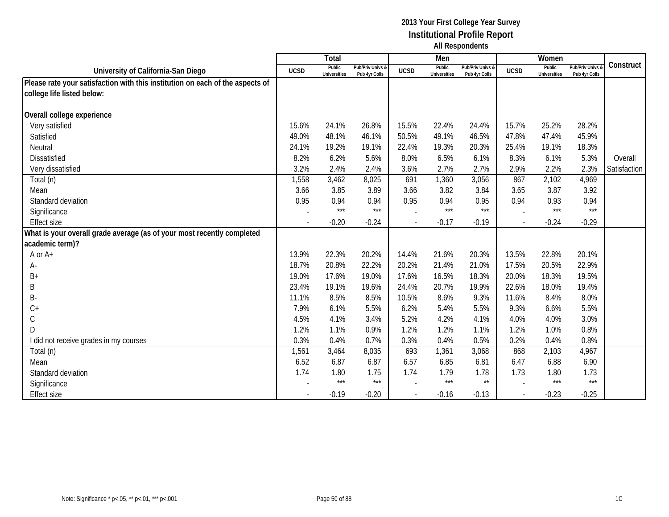|                                                                               |             | Total                         |                                   |                          | Men                           |                                   |             | Women                         |                                        |              |
|-------------------------------------------------------------------------------|-------------|-------------------------------|-----------------------------------|--------------------------|-------------------------------|-----------------------------------|-------------|-------------------------------|----------------------------------------|--------------|
| University of California-San Diego                                            | <b>UCSD</b> | Public<br><b>Universities</b> | Pub/Priv Univs &<br>Pub 4yr Colls | <b>UCSD</b>              | Public<br><b>Universities</b> | Pub/Priv Univs &<br>Pub 4yr Colls | <b>UCSD</b> | Public<br><b>Universities</b> | <b>Pub/Priv Univs</b><br>Pub 4yr Colls | Construct    |
| Please rate your satisfaction with this institution on each of the aspects of |             |                               |                                   |                          |                               |                                   |             |                               |                                        |              |
| college life listed below:                                                    |             |                               |                                   |                          |                               |                                   |             |                               |                                        |              |
|                                                                               |             |                               |                                   |                          |                               |                                   |             |                               |                                        |              |
| Overall college experience                                                    |             |                               |                                   |                          |                               |                                   |             |                               |                                        |              |
| Very satisfied                                                                | 15.6%       | 24.1%                         | 26.8%                             | 15.5%                    | 22.4%                         | 24.4%                             | 15.7%       | 25.2%                         | 28.2%                                  |              |
| Satisfied                                                                     | 49.0%       | 48.1%                         | 46.1%                             | 50.5%                    | 49.1%                         | 46.5%                             | 47.8%       | 47.4%                         | 45.9%                                  |              |
| Neutral                                                                       | 24.1%       | 19.2%                         | 19.1%                             | 22.4%                    | 19.3%                         | 20.3%                             | 25.4%       | 19.1%                         | 18.3%                                  |              |
| Dissatisfied                                                                  | 8.2%        | 6.2%                          | 5.6%                              | 8.0%                     | 6.5%                          | 6.1%                              | 8.3%        | 6.1%                          | 5.3%                                   | Overall      |
| Very dissatisfied                                                             | 3.2%        | 2.4%                          | 2.4%                              | 3.6%                     | 2.7%                          | 2.7%                              | 2.9%        | 2.2%                          | 2.3%                                   | Satisfaction |
| Total (n)                                                                     | 1,558       | 3,462                         | 8,025                             | 691                      | 1,360                         | 3,056                             | 867         | 2,102                         | 4,969                                  |              |
| Mean                                                                          | 3.66        | 3.85                          | 3.89                              | 3.66                     | 3.82                          | 3.84                              | 3.65        | 3.87                          | 3.92                                   |              |
| Standard deviation                                                            | 0.95        | 0.94                          | 0.94                              | 0.95                     | 0.94                          | 0.95                              | 0.94        | 0.93                          | 0.94                                   |              |
| Significance                                                                  |             | ***                           | $***$                             |                          | $***$                         | $***$                             |             | $***$                         | $***$                                  |              |
| <b>Effect size</b>                                                            |             | $-0.20$                       | $-0.24$                           | $\overline{\phantom{a}}$ | $-0.17$                       | $-0.19$                           |             | $-0.24$                       | $-0.29$                                |              |
| What is your overall grade average (as of your most recently completed        |             |                               |                                   |                          |                               |                                   |             |                               |                                        |              |
| academic term)?                                                               |             |                               |                                   |                          |                               |                                   |             |                               |                                        |              |
| A or A+                                                                       | 13.9%       | 22.3%                         | 20.2%                             | 14.4%                    | 21.6%                         | 20.3%                             | 13.5%       | 22.8%                         | 20.1%                                  |              |
| А-                                                                            | 18.7%       | 20.8%                         | 22.2%                             | 20.2%                    | 21.4%                         | 21.0%                             | 17.5%       | 20.5%                         | 22.9%                                  |              |
| $B+$                                                                          | 19.0%       | 17.6%                         | 19.0%                             | 17.6%                    | 16.5%                         | 18.3%                             | 20.0%       | 18.3%                         | 19.5%                                  |              |
| Β                                                                             | 23.4%       | 19.1%                         | 19.6%                             | 24.4%                    | 20.7%                         | 19.9%                             | 22.6%       | 18.0%                         | 19.4%                                  |              |
| B-                                                                            | 11.1%       | 8.5%                          | 8.5%                              | 10.5%                    | 8.6%                          | 9.3%                              | 11.6%       | 8.4%                          | 8.0%                                   |              |
| $C +$                                                                         | 7.9%        | 6.1%                          | 5.5%                              | 6.2%                     | 5.4%                          | 5.5%                              | 9.3%        | 6.6%                          | 5.5%                                   |              |
| $\mathsf C$                                                                   | 4.5%        | 4.1%                          | 3.4%                              | 5.2%                     | 4.2%                          | 4.1%                              | 4.0%        | 4.0%                          | 3.0%                                   |              |
| D                                                                             | 1.2%        | 1.1%                          | 0.9%                              | 1.2%                     | 1.2%                          | 1.1%                              | 1.2%        | 1.0%                          | 0.8%                                   |              |
| I did not receive grades in my courses                                        | 0.3%        | 0.4%                          | 0.7%                              | 0.3%                     | 0.4%                          | 0.5%                              | 0.2%        | 0.4%                          | 0.8%                                   |              |
| Total (n)                                                                     | 1,561       | 3,464                         | 8,035                             | 693                      | 1,361                         | 3,068                             | 868         | 2,103                         | 4,967                                  |              |
| Mean                                                                          | 6.52        | 6.87                          | 6.87                              | 6.57                     | 6.85                          | 6.81                              | 6.47        | 6.88                          | 6.90                                   |              |
| Standard deviation                                                            | 1.74        | 1.80                          | 1.75                              | 1.74                     | 1.79                          | 1.78                              | 1.73        | 1.80                          | 1.73                                   |              |
| Significance                                                                  |             | $***$                         | $***$                             |                          | $***$                         | $\star\star$                      |             | $***$                         | $***$                                  |              |
| <b>Effect size</b>                                                            |             | $-0.19$                       | $-0.20$                           | $\blacksquare$           | $-0.16$                       | $-0.13$                           |             | $-0.23$                       | $-0.25$                                |              |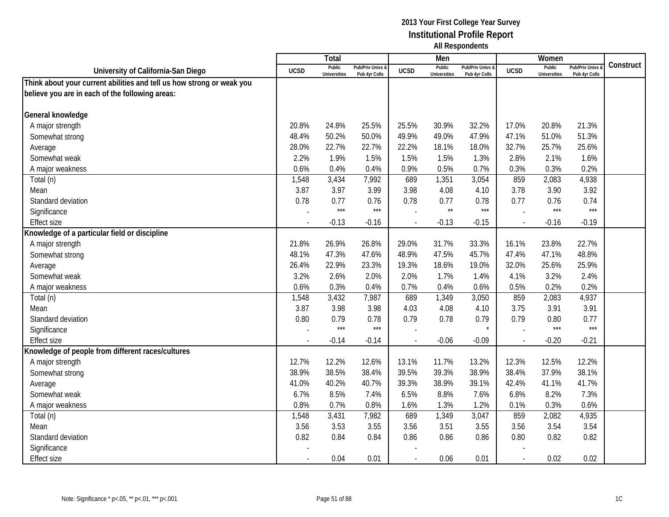|                                                                       |                          | <b>Total</b>                  |                                   |                | Men                           |                                   |                | Women                         |                                        |           |
|-----------------------------------------------------------------------|--------------------------|-------------------------------|-----------------------------------|----------------|-------------------------------|-----------------------------------|----------------|-------------------------------|----------------------------------------|-----------|
| University of California-San Diego                                    | <b>UCSD</b>              | Public<br><b>Universities</b> | Pub/Priv Univs &<br>Pub 4yr Colls | <b>UCSD</b>    | Public<br><b>Universities</b> | Pub/Priv Univs &<br>Pub 4yr Colls | <b>UCSD</b>    | Public<br><b>Universities</b> | <b>Pub/Priv Univs</b><br>Pub 4yr Colls | Construct |
| Think about your current abilities and tell us how strong or weak you |                          |                               |                                   |                |                               |                                   |                |                               |                                        |           |
| believe you are in each of the following areas:                       |                          |                               |                                   |                |                               |                                   |                |                               |                                        |           |
|                                                                       |                          |                               |                                   |                |                               |                                   |                |                               |                                        |           |
| General knowledge                                                     |                          |                               |                                   |                |                               |                                   |                |                               |                                        |           |
| A major strength                                                      | 20.8%                    | 24.8%                         | 25.5%                             | 25.5%          | 30.9%                         | 32.2%                             | 17.0%          | 20.8%                         | 21.3%                                  |           |
| Somewhat strong                                                       | 48.4%                    | 50.2%                         | 50.0%                             | 49.9%          | 49.0%                         | 47.9%                             | 47.1%          | 51.0%                         | 51.3%                                  |           |
| Average                                                               | 28.0%                    | 22.7%                         | 22.7%                             | 22.2%          | 18.1%                         | 18.0%                             | 32.7%          | 25.7%                         | 25.6%                                  |           |
| Somewhat weak                                                         | 2.2%                     | 1.9%                          | 1.5%                              | 1.5%           | 1.5%                          | 1.3%                              | 2.8%           | 2.1%                          | 1.6%                                   |           |
| A major weakness                                                      | 0.6%                     | 0.4%                          | 0.4%                              | 0.9%           | 0.5%                          | 0.7%                              | 0.3%           | 0.3%                          | 0.2%                                   |           |
| Total (n)                                                             | 1,548                    | 3,434                         | 7,992                             | 689            | 1,351                         | 3,054                             | 859            | 2,083                         | 4,938                                  |           |
| Mean                                                                  | 3.87                     | 3.97                          | 3.99                              | 3.98           | 4.08                          | 4.10                              | 3.78           | 3.90                          | 3.92                                   |           |
| Standard deviation                                                    | 0.78                     | 0.77                          | 0.76                              | 0.78           | 0.77                          | 0.78                              | 0.77           | 0.76                          | 0.74                                   |           |
| Significance                                                          |                          | $***$                         | $***$                             |                | $\star\star$                  | $***$                             |                | $***$                         | $***$                                  |           |
| <b>Effect size</b>                                                    |                          | $-0.13$                       | $-0.16$                           |                | $-0.13$                       | $-0.15$                           | $\sim$         | $-0.16$                       | $-0.19$                                |           |
| Knowledge of a particular field or discipline                         |                          |                               |                                   |                |                               |                                   |                |                               |                                        |           |
| A major strength                                                      | 21.8%                    | 26.9%                         | 26.8%                             | 29.0%          | 31.7%                         | 33.3%                             | 16.1%          | 23.8%                         | 22.7%                                  |           |
| Somewhat strong                                                       | 48.1%                    | 47.3%                         | 47.6%                             | 48.9%          | 47.5%                         | 45.7%                             | 47.4%          | 47.1%                         | 48.8%                                  |           |
| Average                                                               | 26.4%                    | 22.9%                         | 23.3%                             | 19.3%          | 18.6%                         | 19.0%                             | 32.0%          | 25.6%                         | 25.9%                                  |           |
| Somewhat weak                                                         | 3.2%                     | 2.6%                          | 2.0%                              | 2.0%           | 1.7%                          | 1.4%                              | 4.1%           | 3.2%                          | 2.4%                                   |           |
| A major weakness                                                      | 0.6%                     | 0.3%                          | 0.4%                              | 0.7%           | 0.4%                          | 0.6%                              | 0.5%           | 0.2%                          | 0.2%                                   |           |
| Total (n)                                                             | 1,548                    | 3,432                         | 7,987                             | 689            | 1,349                         | 3,050                             | 859            | 2,083                         | 4,937                                  |           |
| Mean                                                                  | 3.87                     | 3.98                          | 3.98                              | 4.03           | 4.08                          | 4.10                              | 3.75           | 3.91                          | 3.91                                   |           |
| Standard deviation                                                    | 0.80                     | 0.79                          | 0.78                              | 0.79           | 0.78                          | 0.79                              | 0.79           | 0.80                          | 0.77                                   |           |
| Significance                                                          |                          | $***$                         | $***$                             |                |                               |                                   |                | $***$                         | $***$                                  |           |
| <b>Effect size</b>                                                    |                          | $-0.14$                       | $-0.14$                           |                | $-0.06$                       | $-0.09$                           | $\overline{a}$ | $-0.20$                       | $-0.21$                                |           |
| Knowledge of people from different races/cultures                     |                          |                               |                                   |                |                               |                                   |                |                               |                                        |           |
| A major strength                                                      | 12.7%                    | 12.2%                         | 12.6%                             | 13.1%          | 11.7%                         | 13.2%                             | 12.3%          | 12.5%                         | 12.2%                                  |           |
| Somewhat strong                                                       | 38.9%                    | 38.5%                         | 38.4%                             | 39.5%          | 39.3%                         | 38.9%                             | 38.4%          | 37.9%                         | 38.1%                                  |           |
| Average                                                               | 41.0%                    | 40.2%                         | 40.7%                             | 39.3%          | 38.9%                         | 39.1%                             | 42.4%          | 41.1%                         | 41.7%                                  |           |
| Somewhat weak                                                         | 6.7%                     | 8.5%                          | 7.4%                              | 6.5%           | 8.8%                          | 7.6%                              | 6.8%           | 8.2%                          | 7.3%                                   |           |
| A major weakness                                                      | 0.8%                     | 0.7%                          | 0.8%                              | 1.6%           | 1.3%                          | 1.2%                              | 0.1%           | 0.3%                          | 0.6%                                   |           |
| Total (n)                                                             | 1,548                    | 3,431                         | 7,982                             | 689            | 1,349                         | 3,047                             | 859            | 2,082                         | 4,935                                  |           |
| Mean                                                                  | 3.56                     | 3.53                          | 3.55                              | 3.56           | 3.51                          | 3.55                              | 3.56           | 3.54                          | 3.54                                   |           |
| Standard deviation                                                    | 0.82                     | 0.84                          | 0.84                              | 0.86           | 0.86                          | 0.86                              | 0.80           | 0.82                          | 0.82                                   |           |
| Significance                                                          |                          |                               |                                   |                |                               |                                   |                |                               |                                        |           |
| <b>Effect size</b>                                                    | $\overline{\phantom{a}}$ | 0.04                          | 0.01                              | $\overline{a}$ | 0.06                          | 0.01                              | $\sim$         | 0.02                          | 0.02                                   |           |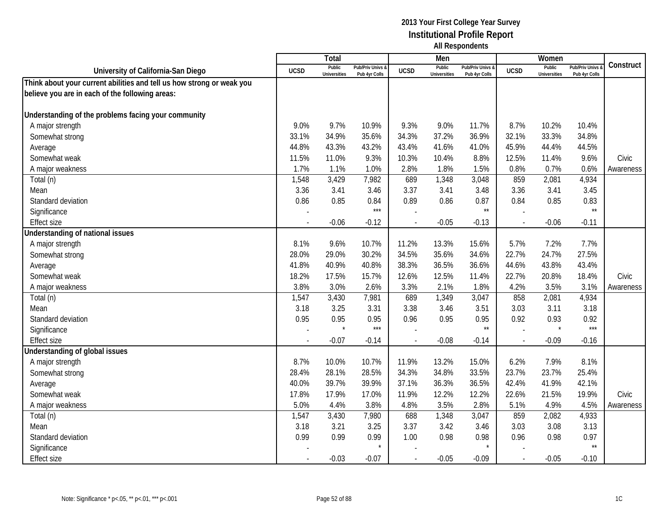|                                                                       |             | Total                         |                                   |                          | Men                           |                                   |                          | Women                         |                                        |           |
|-----------------------------------------------------------------------|-------------|-------------------------------|-----------------------------------|--------------------------|-------------------------------|-----------------------------------|--------------------------|-------------------------------|----------------------------------------|-----------|
| University of California-San Diego                                    | <b>UCSD</b> | Public<br><b>Universities</b> | Pub/Priv Univs &<br>Pub 4yr Colls | <b>UCSD</b>              | Public<br><b>Universities</b> | Pub/Priv Univs &<br>Pub 4yr Colls | <b>UCSD</b>              | Public<br><b>Universities</b> | <b>Pub/Priv Univs</b><br>Pub 4yr Colls | Construct |
| Think about your current abilities and tell us how strong or weak you |             |                               |                                   |                          |                               |                                   |                          |                               |                                        |           |
| believe you are in each of the following areas:                       |             |                               |                                   |                          |                               |                                   |                          |                               |                                        |           |
|                                                                       |             |                               |                                   |                          |                               |                                   |                          |                               |                                        |           |
| Understanding of the problems facing your community                   |             |                               |                                   |                          |                               |                                   |                          |                               |                                        |           |
| A major strength                                                      | 9.0%        | 9.7%                          | 10.9%                             | 9.3%                     | 9.0%                          | 11.7%                             | 8.7%                     | 10.2%                         | 10.4%                                  |           |
| Somewhat strong                                                       | 33.1%       | 34.9%                         | 35.6%                             | 34.3%                    | 37.2%                         | 36.9%                             | 32.1%                    | 33.3%                         | 34.8%                                  |           |
| Average                                                               | 44.8%       | 43.3%                         | 43.2%                             | 43.4%                    | 41.6%                         | 41.0%                             | 45.9%                    | 44.4%                         | 44.5%                                  |           |
| Somewhat weak                                                         | 11.5%       | 11.0%                         | 9.3%                              | 10.3%                    | 10.4%                         | 8.8%                              | 12.5%                    | 11.4%                         | 9.6%                                   | Civic     |
| A major weakness                                                      | 1.7%        | 1.1%                          | 1.0%                              | 2.8%                     | 1.8%                          | 1.5%                              | 0.8%                     | 0.7%                          | 0.6%                                   | Awareness |
| Total (n)                                                             | 1,548       | 3,429                         | 7,982                             | 689                      | 1,348                         | 3,048                             | 859                      | 2,081                         | 4,934                                  |           |
| Mean                                                                  | 3.36        | 3.41                          | 3.46                              | 3.37                     | 3.41                          | 3.48                              | 3.36                     | 3.41                          | 3.45                                   |           |
| Standard deviation                                                    | 0.86        | 0.85                          | 0.84                              | 0.89                     | 0.86                          | 0.87                              | 0.84                     | 0.85                          | 0.83                                   |           |
| Significance                                                          |             |                               | $***$                             |                          |                               | $\star\star$                      |                          |                               | $\star\star$                           |           |
| <b>Effect size</b>                                                    |             | $-0.06$                       | $-0.12$                           |                          | $-0.05$                       | $-0.13$                           | $\overline{\phantom{a}}$ | $-0.06$                       | $-0.11$                                |           |
| Understanding of national issues                                      |             |                               |                                   |                          |                               |                                   |                          |                               |                                        |           |
| A major strength                                                      | 8.1%        | 9.6%                          | 10.7%                             | 11.2%                    | 13.3%                         | 15.6%                             | 5.7%                     | 7.2%                          | 7.7%                                   |           |
| Somewhat strong                                                       | 28.0%       | 29.0%                         | 30.2%                             | 34.5%                    | 35.6%                         | 34.6%                             | 22.7%                    | 24.7%                         | 27.5%                                  |           |
| Average                                                               | 41.8%       | 40.9%                         | 40.8%                             | 38.3%                    | 36.5%                         | 36.6%                             | 44.6%                    | 43.8%                         | 43.4%                                  |           |
| Somewhat weak                                                         | 18.2%       | 17.5%                         | 15.7%                             | 12.6%                    | 12.5%                         | 11.4%                             | 22.7%                    | 20.8%                         | 18.4%                                  | Civic     |
| A major weakness                                                      | 3.8%        | 3.0%                          | 2.6%                              | 3.3%                     | 2.1%                          | 1.8%                              | 4.2%                     | 3.5%                          | 3.1%                                   | Awareness |
| Total (n)                                                             | 1,547       | 3,430                         | 7,981                             | 689                      | 1,349                         | 3,047                             | 858                      | 2,081                         | 4,934                                  |           |
| Mean                                                                  | 3.18        | 3.25                          | 3.31                              | 3.38                     | 3.46                          | 3.51                              | 3.03                     | 3.11                          | 3.18                                   |           |
| Standard deviation                                                    | 0.95        | 0.95                          | 0.95                              | 0.96                     | 0.95                          | 0.95                              | 0.92                     | 0.93                          | 0.92                                   |           |
| Significance                                                          |             |                               | $***$                             |                          |                               | $\star\star$                      |                          | $\star$                       | ***                                    |           |
| <b>Effect size</b>                                                    |             | $-0.07$                       | $-0.14$                           |                          | $-0.08$                       | $-0.14$                           | $\sim$                   | $-0.09$                       | $-0.16$                                |           |
| Understanding of global issues                                        |             |                               |                                   |                          |                               |                                   |                          |                               |                                        |           |
| A major strength                                                      | 8.7%        | 10.0%                         | 10.7%                             | 11.9%                    | 13.2%                         | 15.0%                             | 6.2%                     | 7.9%                          | 8.1%                                   |           |
| Somewhat strong                                                       | 28.4%       | 28.1%                         | 28.5%                             | 34.3%                    | 34.8%                         | 33.5%                             | 23.7%                    | 23.7%                         | 25.4%                                  |           |
| Average                                                               | 40.0%       | 39.7%                         | 39.9%                             | 37.1%                    | 36.3%                         | 36.5%                             | 42.4%                    | 41.9%                         | 42.1%                                  |           |
| Somewhat weak                                                         | 17.8%       | 17.9%                         | 17.0%                             | 11.9%                    | 12.2%                         | 12.2%                             | 22.6%                    | 21.5%                         | 19.9%                                  | Civic     |
| A major weakness                                                      | 5.0%        | 4.4%                          | 3.8%                              | 4.8%                     | 3.5%                          | 2.8%                              | 5.1%                     | 4.9%                          | 4.5%                                   | Awareness |
| Total (n)                                                             | 1,547       | 3,430                         | 7,980                             | 688                      | 1,348                         | 3,047                             | 859                      | 2,082                         | 4,933                                  |           |
| Mean                                                                  | 3.18        | 3.21                          | 3.25                              | 3.37                     | 3.42                          | 3.46                              | 3.03                     | 3.08                          | 3.13                                   |           |
| Standard deviation                                                    | 0.99        | 0.99                          | 0.99                              | 1.00                     | 0.98                          | 0.98                              | 0.96                     | 0.98                          | 0.97                                   |           |
| Significance                                                          |             |                               |                                   |                          |                               |                                   |                          |                               | $\star\star$                           |           |
| <b>Effect size</b>                                                    |             | $-0.03$                       | $-0.07$                           | $\overline{\phantom{a}}$ | $-0.05$                       | $-0.09$                           | $\sim$                   | $-0.05$                       | $-0.10$                                |           |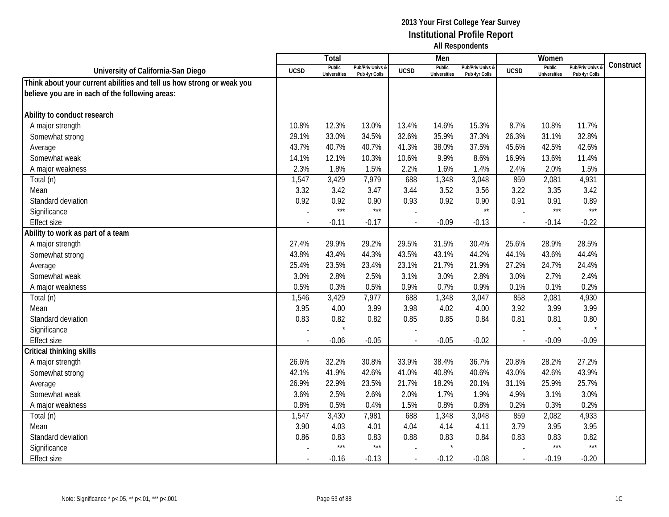|                                                                       |             | <b>Total</b>                  |                                   |                | Men                           |                                   |                          | Women                         |                                        |           |
|-----------------------------------------------------------------------|-------------|-------------------------------|-----------------------------------|----------------|-------------------------------|-----------------------------------|--------------------------|-------------------------------|----------------------------------------|-----------|
| University of California-San Diego                                    | <b>UCSD</b> | Public<br><b>Universities</b> | Pub/Priv Univs &<br>Pub 4yr Colls | <b>UCSD</b>    | Public<br><b>Universities</b> | Pub/Priv Univs &<br>Pub 4yr Colls | <b>UCSD</b>              | Public<br><b>Universities</b> | <b>Pub/Priv Univs</b><br>Pub 4yr Colls | Construct |
| Think about your current abilities and tell us how strong or weak you |             |                               |                                   |                |                               |                                   |                          |                               |                                        |           |
| believe you are in each of the following areas:                       |             |                               |                                   |                |                               |                                   |                          |                               |                                        |           |
|                                                                       |             |                               |                                   |                |                               |                                   |                          |                               |                                        |           |
| Ability to conduct research                                           |             |                               |                                   |                |                               |                                   |                          |                               |                                        |           |
| A major strength                                                      | 10.8%       | 12.3%                         | 13.0%                             | 13.4%          | 14.6%                         | 15.3%                             | 8.7%                     | 10.8%                         | 11.7%                                  |           |
| Somewhat strong                                                       | 29.1%       | 33.0%                         | 34.5%                             | 32.6%          | 35.9%                         | 37.3%                             | 26.3%                    | 31.1%                         | 32.8%                                  |           |
| Average                                                               | 43.7%       | 40.7%                         | 40.7%                             | 41.3%          | 38.0%                         | 37.5%                             | 45.6%                    | 42.5%                         | 42.6%                                  |           |
| Somewhat weak                                                         | 14.1%       | 12.1%                         | 10.3%                             | 10.6%          | 9.9%                          | 8.6%                              | 16.9%                    | 13.6%                         | 11.4%                                  |           |
| A major weakness                                                      | 2.3%        | 1.8%                          | 1.5%                              | 2.2%           | 1.6%                          | 1.4%                              | 2.4%                     | 2.0%                          | 1.5%                                   |           |
| Total (n)                                                             | 1,547       | 3,429                         | 7,979                             | 688            | 1,348                         | 3,048                             | 859                      | 2,081                         | 4,931                                  |           |
| Mean                                                                  | 3.32        | 3.42                          | 3.47                              | 3.44           | 3.52                          | 3.56                              | 3.22                     | 3.35                          | 3.42                                   |           |
| Standard deviation                                                    | 0.92        | 0.92                          | 0.90                              | 0.93           | 0.92                          | 0.90                              | 0.91                     | 0.91                          | 0.89                                   |           |
| Significance                                                          |             | $***$                         | $***$                             |                |                               | $\star\star$                      |                          | $***$                         | $***$                                  |           |
| <b>Effect size</b>                                                    |             | $-0.11$                       | $-0.17$                           | $\blacksquare$ | $-0.09$                       | $-0.13$                           |                          | $-0.14$                       | $-0.22$                                |           |
| Ability to work as part of a team                                     |             |                               |                                   |                |                               |                                   |                          |                               |                                        |           |
| A major strength                                                      | 27.4%       | 29.9%                         | 29.2%                             | 29.5%          | 31.5%                         | 30.4%                             | 25.6%                    | 28.9%                         | 28.5%                                  |           |
| Somewhat strong                                                       | 43.8%       | 43.4%                         | 44.3%                             | 43.5%          | 43.1%                         | 44.2%                             | 44.1%                    | 43.6%                         | 44.4%                                  |           |
| Average                                                               | 25.4%       | 23.5%                         | 23.4%                             | 23.1%          | 21.7%                         | 21.9%                             | 27.2%                    | 24.7%                         | 24.4%                                  |           |
| Somewhat weak                                                         | 3.0%        | 2.8%                          | 2.5%                              | 3.1%           | 3.0%                          | 2.8%                              | 3.0%                     | 2.7%                          | 2.4%                                   |           |
| A major weakness                                                      | 0.5%        | 0.3%                          | 0.5%                              | 0.9%           | 0.7%                          | 0.9%                              | 0.1%                     | 0.1%                          | 0.2%                                   |           |
| Total (n)                                                             | 1,546       | 3,429                         | 7,977                             | 688            | 1,348                         | 3,047                             | 858                      | 2,081                         | 4,930                                  |           |
| Mean                                                                  | 3.95        | 4.00                          | 3.99                              | 3.98           | 4.02                          | 4.00                              | 3.92                     | 3.99                          | 3.99                                   |           |
| Standard deviation                                                    | 0.83        | 0.82                          | 0.82                              | 0.85           | 0.85                          | 0.84                              | 0.81                     | 0.81                          | 0.80                                   |           |
| Significance                                                          |             | $\star$                       |                                   |                |                               |                                   |                          | $\star$                       | $\star$                                |           |
| <b>Effect size</b>                                                    |             | $-0.06$                       | $-0.05$                           |                | $-0.05$                       | $-0.02$                           | $\overline{a}$           | $-0.09$                       | $-0.09$                                |           |
| Critical thinking skills                                              |             |                               |                                   |                |                               |                                   |                          |                               |                                        |           |
| A major strength                                                      | 26.6%       | 32.2%                         | 30.8%                             | 33.9%          | 38.4%                         | 36.7%                             | 20.8%                    | 28.2%                         | 27.2%                                  |           |
| Somewhat strong                                                       | 42.1%       | 41.9%                         | 42.6%                             | 41.0%          | 40.8%                         | 40.6%                             | 43.0%                    | 42.6%                         | 43.9%                                  |           |
| Average                                                               | 26.9%       | 22.9%                         | 23.5%                             | 21.7%          | 18.2%                         | 20.1%                             | 31.1%                    | 25.9%                         | 25.7%                                  |           |
| Somewhat weak                                                         | 3.6%        | 2.5%                          | 2.6%                              | 2.0%           | 1.7%                          | 1.9%                              | 4.9%                     | 3.1%                          | 3.0%                                   |           |
| A major weakness                                                      | 0.8%        | 0.5%                          | 0.4%                              | 1.5%           | 0.8%                          | 0.8%                              | 0.2%                     | 0.3%                          | 0.2%                                   |           |
| Total (n)                                                             | 1,547       | 3,430                         | 7,981                             | 688            | 1,348                         | 3,048                             | 859                      | 2,082                         | 4,933                                  |           |
| Mean                                                                  | 3.90        | 4.03                          | 4.01                              | 4.04           | 4.14                          | 4.11                              | 3.79                     | 3.95                          | 3.95                                   |           |
| Standard deviation                                                    | 0.86        | 0.83                          | 0.83                              | 0.88           | 0.83                          | 0.84                              | 0.83                     | 0.83                          | 0.82                                   |           |
| Significance                                                          |             | $***$                         | $***$                             |                |                               |                                   |                          | $***$                         | $***$                                  |           |
| <b>Effect size</b>                                                    |             | $-0.16$                       | $-0.13$                           | $\blacksquare$ | $-0.12$                       | $-0.08$                           | $\overline{\phantom{a}}$ | $-0.19$                       | $-0.20$                                |           |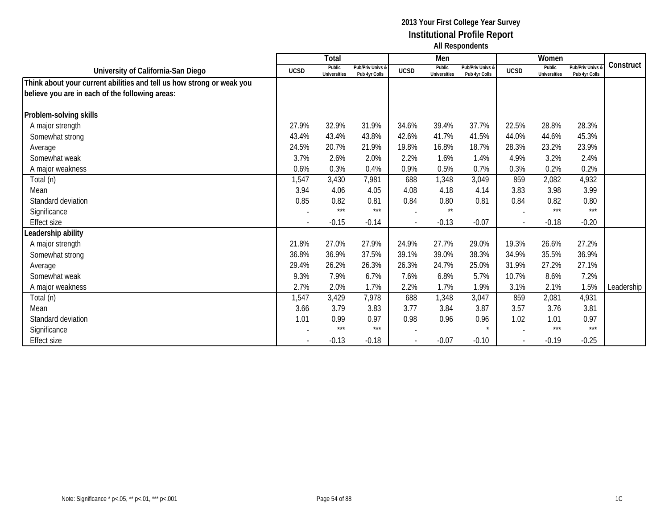|                                                                       |                          | Total                         |                                   |                          | Men                           |                                   |                          | Women                         |                                   |            |
|-----------------------------------------------------------------------|--------------------------|-------------------------------|-----------------------------------|--------------------------|-------------------------------|-----------------------------------|--------------------------|-------------------------------|-----------------------------------|------------|
| University of California-San Diego                                    | <b>UCSD</b>              | Public<br><b>Universities</b> | Pub/Priv Univs &<br>Pub 4yr Colls | <b>UCSD</b>              | Public<br><b>Universities</b> | Pub/Priv Univs &<br>Pub 4yr Colls | <b>UCSD</b>              | Public<br><b>Universities</b> | Pub/Priv Univs &<br>Pub 4yr Colls | Construct  |
| Think about your current abilities and tell us how strong or weak you |                          |                               |                                   |                          |                               |                                   |                          |                               |                                   |            |
| believe you are in each of the following areas:                       |                          |                               |                                   |                          |                               |                                   |                          |                               |                                   |            |
| Problem-solving skills                                                |                          |                               |                                   |                          |                               |                                   |                          |                               |                                   |            |
| A major strength                                                      | 27.9%                    | 32.9%                         | 31.9%                             | 34.6%                    | 39.4%                         | 37.7%                             | 22.5%                    | 28.8%                         | 28.3%                             |            |
| Somewhat strong                                                       | 43.4%                    | 43.4%                         | 43.8%                             | 42.6%                    | 41.7%                         | 41.5%                             | 44.0%                    | 44.6%                         | 45.3%                             |            |
| Average                                                               | 24.5%                    | 20.7%                         | 21.9%                             | 19.8%                    | 16.8%                         | 18.7%                             | 28.3%                    | 23.2%                         | 23.9%                             |            |
| Somewhat weak                                                         | 3.7%                     | 2.6%                          | 2.0%                              | 2.2%                     | 1.6%                          | 1.4%                              | 4.9%                     | 3.2%                          | 2.4%                              |            |
| A major weakness                                                      | 0.6%                     | 0.3%                          | 0.4%                              | 0.9%                     | 0.5%                          | 0.7%                              | 0.3%                     | 0.2%                          | 0.2%                              |            |
| Total (n)                                                             | 1,547                    | 3,430                         | 7,981                             | 688                      | 1,348                         | 3,049                             | 859                      | 2,082                         | 4,932                             |            |
| Mean                                                                  | 3.94                     | 4.06                          | 4.05                              | 4.08                     | 4.18                          | 4.14                              | 3.83                     | 3.98                          | 3.99                              |            |
| Standard deviation                                                    | 0.85                     | 0.82                          | 0.81                              | 0.84                     | 0.80                          | 0.81                              | 0.84                     | 0.82                          | 0.80                              |            |
| Significance                                                          |                          | $***$                         | ***                               |                          | $***$                         |                                   |                          | $***$                         | $***$                             |            |
| <b>Effect size</b>                                                    | $\overline{\phantom{a}}$ | $-0.15$                       | $-0.14$                           | $\overline{\phantom{a}}$ | $-0.13$                       | $-0.07$                           | $\overline{\phantom{a}}$ | $-0.18$                       | $-0.20$                           |            |
| Leadership ability                                                    |                          |                               |                                   |                          |                               |                                   |                          |                               |                                   |            |
| A major strength                                                      | 21.8%                    | 27.0%                         | 27.9%                             | 24.9%                    | 27.7%                         | 29.0%                             | 19.3%                    | 26.6%                         | 27.2%                             |            |
| Somewhat strong                                                       | 36.8%                    | 36.9%                         | 37.5%                             | 39.1%                    | 39.0%                         | 38.3%                             | 34.9%                    | 35.5%                         | 36.9%                             |            |
| Average                                                               | 29.4%                    | 26.2%                         | 26.3%                             | 26.3%                    | 24.7%                         | 25.0%                             | 31.9%                    | 27.2%                         | 27.1%                             |            |
| Somewhat weak                                                         | 9.3%                     | 7.9%                          | 6.7%                              | 7.6%                     | 6.8%                          | 5.7%                              | 10.7%                    | 8.6%                          | 7.2%                              |            |
| A major weakness                                                      | 2.7%                     | 2.0%                          | 1.7%                              | 2.2%                     | 1.7%                          | 1.9%                              | 3.1%                     | 2.1%                          | 1.5%                              | Leadership |
| Total (n)                                                             | 1,547                    | 3,429                         | 7,978                             | 688                      | 1,348                         | 3,047                             | 859                      | 2,081                         | 4,931                             |            |
| Mean                                                                  | 3.66                     | 3.79                          | 3.83                              | 3.77                     | 3.84                          | 3.87                              | 3.57                     | 3.76                          | 3.81                              |            |
| Standard deviation                                                    | 1.01                     | 0.99                          | 0.97                              | 0.98                     | 0.96                          | 0.96                              | 1.02                     | 1.01                          | 0.97                              |            |
| Significance                                                          |                          | ***                           | $***$                             |                          |                               |                                   |                          | $***$                         | $***$                             |            |
| <b>Effect size</b>                                                    |                          | $-0.13$                       | $-0.18$                           |                          | $-0.07$                       | $-0.10$                           |                          | $-0.19$                       | $-0.25$                           |            |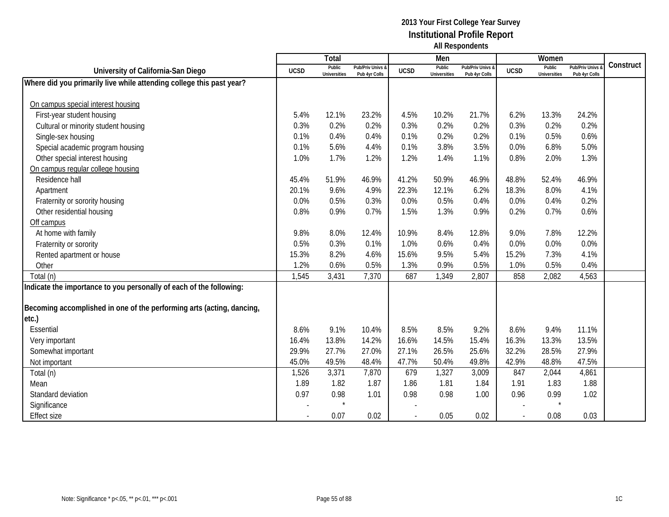|                                                                       |             | <b>Total</b>                  |                                   |             | Men                           |                                   |             | Women                         |                                        |           |
|-----------------------------------------------------------------------|-------------|-------------------------------|-----------------------------------|-------------|-------------------------------|-----------------------------------|-------------|-------------------------------|----------------------------------------|-----------|
| University of California-San Diego                                    | <b>UCSD</b> | Public<br><b>Universities</b> | Pub/Priv Univs &<br>Pub 4yr Colls | <b>UCSD</b> | Public<br><b>Universities</b> | Pub/Priv Univs &<br>Pub 4yr Colls | <b>UCSD</b> | Public<br><b>Universities</b> | <b>Pub/Priv Univs</b><br>Pub 4yr Colls | Construct |
| Where did you primarily live while attending college this past year?  |             |                               |                                   |             |                               |                                   |             |                               |                                        |           |
|                                                                       |             |                               |                                   |             |                               |                                   |             |                               |                                        |           |
| On campus special interest housing                                    |             |                               |                                   |             |                               |                                   |             |                               |                                        |           |
| First-year student housing                                            | 5.4%        | 12.1%                         | 23.2%                             | 4.5%        | 10.2%                         | 21.7%                             | 6.2%        | 13.3%                         | 24.2%                                  |           |
| Cultural or minority student housing                                  | 0.3%        | 0.2%                          | 0.2%                              | 0.3%        | 0.2%                          | 0.2%                              | 0.3%        | 0.2%                          | 0.2%                                   |           |
| Single-sex housing                                                    | 0.1%        | 0.4%                          | 0.4%                              | 0.1%        | 0.2%                          | 0.2%                              | 0.1%        | 0.5%                          | 0.6%                                   |           |
| Special academic program housing                                      | 0.1%        | 5.6%                          | 4.4%                              | 0.1%        | 3.8%                          | 3.5%                              | 0.0%        | 6.8%                          | 5.0%                                   |           |
| Other special interest housing                                        | 1.0%        | 1.7%                          | 1.2%                              | 1.2%        | 1.4%                          | 1.1%                              | 0.8%        | 2.0%                          | 1.3%                                   |           |
| On campus regular college housing                                     |             |                               |                                   |             |                               |                                   |             |                               |                                        |           |
| Residence hall                                                        | 45.4%       | 51.9%                         | 46.9%                             | 41.2%       | 50.9%                         | 46.9%                             | 48.8%       | 52.4%                         | 46.9%                                  |           |
| Apartment                                                             | 20.1%       | 9.6%                          | 4.9%                              | 22.3%       | 12.1%                         | 6.2%                              | 18.3%       | 8.0%                          | 4.1%                                   |           |
| Fraternity or sorority housing                                        | 0.0%        | 0.5%                          | 0.3%                              | 0.0%        | 0.5%                          | 0.4%                              | 0.0%        | 0.4%                          | 0.2%                                   |           |
| Other residential housing                                             | 0.8%        | 0.9%                          | 0.7%                              | 1.5%        | 1.3%                          | 0.9%                              | 0.2%        | 0.7%                          | 0.6%                                   |           |
| Off campus                                                            |             |                               |                                   |             |                               |                                   |             |                               |                                        |           |
| At home with family                                                   | 9.8%        | 8.0%                          | 12.4%                             | 10.9%       | 8.4%                          | 12.8%                             | 9.0%        | 7.8%                          | 12.2%                                  |           |
| Fraternity or sorority                                                | 0.5%        | 0.3%                          | 0.1%                              | 1.0%        | 0.6%                          | 0.4%                              | 0.0%        | 0.0%                          | 0.0%                                   |           |
| Rented apartment or house                                             | 15.3%       | 8.2%                          | 4.6%                              | 15.6%       | 9.5%                          | 5.4%                              | 15.2%       | 7.3%                          | 4.1%                                   |           |
| Other                                                                 | 1.2%        | 0.6%                          | 0.5%                              | 1.3%        | 0.9%                          | 0.5%                              | 1.0%        | 0.5%                          | 0.4%                                   |           |
| Total (n)                                                             | 1,545       | 3,431                         | 7,370                             | 687         | 1,349                         | 2,807                             | 858         | 2,082                         | 4,563                                  |           |
| Indicate the importance to you personally of each of the following:   |             |                               |                                   |             |                               |                                   |             |                               |                                        |           |
|                                                                       |             |                               |                                   |             |                               |                                   |             |                               |                                        |           |
| Becoming accomplished in one of the performing arts (acting, dancing, |             |                               |                                   |             |                               |                                   |             |                               |                                        |           |
| etc.)                                                                 |             |                               |                                   |             |                               |                                   |             |                               |                                        |           |
| Essential                                                             | 8.6%        | 9.1%                          | 10.4%                             | 8.5%        | 8.5%                          | 9.2%                              | 8.6%        | 9.4%                          | 11.1%                                  |           |
| Very important                                                        | 16.4%       | 13.8%                         | 14.2%                             | 16.6%       | 14.5%                         | 15.4%                             | 16.3%       | 13.3%                         | 13.5%                                  |           |
| Somewhat important                                                    | 29.9%       | 27.7%                         | 27.0%                             | 27.1%       | 26.5%                         | 25.6%                             | 32.2%       | 28.5%                         | 27.9%                                  |           |
| Not important                                                         | 45.0%       | 49.5%                         | 48.4%                             | 47.7%       | 50.4%                         | 49.8%                             | 42.9%       | 48.8%                         | 47.5%                                  |           |
| Total (n)                                                             | 1,526       | 3,371                         | 7,870                             | 679         | 1,327                         | 3,009                             | 847         | 2,044                         | 4,861                                  |           |
| Mean                                                                  | 1.89        | 1.82                          | 1.87                              | 1.86        | 1.81                          | 1.84                              | 1.91        | 1.83                          | 1.88                                   |           |
| Standard deviation                                                    | 0.97        | 0.98                          | 1.01                              | 0.98        | 0.98                          | 1.00                              | 0.96        | 0.99                          | 1.02                                   |           |
| Significance                                                          |             |                               |                                   |             |                               |                                   |             | $\star$                       |                                        |           |
| <b>Effect size</b>                                                    |             | 0.07                          | 0.02                              |             | 0.05                          | 0.02                              |             | 0.08                          | 0.03                                   |           |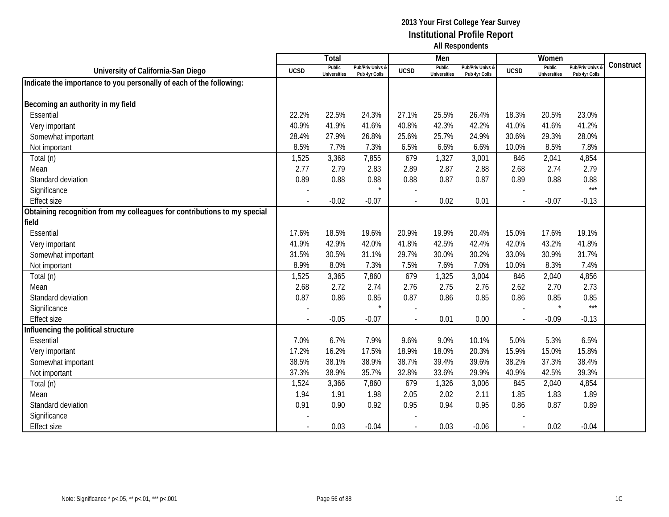|                                                                          |                | Total                         |                                   |                          | Men                           |                                 |             | Women                         |                                        |           |
|--------------------------------------------------------------------------|----------------|-------------------------------|-----------------------------------|--------------------------|-------------------------------|---------------------------------|-------------|-------------------------------|----------------------------------------|-----------|
| University of California-San Diego                                       | <b>UCSD</b>    | Public<br><b>Universities</b> | Pub/Priv Univs &<br>Pub 4yr Colls | <b>UCSD</b>              | Public<br><b>Universities</b> | Pub/Priv Univs<br>Pub 4yr Colls | <b>UCSD</b> | Public<br><b>Universities</b> | <b>Pub/Priv Univs</b><br>Pub 4yr Colls | Construct |
| Indicate the importance to you personally of each of the following:      |                |                               |                                   |                          |                               |                                 |             |                               |                                        |           |
|                                                                          |                |                               |                                   |                          |                               |                                 |             |                               |                                        |           |
| Becoming an authority in my field                                        |                |                               |                                   |                          |                               |                                 |             |                               |                                        |           |
| Essential                                                                | 22.2%          | 22.5%                         | 24.3%                             | 27.1%                    | 25.5%                         | 26.4%                           | 18.3%       | 20.5%                         | 23.0%                                  |           |
| Very important                                                           | 40.9%          | 41.9%                         | 41.6%                             | 40.8%                    | 42.3%                         | 42.2%                           | 41.0%       | 41.6%                         | 41.2%                                  |           |
| Somewhat important                                                       | 28.4%          | 27.9%                         | 26.8%                             | 25.6%                    | 25.7%                         | 24.9%                           | 30.6%       | 29.3%                         | 28.0%                                  |           |
| Not important                                                            | 8.5%           | 7.7%                          | 7.3%                              | 6.5%                     | 6.6%                          | 6.6%                            | 10.0%       | 8.5%                          | 7.8%                                   |           |
| Total (n)                                                                | 1,525          | 3,368                         | 7,855                             | 679                      | 1,327                         | 3,001                           | 846         | 2,041                         | 4,854                                  |           |
| Mean                                                                     | 2.77           | 2.79                          | 2.83                              | 2.89                     | 2.87                          | 2.88                            | 2.68        | 2.74                          | 2.79                                   |           |
| Standard deviation                                                       | 0.89           | 0.88                          | 0.88                              | 0.88                     | 0.87                          | 0.87                            | 0.89        | 0.88                          | 0.88                                   |           |
| Significance                                                             |                |                               | $\star$                           |                          |                               |                                 |             |                               | $***$                                  |           |
| <b>Effect size</b>                                                       |                | $-0.02$                       | $-0.07$                           | $\blacksquare$           | 0.02                          | 0.01                            |             | $-0.07$                       | $-0.13$                                |           |
| Obtaining recognition from my colleagues for contributions to my special |                |                               |                                   |                          |                               |                                 |             |                               |                                        |           |
| field                                                                    |                |                               |                                   |                          |                               |                                 |             |                               |                                        |           |
| Essential                                                                | 17.6%          | 18.5%                         | 19.6%                             | 20.9%                    | 19.9%                         | 20.4%                           | 15.0%       | 17.6%                         | 19.1%                                  |           |
| Very important                                                           | 41.9%          | 42.9%                         | 42.0%                             | 41.8%                    | 42.5%                         | 42.4%                           | 42.0%       | 43.2%                         | 41.8%                                  |           |
| Somewhat important                                                       | 31.5%          | 30.5%                         | 31.1%                             | 29.7%                    | 30.0%                         | 30.2%                           | 33.0%       | 30.9%                         | 31.7%                                  |           |
| Not important                                                            | 8.9%           | 8.0%                          | 7.3%                              | 7.5%                     | 7.6%                          | 7.0%                            | 10.0%       | 8.3%                          | 7.4%                                   |           |
| Total (n)                                                                | 1,525          | 3,365                         | 7,860                             | 679                      | 1,325                         | 3,004                           | 846         | 2,040                         | 4,856                                  |           |
| Mean                                                                     | 2.68           | 2.72                          | 2.74                              | 2.76                     | 2.75                          | 2.76                            | 2.62        | 2.70                          | 2.73                                   |           |
| Standard deviation                                                       | 0.87           | 0.86                          | 0.85                              | 0.87                     | 0.86                          | 0.85                            | 0.86        | 0.85                          | 0.85                                   |           |
| Significance                                                             |                |                               |                                   |                          |                               |                                 |             |                               | $***$                                  |           |
| <b>Effect size</b>                                                       | $\overline{a}$ | $-0.05$                       | $-0.07$                           | $\overline{a}$           | 0.01                          | 0.00                            |             | $-0.09$                       | $-0.13$                                |           |
| Influencing the political structure                                      |                |                               |                                   |                          |                               |                                 |             |                               |                                        |           |
| Essential                                                                | 7.0%           | 6.7%                          | 7.9%                              | 9.6%                     | 9.0%                          | 10.1%                           | 5.0%        | 5.3%                          | 6.5%                                   |           |
| Very important                                                           | 17.2%          | 16.2%                         | 17.5%                             | 18.9%                    | 18.0%                         | 20.3%                           | 15.9%       | 15.0%                         | 15.8%                                  |           |
| Somewhat important                                                       | 38.5%          | 38.1%                         | 38.9%                             | 38.7%                    | 39.4%                         | 39.6%                           | 38.2%       | 37.3%                         | 38.4%                                  |           |
| Not important                                                            | 37.3%          | 38.9%                         | 35.7%                             | 32.8%                    | 33.6%                         | 29.9%                           | 40.9%       | 42.5%                         | 39.3%                                  |           |
| Total (n)                                                                | 1,524          | 3,366                         | 7,860                             | 679                      | 1,326                         | 3,006                           | 845         | 2,040                         | 4,854                                  |           |
| Mean                                                                     | 1.94           | 1.91                          | 1.98                              | 2.05                     | 2.02                          | 2.11                            | 1.85        | 1.83                          | 1.89                                   |           |
| Standard deviation                                                       | 0.91           | 0.90                          | 0.92                              | 0.95                     | 0.94                          | 0.95                            | 0.86        | 0.87                          | 0.89                                   |           |
| Significance                                                             |                |                               |                                   |                          |                               |                                 |             |                               |                                        |           |
| <b>Effect size</b>                                                       |                | 0.03                          | $-0.04$                           | $\overline{\phantom{a}}$ | 0.03                          | $-0.06$                         |             | 0.02                          | $-0.04$                                |           |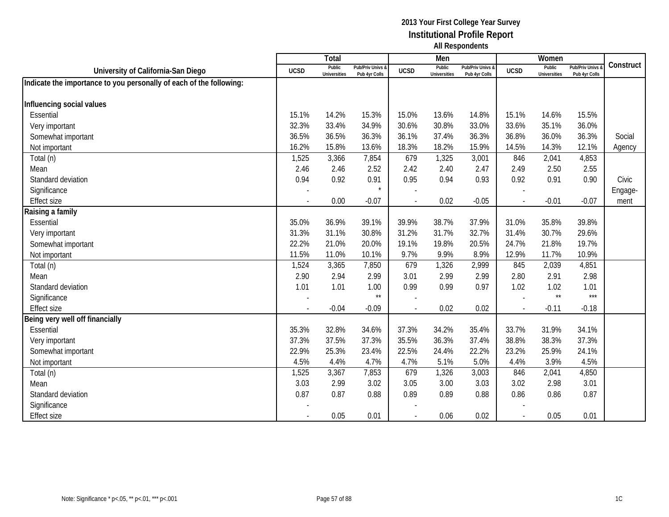|                                                                     |                          | Total                         |                                   |                          | Men                           |                                   |             | Women                  |                                        |           |
|---------------------------------------------------------------------|--------------------------|-------------------------------|-----------------------------------|--------------------------|-------------------------------|-----------------------------------|-------------|------------------------|----------------------------------------|-----------|
| University of California-San Diego                                  | <b>UCSD</b>              | Public<br><b>Universities</b> | Pub/Priv Univs &<br>Pub 4yr Colls | <b>UCSD</b>              | Public<br><b>Universities</b> | Pub/Priv Univs &<br>Pub 4yr Colls | <b>UCSD</b> | Public<br>Universities | <b>Pub/Priv Univs</b><br>Pub 4yr Colls | Construct |
| Indicate the importance to you personally of each of the following: |                          |                               |                                   |                          |                               |                                   |             |                        |                                        |           |
|                                                                     |                          |                               |                                   |                          |                               |                                   |             |                        |                                        |           |
| Influencing social values                                           |                          |                               |                                   |                          |                               |                                   |             |                        |                                        |           |
| Essential                                                           | 15.1%                    | 14.2%                         | 15.3%                             | 15.0%                    | 13.6%                         | 14.8%                             | 15.1%       | 14.6%                  | 15.5%                                  |           |
| Very important                                                      | 32.3%                    | 33.4%                         | 34.9%                             | 30.6%                    | 30.8%                         | 33.0%                             | 33.6%       | 35.1%                  | 36.0%                                  |           |
| Somewhat important                                                  | 36.5%                    | 36.5%                         | 36.3%                             | 36.1%                    | 37.4%                         | 36.3%                             | 36.8%       | 36.0%                  | 36.3%                                  | Social    |
| Not important                                                       | 16.2%                    | 15.8%                         | 13.6%                             | 18.3%                    | 18.2%                         | 15.9%                             | 14.5%       | 14.3%                  | 12.1%                                  | Agency    |
| Total (n)                                                           | 1,525                    | 3,366                         | 7,854                             | 679                      | 1,325                         | 3,001                             | 846         | 2,041                  | 4,853                                  |           |
| Mean                                                                | 2.46                     | 2.46                          | 2.52                              | 2.42                     | 2.40                          | 2.47                              | 2.49        | 2.50                   | 2.55                                   |           |
| Standard deviation                                                  | 0.94                     | 0.92                          | 0.91                              | 0.95                     | 0.94                          | 0.93                              | 0.92        | 0.91                   | 0.90                                   | Civic     |
| Significance                                                        |                          |                               | $\star$                           |                          |                               |                                   |             |                        |                                        | Engage-   |
| <b>Effect size</b>                                                  |                          | 0.00                          | $-0.07$                           |                          | 0.02                          | $-0.05$                           |             | $-0.01$                | $-0.07$                                | ment      |
| Raising a family                                                    |                          |                               |                                   |                          |                               |                                   |             |                        |                                        |           |
| Essential                                                           | 35.0%                    | 36.9%                         | 39.1%                             | 39.9%                    | 38.7%                         | 37.9%                             | 31.0%       | 35.8%                  | 39.8%                                  |           |
| Very important                                                      | 31.3%                    | 31.1%                         | 30.8%                             | 31.2%                    | 31.7%                         | 32.7%                             | 31.4%       | 30.7%                  | 29.6%                                  |           |
| Somewhat important                                                  | 22.2%                    | 21.0%                         | 20.0%                             | 19.1%                    | 19.8%                         | 20.5%                             | 24.7%       | 21.8%                  | 19.7%                                  |           |
| Not important                                                       | 11.5%                    | 11.0%                         | 10.1%                             | 9.7%                     | 9.9%                          | 8.9%                              | 12.9%       | 11.7%                  | 10.9%                                  |           |
| Total (n)                                                           | 1,524                    | 3,365                         | 7,850                             | 679                      | 1,326                         | 2,999                             | 845         | 2,039                  | 4,851                                  |           |
| Mean                                                                | 2.90                     | 2.94                          | 2.99                              | 3.01                     | 2.99                          | 2.99                              | 2.80        | 2.91                   | 2.98                                   |           |
| Standard deviation                                                  | 1.01                     | 1.01                          | 1.00                              | 0.99                     | 0.99                          | 0.97                              | 1.02        | 1.02                   | 1.01                                   |           |
| Significance                                                        |                          |                               | $\star\star$                      |                          |                               |                                   |             | $\star\star$           | $***$                                  |           |
| <b>Effect size</b>                                                  | $\overline{\phantom{a}}$ | $-0.04$                       | $-0.09$                           |                          | 0.02                          | 0.02                              | $\sim$      | $-0.11$                | $-0.18$                                |           |
| Being very well off financially                                     |                          |                               |                                   |                          |                               |                                   |             |                        |                                        |           |
| Essential                                                           | 35.3%                    | 32.8%                         | 34.6%                             | 37.3%                    | 34.2%                         | 35.4%                             | 33.7%       | 31.9%                  | 34.1%                                  |           |
| Very important                                                      | 37.3%                    | 37.5%                         | 37.3%                             | 35.5%                    | 36.3%                         | 37.4%                             | 38.8%       | 38.3%                  | 37.3%                                  |           |
| Somewhat important                                                  | 22.9%                    | 25.3%                         | 23.4%                             | 22.5%                    | 24.4%                         | 22.2%                             | 23.2%       | 25.9%                  | 24.1%                                  |           |
| Not important                                                       | 4.5%                     | 4.4%                          | 4.7%                              | 4.7%                     | 5.1%                          | 5.0%                              | 4.4%        | 3.9%                   | 4.5%                                   |           |
| Total (n)                                                           | 1,525                    | 3,367                         | 7,853                             | 679                      | 1,326                         | 3,003                             | 846         | 2,041                  | 4,850                                  |           |
| Mean                                                                | 3.03                     | 2.99                          | 3.02                              | 3.05                     | 3.00                          | 3.03                              | 3.02        | 2.98                   | 3.01                                   |           |
| Standard deviation                                                  | 0.87                     | 0.87                          | 0.88                              | 0.89                     | 0.89                          | 0.88                              | 0.86        | 0.86                   | 0.87                                   |           |
| Significance                                                        |                          |                               |                                   |                          |                               |                                   |             |                        |                                        |           |
| <b>Effect size</b>                                                  |                          | 0.05                          | 0.01                              | $\overline{\phantom{a}}$ | 0.06                          | 0.02                              |             | 0.05                   | 0.01                                   |           |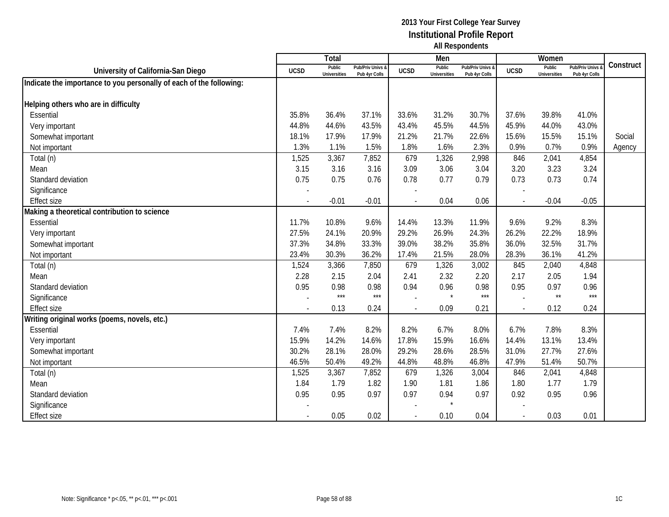|                                                                     |                          | Total                         |                                   |                          | Men                           |                                   |                | Women                         |                                        |           |
|---------------------------------------------------------------------|--------------------------|-------------------------------|-----------------------------------|--------------------------|-------------------------------|-----------------------------------|----------------|-------------------------------|----------------------------------------|-----------|
| University of California-San Diego                                  | <b>UCSD</b>              | Public<br><b>Universities</b> | Pub/Priv Univs &<br>Pub 4yr Colls | <b>UCSD</b>              | Public<br><b>Universities</b> | Pub/Priv Univs &<br>Pub 4yr Colls | <b>UCSD</b>    | Public<br><b>Universities</b> | <b>Pub/Priv Univs</b><br>Pub 4yr Colls | Construct |
| Indicate the importance to you personally of each of the following: |                          |                               |                                   |                          |                               |                                   |                |                               |                                        |           |
|                                                                     |                          |                               |                                   |                          |                               |                                   |                |                               |                                        |           |
| Helping others who are in difficulty                                |                          |                               |                                   |                          |                               |                                   |                |                               |                                        |           |
| Essential                                                           | 35.8%                    | 36.4%                         | 37.1%                             | 33.6%                    | 31.2%                         | 30.7%                             | 37.6%          | 39.8%                         | 41.0%                                  |           |
| Very important                                                      | 44.8%                    | 44.6%                         | 43.5%                             | 43.4%                    | 45.5%                         | 44.5%                             | 45.9%          | 44.0%                         | 43.0%                                  |           |
| Somewhat important                                                  | 18.1%                    | 17.9%                         | 17.9%                             | 21.2%                    | 21.7%                         | 22.6%                             | 15.6%          | 15.5%                         | 15.1%                                  | Social    |
| Not important                                                       | 1.3%                     | 1.1%                          | 1.5%                              | 1.8%                     | 1.6%                          | 2.3%                              | 0.9%           | 0.7%                          | 0.9%                                   | Agency    |
| Total (n)                                                           | 1,525                    | 3,367                         | 7,852                             | 679                      | 1,326                         | 2,998                             | 846            | 2,041                         | 4,854                                  |           |
| Mean                                                                | 3.15                     | 3.16                          | 3.16                              | 3.09                     | 3.06                          | 3.04                              | 3.20           | 3.23                          | 3.24                                   |           |
| Standard deviation                                                  | 0.75                     | 0.75                          | 0.76                              | 0.78                     | 0.77                          | 0.79                              | 0.73           | 0.73                          | 0.74                                   |           |
| Significance                                                        |                          |                               |                                   |                          |                               |                                   |                |                               |                                        |           |
| <b>Effect size</b>                                                  |                          | $-0.01$                       | $-0.01$                           |                          | 0.04                          | 0.06                              |                | $-0.04$                       | $-0.05$                                |           |
| Making a theoretical contribution to science                        |                          |                               |                                   |                          |                               |                                   |                |                               |                                        |           |
| Essential                                                           | 11.7%                    | 10.8%                         | 9.6%                              | 14.4%                    | 13.3%                         | 11.9%                             | 9.6%           | 9.2%                          | 8.3%                                   |           |
| Very important                                                      | 27.5%                    | 24.1%                         | 20.9%                             | 29.2%                    | 26.9%                         | 24.3%                             | 26.2%          | 22.2%                         | 18.9%                                  |           |
| Somewhat important                                                  | 37.3%                    | 34.8%                         | 33.3%                             | 39.0%                    | 38.2%                         | 35.8%                             | 36.0%          | 32.5%                         | 31.7%                                  |           |
| Not important                                                       | 23.4%                    | 30.3%                         | 36.2%                             | 17.4%                    | 21.5%                         | 28.0%                             | 28.3%          | 36.1%                         | 41.2%                                  |           |
| Total (n)                                                           | 1,524                    | 3,366                         | 7,850                             | 679                      | 1,326                         | 3,002                             | 845            | 2,040                         | 4,848                                  |           |
| Mean                                                                | 2.28                     | 2.15                          | 2.04                              | 2.41                     | 2.32                          | 2.20                              | 2.17           | 2.05                          | 1.94                                   |           |
| Standard deviation                                                  | 0.95                     | 0.98                          | 0.98                              | 0.94                     | 0.96                          | 0.98                              | 0.95           | 0.97                          | 0.96                                   |           |
| Significance                                                        |                          | $***$                         | $***$                             |                          | $\star$                       | $***$                             |                | $^{\star\star}$               | $***$                                  |           |
| <b>Effect size</b>                                                  | $\overline{\phantom{a}}$ | 0.13                          | 0.24                              | $\overline{\phantom{a}}$ | 0.09                          | 0.21                              | $\blacksquare$ | 0.12                          | 0.24                                   |           |
| Writing original works (poems, novels, etc.)                        |                          |                               |                                   |                          |                               |                                   |                |                               |                                        |           |
| Essential                                                           | 7.4%                     | 7.4%                          | 8.2%                              | 8.2%                     | 6.7%                          | 8.0%                              | 6.7%           | 7.8%                          | 8.3%                                   |           |
| Very important                                                      | 15.9%                    | 14.2%                         | 14.6%                             | 17.8%                    | 15.9%                         | 16.6%                             | 14.4%          | 13.1%                         | 13.4%                                  |           |
| Somewhat important                                                  | 30.2%                    | 28.1%                         | 28.0%                             | 29.2%                    | 28.6%                         | 28.5%                             | 31.0%          | 27.7%                         | 27.6%                                  |           |
| Not important                                                       | 46.5%                    | 50.4%                         | 49.2%                             | 44.8%                    | 48.8%                         | 46.8%                             | 47.9%          | 51.4%                         | 50.7%                                  |           |
| Total (n)                                                           | 1,525                    | 3,367                         | 7,852                             | 679                      | 1,326                         | 3,004                             | 846            | 2,041                         | 4,848                                  |           |
| Mean                                                                | 1.84                     | 1.79                          | 1.82                              | 1.90                     | 1.81                          | 1.86                              | 1.80           | 1.77                          | 1.79                                   |           |
| Standard deviation                                                  | 0.95                     | 0.95                          | 0.97                              | 0.97                     | 0.94                          | 0.97                              | 0.92           | 0.95                          | 0.96                                   |           |
| Significance                                                        |                          |                               |                                   |                          | $\star$                       |                                   |                |                               |                                        |           |
| <b>Effect size</b>                                                  |                          | 0.05                          | 0.02                              |                          | 0.10                          | 0.04                              |                | 0.03                          | 0.01                                   |           |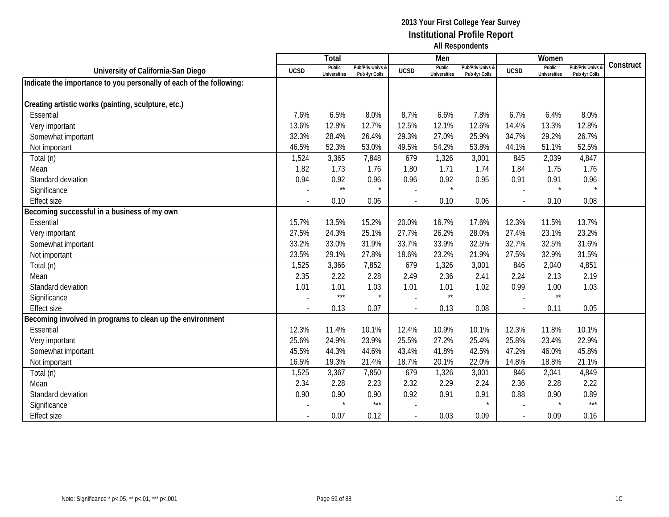|                                                                     |                          | Total                         |                                   |             | Men                           |                                 |             | Women                         |                                        |           |
|---------------------------------------------------------------------|--------------------------|-------------------------------|-----------------------------------|-------------|-------------------------------|---------------------------------|-------------|-------------------------------|----------------------------------------|-----------|
| University of California-San Diego                                  | <b>UCSD</b>              | Public<br><b>Universities</b> | Pub/Priv Univs &<br>Pub 4yr Colls | <b>UCSD</b> | Public<br><b>Universities</b> | Pub/Priv Univs<br>Pub 4yr Colls | <b>UCSD</b> | Public<br><b>Universities</b> | <b>Pub/Priv Univs</b><br>Pub 4yr Colls | Construct |
| Indicate the importance to you personally of each of the following: |                          |                               |                                   |             |                               |                                 |             |                               |                                        |           |
|                                                                     |                          |                               |                                   |             |                               |                                 |             |                               |                                        |           |
| Creating artistic works (painting, sculpture, etc.)                 |                          |                               |                                   |             |                               |                                 |             |                               |                                        |           |
| Essential                                                           | 7.6%                     | 6.5%                          | 8.0%                              | 8.7%        | 6.6%                          | 7.8%                            | 6.7%        | 6.4%                          | 8.0%                                   |           |
| Very important                                                      | 13.6%                    | 12.8%                         | 12.7%                             | 12.5%       | 12.1%                         | 12.6%                           | 14.4%       | 13.3%                         | 12.8%                                  |           |
| Somewhat important                                                  | 32.3%                    | 28.4%                         | 26.4%                             | 29.3%       | 27.0%                         | 25.9%                           | 34.7%       | 29.2%                         | 26.7%                                  |           |
| Not important                                                       | 46.5%                    | 52.3%                         | 53.0%                             | 49.5%       | 54.2%                         | 53.8%                           | 44.1%       | 51.1%                         | 52.5%                                  |           |
| Total (n)                                                           | 1,524                    | 3,365                         | 7,848                             | 679         | 1,326                         | 3,001                           | 845         | 2,039                         | 4,847                                  |           |
| Mean                                                                | 1.82                     | 1.73                          | 1.76                              | 1.80        | 1.71                          | 1.74                            | 1.84        | 1.75                          | 1.76                                   |           |
| Standard deviation                                                  | 0.94                     | 0.92                          | 0.96                              | 0.96        | 0.92                          | 0.95                            | 0.91        | 0.91                          | 0.96                                   |           |
| Significance                                                        |                          | $\star\star$                  | $\star$                           |             | $\star$                       |                                 |             | $\star$                       | $\star$                                |           |
| <b>Effect size</b>                                                  |                          | 0.10                          | 0.06                              |             | 0.10                          | 0.06                            |             | 0.10                          | 0.08                                   |           |
| Becoming successful in a business of my own                         |                          |                               |                                   |             |                               |                                 |             |                               |                                        |           |
| Essential                                                           | 15.7%                    | 13.5%                         | 15.2%                             | 20.0%       | 16.7%                         | 17.6%                           | 12.3%       | 11.5%                         | 13.7%                                  |           |
| Very important                                                      | 27.5%                    | 24.3%                         | 25.1%                             | 27.7%       | 26.2%                         | 28.0%                           | 27.4%       | 23.1%                         | 23.2%                                  |           |
| Somewhat important                                                  | 33.2%                    | 33.0%                         | 31.9%                             | 33.7%       | 33.9%                         | 32.5%                           | 32.7%       | 32.5%                         | 31.6%                                  |           |
| Not important                                                       | 23.5%                    | 29.1%                         | 27.8%                             | 18.6%       | 23.2%                         | 21.9%                           | 27.5%       | 32.9%                         | 31.5%                                  |           |
| Total (n)                                                           | 1,525                    | 3,366                         | 7,852                             | 679         | 1,326                         | 3,001                           | 846         | 2,040                         | 4,851                                  |           |
| Mean                                                                | 2.35                     | 2.22                          | 2.28                              | 2.49        | 2.36                          | 2.41                            | 2.24        | 2.13                          | 2.19                                   |           |
| Standard deviation                                                  | 1.01                     | 1.01                          | 1.03                              | 1.01        | 1.01                          | 1.02                            | 0.99        | 1.00                          | 1.03                                   |           |
| Significance                                                        |                          | $***$                         | $\star$                           |             | $\star\star$                  |                                 |             | $^{\star\star}$               |                                        |           |
| <b>Effect size</b>                                                  | $\overline{\phantom{a}}$ | 0.13                          | 0.07                              |             | 0.13                          | 0.08                            | $\sim$      | 0.11                          | 0.05                                   |           |
| Becoming involved in programs to clean up the environment           |                          |                               |                                   |             |                               |                                 |             |                               |                                        |           |
| Essential                                                           | 12.3%                    | 11.4%                         | 10.1%                             | 12.4%       | 10.9%                         | 10.1%                           | 12.3%       | 11.8%                         | 10.1%                                  |           |
| Very important                                                      | 25.6%                    | 24.9%                         | 23.9%                             | 25.5%       | 27.2%                         | 25.4%                           | 25.8%       | 23.4%                         | 22.9%                                  |           |
| Somewhat important                                                  | 45.5%                    | 44.3%                         | 44.6%                             | 43.4%       | 41.8%                         | 42.5%                           | 47.2%       | 46.0%                         | 45.8%                                  |           |
| Not important                                                       | 16.5%                    | 19.3%                         | 21.4%                             | 18.7%       | 20.1%                         | 22.0%                           | 14.8%       | 18.8%                         | 21.1%                                  |           |
| Total (n)                                                           | 1,525                    | 3,367                         | 7,850                             | 679         | 1,326                         | 3,001                           | 846         | 2,041                         | 4,849                                  |           |
| Mean                                                                | 2.34                     | 2.28                          | 2.23                              | 2.32        | 2.29                          | 2.24                            | 2.36        | 2.28                          | 2.22                                   |           |
| Standard deviation                                                  | 0.90                     | 0.90                          | 0.90                              | 0.92        | 0.91                          | 0.91                            | 0.88        | 0.90                          | 0.89                                   |           |
| Significance                                                        |                          | $\star$                       | $***$                             |             |                               | $\star$                         |             |                               | $***$                                  |           |
| <b>Effect size</b>                                                  |                          | 0.07                          | 0.12                              |             | 0.03                          | 0.09                            |             | 0.09                          | 0.16                                   |           |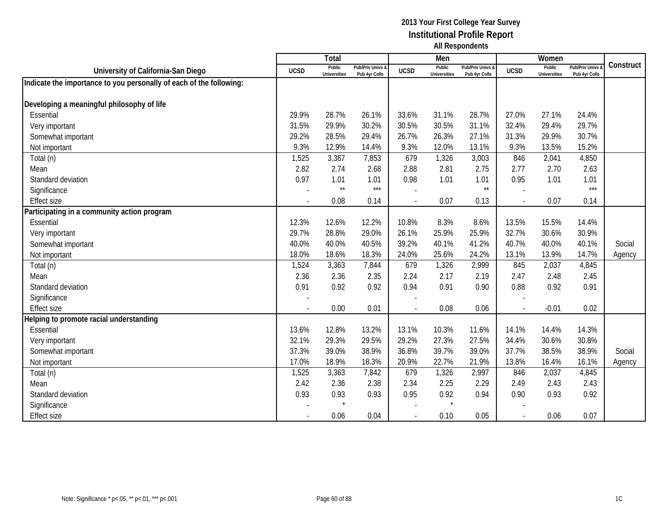|                                                                     |                | Total                         |                                   |                          | Men                           |                                   |             | Women                         |                                        |           |
|---------------------------------------------------------------------|----------------|-------------------------------|-----------------------------------|--------------------------|-------------------------------|-----------------------------------|-------------|-------------------------------|----------------------------------------|-----------|
| University of California-San Diego                                  | <b>UCSD</b>    | Public<br><b>Universities</b> | Pub/Priv Univs &<br>Pub 4yr Colls | <b>UCSD</b>              | Public<br><b>Universities</b> | Pub/Priv Univs &<br>Pub 4yr Colls | <b>UCSD</b> | Public<br><b>Universities</b> | <b>Pub/Priv Univs</b><br>Pub 4yr Colls | Construct |
| Indicate the importance to you personally of each of the following: |                |                               |                                   |                          |                               |                                   |             |                               |                                        |           |
|                                                                     |                |                               |                                   |                          |                               |                                   |             |                               |                                        |           |
| Developing a meaningful philosophy of life                          |                |                               |                                   |                          |                               |                                   |             |                               |                                        |           |
| Essential                                                           | 29.9%          | 28.7%                         | 26.1%                             | 33.6%                    | 31.1%                         | 28.7%                             | 27.0%       | 27.1%                         | 24.4%                                  |           |
| Very important                                                      | 31.5%          | 29.9%                         | 30.2%                             | 30.5%                    | 30.5%                         | 31.1%                             | 32.4%       | 29.4%                         | 29.7%                                  |           |
| Somewhat important                                                  | 29.2%          | 28.5%                         | 29.4%                             | 26.7%                    | 26.3%                         | 27.1%                             | 31.3%       | 29.9%                         | 30.7%                                  |           |
| Not important                                                       | 9.3%           | 12.9%                         | 14.4%                             | 9.3%                     | 12.0%                         | 13.1%                             | 9.3%        | 13.5%                         | 15.2%                                  |           |
| Total (n)                                                           | 1,525          | 3,367                         | 7,853                             | 679                      | 1,326                         | 3,003                             | 846         | 2,041                         | 4,850                                  |           |
| Mean                                                                | 2.82           | 2.74                          | 2.68                              | 2.88                     | 2.81                          | 2.75                              | 2.77        | 2.70                          | 2.63                                   |           |
| Standard deviation                                                  | 0.97           | 1.01                          | 1.01                              | 0.98                     | 1.01                          | 1.01                              | 0.95        | 1.01                          | 1.01                                   |           |
| Significance                                                        |                | $\star\star$                  | $***$                             |                          |                               | $\star\star$                      |             |                               | $***$                                  |           |
| <b>Effect size</b>                                                  |                | 0.08                          | 0.14                              |                          | 0.07                          | 0.13                              |             | 0.07                          | 0.14                                   |           |
| Participating in a community action program                         |                |                               |                                   |                          |                               |                                   |             |                               |                                        |           |
| Essential                                                           | 12.3%          | 12.6%                         | 12.2%                             | 10.8%                    | 8.3%                          | 8.6%                              | 13.5%       | 15.5%                         | 14.4%                                  |           |
| Very important                                                      | 29.7%          | 28.8%                         | 29.0%                             | 26.1%                    | 25.9%                         | 25.9%                             | 32.7%       | 30.6%                         | 30.9%                                  |           |
| Somewhat important                                                  | 40.0%          | 40.0%                         | 40.5%                             | 39.2%                    | 40.1%                         | 41.2%                             | 40.7%       | 40.0%                         | 40.1%                                  | Social    |
| Not important                                                       | 18.0%          | 18.6%                         | 18.3%                             | 24.0%                    | 25.6%                         | 24.2%                             | 13.1%       | 13.9%                         | 14.7%                                  | Agency    |
| Total (n)                                                           | 1,524          | 3,363                         | 7,844                             | 679                      | 1,326                         | 2,999                             | 845         | 2,037                         | 4,845                                  |           |
| Mean                                                                | 2.36           | 2.36                          | 2.35                              | 2.24                     | 2.17                          | 2.19                              | 2.47        | 2.48                          | 2.45                                   |           |
| Standard deviation                                                  | 0.91           | 0.92                          | 0.92                              | 0.94                     | 0.91                          | 0.90                              | 0.88        | 0.92                          | 0.91                                   |           |
| Significance                                                        |                |                               |                                   |                          |                               |                                   |             |                               |                                        |           |
| <b>Effect size</b>                                                  | $\blacksquare$ | 0.00                          | 0.01                              | $\overline{\phantom{a}}$ | 0.08                          | 0.06                              | $\sim$      | $-0.01$                       | 0.02                                   |           |
| Helping to promote racial understanding                             |                |                               |                                   |                          |                               |                                   |             |                               |                                        |           |
| Essential                                                           | 13.6%          | 12.8%                         | 13.2%                             | 13.1%                    | 10.3%                         | 11.6%                             | 14.1%       | 14.4%                         | 14.3%                                  |           |
| Very important                                                      | 32.1%          | 29.3%                         | 29.5%                             | 29.2%                    | 27.3%                         | 27.5%                             | 34.4%       | 30.6%                         | 30.8%                                  |           |
| Somewhat important                                                  | 37.3%          | 39.0%                         | 38.9%                             | 36.8%                    | 39.7%                         | 39.0%                             | 37.7%       | 38.5%                         | 38.9%                                  | Social    |
| Not important                                                       | 17.0%          | 18.9%                         | 18.3%                             | 20.9%                    | 22.7%                         | 21.9%                             | 13.8%       | 16.4%                         | 16.1%                                  | Agency    |
| Total (n)                                                           | 1,525          | 3,363                         | 7,842                             | 679                      | 1,326                         | 2,997                             | 846         | 2,037                         | 4,845                                  |           |
| Mean                                                                | 2.42           | 2.36                          | 2.38                              | 2.34                     | 2.25                          | 2.29                              | 2.49        | 2.43                          | 2.43                                   |           |
| Standard deviation                                                  | 0.93           | 0.93                          | 0.93                              | 0.95                     | 0.92                          | 0.94                              | 0.90        | 0.93                          | 0.92                                   |           |
| Significance                                                        |                | $\star$                       |                                   |                          | $\star$                       |                                   |             |                               |                                        |           |
| <b>Effect size</b>                                                  |                | 0.06                          | 0.04                              | $\blacksquare$           | 0.10                          | 0.05                              |             | 0.06                          | 0.07                                   |           |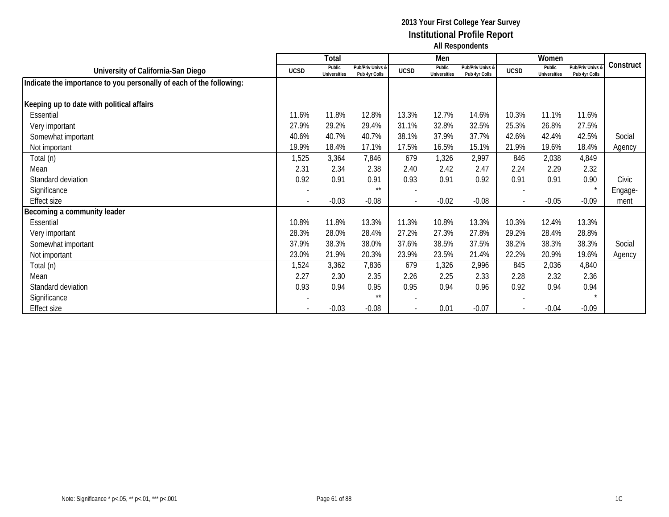|                                                                     |                          | <b>Total</b>                  |                                   |             | Men                           |                                   |             | Women                         |                                        |           |
|---------------------------------------------------------------------|--------------------------|-------------------------------|-----------------------------------|-------------|-------------------------------|-----------------------------------|-------------|-------------------------------|----------------------------------------|-----------|
| University of California-San Diego                                  | <b>UCSD</b>              | Public<br><b>Universities</b> | Pub/Priv Univs &<br>Pub 4yr Colls | <b>UCSD</b> | Public<br><b>Universities</b> | Pub/Priv Univs &<br>Pub 4yr Colls | <b>UCSD</b> | Public<br><b>Universities</b> | <b>Pub/Priv Univs</b><br>Pub 4yr Colls | Construct |
| Indicate the importance to you personally of each of the following: |                          |                               |                                   |             |                               |                                   |             |                               |                                        |           |
| Keeping up to date with political affairs                           |                          |                               |                                   |             |                               |                                   |             |                               |                                        |           |
| Essential                                                           | 11.6%                    | 11.8%                         | 12.8%                             | 13.3%       | 12.7%                         | 14.6%                             | 10.3%       | 11.1%                         | 11.6%                                  |           |
| Very important                                                      | 27.9%                    | 29.2%                         | 29.4%                             | 31.1%       | 32.8%                         | 32.5%                             | 25.3%       | 26.8%                         | 27.5%                                  |           |
| Somewhat important                                                  | 40.6%                    | 40.7%                         | 40.7%                             | 38.1%       | 37.9%                         | 37.7%                             | 42.6%       | 42.4%                         | 42.5%                                  | Social    |
| Not important                                                       | 19.9%                    | 18.4%                         | 17.1%                             | 17.5%       | 16.5%                         | 15.1%                             | 21.9%       | 19.6%                         | 18.4%                                  | Agency    |
| Total (n)                                                           | 1,525                    | 3,364                         | 7,846                             | 679         | 1,326                         | 2,997                             | 846         | 2,038                         | 4,849                                  |           |
| Mean                                                                | 2.31                     | 2.34                          | 2.38                              | 2.40        | 2.42                          | 2.47                              | 2.24        | 2.29                          | 2.32                                   |           |
| Standard deviation                                                  | 0.92                     | 0.91                          | 0.91                              | 0.93        | 0.91                          | 0.92                              | 0.91        | 0.91                          | 0.90                                   | Civic     |
| Significance                                                        | $\overline{\phantom{a}}$ |                               | $***$                             |             |                               |                                   |             |                               |                                        | Engage-   |
| <b>Effect size</b>                                                  | $\overline{\phantom{a}}$ | $-0.03$                       | $-0.08$                           |             | $-0.02$                       | $-0.08$                           |             | $-0.05$                       | $-0.09$                                | ment      |
| Becoming a community leader                                         |                          |                               |                                   |             |                               |                                   |             |                               |                                        |           |
| Essential                                                           | 10.8%                    | 11.8%                         | 13.3%                             | 11.3%       | 10.8%                         | 13.3%                             | 10.3%       | 12.4%                         | 13.3%                                  |           |
| Very important                                                      | 28.3%                    | 28.0%                         | 28.4%                             | 27.2%       | 27.3%                         | 27.8%                             | 29.2%       | 28.4%                         | 28.8%                                  |           |
| Somewhat important                                                  | 37.9%                    | 38.3%                         | 38.0%                             | 37.6%       | 38.5%                         | 37.5%                             | 38.2%       | 38.3%                         | 38.3%                                  | Social    |
| Not important                                                       | 23.0%                    | 21.9%                         | 20.3%                             | 23.9%       | 23.5%                         | 21.4%                             | 22.2%       | 20.9%                         | 19.6%                                  | Agency    |
| Total (n)                                                           | 1,524                    | 3,362                         | 7,836                             | 679         | 1,326                         | 2,996                             | 845         | 2,036                         | 4,840                                  |           |
| Mean                                                                | 2.27                     | 2.30                          | 2.35                              | 2.26        | 2.25                          | 2.33                              | 2.28        | 2.32                          | 2.36                                   |           |
| Standard deviation                                                  | 0.93                     | 0.94                          | 0.95                              | 0.95        | 0.94                          | 0.96                              | 0.92        | 0.94                          | 0.94                                   |           |
| Significance                                                        |                          |                               | $***$                             |             |                               |                                   |             |                               |                                        |           |
| <b>Effect size</b>                                                  |                          | $-0.03$                       | $-0.08$                           |             | 0.01                          | $-0.07$                           |             | $-0.04$                       | $-0.09$                                |           |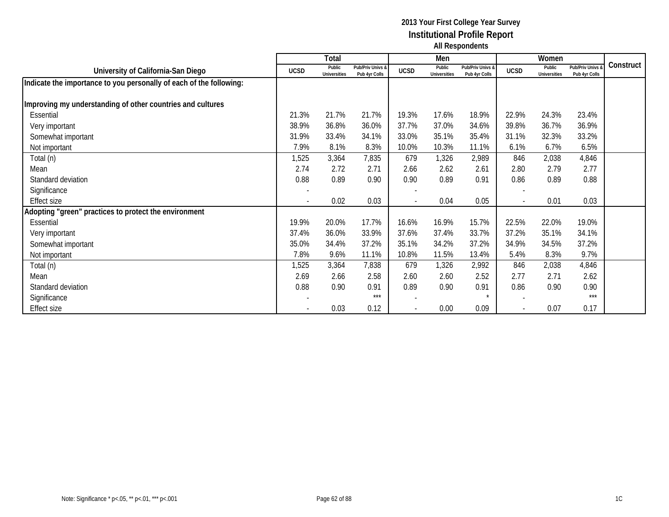|                                                                     |                | Total                         |                                   |             | Men                           |                                   |             | Women                         |                                        |           |
|---------------------------------------------------------------------|----------------|-------------------------------|-----------------------------------|-------------|-------------------------------|-----------------------------------|-------------|-------------------------------|----------------------------------------|-----------|
| University of California-San Diego                                  | <b>UCSD</b>    | Public<br><b>Universities</b> | Pub/Priv Univs &<br>Pub 4yr Colls | <b>UCSD</b> | Public<br><b>Universities</b> | Pub/Priv Univs &<br>Pub 4yr Colls | <b>UCSD</b> | Public<br><b>Universities</b> | <b>Pub/Priv Univs</b><br>Pub 4yr Colls | Construct |
| Indicate the importance to you personally of each of the following: |                |                               |                                   |             |                               |                                   |             |                               |                                        |           |
|                                                                     |                |                               |                                   |             |                               |                                   |             |                               |                                        |           |
| Improving my understanding of other countries and cultures          |                |                               |                                   |             |                               |                                   |             |                               |                                        |           |
| Essential                                                           | 21.3%          | 21.7%                         | 21.7%                             | 19.3%       | 17.6%                         | 18.9%                             | 22.9%       | 24.3%                         | 23.4%                                  |           |
| Very important                                                      | 38.9%          | 36.8%                         | 36.0%                             | 37.7%       | 37.0%                         | 34.6%                             | 39.8%       | 36.7%                         | 36.9%                                  |           |
| Somewhat important                                                  | 31.9%          | 33.4%                         | 34.1%                             | 33.0%       | 35.1%                         | 35.4%                             | 31.1%       | 32.3%                         | 33.2%                                  |           |
| Not important                                                       | 7.9%           | 8.1%                          | 8.3%                              | 10.0%       | 10.3%                         | 11.1%                             | 6.1%        | 6.7%                          | 6.5%                                   |           |
| Total (n)                                                           | 1,525          | 3,364                         | 7,835                             | 679         | 1,326                         | 2,989                             | 846         | 2,038                         | 4,846                                  |           |
| Mean                                                                | 2.74           | 2.72                          | 2.71                              | 2.66        | 2.62                          | 2.61                              | 2.80        | 2.79                          | 2.77                                   |           |
| Standard deviation                                                  | 0.88           | 0.89                          | 0.90                              | 0.90        | 0.89                          | 0.91                              | 0.86        | 0.89                          | 0.88                                   |           |
| Significance                                                        |                |                               |                                   |             |                               |                                   |             |                               |                                        |           |
| <b>Effect size</b>                                                  | $\blacksquare$ | 0.02                          | 0.03                              |             | 0.04                          | 0.05                              | $\sim$      | 0.01                          | 0.03                                   |           |
| Adopting "green" practices to protect the environment               |                |                               |                                   |             |                               |                                   |             |                               |                                        |           |
| Essential                                                           | 19.9%          | 20.0%                         | 17.7%                             | 16.6%       | 16.9%                         | 15.7%                             | 22.5%       | 22.0%                         | 19.0%                                  |           |
| Very important                                                      | 37.4%          | 36.0%                         | 33.9%                             | 37.6%       | 37.4%                         | 33.7%                             | 37.2%       | 35.1%                         | 34.1%                                  |           |
| Somewhat important                                                  | 35.0%          | 34.4%                         | 37.2%                             | 35.1%       | 34.2%                         | 37.2%                             | 34.9%       | 34.5%                         | 37.2%                                  |           |
| Not important                                                       | 7.8%           | 9.6%                          | 11.1%                             | 10.8%       | 11.5%                         | 13.4%                             | 5.4%        | 8.3%                          | 9.7%                                   |           |
| Total (n)                                                           | 1,525          | 3,364                         | 7,838                             | 679         | 1,326                         | 2,992                             | 846         | 2,038                         | 4,846                                  |           |
| Mean                                                                | 2.69           | 2.66                          | 2.58                              | 2.60        | 2.60                          | 2.52                              | 2.77        | 2.71                          | 2.62                                   |           |
| Standard deviation                                                  | 0.88           | 0.90                          | 0.91                              | 0.89        | 0.90                          | 0.91                              | 0.86        | 0.90                          | 0.90                                   |           |
| Significance                                                        |                |                               | ***                               |             |                               |                                   |             |                               | $***$                                  |           |
| <b>Effect size</b>                                                  |                | 0.03                          | 0.12                              |             | 0.00                          | 0.09                              |             | 0.07                          | 0.17                                   |           |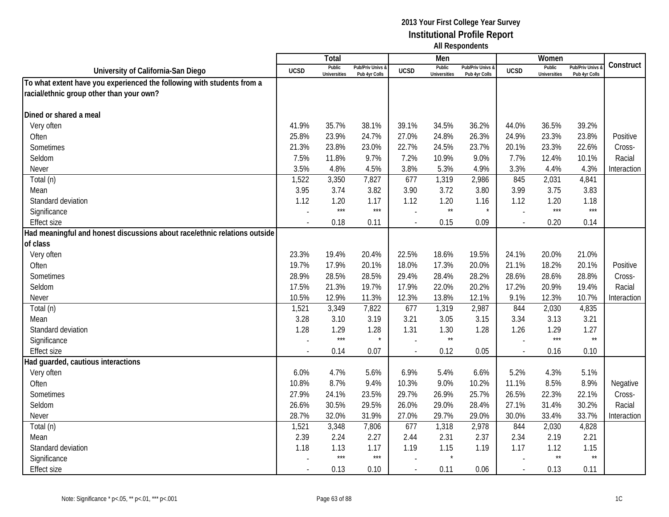|                                                                           |                          | <b>Total</b>                  |                                 |                          | Men                           |                                 |               | Women                         |                                        |             |
|---------------------------------------------------------------------------|--------------------------|-------------------------------|---------------------------------|--------------------------|-------------------------------|---------------------------------|---------------|-------------------------------|----------------------------------------|-------------|
| University of California-San Diego                                        | <b>UCSD</b>              | Public<br><b>Universities</b> | Pub/Priv Univs<br>Pub 4yr Colls | <b>UCSD</b>              | Public<br><b>Universities</b> | Pub/Priv Univs<br>Pub 4yr Colls | <b>UCSD</b>   | Public<br><b>Universities</b> | <b>Pub/Priv Univs</b><br>Pub 4yr Colls | Construct   |
| To what extent have you experienced the following with students from a    |                          |                               |                                 |                          |                               |                                 |               |                               |                                        |             |
| racial/ethnic group other than your own?                                  |                          |                               |                                 |                          |                               |                                 |               |                               |                                        |             |
|                                                                           |                          |                               |                                 |                          |                               |                                 |               |                               |                                        |             |
| Dined or shared a meal                                                    |                          |                               |                                 |                          |                               |                                 |               |                               |                                        |             |
| Very often                                                                | 41.9%                    | 35.7%                         | 38.1%                           | 39.1%                    | 34.5%                         | 36.2%                           | 44.0%         | 36.5%                         | 39.2%                                  |             |
| Often                                                                     | 25.8%                    | 23.9%                         | 24.7%                           | 27.0%                    | 24.8%                         | 26.3%                           | 24.9%         | 23.3%                         | 23.8%                                  | Positive    |
| Sometimes                                                                 | 21.3%                    | 23.8%                         | 23.0%                           | 22.7%                    | 24.5%                         | 23.7%                           | 20.1%         | 23.3%                         | 22.6%                                  | Cross-      |
| Seldom                                                                    | 7.5%                     | 11.8%                         | 9.7%                            | 7.2%                     | 10.9%                         | 9.0%                            | 7.7%          | 12.4%                         | 10.1%                                  | Racial      |
| Never                                                                     | 3.5%                     | 4.8%                          | 4.5%                            | 3.8%                     | 5.3%                          | 4.9%                            | 3.3%          | 4.4%                          | 4.3%                                   | Interaction |
| Total (n)                                                                 | 1,522                    | 3,350                         | 7,827                           | 677                      | 1,319                         | 2,986                           | 845           | 2,031                         | 4,841                                  |             |
| Mean                                                                      | 3.95                     | 3.74                          | 3.82                            | 3.90                     | 3.72                          | 3.80                            | 3.99          | 3.75                          | 3.83                                   |             |
| Standard deviation                                                        | 1.12                     | 1.20                          | 1.17                            | 1.12                     | 1.20                          | 1.16                            | 1.12          | 1.20                          | 1.18                                   |             |
| Significance                                                              |                          | $***$                         | $***$                           |                          | $\star\star$                  |                                 | $\sim$        | $***$                         | $***$                                  |             |
| <b>Effect size</b>                                                        | $\sim$                   | 0.18                          | 0.11                            | $\overline{\phantom{a}}$ | 0.15                          | 0.09                            | $\mathcal{L}$ | 0.20                          | 0.14                                   |             |
| Had meaningful and honest discussions about race/ethnic relations outside |                          |                               |                                 |                          |                               |                                 |               |                               |                                        |             |
| of class                                                                  |                          |                               |                                 |                          |                               |                                 |               |                               |                                        |             |
| Very often                                                                | 23.3%                    | 19.4%                         | 20.4%                           | 22.5%                    | 18.6%                         | 19.5%                           | 24.1%         | 20.0%                         | 21.0%                                  |             |
| Often                                                                     | 19.7%                    | 17.9%                         | 20.1%                           | 18.0%                    | 17.3%                         | 20.0%                           | 21.1%         | 18.2%                         | 20.1%                                  | Positive    |
| Sometimes                                                                 | 28.9%                    | 28.5%                         | 28.5%                           | 29.4%                    | 28.4%                         | 28.2%                           | 28.6%         | 28.6%                         | 28.8%                                  | Cross-      |
| Seldom                                                                    | 17.5%                    | 21.3%                         | 19.7%                           | 17.9%                    | 22.0%                         | 20.2%                           | 17.2%         | 20.9%                         | 19.4%                                  | Racial      |
| Never                                                                     | 10.5%                    | 12.9%                         | 11.3%                           | 12.3%                    | 13.8%                         | 12.1%                           | 9.1%          | 12.3%                         | 10.7%                                  | Interaction |
| Total (n)                                                                 | 1,521                    | 3,349                         | 7,822                           | 677                      | 1,319                         | 2,987                           | 844           | 2,030                         | 4,835                                  |             |
| Mean                                                                      | 3.28                     | 3.10                          | 3.19                            | 3.21                     | 3.05                          | 3.15                            | 3.34          | 3.13                          | 3.21                                   |             |
| Standard deviation                                                        | 1.28                     | 1.29                          | 1.28                            | 1.31                     | 1.30                          | 1.28                            | 1.26          | 1.29                          | 1.27                                   |             |
| Significance                                                              |                          | $***$                         | $\star$                         |                          | $^{\star\star}$               |                                 |               | $***$                         | $\star\star$                           |             |
| <b>Effect size</b>                                                        |                          | 0.14                          | 0.07                            |                          | 0.12                          | 0.05                            |               | 0.16                          | 0.10                                   |             |
| Had guarded, cautious interactions                                        |                          |                               |                                 |                          |                               |                                 |               |                               |                                        |             |
| Very often                                                                | 6.0%                     | 4.7%                          | 5.6%                            | 6.9%                     | 5.4%                          | 6.6%                            | 5.2%          | 4.3%                          | 5.1%                                   |             |
| Often                                                                     | 10.8%                    | 8.7%                          | 9.4%                            | 10.3%                    | 9.0%                          | 10.2%                           | 11.1%         | 8.5%                          | 8.9%                                   | Negative    |
| Sometimes                                                                 | 27.9%                    | 24.1%                         | 23.5%                           | 29.7%                    | 26.9%                         | 25.7%                           | 26.5%         | 22.3%                         | 22.1%                                  | Cross-      |
| Seldom                                                                    | 26.6%                    | 30.5%                         | 29.5%                           | 26.0%                    | 29.0%                         | 28.4%                           | 27.1%         | 31.4%                         | 30.2%                                  | Racial      |
| Never                                                                     | 28.7%                    | 32.0%                         | 31.9%                           | 27.0%                    | 29.7%                         | 29.0%                           | 30.0%         | 33.4%                         | 33.7%                                  | Interaction |
| Total (n)                                                                 | 1,521                    | 3,348                         | 7,806                           | 677                      | 1,318                         | 2,978                           | 844           | 2,030                         | 4,828                                  |             |
| Mean                                                                      | 2.39                     | 2.24                          | 2.27                            | 2.44                     | 2.31                          | 2.37                            | 2.34          | 2.19                          | 2.21                                   |             |
| Standard deviation                                                        | 1.18                     | 1.13                          | 1.17                            | 1.19                     | 1.15                          | 1.19                            | 1.17          | 1.12                          | 1.15                                   |             |
| Significance                                                              |                          | $***$                         | $***$                           |                          | $\star$                       |                                 |               | $\star\star$                  | $\star\star$                           |             |
| <b>Effect size</b>                                                        | $\overline{\phantom{a}}$ | 0.13                          | 0.10                            | $\overline{a}$           | 0.11                          | 0.06                            | $\mathcal{L}$ | 0.13                          | 0.11                                   |             |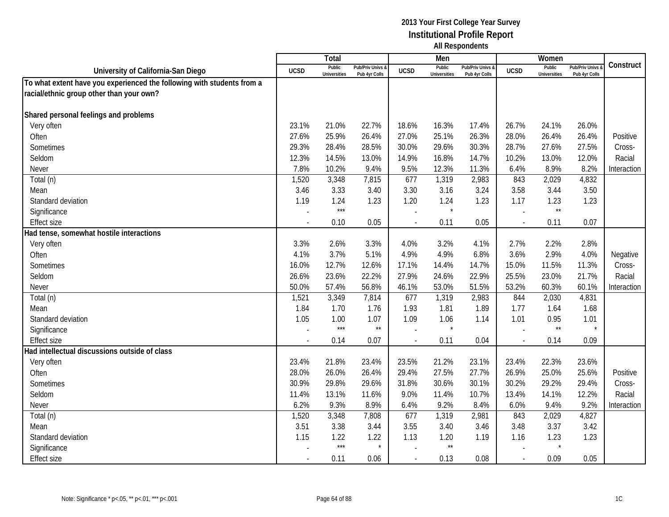|                                                                        |                          | Total                         |                                   |                          | Men                           |                                 |             | Women                         |                                        |             |
|------------------------------------------------------------------------|--------------------------|-------------------------------|-----------------------------------|--------------------------|-------------------------------|---------------------------------|-------------|-------------------------------|----------------------------------------|-------------|
| University of California-San Diego                                     | <b>UCSD</b>              | Public<br><b>Universities</b> | Pub/Priv Univs &<br>Pub 4yr Colls | <b>UCSD</b>              | Public<br><b>Universities</b> | Pub/Priv Univs<br>Pub 4yr Colls | <b>UCSD</b> | Public<br><b>Universities</b> | <b>Pub/Priv Univs</b><br>Pub 4yr Colls | Construct   |
| To what extent have you experienced the following with students from a |                          |                               |                                   |                          |                               |                                 |             |                               |                                        |             |
| racial/ethnic group other than your own?                               |                          |                               |                                   |                          |                               |                                 |             |                               |                                        |             |
|                                                                        |                          |                               |                                   |                          |                               |                                 |             |                               |                                        |             |
| Shared personal feelings and problems                                  |                          |                               |                                   |                          |                               |                                 |             |                               |                                        |             |
| Very often                                                             | 23.1%                    | 21.0%                         | 22.7%                             | 18.6%                    | 16.3%                         | 17.4%                           | 26.7%       | 24.1%                         | 26.0%                                  |             |
| Often                                                                  | 27.6%                    | 25.9%                         | 26.4%                             | 27.0%                    | 25.1%                         | 26.3%                           | 28.0%       | 26.4%                         | 26.4%                                  | Positive    |
| Sometimes                                                              | 29.3%                    | 28.4%                         | 28.5%                             | 30.0%                    | 29.6%                         | 30.3%                           | 28.7%       | 27.6%                         | 27.5%                                  | Cross-      |
| Seldom                                                                 | 12.3%                    | 14.5%                         | 13.0%                             | 14.9%                    | 16.8%                         | 14.7%                           | 10.2%       | 13.0%                         | 12.0%                                  | Racial      |
| Never                                                                  | 7.8%                     | 10.2%                         | 9.4%                              | 9.5%                     | 12.3%                         | 11.3%                           | 6.4%        | 8.9%                          | 8.2%                                   | Interaction |
| Total (n)                                                              | 1,520                    | 3,348                         | 7,815                             | 677                      | 1,319                         | 2,983                           | 843         | 2,029                         | 4,832                                  |             |
| Mean                                                                   | 3.46                     | 3.33                          | 3.40                              | 3.30                     | 3.16                          | 3.24                            | 3.58        | 3.44                          | 3.50                                   |             |
| Standard deviation                                                     | 1.19                     | 1.24                          | 1.23                              | 1.20                     | 1.24                          | 1.23                            | 1.17        | 1.23                          | 1.23                                   |             |
| Significance                                                           |                          | $***$                         |                                   | $\overline{\phantom{a}}$ | $\star$                       |                                 | $\sim$      | $\star\star$                  |                                        |             |
| <b>Effect size</b>                                                     |                          | 0.10                          | 0.05                              |                          | 0.11                          | 0.05                            | $\sim$      | 0.11                          | 0.07                                   |             |
| Had tense, somewhat hostile interactions                               |                          |                               |                                   |                          |                               |                                 |             |                               |                                        |             |
| Very often                                                             | 3.3%                     | 2.6%                          | 3.3%                              | 4.0%                     | 3.2%                          | 4.1%                            | 2.7%        | 2.2%                          | 2.8%                                   |             |
| Often                                                                  | 4.1%                     | 3.7%                          | 5.1%                              | 4.9%                     | 4.9%                          | 6.8%                            | 3.6%        | 2.9%                          | 4.0%                                   | Negative    |
| Sometimes                                                              | 16.0%                    | 12.7%                         | 12.6%                             | 17.1%                    | 14.4%                         | 14.7%                           | 15.0%       | 11.5%                         | 11.3%                                  | Cross-      |
| Seldom                                                                 | 26.6%                    | 23.6%                         | 22.2%                             | 27.9%                    | 24.6%                         | 22.9%                           | 25.5%       | 23.0%                         | 21.7%                                  | Racial      |
| <b>Never</b>                                                           | 50.0%                    | 57.4%                         | 56.8%                             | 46.1%                    | 53.0%                         | 51.5%                           | 53.2%       | 60.3%                         | 60.1%                                  | Interaction |
| Total (n)                                                              | 1,521                    | 3,349                         | 7,814                             | 677                      | 1,319                         | 2,983                           | 844         | 2,030                         | 4,831                                  |             |
| Mean                                                                   | 1.84                     | 1.70                          | 1.76                              | 1.93                     | 1.81                          | 1.89                            | 1.77        | 1.64                          | 1.68                                   |             |
| Standard deviation                                                     | 1.05                     | 1.00                          | 1.07                              | 1.09                     | 1.06                          | 1.14                            | 1.01        | 0.95                          | 1.01                                   |             |
| Significance                                                           |                          | $***$                         | $\star\star$                      |                          | $\star$                       |                                 |             | $^{\star\star}$               | $\star$                                |             |
| <b>Effect size</b>                                                     |                          | 0.14                          | 0.07                              |                          | 0.11                          | 0.04                            | $\sim$      | 0.14                          | 0.09                                   |             |
| lad intellectual discussions outside of class                          |                          |                               |                                   |                          |                               |                                 |             |                               |                                        |             |
| Very often                                                             | 23.4%                    | 21.8%                         | 23.4%                             | 23.5%                    | 21.2%                         | 23.1%                           | 23.4%       | 22.3%                         | 23.6%                                  |             |
| Often                                                                  | 28.0%                    | 26.0%                         | 26.4%                             | 29.4%                    | 27.5%                         | 27.7%                           | 26.9%       | 25.0%                         | 25.6%                                  | Positive    |
| Sometimes                                                              | 30.9%                    | 29.8%                         | 29.6%                             | 31.8%                    | 30.6%                         | 30.1%                           | 30.2%       | 29.2%                         | 29.4%                                  | Cross-      |
| Seldom                                                                 | 11.4%                    | 13.1%                         | 11.6%                             | 9.0%                     | 11.4%                         | 10.7%                           | 13.4%       | 14.1%                         | 12.2%                                  | Racial      |
| Never                                                                  | 6.2%                     | 9.3%                          | 8.9%                              | 6.4%                     | 9.2%                          | 8.4%                            | 6.0%        | 9.4%                          | 9.2%                                   | Interaction |
| Total (n)                                                              | 1,520                    | 3,348                         | 7,808                             | 677                      | 1,319                         | 2,981                           | 843         | 2,029                         | 4,827                                  |             |
| Mean                                                                   | 3.51                     | 3.38                          | 3.44                              | 3.55                     | 3.40                          | 3.46                            | 3.48        | 3.37                          | 3.42                                   |             |
| Standard deviation                                                     | 1.15                     | 1.22                          | 1.22                              | 1.13                     | 1.20                          | 1.19                            | 1.16        | 1.23                          | 1.23                                   |             |
| Significance                                                           |                          | $***$                         |                                   |                          | $\star\star$                  |                                 |             | $\star$                       |                                        |             |
| <b>Effect size</b>                                                     | $\overline{\phantom{a}}$ | 0.11                          | 0.06                              | $\blacksquare$           | 0.13                          | 0.08                            | $\sim$      | 0.09                          | 0.05                                   |             |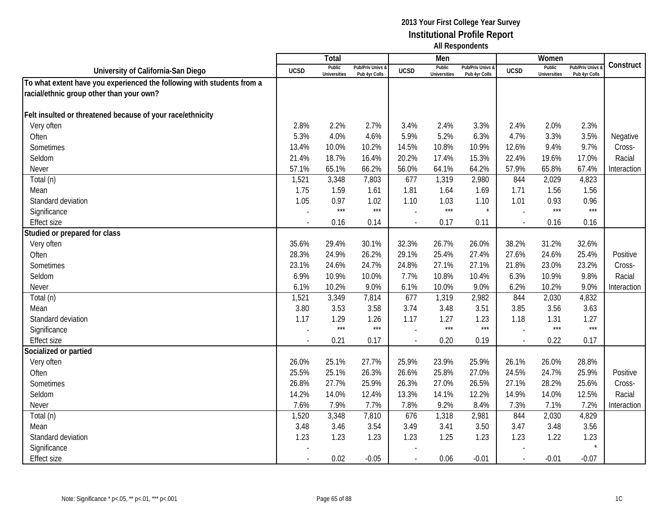|                                                                        |                | Total                         |                                   |             | Men                           |                                   |                          | Women                         |                                        |             |
|------------------------------------------------------------------------|----------------|-------------------------------|-----------------------------------|-------------|-------------------------------|-----------------------------------|--------------------------|-------------------------------|----------------------------------------|-------------|
| University of California-San Diego                                     | <b>UCSD</b>    | Public<br><b>Universities</b> | Pub/Priv Univs &<br>Pub 4yr Colls | <b>UCSD</b> | Public<br><b>Universities</b> | Pub/Priv Univs &<br>Pub 4yr Colls | <b>UCSD</b>              | Public<br><b>Universities</b> | <b>Pub/Priv Univs</b><br>Pub 4yr Colls | Construct   |
| To what extent have you experienced the following with students from a |                |                               |                                   |             |                               |                                   |                          |                               |                                        |             |
| racial/ethnic group other than your own?                               |                |                               |                                   |             |                               |                                   |                          |                               |                                        |             |
|                                                                        |                |                               |                                   |             |                               |                                   |                          |                               |                                        |             |
| Felt insulted or threatened because of your race/ethnicity             |                |                               |                                   |             |                               |                                   |                          |                               |                                        |             |
| Very often                                                             | 2.8%           | 2.2%                          | 2.7%                              | 3.4%        | 2.4%                          | 3.3%                              | 2.4%                     | 2.0%                          | 2.3%                                   |             |
| Often                                                                  | 5.3%           | 4.0%                          | 4.6%                              | 5.9%        | 5.2%                          | 6.3%                              | 4.7%                     | 3.3%                          | 3.5%                                   | Negative    |
| Sometimes                                                              | 13.4%          | 10.0%                         | 10.2%                             | 14.5%       | 10.8%                         | 10.9%                             | 12.6%                    | 9.4%                          | 9.7%                                   | Cross-      |
| Seldom                                                                 | 21.4%          | 18.7%                         | 16.4%                             | 20.2%       | 17.4%                         | 15.3%                             | 22.4%                    | 19.6%                         | 17.0%                                  | Racial      |
| Never                                                                  | 57.1%          | 65.1%                         | 66.2%                             | 56.0%       | 64.1%                         | 64.2%                             | 57.9%                    | 65.8%                         | 67.4%                                  | Interaction |
| Total (n)                                                              | 1,521          | 3,348                         | 7,803                             | 677         | 1,319                         | 2,980                             | 844                      | 2,029                         | 4,823                                  |             |
| Mean                                                                   | 1.75           | 1.59                          | 1.61                              | 1.81        | 1.64                          | 1.69                              | 1.71                     | 1.56                          | 1.56                                   |             |
| Standard deviation                                                     | 1.05           | 0.97                          | 1.02                              | 1.10        | 1.03                          | 1.10                              | 1.01                     | 0.93                          | 0.96                                   |             |
| Significance                                                           |                | $***$                         | $***$                             |             | $***$                         | $\star$                           |                          | $***$                         | $***$                                  |             |
| <b>Effect size</b>                                                     |                | 0.16                          | 0.14                              | $\sim$      | 0.17                          | 0.11                              | $\sim$                   | 0.16                          | 0.16                                   |             |
| Studied or prepared for class                                          |                |                               |                                   |             |                               |                                   |                          |                               |                                        |             |
| Very often                                                             | 35.6%          | 29.4%                         | 30.1%                             | 32.3%       | 26.7%                         | 26.0%                             | 38.2%                    | 31.2%                         | 32.6%                                  |             |
| Often                                                                  | 28.3%          | 24.9%                         | 26.2%                             | 29.1%       | 25.4%                         | 27.4%                             | 27.6%                    | 24.6%                         | 25.4%                                  | Positive    |
| Sometimes                                                              | 23.1%          | 24.6%                         | 24.7%                             | 24.8%       | 27.1%                         | 27.1%                             | 21.8%                    | 23.0%                         | 23.2%                                  | Cross-      |
| Seldom                                                                 | 6.9%           | 10.9%                         | 10.0%                             | 7.7%        | 10.8%                         | 10.4%                             | 6.3%                     | 10.9%                         | 9.8%                                   | Racial      |
| <b>Never</b>                                                           | 6.1%           | 10.2%                         | 9.0%                              | 6.1%        | 10.0%                         | 9.0%                              | 6.2%                     | 10.2%                         | 9.0%                                   | Interaction |
| Total (n)                                                              | 1,521          | 3,349                         | 7,814                             | 677         | 1,319                         | 2,982                             | 844                      | 2,030                         | 4,832                                  |             |
| Mean                                                                   | 3.80           | 3.53                          | 3.58                              | 3.74        | 3.48                          | 3.51                              | 3.85                     | 3.56                          | 3.63                                   |             |
| Standard deviation                                                     | 1.17           | 1.29                          | 1.26                              | 1.17        | 1.27                          | 1.23                              | 1.18                     | 1.31                          | 1.27                                   |             |
| Significance                                                           |                | $***$                         | $***$                             |             | $***$                         | $***$                             |                          | $***$                         | $***$                                  |             |
| <b>Effect size</b>                                                     |                | 0.21                          | 0.17                              |             | 0.20                          | 0.19                              | $\overline{\phantom{a}}$ | 0.22                          | 0.17                                   |             |
| Socialized or partied                                                  |                |                               |                                   |             |                               |                                   |                          |                               |                                        |             |
| Very often                                                             | 26.0%          | 25.1%                         | 27.7%                             | 25.9%       | 23.9%                         | 25.9%                             | 26.1%                    | 26.0%                         | 28.8%                                  |             |
| Often                                                                  | 25.5%          | 25.1%                         | 26.3%                             | 26.6%       | 25.8%                         | 27.0%                             | 24.5%                    | 24.7%                         | 25.9%                                  | Positive    |
| Sometimes                                                              | 26.8%          | 27.7%                         | 25.9%                             | 26.3%       | 27.0%                         | 26.5%                             | 27.1%                    | 28.2%                         | 25.6%                                  | Cross-      |
| Seldom                                                                 | 14.2%          | 14.0%                         | 12.4%                             | 13.3%       | 14.1%                         | 12.2%                             | 14.9%                    | 14.0%                         | 12.5%                                  | Racial      |
| Never                                                                  | 7.6%           | 7.9%                          | 7.7%                              | 7.8%        | 9.2%                          | 8.4%                              | 7.3%                     | 7.1%                          | 7.2%                                   | Interaction |
| Total (n)                                                              | 1,520          | 3,348                         | 7,810                             | 676         | 1,318                         | 2,981                             | 844                      | 2,030                         | 4,829                                  |             |
| Mean                                                                   | 3.48           | 3.46                          | 3.54                              | 3.49        | 3.41                          | 3.50                              | 3.47                     | 3.48                          | 3.56                                   |             |
| Standard deviation                                                     | 1.23           | 1.23                          | 1.23                              | 1.23        | 1.25                          | 1.23                              | 1.23                     | 1.22                          | 1.23                                   |             |
| Significance                                                           |                |                               |                                   |             |                               |                                   |                          |                               |                                        |             |
| <b>Effect size</b>                                                     | $\blacksquare$ | 0.02                          | $-0.05$                           | $\sim$      | 0.06                          | $-0.01$                           | $\sim$                   | $-0.01$                       | $-0.07$                                |             |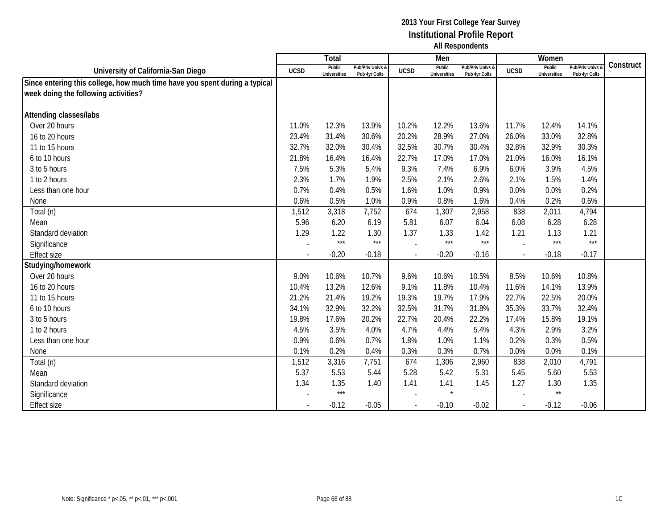|                                                                            |                          | Total                         |                                   |                          | Men                           |                                   |             | Women                         |                                        |           |
|----------------------------------------------------------------------------|--------------------------|-------------------------------|-----------------------------------|--------------------------|-------------------------------|-----------------------------------|-------------|-------------------------------|----------------------------------------|-----------|
| University of California-San Diego                                         | <b>UCSD</b>              | Public<br><b>Universities</b> | Pub/Priv Univs &<br>Pub 4yr Colls | <b>UCSD</b>              | Public<br><b>Universities</b> | Pub/Priv Univs &<br>Pub 4yr Colls | <b>UCSD</b> | Public<br><b>Universities</b> | <b>Pub/Priv Univs</b><br>Pub 4yr Colls | Construct |
| Since entering this college, how much time have you spent during a typical |                          |                               |                                   |                          |                               |                                   |             |                               |                                        |           |
| week doing the following activities?                                       |                          |                               |                                   |                          |                               |                                   |             |                               |                                        |           |
|                                                                            |                          |                               |                                   |                          |                               |                                   |             |                               |                                        |           |
| <b>Attending classes/labs</b>                                              |                          |                               |                                   |                          |                               |                                   |             |                               |                                        |           |
| Over 20 hours                                                              | 11.0%                    | 12.3%                         | 13.9%                             | 10.2%                    | 12.2%                         | 13.6%                             | 11.7%       | 12.4%                         | 14.1%                                  |           |
| 16 to 20 hours                                                             | 23.4%                    | 31.4%                         | 30.6%                             | 20.2%                    | 28.9%                         | 27.0%                             | 26.0%       | 33.0%                         | 32.8%                                  |           |
| 11 to 15 hours                                                             | 32.7%                    | 32.0%                         | 30.4%                             | 32.5%                    | 30.7%                         | 30.4%                             | 32.8%       | 32.9%                         | 30.3%                                  |           |
| 6 to 10 hours                                                              | 21.8%                    | 16.4%                         | 16.4%                             | 22.7%                    | 17.0%                         | 17.0%                             | 21.0%       | 16.0%                         | 16.1%                                  |           |
| 3 to 5 hours                                                               | 7.5%                     | 5.3%                          | 5.4%                              | 9.3%                     | 7.4%                          | 6.9%                              | 6.0%        | 3.9%                          | 4.5%                                   |           |
| 1 to 2 hours                                                               | 2.3%                     | 1.7%                          | 1.9%                              | 2.5%                     | 2.1%                          | 2.6%                              | 2.1%        | 1.5%                          | 1.4%                                   |           |
| Less than one hour                                                         | 0.7%                     | 0.4%                          | 0.5%                              | 1.6%                     | 1.0%                          | 0.9%                              | 0.0%        | 0.0%                          | 0.2%                                   |           |
| None                                                                       | 0.6%                     | 0.5%                          | 1.0%                              | 0.9%                     | 0.8%                          | 1.6%                              | 0.4%        | 0.2%                          | 0.6%                                   |           |
| Total (n)                                                                  | 1,512                    | 3,318                         | 7,752                             | 674                      | 1,307                         | 2,958                             | 838         | 2,011                         | 4,794                                  |           |
| Mean                                                                       | 5.96                     | 6.20                          | 6.19                              | 5.81                     | 6.07                          | 6.04                              | 6.08        | 6.28                          | 6.28                                   |           |
| Standard deviation                                                         | 1.29                     | 1.22                          | 1.30                              | 1.37                     | 1.33                          | 1.42                              | 1.21        | 1.13                          | 1.21                                   |           |
| Significance                                                               |                          | $***$                         | $***$                             |                          | $***$                         | $***$                             |             | $***$                         | $***$                                  |           |
| <b>Effect size</b>                                                         |                          | $-0.20$                       | $-0.18$                           |                          | $-0.20$                       | $-0.16$                           |             | $-0.18$                       | $-0.17$                                |           |
| Studying/homework                                                          |                          |                               |                                   |                          |                               |                                   |             |                               |                                        |           |
| Over 20 hours                                                              | 9.0%                     | 10.6%                         | 10.7%                             | 9.6%                     | 10.6%                         | 10.5%                             | 8.5%        | 10.6%                         | 10.8%                                  |           |
| 16 to 20 hours                                                             | 10.4%                    | 13.2%                         | 12.6%                             | 9.1%                     | 11.8%                         | 10.4%                             | 11.6%       | 14.1%                         | 13.9%                                  |           |
| 11 to 15 hours                                                             | 21.2%                    | 21.4%                         | 19.2%                             | 19.3%                    | 19.7%                         | 17.9%                             | 22.7%       | 22.5%                         | 20.0%                                  |           |
| 6 to 10 hours                                                              | 34.1%                    | 32.9%                         | 32.2%                             | 32.5%                    | 31.7%                         | 31.8%                             | 35.3%       | 33.7%                         | 32.4%                                  |           |
| 3 to 5 hours                                                               | 19.8%                    | 17.6%                         | 20.2%                             | 22.7%                    | 20.4%                         | 22.2%                             | 17.4%       | 15.8%                         | 19.1%                                  |           |
| 1 to 2 hours                                                               | 4.5%                     | 3.5%                          | 4.0%                              | 4.7%                     | 4.4%                          | 5.4%                              | 4.3%        | 2.9%                          | 3.2%                                   |           |
| Less than one hour                                                         | 0.9%                     | 0.6%                          | 0.7%                              | 1.8%                     | 1.0%                          | 1.1%                              | 0.2%        | 0.3%                          | 0.5%                                   |           |
| None                                                                       | 0.1%                     | 0.2%                          | 0.4%                              | 0.3%                     | 0.3%                          | 0.7%                              | 0.0%        | 0.0%                          | 0.1%                                   |           |
| Total (n)                                                                  | 1,512                    | 3,316                         | 7,751                             | 674                      | 1,306                         | 2,960                             | 838         | 2,010                         | 4,791                                  |           |
| Mean                                                                       | 5.37                     | 5.53                          | 5.44                              | 5.28                     | 5.42                          | 5.31                              | 5.45        | 5.60                          | 5.53                                   |           |
| Standard deviation                                                         | 1.34                     | 1.35                          | 1.40                              | 1.41                     | 1.41                          | 1.45                              | 1.27        | 1.30                          | 1.35                                   |           |
| Significance                                                               |                          | $***$                         |                                   |                          | $\star$                       |                                   |             | $\star\star$                  |                                        |           |
| <b>Effect size</b>                                                         | $\overline{\phantom{a}}$ | $-0.12$                       | $-0.05$                           | $\overline{\phantom{a}}$ | $-0.10$                       | $-0.02$                           | $\sim$      | $-0.12$                       | $-0.06$                                |           |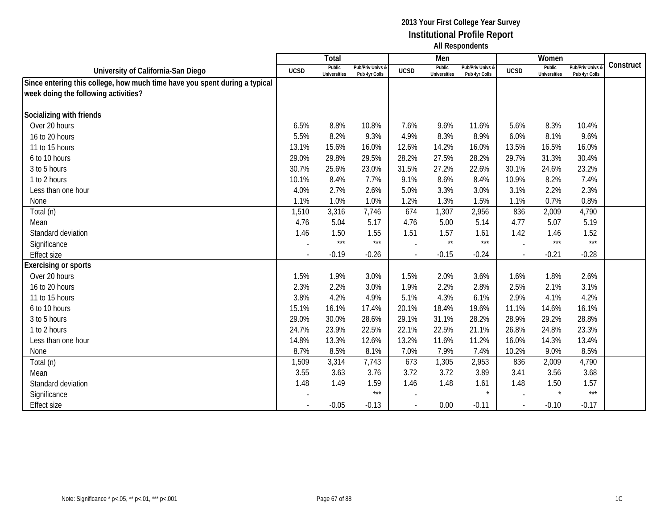|                                                                            |                          | Total                         |                                   |                          | Men                           |                                   |             | Women                         |                                        |           |
|----------------------------------------------------------------------------|--------------------------|-------------------------------|-----------------------------------|--------------------------|-------------------------------|-----------------------------------|-------------|-------------------------------|----------------------------------------|-----------|
| University of California-San Diego                                         | <b>UCSD</b>              | Public<br><b>Universities</b> | Pub/Priv Univs &<br>Pub 4yr Colls | <b>UCSD</b>              | Public<br><b>Universities</b> | Pub/Priv Univs &<br>Pub 4yr Colls | <b>UCSD</b> | Public<br><b>Universities</b> | <b>Pub/Priv Univs</b><br>Pub 4yr Colls | Construct |
| Since entering this college, how much time have you spent during a typical |                          |                               |                                   |                          |                               |                                   |             |                               |                                        |           |
| week doing the following activities?                                       |                          |                               |                                   |                          |                               |                                   |             |                               |                                        |           |
|                                                                            |                          |                               |                                   |                          |                               |                                   |             |                               |                                        |           |
| Socializing with friends                                                   |                          |                               |                                   |                          |                               |                                   |             |                               |                                        |           |
| Over 20 hours                                                              | 6.5%                     | 8.8%                          | 10.8%                             | 7.6%                     | 9.6%                          | 11.6%                             | 5.6%        | 8.3%                          | 10.4%                                  |           |
| 16 to 20 hours                                                             | 5.5%                     | 8.2%                          | 9.3%                              | 4.9%                     | 8.3%                          | 8.9%                              | 6.0%        | 8.1%                          | 9.6%                                   |           |
| 11 to 15 hours                                                             | 13.1%                    | 15.6%                         | 16.0%                             | 12.6%                    | 14.2%                         | 16.0%                             | 13.5%       | 16.5%                         | 16.0%                                  |           |
| 6 to 10 hours                                                              | 29.0%                    | 29.8%                         | 29.5%                             | 28.2%                    | 27.5%                         | 28.2%                             | 29.7%       | 31.3%                         | 30.4%                                  |           |
| 3 to 5 hours                                                               | 30.7%                    | 25.6%                         | 23.0%                             | 31.5%                    | 27.2%                         | 22.6%                             | 30.1%       | 24.6%                         | 23.2%                                  |           |
| 1 to 2 hours                                                               | 10.1%                    | 8.4%                          | 7.7%                              | 9.1%                     | 8.6%                          | 8.4%                              | 10.9%       | 8.2%                          | 7.4%                                   |           |
| Less than one hour                                                         | 4.0%                     | 2.7%                          | 2.6%                              | 5.0%                     | 3.3%                          | 3.0%                              | 3.1%        | 2.2%                          | 2.3%                                   |           |
| None                                                                       | 1.1%                     | 1.0%                          | 1.0%                              | 1.2%                     | 1.3%                          | 1.5%                              | 1.1%        | 0.7%                          | 0.8%                                   |           |
| Total (n)                                                                  | 1,510                    | 3,316                         | 7,746                             | 674                      | 1,307                         | 2,956                             | 836         | 2,009                         | 4,790                                  |           |
| Mean                                                                       | 4.76                     | 5.04                          | 5.17                              | 4.76                     | 5.00                          | 5.14                              | 4.77        | 5.07                          | 5.19                                   |           |
| Standard deviation                                                         | 1.46                     | 1.50                          | 1.55                              | 1.51                     | 1.57                          | 1.61                              | 1.42        | 1.46                          | 1.52                                   |           |
| Significance                                                               | $\overline{\phantom{a}}$ | $***$                         | $***$                             |                          | $\star\star$                  | $***$                             |             | $***$                         | $***$                                  |           |
| <b>Effect size</b>                                                         |                          | $-0.19$                       | $-0.26$                           |                          | $-0.15$                       | $-0.24$                           |             | $-0.21$                       | $-0.28$                                |           |
| <b>Exercising or sports</b>                                                |                          |                               |                                   |                          |                               |                                   |             |                               |                                        |           |
| Over 20 hours                                                              | 1.5%                     | 1.9%                          | 3.0%                              | 1.5%                     | 2.0%                          | 3.6%                              | 1.6%        | 1.8%                          | 2.6%                                   |           |
| 16 to 20 hours                                                             | 2.3%                     | 2.2%                          | 3.0%                              | 1.9%                     | 2.2%                          | 2.8%                              | 2.5%        | 2.1%                          | 3.1%                                   |           |
| 11 to 15 hours                                                             | 3.8%                     | 4.2%                          | 4.9%                              | 5.1%                     | 4.3%                          | 6.1%                              | 2.9%        | 4.1%                          | 4.2%                                   |           |
| 6 to 10 hours                                                              | 15.1%                    | 16.1%                         | 17.4%                             | 20.1%                    | 18.4%                         | 19.6%                             | 11.1%       | 14.6%                         | 16.1%                                  |           |
| 3 to 5 hours                                                               | 29.0%                    | 30.0%                         | 28.6%                             | 29.1%                    | 31.1%                         | 28.2%                             | 28.9%       | 29.2%                         | 28.8%                                  |           |
| 1 to 2 hours                                                               | 24.7%                    | 23.9%                         | 22.5%                             | 22.1%                    | 22.5%                         | 21.1%                             | 26.8%       | 24.8%                         | 23.3%                                  |           |
| Less than one hour                                                         | 14.8%                    | 13.3%                         | 12.6%                             | 13.2%                    | 11.6%                         | 11.2%                             | 16.0%       | 14.3%                         | 13.4%                                  |           |
| None                                                                       | 8.7%                     | 8.5%                          | 8.1%                              | 7.0%                     | 7.9%                          | 7.4%                              | 10.2%       | 9.0%                          | 8.5%                                   |           |
| Total (n)                                                                  | 1,509                    | 3,314                         | 7,743                             | 673                      | 1,305                         | 2,953                             | 836         | 2,009                         | 4,790                                  |           |
| Mean                                                                       | 3.55                     | 3.63                          | 3.76                              | 3.72                     | 3.72                          | 3.89                              | 3.41        | 3.56                          | 3.68                                   |           |
| Standard deviation                                                         | 1.48                     | 1.49                          | 1.59                              | 1.46                     | 1.48                          | 1.61                              | 1.48        | 1.50                          | 1.57                                   |           |
| Significance                                                               |                          |                               | $***$                             |                          |                               | $\star$                           |             | $\star$                       | $***$                                  |           |
| <b>Effect size</b>                                                         | $\overline{\phantom{a}}$ | $-0.05$                       | $-0.13$                           | $\overline{\phantom{a}}$ | 0.00                          | $-0.11$                           | $\sim$      | $-0.10$                       | $-0.17$                                |           |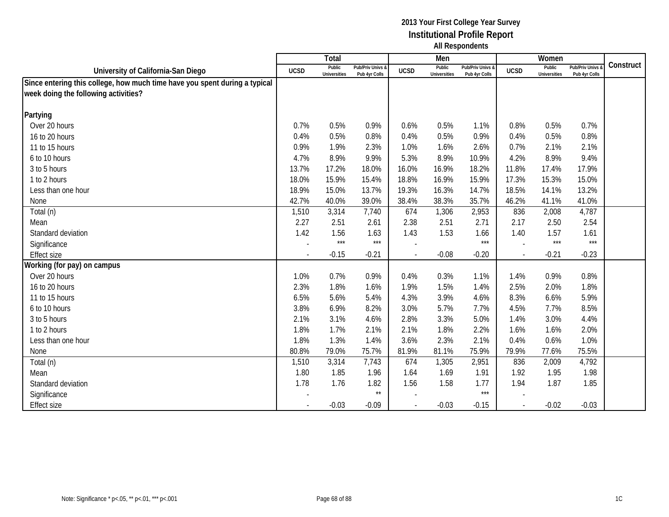|                                                                            |             | <b>Total</b>                  |                                   |                          | Men                           |                                   |                | Women                         |                                        |           |
|----------------------------------------------------------------------------|-------------|-------------------------------|-----------------------------------|--------------------------|-------------------------------|-----------------------------------|----------------|-------------------------------|----------------------------------------|-----------|
| University of California-San Diego                                         | <b>UCSD</b> | Public<br><b>Universities</b> | Pub/Priv Univs &<br>Pub 4yr Colls | <b>UCSD</b>              | Public<br><b>Universities</b> | Pub/Priv Univs &<br>Pub 4yr Colls | <b>UCSD</b>    | Public<br><b>Universities</b> | <b>Pub/Priv Univs</b><br>Pub 4yr Colls | Construct |
| Since entering this college, how much time have you spent during a typical |             |                               |                                   |                          |                               |                                   |                |                               |                                        |           |
| week doing the following activities?                                       |             |                               |                                   |                          |                               |                                   |                |                               |                                        |           |
|                                                                            |             |                               |                                   |                          |                               |                                   |                |                               |                                        |           |
| Partying                                                                   |             |                               |                                   |                          |                               |                                   |                |                               |                                        |           |
| Over 20 hours                                                              | 0.7%        | 0.5%                          | 0.9%                              | 0.6%                     | 0.5%                          | 1.1%                              | 0.8%           | 0.5%                          | 0.7%                                   |           |
| 16 to 20 hours                                                             | 0.4%        | 0.5%                          | 0.8%                              | 0.4%                     | 0.5%                          | 0.9%                              | 0.4%           | 0.5%                          | 0.8%                                   |           |
| 11 to 15 hours                                                             | 0.9%        | 1.9%                          | 2.3%                              | 1.0%                     | 1.6%                          | 2.6%                              | 0.7%           | 2.1%                          | 2.1%                                   |           |
| 6 to 10 hours                                                              | 4.7%        | 8.9%                          | 9.9%                              | 5.3%                     | 8.9%                          | 10.9%                             | 4.2%           | 8.9%                          | 9.4%                                   |           |
| 3 to 5 hours                                                               | 13.7%       | 17.2%                         | 18.0%                             | 16.0%                    | 16.9%                         | 18.2%                             | 11.8%          | 17.4%                         | 17.9%                                  |           |
| 1 to 2 hours                                                               | 18.0%       | 15.9%                         | 15.4%                             | 18.8%                    | 16.9%                         | 15.9%                             | 17.3%          | 15.3%                         | 15.0%                                  |           |
| Less than one hour                                                         | 18.9%       | 15.0%                         | 13.7%                             | 19.3%                    | 16.3%                         | 14.7%                             | 18.5%          | 14.1%                         | 13.2%                                  |           |
| None                                                                       | 42.7%       | 40.0%                         | 39.0%                             | 38.4%                    | 38.3%                         | 35.7%                             | 46.2%          | 41.1%                         | 41.0%                                  |           |
| Total (n)                                                                  | 1,510       | 3,314                         | 7,740                             | 674                      | 1,306                         | 2,953                             | 836            | 2,008                         | 4,787                                  |           |
| Mean                                                                       | 2.27        | 2.51                          | 2.61                              | 2.38                     | 2.51                          | 2.71                              | 2.17           | 2.50                          | 2.54                                   |           |
| Standard deviation                                                         | 1.42        | 1.56                          | 1.63                              | 1.43                     | 1.53                          | 1.66                              | 1.40           | 1.57                          | 1.61                                   |           |
| Significance                                                               |             | $***$                         | $***$                             |                          |                               | $***$                             |                | $***$                         | $***$                                  |           |
| <b>Effect size</b>                                                         |             | $-0.15$                       | $-0.21$                           |                          | $-0.08$                       | $-0.20$                           | $\sim$         | $-0.21$                       | $-0.23$                                |           |
| Working (for pay) on campus                                                |             |                               |                                   |                          |                               |                                   |                |                               |                                        |           |
| Over 20 hours                                                              | 1.0%        | 0.7%                          | 0.9%                              | 0.4%                     | 0.3%                          | 1.1%                              | 1.4%           | 0.9%                          | 0.8%                                   |           |
| 16 to 20 hours                                                             | 2.3%        | 1.8%                          | 1.6%                              | 1.9%                     | 1.5%                          | 1.4%                              | 2.5%           | 2.0%                          | 1.8%                                   |           |
| 11 to 15 hours                                                             | 6.5%        | 5.6%                          | 5.4%                              | 4.3%                     | 3.9%                          | 4.6%                              | 8.3%           | 6.6%                          | 5.9%                                   |           |
| 6 to 10 hours                                                              | 3.8%        | 6.9%                          | 8.2%                              | 3.0%                     | 5.7%                          | 7.7%                              | 4.5%           | 7.7%                          | 8.5%                                   |           |
| 3 to 5 hours                                                               | 2.1%        | 3.1%                          | 4.6%                              | 2.8%                     | 3.3%                          | 5.0%                              | 1.4%           | 3.0%                          | 4.4%                                   |           |
| 1 to 2 hours                                                               | 1.8%        | 1.7%                          | 2.1%                              | 2.1%                     | 1.8%                          | 2.2%                              | 1.6%           | 1.6%                          | 2.0%                                   |           |
| Less than one hour                                                         | 1.8%        | 1.3%                          | 1.4%                              | 3.6%                     | 2.3%                          | 2.1%                              | 0.4%           | 0.6%                          | 1.0%                                   |           |
| None                                                                       | 80.8%       | 79.0%                         | 75.7%                             | 81.9%                    | 81.1%                         | 75.9%                             | 79.9%          | 77.6%                         | 75.5%                                  |           |
| Total (n)                                                                  | 1,510       | 3,314                         | 7,743                             | 674                      | 1,305                         | 2,951                             | 836            | 2,009                         | 4,792                                  |           |
| Mean                                                                       | 1.80        | 1.85                          | 1.96                              | 1.64                     | 1.69                          | 1.91                              | 1.92           | 1.95                          | 1.98                                   |           |
| Standard deviation                                                         | 1.78        | 1.76                          | 1.82                              | 1.56                     | 1.58                          | 1.77                              | 1.94           | 1.87                          | 1.85                                   |           |
| Significance                                                               |             |                               | $^{\star\star}$                   |                          |                               | $***$                             |                |                               |                                        |           |
| <b>Effect size</b>                                                         |             | $-0.03$                       | $-0.09$                           | $\overline{\phantom{a}}$ | $-0.03$                       | $-0.15$                           | $\blacksquare$ | $-0.02$                       | $-0.03$                                |           |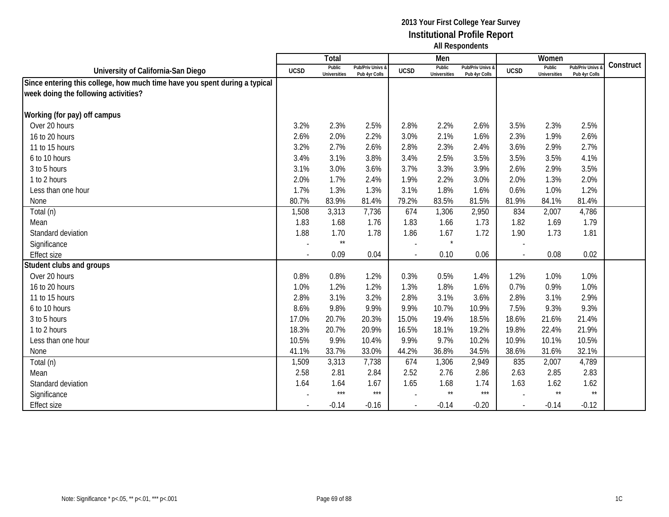|                                                                            |                          | Total                         |                                   |                          | Men                           |                                   |             | Women                         |                                        |           |
|----------------------------------------------------------------------------|--------------------------|-------------------------------|-----------------------------------|--------------------------|-------------------------------|-----------------------------------|-------------|-------------------------------|----------------------------------------|-----------|
| University of California-San Diego                                         | <b>UCSD</b>              | Public<br><b>Universities</b> | Pub/Priv Univs &<br>Pub 4yr Colls | <b>UCSD</b>              | Public<br><b>Universities</b> | Pub/Priv Univs &<br>Pub 4yr Colls | <b>UCSD</b> | Public<br><b>Universities</b> | <b>Pub/Priv Univs</b><br>Pub 4yr Colls | Construct |
| Since entering this college, how much time have you spent during a typical |                          |                               |                                   |                          |                               |                                   |             |                               |                                        |           |
| week doing the following activities?                                       |                          |                               |                                   |                          |                               |                                   |             |                               |                                        |           |
|                                                                            |                          |                               |                                   |                          |                               |                                   |             |                               |                                        |           |
| Working (for pay) off campus                                               |                          |                               |                                   |                          |                               |                                   |             |                               |                                        |           |
| Over 20 hours                                                              | 3.2%                     | 2.3%                          | 2.5%                              | 2.8%                     | 2.2%                          | 2.6%                              | 3.5%        | 2.3%                          | 2.5%                                   |           |
| 16 to 20 hours                                                             | 2.6%                     | 2.0%                          | 2.2%                              | 3.0%                     | 2.1%                          | 1.6%                              | 2.3%        | 1.9%                          | 2.6%                                   |           |
| 11 to 15 hours                                                             | 3.2%                     | 2.7%                          | 2.6%                              | 2.8%                     | 2.3%                          | 2.4%                              | 3.6%        | 2.9%                          | 2.7%                                   |           |
| 6 to 10 hours                                                              | 3.4%                     | 3.1%                          | 3.8%                              | 3.4%                     | 2.5%                          | 3.5%                              | 3.5%        | 3.5%                          | 4.1%                                   |           |
| 3 to 5 hours                                                               | 3.1%                     | 3.0%                          | 3.6%                              | 3.7%                     | 3.3%                          | 3.9%                              | 2.6%        | 2.9%                          | 3.5%                                   |           |
| 1 to 2 hours                                                               | 2.0%                     | 1.7%                          | 2.4%                              | 1.9%                     | 2.2%                          | 3.0%                              | 2.0%        | 1.3%                          | 2.0%                                   |           |
| Less than one hour                                                         | 1.7%                     | 1.3%                          | 1.3%                              | 3.1%                     | 1.8%                          | 1.6%                              | 0.6%        | 1.0%                          | 1.2%                                   |           |
| None                                                                       | 80.7%                    | 83.9%                         | 81.4%                             | 79.2%                    | 83.5%                         | 81.5%                             | 81.9%       | 84.1%                         | 81.4%                                  |           |
| Total (n)                                                                  | 1,508                    | 3,313                         | 7,736                             | 674                      | 1,306                         | 2,950                             | 834         | 2,007                         | 4,786                                  |           |
| Mean                                                                       | 1.83                     | 1.68                          | 1.76                              | 1.83                     | 1.66                          | 1.73                              | 1.82        | 1.69                          | 1.79                                   |           |
| Standard deviation                                                         | 1.88                     | 1.70                          | 1.78                              | 1.86                     | 1.67                          | 1.72                              | 1.90        | 1.73                          | 1.81                                   |           |
| Significance                                                               | $\overline{\phantom{a}}$ | $\star\star$                  |                                   |                          | $\star$                       |                                   |             |                               |                                        |           |
| <b>Effect size</b>                                                         |                          | 0.09                          | 0.04                              |                          | 0.10                          | 0.06                              |             | 0.08                          | 0.02                                   |           |
| Student clubs and groups                                                   |                          |                               |                                   |                          |                               |                                   |             |                               |                                        |           |
| Over 20 hours                                                              | 0.8%                     | 0.8%                          | 1.2%                              | 0.3%                     | 0.5%                          | 1.4%                              | 1.2%        | 1.0%                          | 1.0%                                   |           |
| 16 to 20 hours                                                             | 1.0%                     | 1.2%                          | 1.2%                              | 1.3%                     | 1.8%                          | 1.6%                              | 0.7%        | 0.9%                          | 1.0%                                   |           |
| 11 to 15 hours                                                             | 2.8%                     | 3.1%                          | 3.2%                              | 2.8%                     | 3.1%                          | 3.6%                              | 2.8%        | 3.1%                          | 2.9%                                   |           |
| 6 to 10 hours                                                              | 8.6%                     | 9.8%                          | 9.9%                              | 9.9%                     | 10.7%                         | 10.9%                             | 7.5%        | 9.3%                          | 9.3%                                   |           |
| 3 to 5 hours                                                               | 17.0%                    | 20.7%                         | 20.3%                             | 15.0%                    | 19.4%                         | 18.5%                             | 18.6%       | 21.6%                         | 21.4%                                  |           |
| 1 to 2 hours                                                               | 18.3%                    | 20.7%                         | 20.9%                             | 16.5%                    | 18.1%                         | 19.2%                             | 19.8%       | 22.4%                         | 21.9%                                  |           |
| Less than one hour                                                         | 10.5%                    | 9.9%                          | 10.4%                             | 9.9%                     | 9.7%                          | 10.2%                             | 10.9%       | 10.1%                         | 10.5%                                  |           |
| None                                                                       | 41.1%                    | 33.7%                         | 33.0%                             | 44.2%                    | 36.8%                         | 34.5%                             | 38.6%       | 31.6%                         | 32.1%                                  |           |
| Total (n)                                                                  | 1,509                    | 3,313                         | 7,738                             | 674                      | 1,306                         | 2,949                             | 835         | 2,007                         | 4,789                                  |           |
| Mean                                                                       | 2.58                     | 2.81                          | 2.84                              | 2.52                     | 2.76                          | 2.86                              | 2.63        | 2.85                          | 2.83                                   |           |
| Standard deviation                                                         | 1.64                     | 1.64                          | 1.67                              | 1.65                     | 1.68                          | 1.74                              | 1.63        | 1.62                          | 1.62                                   |           |
| Significance                                                               |                          | $***$                         | $***$                             |                          | $\star\star$                  | $***$                             |             | $\star\star$                  | $\star\star$                           |           |
| <b>Effect size</b>                                                         | $\overline{\phantom{a}}$ | $-0.14$                       | $-0.16$                           | $\overline{\phantom{a}}$ | $-0.14$                       | $-0.20$                           | $\sim$      | $-0.14$                       | $-0.12$                                |           |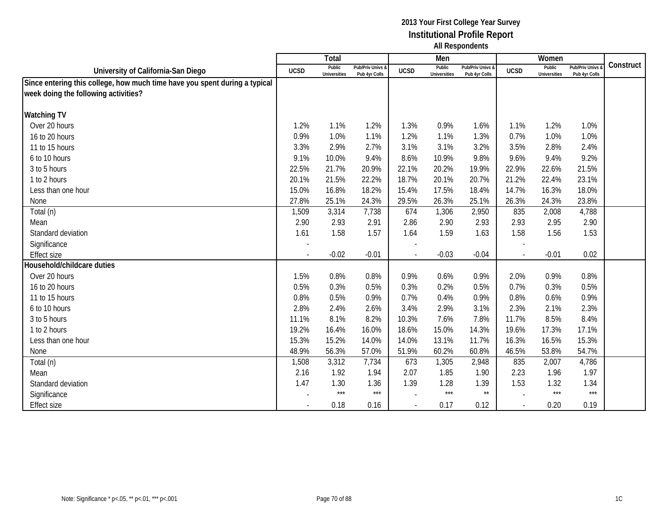|                                                                            |                          | Total                         |                                   |                          | Men                           |                                   |             | Women                         |                                        |           |
|----------------------------------------------------------------------------|--------------------------|-------------------------------|-----------------------------------|--------------------------|-------------------------------|-----------------------------------|-------------|-------------------------------|----------------------------------------|-----------|
| University of California-San Diego                                         | <b>UCSD</b>              | Public<br><b>Universities</b> | Pub/Priv Univs &<br>Pub 4yr Colls | <b>UCSD</b>              | Public<br><b>Universities</b> | Pub/Priv Univs &<br>Pub 4yr Colls | <b>UCSD</b> | Public<br><b>Universities</b> | <b>Pub/Priv Univs</b><br>Pub 4yr Colls | Construct |
| Since entering this college, how much time have you spent during a typical |                          |                               |                                   |                          |                               |                                   |             |                               |                                        |           |
| week doing the following activities?                                       |                          |                               |                                   |                          |                               |                                   |             |                               |                                        |           |
|                                                                            |                          |                               |                                   |                          |                               |                                   |             |                               |                                        |           |
| <b>Watching TV</b>                                                         |                          |                               |                                   |                          |                               |                                   |             |                               |                                        |           |
| Over 20 hours                                                              | 1.2%                     | 1.1%                          | 1.2%                              | 1.3%                     | 0.9%                          | 1.6%                              | 1.1%        | 1.2%                          | 1.0%                                   |           |
| 16 to 20 hours                                                             | 0.9%                     | 1.0%                          | 1.1%                              | 1.2%                     | 1.1%                          | 1.3%                              | 0.7%        | 1.0%                          | 1.0%                                   |           |
| 11 to 15 hours                                                             | 3.3%                     | 2.9%                          | 2.7%                              | 3.1%                     | 3.1%                          | 3.2%                              | 3.5%        | 2.8%                          | 2.4%                                   |           |
| 6 to 10 hours                                                              | 9.1%                     | 10.0%                         | 9.4%                              | 8.6%                     | 10.9%                         | 9.8%                              | 9.6%        | 9.4%                          | 9.2%                                   |           |
| 3 to 5 hours                                                               | 22.5%                    | 21.7%                         | 20.9%                             | 22.1%                    | 20.2%                         | 19.9%                             | 22.9%       | 22.6%                         | 21.5%                                  |           |
| 1 to 2 hours                                                               | 20.1%                    | 21.5%                         | 22.2%                             | 18.7%                    | 20.1%                         | 20.7%                             | 21.2%       | 22.4%                         | 23.1%                                  |           |
| Less than one hour                                                         | 15.0%                    | 16.8%                         | 18.2%                             | 15.4%                    | 17.5%                         | 18.4%                             | 14.7%       | 16.3%                         | 18.0%                                  |           |
| None                                                                       | 27.8%                    | 25.1%                         | 24.3%                             | 29.5%                    | 26.3%                         | 25.1%                             | 26.3%       | 24.3%                         | 23.8%                                  |           |
| Total (n)                                                                  | 1,509                    | 3,314                         | 7,738                             | 674                      | 1,306                         | 2,950                             | 835         | 2,008                         | 4,788                                  |           |
| Mean                                                                       | 2.90                     | 2.93                          | 2.91                              | 2.86                     | 2.90                          | 2.93                              | 2.93        | 2.95                          | 2.90                                   |           |
| Standard deviation                                                         | 1.61                     | 1.58                          | 1.57                              | 1.64                     | 1.59                          | 1.63                              | 1.58        | 1.56                          | 1.53                                   |           |
| Significance                                                               |                          |                               |                                   |                          |                               |                                   |             |                               |                                        |           |
| <b>Effect size</b>                                                         |                          | $-0.02$                       | $-0.01$                           |                          | $-0.03$                       | $-0.04$                           | $\sim$      | $-0.01$                       | 0.02                                   |           |
| Household/childcare duties                                                 |                          |                               |                                   |                          |                               |                                   |             |                               |                                        |           |
| Over 20 hours                                                              | 1.5%                     | 0.8%                          | 0.8%                              | 0.9%                     | 0.6%                          | 0.9%                              | 2.0%        | 0.9%                          | 0.8%                                   |           |
| 16 to 20 hours                                                             | 0.5%                     | 0.3%                          | 0.5%                              | 0.3%                     | 0.2%                          | 0.5%                              | 0.7%        | 0.3%                          | 0.5%                                   |           |
| 11 to 15 hours                                                             | 0.8%                     | 0.5%                          | 0.9%                              | 0.7%                     | 0.4%                          | 0.9%                              | 0.8%        | 0.6%                          | 0.9%                                   |           |
| 6 to 10 hours                                                              | 2.8%                     | 2.4%                          | 2.6%                              | 3.4%                     | 2.9%                          | 3.1%                              | 2.3%        | 2.1%                          | 2.3%                                   |           |
| 3 to 5 hours                                                               | 11.1%                    | 8.1%                          | 8.2%                              | 10.3%                    | 7.6%                          | 7.8%                              | 11.7%       | 8.5%                          | 8.4%                                   |           |
| 1 to 2 hours                                                               | 19.2%                    | 16.4%                         | 16.0%                             | 18.6%                    | 15.0%                         | 14.3%                             | 19.6%       | 17.3%                         | 17.1%                                  |           |
| Less than one hour                                                         | 15.3%                    | 15.2%                         | 14.0%                             | 14.0%                    | 13.1%                         | 11.7%                             | 16.3%       | 16.5%                         | 15.3%                                  |           |
| None                                                                       | 48.9%                    | 56.3%                         | 57.0%                             | 51.9%                    | 60.2%                         | 60.8%                             | 46.5%       | 53.8%                         | 54.7%                                  |           |
| Total (n)                                                                  | 1,508                    | 3,312                         | 7,734                             | 673                      | 1,305                         | 2,948                             | 835         | 2,007                         | 4,786                                  |           |
| Mean                                                                       | 2.16                     | 1.92                          | 1.94                              | 2.07                     | 1.85                          | 1.90                              | 2.23        | 1.96                          | 1.97                                   |           |
| Standard deviation                                                         | 1.47                     | 1.30                          | 1.36                              | 1.39                     | 1.28                          | 1.39                              | 1.53        | 1.32                          | 1.34                                   |           |
| Significance                                                               |                          | $***$                         | $***$                             |                          | $***$                         | $\star\star$                      |             | $***$                         | $***$                                  |           |
| <b>Effect size</b>                                                         | $\overline{\phantom{a}}$ | 0.18                          | 0.16                              | $\overline{\phantom{a}}$ | 0.17                          | 0.12                              | $\sim$      | 0.20                          | 0.19                                   |           |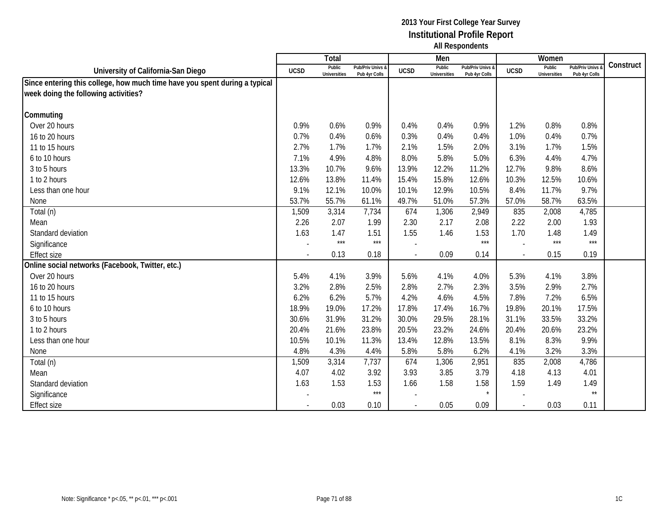|                                                                            |                          | Total                         |                                   |                | Men                           |                                   |                          | Women                         |                                        |           |
|----------------------------------------------------------------------------|--------------------------|-------------------------------|-----------------------------------|----------------|-------------------------------|-----------------------------------|--------------------------|-------------------------------|----------------------------------------|-----------|
| University of California-San Diego                                         | <b>UCSD</b>              | Public<br><b>Universities</b> | Pub/Priv Univs &<br>Pub 4yr Colls | <b>UCSD</b>    | Public<br><b>Universities</b> | Pub/Priv Univs &<br>Pub 4yr Colls | <b>UCSD</b>              | Public<br><b>Universities</b> | <b>Pub/Priv Univs</b><br>Pub 4yr Colls | Construct |
| Since entering this college, how much time have you spent during a typical |                          |                               |                                   |                |                               |                                   |                          |                               |                                        |           |
| week doing the following activities?                                       |                          |                               |                                   |                |                               |                                   |                          |                               |                                        |           |
|                                                                            |                          |                               |                                   |                |                               |                                   |                          |                               |                                        |           |
| Commuting                                                                  |                          |                               |                                   |                |                               |                                   |                          |                               |                                        |           |
| Over 20 hours                                                              | 0.9%                     | 0.6%                          | 0.9%                              | 0.4%           | 0.4%                          | 0.9%                              | 1.2%                     | 0.8%                          | 0.8%                                   |           |
| 16 to 20 hours                                                             | 0.7%                     | 0.4%                          | 0.6%                              | 0.3%           | 0.4%                          | 0.4%                              | 1.0%                     | 0.4%                          | 0.7%                                   |           |
| 11 to 15 hours                                                             | 2.7%                     | 1.7%                          | 1.7%                              | 2.1%           | 1.5%                          | 2.0%                              | 3.1%                     | 1.7%                          | 1.5%                                   |           |
| 6 to 10 hours                                                              | 7.1%                     | 4.9%                          | 4.8%                              | 8.0%           | 5.8%                          | 5.0%                              | 6.3%                     | 4.4%                          | 4.7%                                   |           |
| 3 to 5 hours                                                               | 13.3%                    | 10.7%                         | 9.6%                              | 13.9%          | 12.2%                         | 11.2%                             | 12.7%                    | 9.8%                          | 8.6%                                   |           |
| 1 to 2 hours                                                               | 12.6%                    | 13.8%                         | 11.4%                             | 15.4%          | 15.8%                         | 12.6%                             | 10.3%                    | 12.5%                         | 10.6%                                  |           |
| Less than one hour                                                         | 9.1%                     | 12.1%                         | 10.0%                             | 10.1%          | 12.9%                         | 10.5%                             | 8.4%                     | 11.7%                         | 9.7%                                   |           |
| None                                                                       | 53.7%                    | 55.7%                         | 61.1%                             | 49.7%          | 51.0%                         | 57.3%                             | 57.0%                    | 58.7%                         | 63.5%                                  |           |
| Total (n)                                                                  | 1,509                    | 3,314                         | 7,734                             | 674            | 1,306                         | 2,949                             | 835                      | 2,008                         | 4,785                                  |           |
| Mean                                                                       | 2.26                     | 2.07                          | 1.99                              | 2.30           | 2.17                          | 2.08                              | 2.22                     | 2.00                          | 1.93                                   |           |
| Standard deviation                                                         | 1.63                     | 1.47                          | 1.51                              | 1.55           | 1.46                          | 1.53                              | 1.70                     | 1.48                          | 1.49                                   |           |
| Significance                                                               | $\overline{\phantom{a}}$ | $***$                         | $***$                             |                |                               | $***$                             |                          | $***$                         | $***$                                  |           |
| <b>Effect size</b>                                                         |                          | 0.13                          | 0.18                              |                | 0.09                          | 0.14                              |                          | 0.15                          | 0.19                                   |           |
| Online social networks (Facebook, Twitter, etc.)                           |                          |                               |                                   |                |                               |                                   |                          |                               |                                        |           |
| Over 20 hours                                                              | 5.4%                     | 4.1%                          | 3.9%                              | 5.6%           | 4.1%                          | 4.0%                              | 5.3%                     | 4.1%                          | 3.8%                                   |           |
| 16 to 20 hours                                                             | 3.2%                     | 2.8%                          | 2.5%                              | 2.8%           | 2.7%                          | 2.3%                              | 3.5%                     | 2.9%                          | 2.7%                                   |           |
| 11 to 15 hours                                                             | 6.2%                     | 6.2%                          | 5.7%                              | 4.2%           | 4.6%                          | 4.5%                              | 7.8%                     | 7.2%                          | 6.5%                                   |           |
| 6 to 10 hours                                                              | 18.9%                    | 19.0%                         | 17.2%                             | 17.8%          | 17.4%                         | 16.7%                             | 19.8%                    | 20.1%                         | 17.5%                                  |           |
| 3 to 5 hours                                                               | 30.6%                    | 31.9%                         | 31.2%                             | 30.0%          | 29.5%                         | 28.1%                             | 31.1%                    | 33.5%                         | 33.2%                                  |           |
| 1 to 2 hours                                                               | 20.4%                    | 21.6%                         | 23.8%                             | 20.5%          | 23.2%                         | 24.6%                             | 20.4%                    | 20.6%                         | 23.2%                                  |           |
| Less than one hour                                                         | 10.5%                    | 10.1%                         | 11.3%                             | 13.4%          | 12.8%                         | 13.5%                             | 8.1%                     | 8.3%                          | 9.9%                                   |           |
| None                                                                       | 4.8%                     | 4.3%                          | 4.4%                              | 5.8%           | 5.8%                          | 6.2%                              | 4.1%                     | 3.2%                          | 3.3%                                   |           |
| Total (n)                                                                  | 1,509                    | 3,314                         | 7,737                             | 674            | 1,306                         | 2,951                             | 835                      | 2,008                         | 4,786                                  |           |
| Mean                                                                       | 4.07                     | 4.02                          | 3.92                              | 3.93           | 3.85                          | 3.79                              | 4.18                     | 4.13                          | 4.01                                   |           |
| Standard deviation                                                         | 1.63                     | 1.53                          | 1.53                              | 1.66           | 1.58                          | 1.58                              | 1.59                     | 1.49                          | 1.49                                   |           |
| Significance                                                               |                          |                               | $***$                             |                |                               | $\star$                           |                          |                               | $\star\star$                           |           |
| <b>Effect size</b>                                                         |                          | 0.03                          | 0.10                              | $\blacksquare$ | 0.05                          | 0.09                              | $\overline{\phantom{a}}$ | 0.03                          | 0.11                                   |           |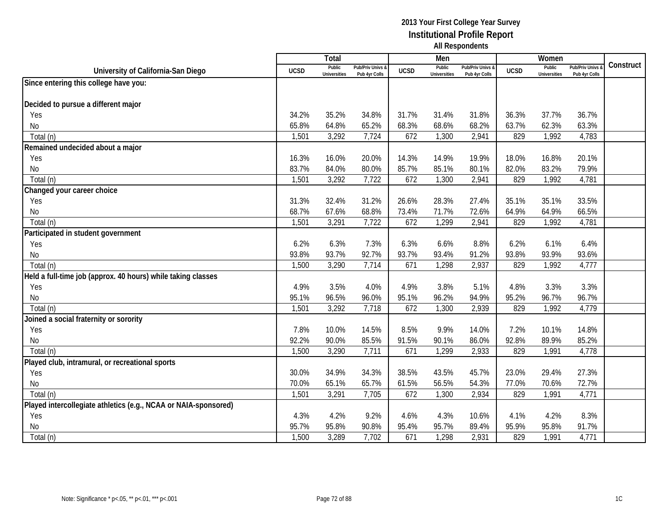|                                                                 |             | Total                         |                                   |             | Men                           |                                   |             | Women                         |                                        |           |
|-----------------------------------------------------------------|-------------|-------------------------------|-----------------------------------|-------------|-------------------------------|-----------------------------------|-------------|-------------------------------|----------------------------------------|-----------|
| University of California-San Diego                              | <b>UCSD</b> | Public<br><b>Universities</b> | Pub/Priv Univs &<br>Pub 4yr Colls | <b>UCSD</b> | Public<br><b>Universities</b> | Pub/Priv Univs &<br>Pub 4yr Colls | <b>UCSD</b> | Public<br><b>Universities</b> | <b>Pub/Priv Univs</b><br>Pub 4yr Colls | Construct |
| Since entering this college have you:                           |             |                               |                                   |             |                               |                                   |             |                               |                                        |           |
|                                                                 |             |                               |                                   |             |                               |                                   |             |                               |                                        |           |
| Decided to pursue a different major                             |             |                               |                                   |             |                               |                                   |             |                               |                                        |           |
| Yes                                                             | 34.2%       | 35.2%                         | 34.8%                             | 31.7%       | 31.4%                         | 31.8%                             | 36.3%       | 37.7%                         | 36.7%                                  |           |
| No                                                              | 65.8%       | 64.8%                         | 65.2%                             | 68.3%       | 68.6%                         | 68.2%                             | 63.7%       | 62.3%                         | 63.3%                                  |           |
| Total (n)                                                       | 1,501       | 3,292                         | 7,724                             | 672         | 1,300                         | 2,941                             | 829         | 1,992                         | 4,783                                  |           |
| Remained undecided about a major                                |             |                               |                                   |             |                               |                                   |             |                               |                                        |           |
| Yes                                                             | 16.3%       | 16.0%                         | 20.0%                             | 14.3%       | 14.9%                         | 19.9%                             | 18.0%       | 16.8%                         | 20.1%                                  |           |
| No                                                              | 83.7%       | 84.0%                         | 80.0%                             | 85.7%       | 85.1%                         | 80.1%                             | 82.0%       | 83.2%                         | 79.9%                                  |           |
| Total (n)                                                       | 1,501       | 3,292                         | 7,722                             | 672         | 1,300                         | 2,941                             | 829         | 1,992                         | 4,781                                  |           |
| Changed your career choice                                      |             |                               |                                   |             |                               |                                   |             |                               |                                        |           |
| Yes                                                             | 31.3%       | 32.4%                         | 31.2%                             | 26.6%       | 28.3%                         | 27.4%                             | 35.1%       | 35.1%                         | 33.5%                                  |           |
| <b>No</b>                                                       | 68.7%       | 67.6%                         | 68.8%                             | 73.4%       | 71.7%                         | 72.6%                             | 64.9%       | 64.9%                         | 66.5%                                  |           |
| Total (n)                                                       | 1,501       | 3,291                         | 7,722                             | 672         | 1,299                         | 2,941                             | 829         | 1,992                         | 4,781                                  |           |
| Participated in student government                              |             |                               |                                   |             |                               |                                   |             |                               |                                        |           |
| Yes                                                             | 6.2%        | 6.3%                          | 7.3%                              | 6.3%        | 6.6%                          | 8.8%                              | 6.2%        | 6.1%                          | 6.4%                                   |           |
| No                                                              | 93.8%       | 93.7%                         | 92.7%                             | 93.7%       | 93.4%                         | 91.2%                             | 93.8%       | 93.9%                         | 93.6%                                  |           |
| Total (n)                                                       | 1,500       | 3,290                         | 7,714                             | 671         | 1,298                         | 2,937                             | 829         | 1,992                         | 4,777                                  |           |
| Held a full-time job (approx. 40 hours) while taking classes    |             |                               |                                   |             |                               |                                   |             |                               |                                        |           |
| Yes                                                             | 4.9%        | 3.5%                          | 4.0%                              | 4.9%        | 3.8%                          | 5.1%                              | 4.8%        | 3.3%                          | 3.3%                                   |           |
| <b>No</b>                                                       | 95.1%       | 96.5%                         | 96.0%                             | 95.1%       | 96.2%                         | 94.9%                             | 95.2%       | 96.7%                         | 96.7%                                  |           |
| Total (n)                                                       | 1,501       | 3,292                         | 7,718                             | 672         | 1,300                         | 2,939                             | 829         | 1,992                         | 4,779                                  |           |
| Joined a social fraternity or sorority                          |             |                               |                                   |             |                               |                                   |             |                               |                                        |           |
| Yes                                                             | 7.8%        | 10.0%                         | 14.5%                             | 8.5%        | 9.9%                          | 14.0%                             | 7.2%        | 10.1%                         | 14.8%                                  |           |
| <b>No</b>                                                       | 92.2%       | 90.0%                         | 85.5%                             | 91.5%       | 90.1%                         | 86.0%                             | 92.8%       | 89.9%                         | 85.2%                                  |           |
| Total (n)                                                       | 1,500       | 3,290                         | 7,711                             | 671         | 1,299                         | 2,933                             | 829         | 1,991                         | 4,778                                  |           |
| Played club, intramural, or recreational sports                 |             |                               |                                   |             |                               |                                   |             |                               |                                        |           |
| Yes                                                             | 30.0%       | 34.9%                         | 34.3%                             | 38.5%       | 43.5%                         | 45.7%                             | 23.0%       | 29.4%                         | 27.3%                                  |           |
| No                                                              | 70.0%       | 65.1%                         | 65.7%                             | 61.5%       | 56.5%                         | 54.3%                             | 77.0%       | 70.6%                         | 72.7%                                  |           |
| Total (n)                                                       | 1,501       | 3,291                         | 7,705                             | 672         | 1,300                         | 2,934                             | 829         | 1,991                         | 4,771                                  |           |
| Played intercollegiate athletics (e.g., NCAA or NAIA-sponsored) |             |                               |                                   |             |                               |                                   |             |                               |                                        |           |
| Yes                                                             | 4.3%        | 4.2%                          | 9.2%                              | 4.6%        | 4.3%                          | 10.6%                             | 4.1%        | 4.2%                          | 8.3%                                   |           |
| <b>No</b>                                                       | 95.7%       | 95.8%                         | 90.8%                             | 95.4%       | 95.7%                         | 89.4%                             | 95.9%       | 95.8%                         | 91.7%                                  |           |
| Total (n)                                                       | 1,500       | 3,289                         | 7,702                             | 671         | 1,298                         | 2,931                             | 829         | 1,991                         | 4,771                                  |           |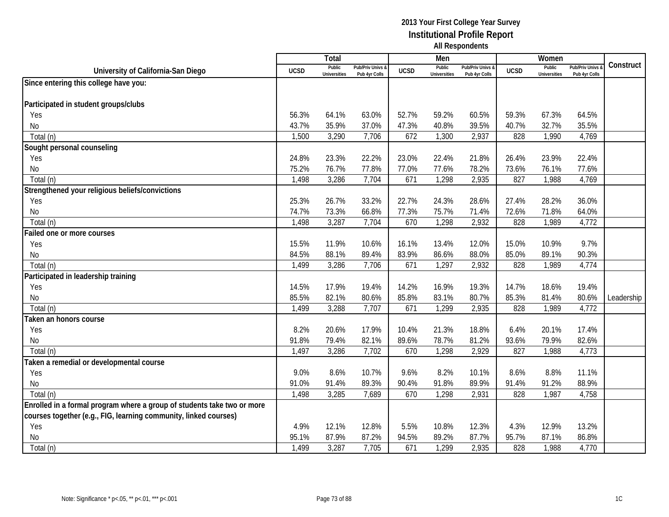|                                                                         |             | Total                         |                                   |             | Men                           |                                   |             | Women                         |                                 |            |
|-------------------------------------------------------------------------|-------------|-------------------------------|-----------------------------------|-------------|-------------------------------|-----------------------------------|-------------|-------------------------------|---------------------------------|------------|
| University of California-San Diego                                      | <b>UCSD</b> | Public<br><b>Universities</b> | Pub/Priv Univs &<br>Pub 4yr Colls | <b>UCSD</b> | Public<br><b>Universities</b> | Pub/Priv Univs &<br>Pub 4vr Colls | <b>UCSD</b> | Public<br><b>Universities</b> | Pub/Priv Univs<br>Pub 4yr Colls | Construct  |
| Since entering this college have you:                                   |             |                               |                                   |             |                               |                                   |             |                               |                                 |            |
|                                                                         |             |                               |                                   |             |                               |                                   |             |                               |                                 |            |
| Participated in student groups/clubs                                    |             |                               |                                   |             |                               |                                   |             |                               |                                 |            |
| Yes                                                                     | 56.3%       | 64.1%                         | 63.0%                             | 52.7%       | 59.2%                         | 60.5%                             | 59.3%       | 67.3%                         | 64.5%                           |            |
| No                                                                      | 43.7%       | 35.9%                         | 37.0%                             | 47.3%       | 40.8%                         | 39.5%                             | 40.7%       | 32.7%                         | 35.5%                           |            |
| Total (n)                                                               | 1,500       | 3,290                         | 7,706                             | 672         | 1,300                         | 2,937                             | 828         | 1,990                         | 4,769                           |            |
| Sought personal counseling                                              |             |                               |                                   |             |                               |                                   |             |                               |                                 |            |
| Yes                                                                     | 24.8%       | 23.3%                         | 22.2%                             | 23.0%       | 22.4%                         | 21.8%                             | 26.4%       | 23.9%                         | 22.4%                           |            |
| No                                                                      | 75.2%       | 76.7%                         | 77.8%                             | 77.0%       | 77.6%                         | 78.2%                             | 73.6%       | 76.1%                         | 77.6%                           |            |
| Total (n)                                                               | 1,498       | 3,286                         | 7,704                             | 671         | 1,298                         | 2,935                             | 827         | 1,988                         | 4,769                           |            |
| Strengthened your religious beliefs/convictions                         |             |                               |                                   |             |                               |                                   |             |                               |                                 |            |
| Yes                                                                     | 25.3%       | 26.7%                         | 33.2%                             | 22.7%       | 24.3%                         | 28.6%                             | 27.4%       | 28.2%                         | 36.0%                           |            |
| <b>No</b>                                                               | 74.7%       | 73.3%                         | 66.8%                             | 77.3%       | 75.7%                         | 71.4%                             | 72.6%       | 71.8%                         | 64.0%                           |            |
| Total (n)                                                               | 1,498       | 3,287                         | 7,704                             | 670         | 1,298                         | 2,932                             | 828         | 1,989                         | 4,772                           |            |
| Failed one or more courses                                              |             |                               |                                   |             |                               |                                   |             |                               |                                 |            |
| Yes                                                                     | 15.5%       | 11.9%                         | 10.6%                             | 16.1%       | 13.4%                         | 12.0%                             | 15.0%       | 10.9%                         | 9.7%                            |            |
| <b>No</b>                                                               | 84.5%       | 88.1%                         | 89.4%                             | 83.9%       | 86.6%                         | 88.0%                             | 85.0%       | 89.1%                         | 90.3%                           |            |
| Total (n)                                                               | 1,499       | 3,286                         | 7,706                             | 671         | 1,297                         | 2,932                             | 828         | 1,989                         | 4,774                           |            |
| Participated in leadership training                                     |             |                               |                                   |             |                               |                                   |             |                               |                                 |            |
| Yes                                                                     | 14.5%       | 17.9%                         | 19.4%                             | 14.2%       | 16.9%                         | 19.3%                             | 14.7%       | 18.6%                         | 19.4%                           |            |
| <b>No</b>                                                               | 85.5%       | 82.1%                         | 80.6%                             | 85.8%       | 83.1%                         | 80.7%                             | 85.3%       | 81.4%                         | 80.6%                           | Leadership |
| Total (n)                                                               | 1,499       | 3,288                         | 7,707                             | 671         | 1,299                         | 2,935                             | 828         | 1,989                         | 4,772                           |            |
| Taken an honors course                                                  |             |                               |                                   |             |                               |                                   |             |                               |                                 |            |
| Yes                                                                     | 8.2%        | 20.6%                         | 17.9%                             | 10.4%       | 21.3%                         | 18.8%                             | 6.4%        | 20.1%                         | 17.4%                           |            |
| <b>No</b>                                                               | 91.8%       | 79.4%                         | 82.1%                             | 89.6%       | 78.7%                         | 81.2%                             | 93.6%       | 79.9%                         | 82.6%                           |            |
| Total (n)                                                               | 1,497       | 3,286                         | 7,702                             | 670         | 1,298                         | 2,929                             | 827         | 1,988                         | 4,773                           |            |
| Taken a remedial or developmental course                                |             |                               |                                   |             |                               |                                   |             |                               |                                 |            |
| Yes                                                                     | 9.0%        | 8.6%                          | 10.7%                             | 9.6%        | 8.2%                          | 10.1%                             | 8.6%        | 8.8%                          | 11.1%                           |            |
| <b>No</b>                                                               | 91.0%       | 91.4%                         | 89.3%                             | 90.4%       | 91.8%                         | 89.9%                             | 91.4%       | 91.2%                         | 88.9%                           |            |
| Total (n)                                                               | 1,498       | 3,285                         | 7,689                             | 670         | 1,298                         | 2,931                             | 828         | 1,987                         | 4,758                           |            |
| Enrolled in a formal program where a group of students take two or more |             |                               |                                   |             |                               |                                   |             |                               |                                 |            |
| courses together (e.g., FIG, learning community, linked courses)        |             |                               |                                   |             |                               |                                   |             |                               |                                 |            |
| Yes                                                                     | 4.9%        | 12.1%                         | 12.8%                             | 5.5%        | 10.8%                         | 12.3%                             | 4.3%        | 12.9%                         | 13.2%                           |            |
| <b>No</b>                                                               | 95.1%       | 87.9%                         | 87.2%                             | 94.5%       | 89.2%                         | 87.7%                             | 95.7%       | 87.1%                         | 86.8%                           |            |
| Total (n)                                                               | 1,499       | 3,287                         | 7,705                             | 671         | 1,299                         | 2,935                             | 828         | 1,988                         | 4,770                           |            |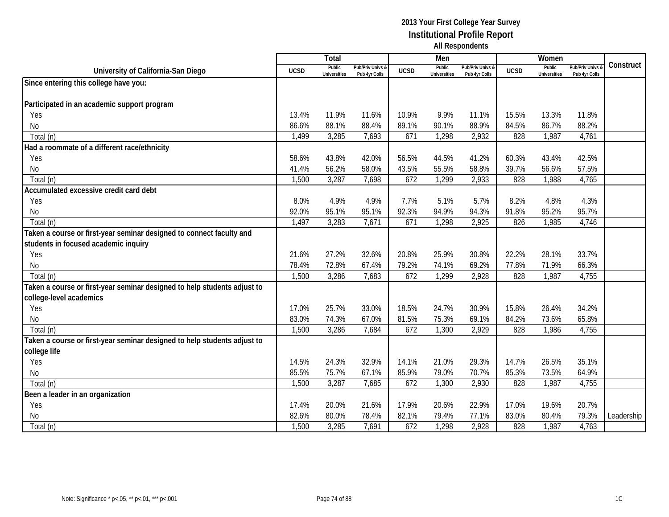|                                                                          |             | <b>Total</b>                  |                                   |             | Men                           |                                   |             | Women                         |                                        |            |
|--------------------------------------------------------------------------|-------------|-------------------------------|-----------------------------------|-------------|-------------------------------|-----------------------------------|-------------|-------------------------------|----------------------------------------|------------|
| University of California-San Diego                                       | <b>UCSD</b> | Public<br><b>Universities</b> | Pub/Priv Univs 8<br>Pub 4yr Colls | <b>UCSD</b> | Public<br><b>Universities</b> | Pub/Priv Univs &<br>Pub 4yr Colls | <b>UCSD</b> | Public<br><b>Universities</b> | <b>Pub/Priv Univs</b><br>Pub 4yr Colls | Construct  |
| Since entering this college have you:                                    |             |                               |                                   |             |                               |                                   |             |                               |                                        |            |
|                                                                          |             |                               |                                   |             |                               |                                   |             |                               |                                        |            |
| Participated in an academic support program                              |             |                               |                                   |             |                               |                                   |             |                               |                                        |            |
| <b>Yes</b>                                                               | 13.4%       | 11.9%                         | 11.6%                             | 10.9%       | 9.9%                          | 11.1%                             | 15.5%       | 13.3%                         | 11.8%                                  |            |
| No                                                                       | 86.6%       | 88.1%                         | 88.4%                             | 89.1%       | 90.1%                         | 88.9%                             | 84.5%       | 86.7%                         | 88.2%                                  |            |
| Total (n)                                                                | 1,499       | 3,285                         | 7,693                             | 671         | 1,298                         | 2,932                             | 828         | 1,987                         | 4,761                                  |            |
| Had a roommate of a different race/ethnicity                             |             |                               |                                   |             |                               |                                   |             |                               |                                        |            |
| Yes                                                                      | 58.6%       | 43.8%                         | 42.0%                             | 56.5%       | 44.5%                         | 41.2%                             | 60.3%       | 43.4%                         | 42.5%                                  |            |
| No                                                                       | 41.4%       | 56.2%                         | 58.0%                             | 43.5%       | 55.5%                         | 58.8%                             | 39.7%       | 56.6%                         | 57.5%                                  |            |
| Total (n)                                                                | 1,500       | 3,287                         | 7,698                             | 672         | 1,299                         | 2,933                             | 828         | 1,988                         | 4,765                                  |            |
| Accumulated excessive credit card debt                                   |             |                               |                                   |             |                               |                                   |             |                               |                                        |            |
| Yes                                                                      | 8.0%        | 4.9%                          | 4.9%                              | 7.7%        | 5.1%                          | 5.7%                              | 8.2%        | 4.8%                          | 4.3%                                   |            |
| No                                                                       | 92.0%       | 95.1%                         | 95.1%                             | 92.3%       | 94.9%                         | 94.3%                             | 91.8%       | 95.2%                         | 95.7%                                  |            |
| Total (n)                                                                | 1,497       | 3,283                         | 7,671                             | 671         | 1,298                         | 2,925                             | 826         | 1,985                         | 4,746                                  |            |
| Taken a course or first-year seminar designed to connect faculty and     |             |                               |                                   |             |                               |                                   |             |                               |                                        |            |
| students in focused academic inquiry                                     |             |                               |                                   |             |                               |                                   |             |                               |                                        |            |
| Yes                                                                      | 21.6%       | 27.2%                         | 32.6%                             | 20.8%       | 25.9%                         | 30.8%                             | 22.2%       | 28.1%                         | 33.7%                                  |            |
| No                                                                       | 78.4%       | 72.8%                         | 67.4%                             | 79.2%       | 74.1%                         | 69.2%                             | 77.8%       | 71.9%                         | 66.3%                                  |            |
| Total (n)                                                                | 1,500       | 3,286                         | 7,683                             | 672         | 1,299                         | 2,928                             | 828         | 1,987                         | 4,755                                  |            |
| Taken a course or first-year seminar designed to help students adjust to |             |                               |                                   |             |                               |                                   |             |                               |                                        |            |
| college-level academics                                                  |             |                               |                                   |             |                               |                                   |             |                               |                                        |            |
| Yes                                                                      | 17.0%       | 25.7%                         | 33.0%                             | 18.5%       | 24.7%                         | 30.9%                             | 15.8%       | 26.4%                         | 34.2%                                  |            |
| No                                                                       | 83.0%       | 74.3%                         | 67.0%                             | 81.5%       | 75.3%                         | 69.1%                             | 84.2%       | 73.6%                         | 65.8%                                  |            |
| Total (n)                                                                | 1,500       | 3,286                         | 7,684                             | 672         | 1,300                         | 2,929                             | 828         | 1,986                         | 4,755                                  |            |
| Taken a course or first-year seminar designed to help students adjust to |             |                               |                                   |             |                               |                                   |             |                               |                                        |            |
| college life                                                             |             |                               |                                   |             |                               |                                   |             |                               |                                        |            |
| Yes                                                                      | 14.5%       | 24.3%                         | 32.9%                             | 14.1%       | 21.0%                         | 29.3%                             | 14.7%       | 26.5%                         | 35.1%                                  |            |
| No                                                                       | 85.5%       | 75.7%                         | 67.1%                             | 85.9%       | 79.0%                         | 70.7%                             | 85.3%       | 73.5%                         | 64.9%                                  |            |
| Total (n)                                                                | 1,500       | 3,287                         | 7,685                             | 672         | 1,300                         | 2,930                             | 828         | 1,987                         | 4,755                                  |            |
| Been a leader in an organization                                         |             |                               |                                   |             |                               |                                   |             |                               |                                        |            |
| Yes                                                                      | 17.4%       | 20.0%                         | 21.6%                             | 17.9%       | 20.6%                         | 22.9%                             | 17.0%       | 19.6%                         | 20.7%                                  |            |
| <b>No</b>                                                                | 82.6%       | 80.0%                         | 78.4%                             | 82.1%       | 79.4%                         | 77.1%                             | 83.0%       | 80.4%                         | 79.3%                                  | Leadership |
| Total (n)                                                                | 1,500       | 3,285                         | 7,691                             | 672         | 1,298                         | 2,928                             | 828         | 1,987                         | 4,763                                  |            |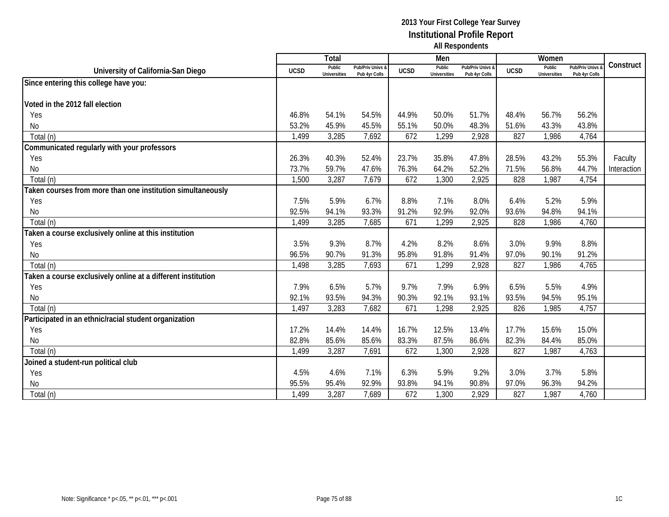|                                                              |             | Total                         |                                   |             | Men                           |                                   |             | Women                         |                                        |             |
|--------------------------------------------------------------|-------------|-------------------------------|-----------------------------------|-------------|-------------------------------|-----------------------------------|-------------|-------------------------------|----------------------------------------|-------------|
| University of California-San Diego                           | <b>UCSD</b> | Public<br><b>Universities</b> | Pub/Priv Univs &<br>Pub 4yr Colls | <b>UCSD</b> | Public<br><b>Universities</b> | Pub/Priv Univs &<br>Pub 4yr Colls | <b>UCSD</b> | Public<br><b>Universities</b> | <b>Pub/Priv Univs</b><br>Pub 4yr Colls | Construct   |
| Since entering this college have you:                        |             |                               |                                   |             |                               |                                   |             |                               |                                        |             |
|                                                              |             |                               |                                   |             |                               |                                   |             |                               |                                        |             |
| Voted in the 2012 fall election                              |             |                               |                                   |             |                               |                                   |             |                               |                                        |             |
| Yes                                                          | 46.8%       | 54.1%                         | 54.5%                             | 44.9%       | 50.0%                         | 51.7%                             | 48.4%       | 56.7%                         | 56.2%                                  |             |
| No                                                           | 53.2%       | 45.9%                         | 45.5%                             | 55.1%       | 50.0%                         | 48.3%                             | 51.6%       | 43.3%                         | 43.8%                                  |             |
| Total (n)                                                    | 1,499       | 3,285                         | 7,692                             | 672         | 1,299                         | 2,928                             | 827         | 1,986                         | 4,764                                  |             |
| Communicated regularly with your professors                  |             |                               |                                   |             |                               |                                   |             |                               |                                        |             |
| Yes                                                          | 26.3%       | 40.3%                         | 52.4%                             | 23.7%       | 35.8%                         | 47.8%                             | 28.5%       | 43.2%                         | 55.3%                                  | Faculty     |
| No                                                           | 73.7%       | 59.7%                         | 47.6%                             | 76.3%       | 64.2%                         | 52.2%                             | 71.5%       | 56.8%                         | 44.7%                                  | Interaction |
| Total (n)                                                    | 1,500       | 3,287                         | 7,679                             | 672         | 1,300                         | 2,925                             | 828         | 1,987                         | 4,754                                  |             |
| Taken courses from more than one institution simultaneously  |             |                               |                                   |             |                               |                                   |             |                               |                                        |             |
| Yes                                                          | 7.5%        | 5.9%                          | 6.7%                              | 8.8%        | 7.1%                          | 8.0%                              | 6.4%        | 5.2%                          | 5.9%                                   |             |
| <b>No</b>                                                    | 92.5%       | 94.1%                         | 93.3%                             | 91.2%       | 92.9%                         | 92.0%                             | 93.6%       | 94.8%                         | 94.1%                                  |             |
| Total (n)                                                    | 1,499       | 3,285                         | 7,685                             | 671         | 1,299                         | 2,925                             | 828         | 1,986                         | 4,760                                  |             |
| Taken a course exclusively online at this institution        |             |                               |                                   |             |                               |                                   |             |                               |                                        |             |
| Yes                                                          | 3.5%        | 9.3%                          | 8.7%                              | 4.2%        | 8.2%                          | 8.6%                              | 3.0%        | 9.9%                          | 8.8%                                   |             |
| No                                                           | 96.5%       | 90.7%                         | 91.3%                             | 95.8%       | 91.8%                         | 91.4%                             | 97.0%       | 90.1%                         | 91.2%                                  |             |
| Total (n)                                                    | 1,498       | 3,285                         | 7,693                             | 671         | 1,299                         | 2,928                             | 827         | 1,986                         | 4,765                                  |             |
| Taken a course exclusively online at a different institution |             |                               |                                   |             |                               |                                   |             |                               |                                        |             |
| Yes                                                          | 7.9%        | 6.5%                          | 5.7%                              | 9.7%        | 7.9%                          | 6.9%                              | 6.5%        | 5.5%                          | 4.9%                                   |             |
| <b>No</b>                                                    | 92.1%       | 93.5%                         | 94.3%                             | 90.3%       | 92.1%                         | 93.1%                             | 93.5%       | 94.5%                         | 95.1%                                  |             |
| Total (n)                                                    | 1,497       | 3,283                         | 7,682                             | 671         | 1,298                         | 2,925                             | 826         | 1,985                         | 4,757                                  |             |
| Participated in an ethnic/racial student organization        |             |                               |                                   |             |                               |                                   |             |                               |                                        |             |
| Yes                                                          | 17.2%       | 14.4%                         | 14.4%                             | 16.7%       | 12.5%                         | 13.4%                             | 17.7%       | 15.6%                         | 15.0%                                  |             |
| No                                                           | 82.8%       | 85.6%                         | 85.6%                             | 83.3%       | 87.5%                         | 86.6%                             | 82.3%       | 84.4%                         | 85.0%                                  |             |
| Total (n)                                                    | 1,499       | 3,287                         | 7,691                             | 672         | 1,300                         | 2,928                             | 827         | 1,987                         | 4,763                                  |             |
| Joined a student-run political club                          |             |                               |                                   |             |                               |                                   |             |                               |                                        |             |
| Yes                                                          | 4.5%        | 4.6%                          | 7.1%                              | 6.3%        | 5.9%                          | 9.2%                              | 3.0%        | 3.7%                          | 5.8%                                   |             |
| No                                                           | 95.5%       | 95.4%                         | 92.9%                             | 93.8%       | 94.1%                         | 90.8%                             | 97.0%       | 96.3%                         | 94.2%                                  |             |
| Total (n)                                                    | 1,499       | 3,287                         | 7,689                             | 672         | 1,300                         | 2,929                             | 827         | 1,987                         | 4,760                                  |             |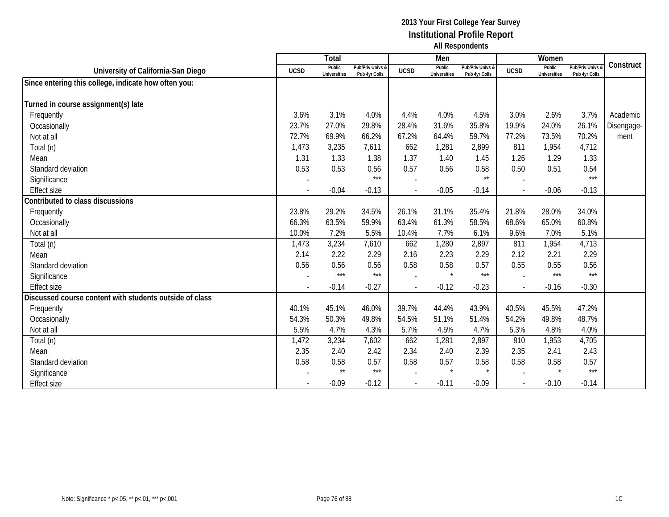|                                                         |             | Total                  |                                   |             | Men                           |                                   |             | Women                         |                                 |            |
|---------------------------------------------------------|-------------|------------------------|-----------------------------------|-------------|-------------------------------|-----------------------------------|-------------|-------------------------------|---------------------------------|------------|
| University of California-San Diego                      | <b>UCSD</b> | Public<br>Universities | Pub/Priv Univs &<br>Pub 4yr Colls | <b>UCSD</b> | Public<br><b>Universities</b> | Pub/Priv Univs &<br>Pub 4yr Colls | <b>UCSD</b> | Public<br><b>Universities</b> | Pub/Priv Univs<br>Pub 4yr Colls | Construct  |
| Since entering this college, indicate how often you:    |             |                        |                                   |             |                               |                                   |             |                               |                                 |            |
|                                                         |             |                        |                                   |             |                               |                                   |             |                               |                                 |            |
| Turned in course assignment(s) late                     |             |                        |                                   |             |                               |                                   |             |                               |                                 |            |
| Frequently                                              | 3.6%        | 3.1%                   | 4.0%                              | 4.4%        | 4.0%                          | 4.5%                              | 3.0%        | 2.6%                          | 3.7%                            | Academic   |
| Occasionally                                            | 23.7%       | 27.0%                  | 29.8%                             | 28.4%       | 31.6%                         | 35.8%                             | 19.9%       | 24.0%                         | 26.1%                           | Disengage- |
| Not at all                                              | 72.7%       | 69.9%                  | 66.2%                             | 67.2%       | 64.4%                         | 59.7%                             | 77.2%       | 73.5%                         | 70.2%                           | ment       |
| Total (n)                                               | 1,473       | 3,235                  | 7,611                             | 662         | 1,281                         | 2,899                             | 811         | 1,954                         | 4,712                           |            |
| Mean                                                    | 1.31        | 1.33                   | 1.38                              | 1.37        | 1.40                          | 1.45                              | 1.26        | 1.29                          | 1.33                            |            |
| Standard deviation                                      | 0.53        | 0.53                   | 0.56                              | 0.57        | 0.56                          | 0.58                              | 0.50        | 0.51                          | 0.54                            |            |
| Significance                                            |             |                        | $***$                             |             |                               | $\star\star$                      |             |                               | $***$                           |            |
| <b>Effect size</b>                                      |             | $-0.04$                | $-0.13$                           |             | $-0.05$                       | $-0.14$                           |             | $-0.06$                       | $-0.13$                         |            |
| Contributed to class discussions                        |             |                        |                                   |             |                               |                                   |             |                               |                                 |            |
| Frequently                                              | 23.8%       | 29.2%                  | 34.5%                             | 26.1%       | 31.1%                         | 35.4%                             | 21.8%       | 28.0%                         | 34.0%                           |            |
| Occasionally                                            | 66.3%       | 63.5%                  | 59.9%                             | 63.4%       | 61.3%                         | 58.5%                             | 68.6%       | 65.0%                         | 60.8%                           |            |
| Not at all                                              | 10.0%       | 7.2%                   | 5.5%                              | 10.4%       | 7.7%                          | 6.1%                              | 9.6%        | 7.0%                          | 5.1%                            |            |
| Total (n)                                               | 1,473       | 3,234                  | 7,610                             | 662         | 1,280                         | 2,897                             | 811         | 1,954                         | 4,713                           |            |
| Mean                                                    | 2.14        | 2.22                   | 2.29                              | 2.16        | 2.23                          | 2.29                              | 2.12        | 2.21                          | 2.29                            |            |
| Standard deviation                                      | 0.56        | 0.56                   | 0.56                              | 0.58        | 0.58                          | 0.57                              | 0.55        | 0.55                          | 0.56                            |            |
| Significance                                            |             | $***$                  | $***$                             |             | $\star$                       | $***$                             |             | $***$                         | $***$                           |            |
| <b>Effect size</b>                                      |             | $-0.14$                | $-0.27$                           |             | $-0.12$                       | $-0.23$                           |             | $-0.16$                       | $-0.30$                         |            |
| Discussed course content with students outside of class |             |                        |                                   |             |                               |                                   |             |                               |                                 |            |
| Frequently                                              | 40.1%       | 45.1%                  | 46.0%                             | 39.7%       | 44.4%                         | 43.9%                             | 40.5%       | 45.5%                         | 47.2%                           |            |
| Occasionally                                            | 54.3%       | 50.3%                  | 49.8%                             | 54.5%       | 51.1%                         | 51.4%                             | 54.2%       | 49.8%                         | 48.7%                           |            |
| Not at all                                              | 5.5%        | 4.7%                   | 4.3%                              | 5.7%        | 4.5%                          | 4.7%                              | 5.3%        | 4.8%                          | 4.0%                            |            |
| Total (n)                                               | 1,472       | 3,234                  | 7,602                             | 662         | 1,281                         | 2,897                             | 810         | 1,953                         | 4,705                           |            |
| Mean                                                    | 2.35        | 2.40                   | 2.42                              | 2.34        | 2.40                          | 2.39                              | 2.35        | 2.41                          | 2.43                            |            |
| Standard deviation                                      | 0.58        | 0.58                   | 0.57                              | 0.58        | 0.57                          | 0.58                              | 0.58        | 0.58                          | 0.57                            |            |
| Significance                                            |             | $***$                  | $***$                             |             | $\star$                       | $\star$                           |             |                               | $***$                           |            |
| <b>Effect size</b>                                      |             | $-0.09$                | $-0.12$                           |             | $-0.11$                       | $-0.09$                           |             | $-0.10$                       | $-0.14$                         |            |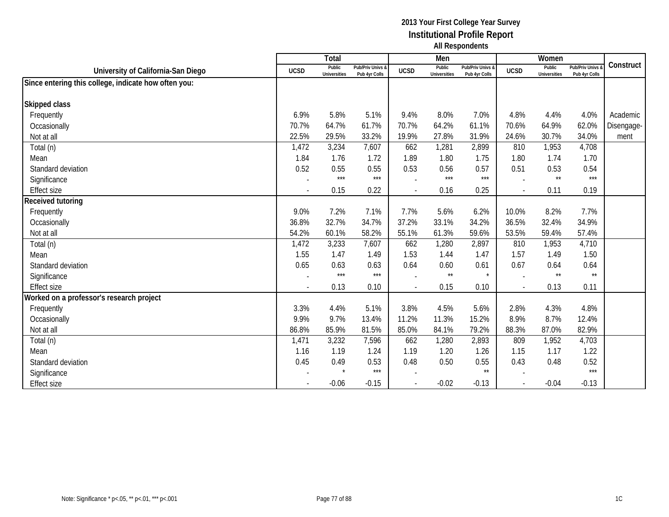|                                                      |                | Total                         |                                   |                          | Men                           |                                   |             | Women                         |                                 |            |
|------------------------------------------------------|----------------|-------------------------------|-----------------------------------|--------------------------|-------------------------------|-----------------------------------|-------------|-------------------------------|---------------------------------|------------|
| University of California-San Diego                   | <b>UCSD</b>    | Public<br><b>Universities</b> | Pub/Priv Univs &<br>Pub 4yr Colls | <b>UCSD</b>              | Public<br><b>Universities</b> | Pub/Priv Univs &<br>Pub 4yr Colls | <b>UCSD</b> | Public<br><b>Universities</b> | Pub/Priv Univs<br>Pub 4yr Colls | Construct  |
| Since entering this college, indicate how often you: |                |                               |                                   |                          |                               |                                   |             |                               |                                 |            |
|                                                      |                |                               |                                   |                          |                               |                                   |             |                               |                                 |            |
| <b>Skipped class</b>                                 |                |                               |                                   |                          |                               |                                   |             |                               |                                 |            |
| Frequently                                           | 6.9%           | 5.8%                          | 5.1%                              | 9.4%                     | 8.0%                          | 7.0%                              | 4.8%        | 4.4%                          | 4.0%                            | Academic   |
| Occasionally                                         | 70.7%          | 64.7%                         | 61.7%                             | 70.7%                    | 64.2%                         | 61.1%                             | 70.6%       | 64.9%                         | 62.0%                           | Disengage- |
| Not at all                                           | 22.5%          | 29.5%                         | 33.2%                             | 19.9%                    | 27.8%                         | 31.9%                             | 24.6%       | 30.7%                         | 34.0%                           | ment       |
| Total (n)                                            | 1,472          | 3,234                         | 7,607                             | 662                      | 1,281                         | 2,899                             | 810         | 1,953                         | 4,708                           |            |
| Mean                                                 | 1.84           | 1.76                          | 1.72                              | 1.89                     | 1.80                          | 1.75                              | 1.80        | 1.74                          | 1.70                            |            |
| Standard deviation                                   | 0.52           | 0.55                          | 0.55                              | 0.53                     | 0.56                          | 0.57                              | 0.51        | 0.53                          | 0.54                            |            |
| Significance                                         |                | $***$                         | $***$                             |                          | $***$                         | $***$                             |             | $\star\star$                  | $***$                           |            |
| <b>Effect size</b>                                   |                | 0.15                          | 0.22                              | $\overline{\phantom{a}}$ | 0.16                          | 0.25                              |             | 0.11                          | 0.19                            |            |
| Received tutoring                                    |                |                               |                                   |                          |                               |                                   |             |                               |                                 |            |
| Frequently                                           | 9.0%           | 7.2%                          | 7.1%                              | 7.7%                     | 5.6%                          | 6.2%                              | 10.0%       | 8.2%                          | 7.7%                            |            |
| Occasionally                                         | 36.8%          | 32.7%                         | 34.7%                             | 37.2%                    | 33.1%                         | 34.2%                             | 36.5%       | 32.4%                         | 34.9%                           |            |
| Not at all                                           | 54.2%          | 60.1%                         | 58.2%                             | 55.1%                    | 61.3%                         | 59.6%                             | 53.5%       | 59.4%                         | 57.4%                           |            |
| Total (n)                                            | 1,472          | 3,233                         | 7,607                             | 662                      | 1,280                         | 2,897                             | 810         | 1,953                         | 4,710                           |            |
| Mean                                                 | 1.55           | 1.47                          | 1.49                              | 1.53                     | 1.44                          | 1.47                              | 1.57        | 1.49                          | 1.50                            |            |
| Standard deviation                                   | 0.65           | 0.63                          | 0.63                              | 0.64                     | 0.60                          | 0.61                              | 0.67        | 0.64                          | 0.64                            |            |
| Significance                                         |                | $***$                         | $***$                             |                          | $\star\star$                  | $\star$                           |             | $\star\star$                  | $\star\star$                    |            |
| <b>Effect size</b>                                   | $\overline{a}$ | 0.13                          | 0.10                              | $\sim$                   | 0.15                          | 0.10                              |             | 0.13                          | 0.11                            |            |
| Worked on a professor's research project             |                |                               |                                   |                          |                               |                                   |             |                               |                                 |            |
| Frequently                                           | 3.3%           | 4.4%                          | 5.1%                              | 3.8%                     | 4.5%                          | 5.6%                              | 2.8%        | 4.3%                          | 4.8%                            |            |
| Occasionally                                         | 9.9%           | 9.7%                          | 13.4%                             | 11.2%                    | 11.3%                         | 15.2%                             | 8.9%        | 8.7%                          | 12.4%                           |            |
| Not at all                                           | 86.8%          | 85.9%                         | 81.5%                             | 85.0%                    | 84.1%                         | 79.2%                             | 88.3%       | 87.0%                         | 82.9%                           |            |
| Total (n)                                            | 1,471          | 3,232                         | 7,596                             | 662                      | 1,280                         | 2,893                             | 809         | 1,952                         | 4,703                           |            |
| Mean                                                 | 1.16           | 1.19                          | 1.24                              | 1.19                     | 1.20                          | 1.26                              | 1.15        | 1.17                          | 1.22                            |            |
| Standard deviation                                   | 0.45           | 0.49                          | 0.53                              | 0.48                     | 0.50                          | 0.55                              | 0.43        | 0.48                          | 0.52                            |            |
| Significance                                         |                | $\star$                       | $***$                             |                          |                               | $\star\star$                      |             |                               | $***$                           |            |
| <b>Effect size</b>                                   |                | $-0.06$                       | $-0.15$                           |                          | $-0.02$                       | $-0.13$                           |             | $-0.04$                       | $-0.13$                         |            |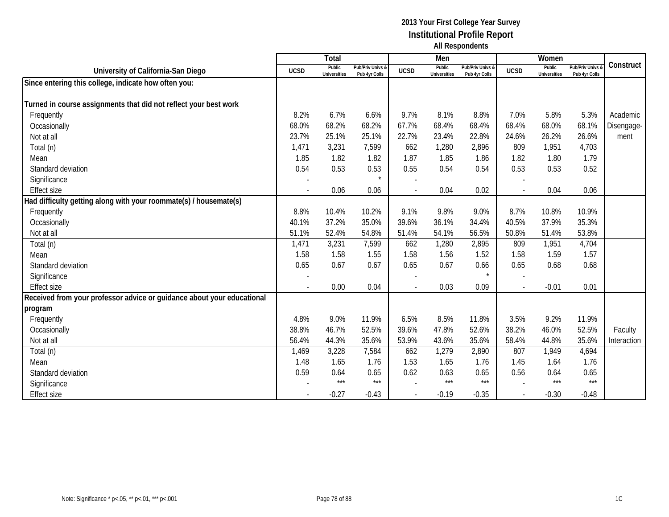|                                                                        |                | Total                         |                                   |                          | Men                           |                                   |             | Women                         |                                        |             |
|------------------------------------------------------------------------|----------------|-------------------------------|-----------------------------------|--------------------------|-------------------------------|-----------------------------------|-------------|-------------------------------|----------------------------------------|-------------|
| University of California-San Diego                                     | <b>UCSD</b>    | Public<br><b>Universities</b> | Pub/Priv Univs &<br>Pub 4yr Colls | <b>UCSD</b>              | Public<br><b>Universities</b> | Pub/Priv Univs &<br>Pub 4yr Colls | <b>UCSD</b> | Public<br><b>Universities</b> | <b>Pub/Priv Univs</b><br>Pub 4yr Colls | Construct   |
| Since entering this college, indicate how often you:                   |                |                               |                                   |                          |                               |                                   |             |                               |                                        |             |
|                                                                        |                |                               |                                   |                          |                               |                                   |             |                               |                                        |             |
| Turned in course assignments that did not reflect your best work       |                |                               |                                   |                          |                               |                                   |             |                               |                                        |             |
| Frequently                                                             | 8.2%           | 6.7%                          | 6.6%                              | 9.7%                     | 8.1%                          | 8.8%                              | 7.0%        | 5.8%                          | 5.3%                                   | Academic    |
| Occasionally                                                           | 68.0%          | 68.2%                         | 68.2%                             | 67.7%                    | 68.4%                         | 68.4%                             | 68.4%       | 68.0%                         | 68.1%                                  | Disengage-  |
| Not at all                                                             | 23.7%          | 25.1%                         | 25.1%                             | 22.7%                    | 23.4%                         | 22.8%                             | 24.6%       | 26.2%                         | 26.6%                                  | ment        |
| Total (n)                                                              | 1,471          | 3,231                         | 7,599                             | 662                      | 1,280                         | 2,896                             | 809         | 1,951                         | 4,703                                  |             |
| Mean                                                                   | 1.85           | 1.82                          | 1.82                              | 1.87                     | 1.85                          | 1.86                              | 1.82        | 1.80                          | 1.79                                   |             |
| Standard deviation                                                     | 0.54           | 0.53                          | 0.53                              | 0.55                     | 0.54                          | 0.54                              | 0.53        | 0.53                          | 0.52                                   |             |
| Significance                                                           |                |                               |                                   |                          |                               |                                   |             |                               |                                        |             |
| <b>Effect size</b>                                                     |                | 0.06                          | 0.06                              |                          | 0.04                          | 0.02                              |             | 0.04                          | 0.06                                   |             |
| Had difficulty getting along with your roommate(s) / housemate(s)      |                |                               |                                   |                          |                               |                                   |             |                               |                                        |             |
| Frequently                                                             | 8.8%           | 10.4%                         | 10.2%                             | 9.1%                     | 9.8%                          | 9.0%                              | 8.7%        | 10.8%                         | 10.9%                                  |             |
| Occasionally                                                           | 40.1%          | 37.2%                         | 35.0%                             | 39.6%                    | 36.1%                         | 34.4%                             | 40.5%       | 37.9%                         | 35.3%                                  |             |
| Not at all                                                             | 51.1%          | 52.4%                         | 54.8%                             | 51.4%                    | 54.1%                         | 56.5%                             | 50.8%       | 51.4%                         | 53.8%                                  |             |
| Total (n)                                                              | 1,471          | 3,231                         | 7,599                             | 662                      | 1,280                         | 2,895                             | 809         | 1,951                         | 4,704                                  |             |
| Mean                                                                   | 1.58           | 1.58                          | 1.55                              | 1.58                     | 1.56                          | 1.52                              | 1.58        | 1.59                          | 1.57                                   |             |
| Standard deviation                                                     | 0.65           | 0.67                          | 0.67                              | 0.65                     | 0.67                          | 0.66                              | 0.65        | 0.68                          | 0.68                                   |             |
| Significance                                                           |                |                               |                                   |                          |                               |                                   |             |                               |                                        |             |
| <b>Effect size</b>                                                     | $\overline{a}$ | 0.00                          | 0.04                              | $\overline{a}$           | 0.03                          | 0.09                              |             | $-0.01$                       | 0.01                                   |             |
| Received from your professor advice or guidance about your educational |                |                               |                                   |                          |                               |                                   |             |                               |                                        |             |
| program                                                                |                |                               |                                   |                          |                               |                                   |             |                               |                                        |             |
| Frequently                                                             | 4.8%           | 9.0%                          | 11.9%                             | 6.5%                     | 8.5%                          | 11.8%                             | 3.5%        | 9.2%                          | 11.9%                                  |             |
| Occasionally                                                           | 38.8%          | 46.7%                         | 52.5%                             | 39.6%                    | 47.8%                         | 52.6%                             | 38.2%       | 46.0%                         | 52.5%                                  | Faculty     |
| Not at all                                                             | 56.4%          | 44.3%                         | 35.6%                             | 53.9%                    | 43.6%                         | 35.6%                             | 58.4%       | 44.8%                         | 35.6%                                  | Interaction |
| Total (n)                                                              | 1,469          | 3,228                         | 7,584                             | 662                      | 1,279                         | 2,890                             | 807         | 1,949                         | 4,694                                  |             |
| Mean                                                                   | 1.48           | 1.65                          | 1.76                              | 1.53                     | 1.65                          | 1.76                              | 1.45        | 1.64                          | 1.76                                   |             |
| Standard deviation                                                     | 0.59           | 0.64                          | 0.65                              | 0.62                     | 0.63                          | 0.65                              | 0.56        | 0.64                          | 0.65                                   |             |
| Significance                                                           |                | $***$                         | $***$                             |                          | $***$                         | $***$                             |             | $***$                         | $***$                                  |             |
| <b>Effect size</b>                                                     |                | $-0.27$                       | $-0.43$                           | $\overline{\phantom{a}}$ | $-0.19$                       | $-0.35$                           |             | $-0.30$                       | $-0.48$                                |             |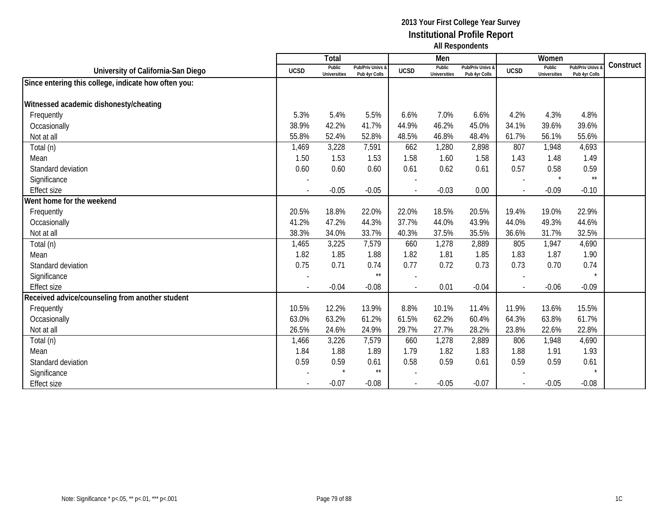|                                                      |             | Total                         |                                   |                          | Men                           |                                   |             | Women                         |                                 |           |
|------------------------------------------------------|-------------|-------------------------------|-----------------------------------|--------------------------|-------------------------------|-----------------------------------|-------------|-------------------------------|---------------------------------|-----------|
| University of California-San Diego                   | <b>UCSD</b> | Public<br><b>Universities</b> | Pub/Priv Univs &<br>Pub 4yr Colls | <b>UCSD</b>              | Public<br><b>Universities</b> | Pub/Priv Univs &<br>Pub 4yr Colls | <b>UCSD</b> | Public<br><b>Universities</b> | Pub/Priv Univs<br>Pub 4yr Colls | Construct |
| Since entering this college, indicate how often you: |             |                               |                                   |                          |                               |                                   |             |                               |                                 |           |
|                                                      |             |                               |                                   |                          |                               |                                   |             |                               |                                 |           |
| Witnessed academic dishonesty/cheating               |             |                               |                                   |                          |                               |                                   |             |                               |                                 |           |
| Frequently                                           | 5.3%        | 5.4%                          | 5.5%                              | 6.6%                     | 7.0%                          | 6.6%                              | 4.2%        | 4.3%                          | 4.8%                            |           |
| Occasionally                                         | 38.9%       | 42.2%                         | 41.7%                             | 44.9%                    | 46.2%                         | 45.0%                             | 34.1%       | 39.6%                         | 39.6%                           |           |
| Not at all                                           | 55.8%       | 52.4%                         | 52.8%                             | 48.5%                    | 46.8%                         | 48.4%                             | 61.7%       | 56.1%                         | 55.6%                           |           |
| Total (n)                                            | 1,469       | 3,228                         | 7,591                             | 662                      | 1,280                         | 2,898                             | 807         | 1,948                         | 4,693                           |           |
| Mean                                                 | 1.50        | 1.53                          | 1.53                              | 1.58                     | 1.60                          | 1.58                              | 1.43        | 1.48                          | 1.49                            |           |
| Standard deviation                                   | 0.60        | 0.60                          | 0.60                              | 0.61                     | 0.62                          | 0.61                              | 0.57        | 0.58                          | 0.59                            |           |
| Significance                                         |             |                               |                                   |                          |                               |                                   |             | $\star$                       | $\star\star$                    |           |
| <b>Effect size</b>                                   |             | $-0.05$                       | $-0.05$                           |                          | $-0.03$                       | 0.00                              |             | $-0.09$                       | $-0.10$                         |           |
| Went home for the weekend                            |             |                               |                                   |                          |                               |                                   |             |                               |                                 |           |
| Frequently                                           | 20.5%       | 18.8%                         | 22.0%                             | 22.0%                    | 18.5%                         | 20.5%                             | 19.4%       | 19.0%                         | 22.9%                           |           |
| Occasionally                                         | 41.2%       | 47.2%                         | 44.3%                             | 37.7%                    | 44.0%                         | 43.9%                             | 44.0%       | 49.3%                         | 44.6%                           |           |
| Not at all                                           | 38.3%       | 34.0%                         | 33.7%                             | 40.3%                    | 37.5%                         | 35.5%                             | 36.6%       | 31.7%                         | 32.5%                           |           |
| Total (n)                                            | 1,465       | 3,225                         | 7,579                             | 660                      | 1,278                         | 2,889                             | 805         | 1,947                         | 4,690                           |           |
| Mean                                                 | 1.82        | 1.85                          | 1.88                              | 1.82                     | 1.81                          | 1.85                              | 1.83        | 1.87                          | 1.90                            |           |
| Standard deviation                                   | 0.75        | 0.71                          | 0.74                              | 0.77                     | 0.72                          | 0.73                              | 0.73        | 0.70                          | 0.74                            |           |
| Significance                                         |             |                               | $\star\star$                      |                          |                               |                                   |             |                               |                                 |           |
| <b>Effect size</b>                                   |             | $-0.04$                       | $-0.08$                           |                          | 0.01                          | $-0.04$                           |             | $-0.06$                       | $-0.09$                         |           |
| Received advice/counseling from another student      |             |                               |                                   |                          |                               |                                   |             |                               |                                 |           |
| Frequently                                           | 10.5%       | 12.2%                         | 13.9%                             | 8.8%                     | 10.1%                         | 11.4%                             | 11.9%       | 13.6%                         | 15.5%                           |           |
| Occasionally                                         | 63.0%       | 63.2%                         | 61.2%                             | 61.5%                    | 62.2%                         | 60.4%                             | 64.3%       | 63.8%                         | 61.7%                           |           |
| Not at all                                           | 26.5%       | 24.6%                         | 24.9%                             | 29.7%                    | 27.7%                         | 28.2%                             | 23.8%       | 22.6%                         | 22.8%                           |           |
| Total (n)                                            | 1,466       | 3,226                         | 7,579                             | 660                      | 1,278                         | 2,889                             | 806         | 1,948                         | 4,690                           |           |
| Mean                                                 | 1.84        | 1.88                          | 1.89                              | 1.79                     | 1.82                          | 1.83                              | 1.88        | 1.91                          | 1.93                            |           |
| Standard deviation                                   | 0.59        | 0.59                          | 0.61                              | 0.58                     | 0.59                          | 0.61                              | 0.59        | 0.59                          | 0.61                            |           |
| Significance                                         |             | $\star$                       | $\star\star$                      |                          |                               |                                   |             |                               |                                 |           |
| <b>Effect size</b>                                   |             | $-0.07$                       | $-0.08$                           | $\overline{\phantom{a}}$ | $-0.05$                       | $-0.07$                           |             | $-0.05$                       | $-0.08$                         |           |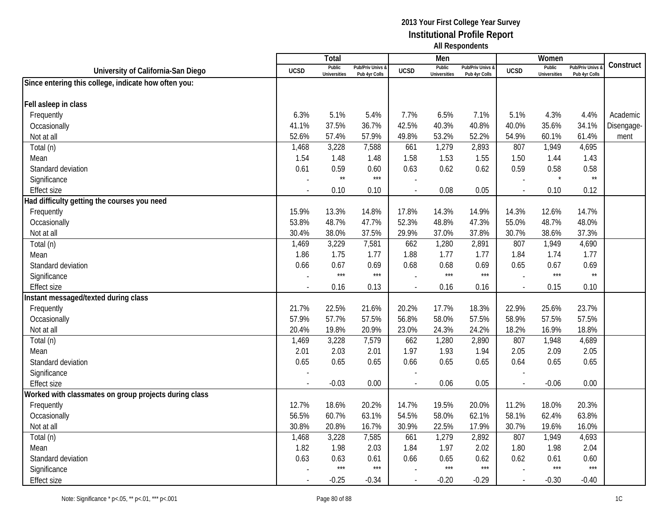|                                                       |                          | Total                         |                                   |             | Men                           |                                   |                          | Women                         |                                        |            |
|-------------------------------------------------------|--------------------------|-------------------------------|-----------------------------------|-------------|-------------------------------|-----------------------------------|--------------------------|-------------------------------|----------------------------------------|------------|
| University of California-San Diego                    | <b>UCSD</b>              | Public<br><b>Universities</b> | Pub/Priv Univs &<br>Pub 4yr Colls | <b>UCSD</b> | Public<br><b>Universities</b> | Pub/Priv Univs &<br>Pub 4yr Colls | <b>UCSD</b>              | Public<br><b>Universities</b> | <b>Pub/Priv Univs</b><br>Pub 4yr Colls | Construct  |
| Since entering this college, indicate how often you:  |                          |                               |                                   |             |                               |                                   |                          |                               |                                        |            |
|                                                       |                          |                               |                                   |             |                               |                                   |                          |                               |                                        |            |
| Fell asleep in class                                  |                          |                               |                                   |             |                               |                                   |                          |                               |                                        |            |
| Frequently                                            | 6.3%                     | 5.1%                          | 5.4%                              | 7.7%        | 6.5%                          | 7.1%                              | 5.1%                     | 4.3%                          | 4.4%                                   | Academic   |
| Occasionally                                          | 41.1%                    | 37.5%                         | 36.7%                             | 42.5%       | 40.3%                         | 40.8%                             | 40.0%                    | 35.6%                         | 34.1%                                  | Disengage- |
| Not at all                                            | 52.6%                    | 57.4%                         | 57.9%                             | 49.8%       | 53.2%                         | 52.2%                             | 54.9%                    | 60.1%                         | 61.4%                                  | ment       |
| Total (n)                                             | 1,468                    | 3,228                         | 7,588                             | 661         | 1,279                         | 2,893                             | 807                      | 1,949                         | 4,695                                  |            |
| Mean                                                  | 1.54                     | 1.48                          | 1.48                              | 1.58        | 1.53                          | 1.55                              | 1.50                     | 1.44                          | 1.43                                   |            |
| Standard deviation                                    | 0.61                     | 0.59                          | 0.60                              | 0.63        | 0.62                          | 0.62                              | 0.59                     | 0.58                          | 0.58                                   |            |
| Significance                                          |                          | $^{\star\star}$               | $***$                             |             |                               |                                   |                          | $\star$                       | $\star\star$                           |            |
| <b>Effect size</b>                                    |                          | 0.10                          | 0.10                              |             | 0.08                          | 0.05                              | $\overline{\phantom{a}}$ | 0.10                          | 0.12                                   |            |
| Had difficulty getting the courses you need           |                          |                               |                                   |             |                               |                                   |                          |                               |                                        |            |
| Frequently                                            | 15.9%                    | 13.3%                         | 14.8%                             | 17.8%       | 14.3%                         | 14.9%                             | 14.3%                    | 12.6%                         | 14.7%                                  |            |
| Occasionally                                          | 53.8%                    | 48.7%                         | 47.7%                             | 52.3%       | 48.8%                         | 47.3%                             | 55.0%                    | 48.7%                         | 48.0%                                  |            |
| Not at all                                            | 30.4%                    | 38.0%                         | 37.5%                             | 29.9%       | 37.0%                         | 37.8%                             | 30.7%                    | 38.6%                         | 37.3%                                  |            |
| Total (n)                                             | 1,469                    | 3,229                         | 7,581                             | 662         | 1,280                         | 2,891                             | 807                      | 1,949                         | 4,690                                  |            |
| Mean                                                  | 1.86                     | 1.75                          | 1.77                              | 1.88        | 1.77                          | 1.77                              | 1.84                     | 1.74                          | 1.77                                   |            |
| Standard deviation                                    | 0.66                     | 0.67                          | 0.69                              | 0.68        | 0.68                          | 0.69                              | 0.65                     | 0.67                          | 0.69                                   |            |
| Significance                                          |                          | $***$                         | $***$                             |             | $***$                         | $***$                             |                          | $***$                         | $\star\star$                           |            |
| <b>Effect size</b>                                    | $\overline{\phantom{a}}$ | 0.16                          | 0.13                              |             | 0.16                          | 0.16                              | $\sim$                   | 0.15                          | 0.10                                   |            |
| Instant messaged/texted during class                  |                          |                               |                                   |             |                               |                                   |                          |                               |                                        |            |
| Frequently                                            | 21.7%                    | 22.5%                         | 21.6%                             | 20.2%       | 17.7%                         | 18.3%                             | 22.9%                    | 25.6%                         | 23.7%                                  |            |
| Occasionally                                          | 57.9%                    | 57.7%                         | 57.5%                             | 56.8%       | 58.0%                         | 57.5%                             | 58.9%                    | 57.5%                         | 57.5%                                  |            |
| Not at all                                            | 20.4%                    | 19.8%                         | 20.9%                             | 23.0%       | 24.3%                         | 24.2%                             | 18.2%                    | 16.9%                         | 18.8%                                  |            |
| Total (n)                                             | 1,469                    | 3,228                         | 7,579                             | 662         | 1,280                         | 2,890                             | 807                      | 1,948                         | 4,689                                  |            |
| Mean                                                  | 2.01                     | 2.03                          | 2.01                              | 1.97        | 1.93                          | 1.94                              | 2.05                     | 2.09                          | 2.05                                   |            |
| Standard deviation                                    | 0.65                     | 0.65                          | 0.65                              | 0.66        | 0.65                          | 0.65                              | 0.64                     | 0.65                          | 0.65                                   |            |
| Significance                                          |                          |                               |                                   |             |                               |                                   |                          |                               |                                        |            |
| <b>Effect size</b>                                    |                          | $-0.03$                       | 0.00                              |             | 0.06                          | 0.05                              | $\overline{a}$           | $-0.06$                       | 0.00                                   |            |
| Worked with classmates on group projects during class |                          |                               |                                   |             |                               |                                   |                          |                               |                                        |            |
| Frequently                                            | 12.7%                    | 18.6%                         | 20.2%                             | 14.7%       | 19.5%                         | 20.0%                             | 11.2%                    | 18.0%                         | 20.3%                                  |            |
| Occasionally                                          | 56.5%                    | 60.7%                         | 63.1%                             | 54.5%       | 58.0%                         | 62.1%                             | 58.1%                    | 62.4%                         | 63.8%                                  |            |
| Not at all                                            | 30.8%                    | 20.8%                         | 16.7%                             | 30.9%       | 22.5%                         | 17.9%                             | 30.7%                    | 19.6%                         | 16.0%                                  |            |
| Total (n)                                             | 1,468                    | 3,228                         | 7,585                             | 661         | 1,279                         | 2,892                             | 807                      | 1,949                         | 4,693                                  |            |
| Mean                                                  | 1.82                     | 1.98                          | 2.03                              | 1.84        | 1.97                          | 2.02                              | 1.80                     | 1.98                          | 2.04                                   |            |
| Standard deviation                                    | 0.63                     | 0.63                          | 0.61                              | 0.66        | 0.65                          | 0.62                              | 0.62                     | 0.61                          | 0.60                                   |            |
| Significance                                          |                          | $***$                         | $***$                             |             | $***$                         | $***$                             |                          | $***$                         | $***$                                  |            |
| <b>Effect size</b>                                    |                          | $-0.25$                       | $-0.34$                           |             | $-0.20$                       | $-0.29$                           | $\sim$                   | $-0.30$                       | $-0.40$                                |            |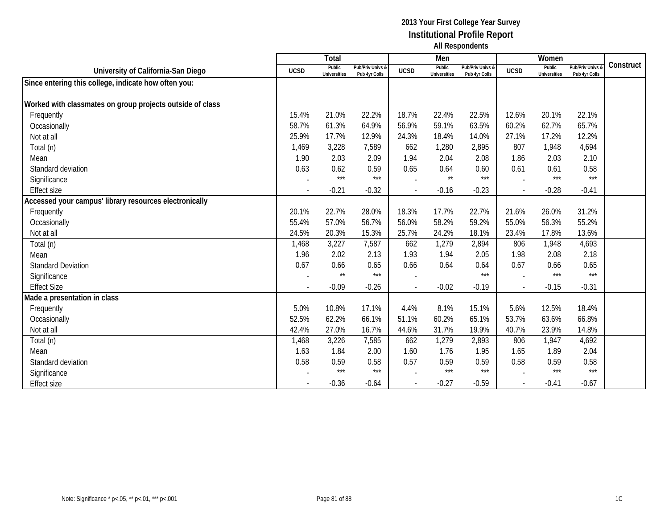|                                                           |             | Total                         |                                   |             | Men                           |                                   |             | Women                         |                                 |           |
|-----------------------------------------------------------|-------------|-------------------------------|-----------------------------------|-------------|-------------------------------|-----------------------------------|-------------|-------------------------------|---------------------------------|-----------|
| University of California-San Diego                        | <b>UCSD</b> | Public<br><b>Universities</b> | Pub/Priv Univs &<br>Pub 4yr Colls | <b>UCSD</b> | Public<br><b>Universities</b> | Pub/Priv Univs &<br>Pub 4yr Colls | <b>UCSD</b> | Public<br><b>Universities</b> | Pub/Priv Univs<br>Pub 4yr Colls | Construct |
| Since entering this college, indicate how often you:      |             |                               |                                   |             |                               |                                   |             |                               |                                 |           |
|                                                           |             |                               |                                   |             |                               |                                   |             |                               |                                 |           |
| Worked with classmates on group projects outside of class |             |                               |                                   |             |                               |                                   |             |                               |                                 |           |
| Frequently                                                | 15.4%       | 21.0%                         | 22.2%                             | 18.7%       | 22.4%                         | 22.5%                             | 12.6%       | 20.1%                         | 22.1%                           |           |
| Occasionally                                              | 58.7%       | 61.3%                         | 64.9%                             | 56.9%       | 59.1%                         | 63.5%                             | 60.2%       | 62.7%                         | 65.7%                           |           |
| Not at all                                                | 25.9%       | 17.7%                         | 12.9%                             | 24.3%       | 18.4%                         | 14.0%                             | 27.1%       | 17.2%                         | 12.2%                           |           |
| Total (n)                                                 | 1,469       | 3,228                         | 7,589                             | 662         | 1,280                         | 2,895                             | 807         | 1,948                         | 4,694                           |           |
| Mean                                                      | 1.90        | 2.03                          | 2.09                              | 1.94        | 2.04                          | 2.08                              | 1.86        | 2.03                          | 2.10                            |           |
| Standard deviation                                        | 0.63        | 0.62                          | 0.59                              | 0.65        | 0.64                          | 0.60                              | 0.61        | 0.61                          | 0.58                            |           |
| Significance                                              |             | $***$                         | $***$                             |             | $\star\star$                  | $***$                             |             | $***$                         | $***$                           |           |
| <b>Effect size</b>                                        |             | $-0.21$                       | $-0.32$                           |             | $-0.16$                       | $-0.23$                           |             | $-0.28$                       | $-0.41$                         |           |
| Accessed your campus' library resources electronically    |             |                               |                                   |             |                               |                                   |             |                               |                                 |           |
| Frequently                                                | 20.1%       | 22.7%                         | 28.0%                             | 18.3%       | 17.7%                         | 22.7%                             | 21.6%       | 26.0%                         | 31.2%                           |           |
| Occasionally                                              | 55.4%       | 57.0%                         | 56.7%                             | 56.0%       | 58.2%                         | 59.2%                             | 55.0%       | 56.3%                         | 55.2%                           |           |
| Not at all                                                | 24.5%       | 20.3%                         | 15.3%                             | 25.7%       | 24.2%                         | 18.1%                             | 23.4%       | 17.8%                         | 13.6%                           |           |
| Total (n)                                                 | 1,468       | 3,227                         | 7,587                             | 662         | 1,279                         | 2,894                             | 806         | 1,948                         | 4,693                           |           |
| Mean                                                      | 1.96        | 2.02                          | 2.13                              | 1.93        | 1.94                          | 2.05                              | 1.98        | 2.08                          | 2.18                            |           |
| <b>Standard Deviation</b>                                 | 0.67        | 0.66                          | 0.65                              | 0.66        | 0.64                          | 0.64                              | 0.67        | 0.66                          | 0.65                            |           |
| Significance                                              |             | $\star\star$                  | $***$                             |             |                               | $***$                             |             | $***$                         | $***$                           |           |
| <b>Effect Size</b>                                        |             | $-0.09$                       | $-0.26$                           |             | $-0.02$                       | $-0.19$                           |             | $-0.15$                       | $-0.31$                         |           |
| Made a presentation in class                              |             |                               |                                   |             |                               |                                   |             |                               |                                 |           |
| Frequently                                                | 5.0%        | 10.8%                         | 17.1%                             | 4.4%        | 8.1%                          | 15.1%                             | 5.6%        | 12.5%                         | 18.4%                           |           |
| Occasionally                                              | 52.5%       | 62.2%                         | 66.1%                             | 51.1%       | 60.2%                         | 65.1%                             | 53.7%       | 63.6%                         | 66.8%                           |           |
| Not at all                                                | 42.4%       | 27.0%                         | 16.7%                             | 44.6%       | 31.7%                         | 19.9%                             | 40.7%       | 23.9%                         | 14.8%                           |           |
| Total (n)                                                 | 1,468       | 3,226                         | 7,585                             | 662         | 1,279                         | 2,893                             | 806         | 1,947                         | 4,692                           |           |
| Mean                                                      | 1.63        | 1.84                          | 2.00                              | 1.60        | 1.76                          | 1.95                              | 1.65        | 1.89                          | 2.04                            |           |
| Standard deviation                                        | 0.58        | 0.59                          | 0.58                              | 0.57        | 0.59                          | 0.59                              | 0.58        | 0.59                          | 0.58                            |           |
| Significance                                              |             | $***$                         | $***$                             |             | $***$                         | $***$                             |             | $***$                         | $***$                           |           |
| <b>Effect size</b>                                        |             | $-0.36$                       | $-0.64$                           |             | $-0.27$                       | $-0.59$                           |             | $-0.41$                       | $-0.67$                         |           |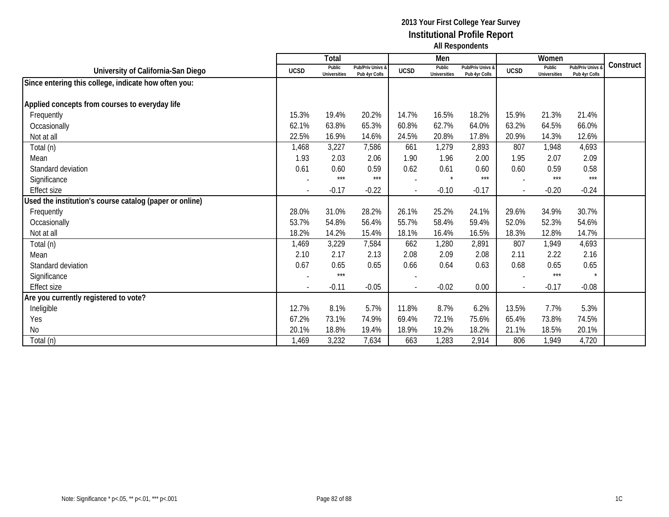|                                                         |                          | Total                         |                                   |                          | Men                           |                                   |                          | Women                         |                                   |           |
|---------------------------------------------------------|--------------------------|-------------------------------|-----------------------------------|--------------------------|-------------------------------|-----------------------------------|--------------------------|-------------------------------|-----------------------------------|-----------|
| University of California-San Diego                      | <b>UCSD</b>              | Public<br><b>Universities</b> | Pub/Priv Univs &<br>Pub 4yr Colls | <b>UCSD</b>              | Public<br><b>Universities</b> | Pub/Priv Univs &<br>Pub 4yr Colls | <b>UCSD</b>              | Public<br><b>Universities</b> | Pub/Priv Univs &<br>Pub 4yr Colls | Construct |
| Since entering this college, indicate how often you:    |                          |                               |                                   |                          |                               |                                   |                          |                               |                                   |           |
| Applied concepts from courses to everyday life          |                          |                               |                                   |                          |                               |                                   |                          |                               |                                   |           |
| Frequently                                              | 15.3%                    | 19.4%                         | 20.2%                             | 14.7%                    | 16.5%                         | 18.2%                             | 15.9%                    | 21.3%                         | 21.4%                             |           |
| Occasionally                                            | 62.1%                    | 63.8%                         | 65.3%                             | 60.8%                    | 62.7%                         | 64.0%                             | 63.2%                    | 64.5%                         | 66.0%                             |           |
| Not at all                                              | 22.5%                    | 16.9%                         | 14.6%                             | 24.5%                    | 20.8%                         | 17.8%                             | 20.9%                    | 14.3%                         | 12.6%                             |           |
|                                                         | 1,468                    |                               |                                   | 661                      |                               | 2,893                             | 807                      |                               | 4,693                             |           |
| Total (n)                                               | 1.93                     | 3,227<br>2.03                 | 7,586<br>2.06                     | 1.90                     | 1,279<br>1.96                 | 2.00                              | 1.95                     | 1,948<br>2.07                 | 2.09                              |           |
| Mean                                                    |                          |                               |                                   |                          |                               |                                   |                          |                               |                                   |           |
| Standard deviation                                      | 0.61                     | 0.60<br>***                   | 0.59<br>$***$                     | 0.62                     | 0.61                          | 0.60<br>$***$                     | 0.60                     | 0.59<br>$***$                 | 0.58<br>$***$                     |           |
| Significance                                            |                          |                               |                                   |                          |                               |                                   |                          |                               |                                   |           |
| <b>Effect size</b>                                      | $\overline{\phantom{a}}$ | $-0.17$                       | $-0.22$                           | $\overline{\phantom{a}}$ | $-0.10$                       | $-0.17$                           | $\overline{\phantom{a}}$ | $-0.20$                       | $-0.24$                           |           |
| Used the institution's course catalog (paper or online) |                          |                               |                                   |                          |                               |                                   |                          |                               |                                   |           |
| Frequently                                              | 28.0%                    | 31.0%                         | 28.2%                             | 26.1%                    | 25.2%                         | 24.1%                             | 29.6%                    | 34.9%                         | 30.7%                             |           |
| Occasionally                                            | 53.7%                    | 54.8%                         | 56.4%                             | 55.7%                    | 58.4%                         | 59.4%                             | 52.0%                    | 52.3%                         | 54.6%                             |           |
| Not at all                                              | 18.2%                    | 14.2%                         | 15.4%                             | 18.1%                    | 16.4%                         | 16.5%                             | 18.3%                    | 12.8%                         | 14.7%                             |           |
| Total (n)                                               | 1,469                    | 3,229                         | 7,584                             | 662                      | 1,280                         | 2,891                             | 807                      | 1,949                         | 4,693                             |           |
| Mean                                                    | 2.10                     | 2.17                          | 2.13                              | 2.08                     | 2.09                          | 2.08                              | 2.11                     | 2.22                          | 2.16                              |           |
| Standard deviation                                      | 0.67                     | 0.65                          | 0.65                              | 0.66                     | 0.64                          | 0.63                              | 0.68                     | 0.65                          | 0.65                              |           |
| Significance                                            |                          | $***$                         |                                   |                          |                               |                                   |                          | $***$                         | $\star$                           |           |
| <b>Effect size</b>                                      | $\overline{\phantom{a}}$ | $-0.11$                       | $-0.05$                           | $\overline{\phantom{a}}$ | $-0.02$                       | 0.00                              |                          | $-0.17$                       | $-0.08$                           |           |
| Are you currently registered to vote?                   |                          |                               |                                   |                          |                               |                                   |                          |                               |                                   |           |
| Ineligible                                              | 12.7%                    | 8.1%                          | 5.7%                              | 11.8%                    | 8.7%                          | 6.2%                              | 13.5%                    | 7.7%                          | 5.3%                              |           |
| Yes                                                     | 67.2%                    | 73.1%                         | 74.9%                             | 69.4%                    | 72.1%                         | 75.6%                             | 65.4%                    | 73.8%                         | 74.5%                             |           |
| No                                                      | 20.1%                    | 18.8%                         | 19.4%                             | 18.9%                    | 19.2%                         | 18.2%                             | 21.1%                    | 18.5%                         | 20.1%                             |           |
| Total (n)                                               | 1,469                    | 3,232                         | 7,634                             | 663                      | 1,283                         | 2,914                             | 806                      | 1,949                         | 4,720                             |           |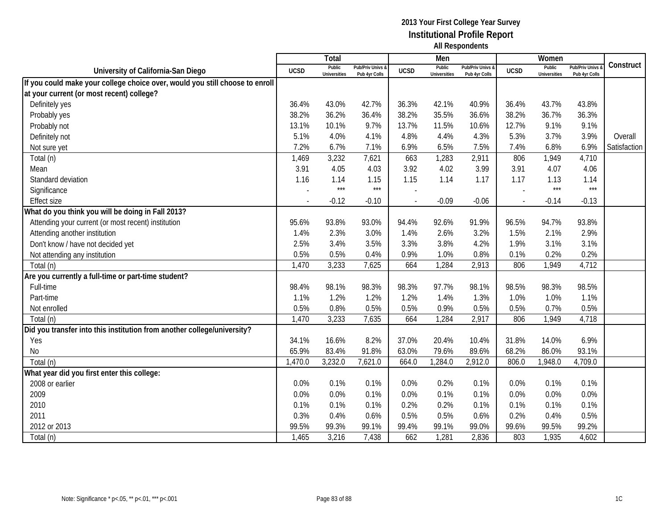|                                                                              |             | <b>Total</b>                  |                                   |             | Men                           |                                   |             | Women                         |                                        |              |
|------------------------------------------------------------------------------|-------------|-------------------------------|-----------------------------------|-------------|-------------------------------|-----------------------------------|-------------|-------------------------------|----------------------------------------|--------------|
| University of California-San Diego                                           | <b>UCSD</b> | Public<br><b>Universities</b> | Pub/Priv Univs &<br>Pub 4yr Colls | <b>UCSD</b> | Public<br><b>Universities</b> | Pub/Priv Univs &<br>Pub 4yr Colls | <b>UCSD</b> | Public<br><b>Universities</b> | <b>Pub/Priv Univs</b><br>Pub 4yr Colls | Construct    |
| If you could make your college choice over, would you still choose to enroll |             |                               |                                   |             |                               |                                   |             |                               |                                        |              |
| at your current (or most recent) college?                                    |             |                               |                                   |             |                               |                                   |             |                               |                                        |              |
| Definitely yes                                                               | 36.4%       | 43.0%                         | 42.7%                             | 36.3%       | 42.1%                         | 40.9%                             | 36.4%       | 43.7%                         | 43.8%                                  |              |
| Probably yes                                                                 | 38.2%       | 36.2%                         | 36.4%                             | 38.2%       | 35.5%                         | 36.6%                             | 38.2%       | 36.7%                         | 36.3%                                  |              |
| Probably not                                                                 | 13.1%       | 10.1%                         | 9.7%                              | 13.7%       | 11.5%                         | 10.6%                             | 12.7%       | 9.1%                          | 9.1%                                   |              |
| Definitely not                                                               | 5.1%        | 4.0%                          | 4.1%                              | 4.8%        | 4.4%                          | 4.3%                              | 5.3%        | 3.7%                          | 3.9%                                   | Overall      |
| Not sure yet                                                                 | 7.2%        | 6.7%                          | 7.1%                              | 6.9%        | 6.5%                          | 7.5%                              | 7.4%        | 6.8%                          | 6.9%                                   | Satisfaction |
| Total (n)                                                                    | 1,469       | 3,232                         | 7,621                             | 663         | 1,283                         | 2,911                             | 806         | 1,949                         | 4,710                                  |              |
| Mean                                                                         | 3.91        | 4.05                          | 4.03                              | 3.92        | 4.02                          | 3.99                              | 3.91        | 4.07                          | 4.06                                   |              |
| Standard deviation                                                           | 1.16        | 1.14                          | 1.15                              | 1.15        | 1.14                          | 1.17                              | 1.17        | 1.13                          | 1.14                                   |              |
| Significance                                                                 |             | $***$                         | $***$                             |             |                               |                                   |             | $***$                         | $***$                                  |              |
| <b>Effect size</b>                                                           |             | $-0.12$                       | $-0.10$                           |             | $-0.09$                       | $-0.06$                           | $\sim$      | $-0.14$                       | $-0.13$                                |              |
| What do you think you will be doing in Fall 2013?                            |             |                               |                                   |             |                               |                                   |             |                               |                                        |              |
| Attending your current (or most recent) institution                          | 95.6%       | 93.8%                         | 93.0%                             | 94.4%       | 92.6%                         | 91.9%                             | 96.5%       | 94.7%                         | 93.8%                                  |              |
| Attending another institution                                                | 1.4%        | 2.3%                          | 3.0%                              | 1.4%        | 2.6%                          | 3.2%                              | 1.5%        | 2.1%                          | 2.9%                                   |              |
| Don't know / have not decided yet                                            | 2.5%        | 3.4%                          | 3.5%                              | 3.3%        | 3.8%                          | 4.2%                              | 1.9%        | 3.1%                          | 3.1%                                   |              |
| Not attending any institution                                                | 0.5%        | 0.5%                          | 0.4%                              | 0.9%        | 1.0%                          | 0.8%                              | 0.1%        | 0.2%                          | 0.2%                                   |              |
| Total (n)                                                                    | 1,470       | 3,233                         | 7,625                             | 664         | 1,284                         | 2,913                             | 806         | 1,949                         | 4,712                                  |              |
| Are you currently a full-time or part-time student?                          |             |                               |                                   |             |                               |                                   |             |                               |                                        |              |
| Full-time                                                                    | 98.4%       | 98.1%                         | 98.3%                             | 98.3%       | 97.7%                         | 98.1%                             | 98.5%       | 98.3%                         | 98.5%                                  |              |
| Part-time                                                                    | 1.1%        | 1.2%                          | 1.2%                              | 1.2%        | 1.4%                          | 1.3%                              | 1.0%        | 1.0%                          | 1.1%                                   |              |
| Not enrolled                                                                 | 0.5%        | 0.8%                          | 0.5%                              | 0.5%        | 0.9%                          | 0.5%                              | 0.5%        | 0.7%                          | 0.5%                                   |              |
| Total (n)                                                                    | 1,470       | 3,233                         | 7,635                             | 664         | 1,284                         | 2,917                             | 806         | 1,949                         | 4,718                                  |              |
| Did you transfer into this institution from another college/university?      |             |                               |                                   |             |                               |                                   |             |                               |                                        |              |
| Yes                                                                          | 34.1%       | 16.6%                         | 8.2%                              | 37.0%       | 20.4%                         | 10.4%                             | 31.8%       | 14.0%                         | 6.9%                                   |              |
| <b>No</b>                                                                    | 65.9%       | 83.4%                         | 91.8%                             | 63.0%       | 79.6%                         | 89.6%                             | 68.2%       | 86.0%                         | 93.1%                                  |              |
| Total (n)                                                                    | 1,470.0     | 3,232.0                       | 7,621.0                           | 664.0       | 1,284.0                       | 2,912.0                           | 806.0       | 1,948.0                       | 4,709.0                                |              |
| What year did you first enter this college:                                  |             |                               |                                   |             |                               |                                   |             |                               |                                        |              |
| 2008 or earlier                                                              | 0.0%        | 0.1%                          | 0.1%                              | 0.0%        | 0.2%                          | 0.1%                              | 0.0%        | 0.1%                          | 0.1%                                   |              |
| 2009                                                                         | 0.0%        | 0.0%                          | 0.1%                              | 0.0%        | 0.1%                          | 0.1%                              | 0.0%        | 0.0%                          | 0.0%                                   |              |
| 2010                                                                         | 0.1%        | 0.1%                          | 0.1%                              | 0.2%        | 0.2%                          | 0.1%                              | 0.1%        | 0.1%                          | 0.1%                                   |              |
| 2011                                                                         | 0.3%        | 0.4%                          | 0.6%                              | 0.5%        | 0.5%                          | 0.6%                              | 0.2%        | 0.4%                          | 0.5%                                   |              |
| 2012 or 2013                                                                 | 99.5%       | 99.3%                         | 99.1%                             | 99.4%       | 99.1%                         | 99.0%                             | 99.6%       | 99.5%                         | 99.2%                                  |              |
| Total (n)                                                                    | 1,465       | 3,216                         | 7,438                             | 662         | 1,281                         | 2,836                             | 803         | 1,935                         | 4,602                                  |              |